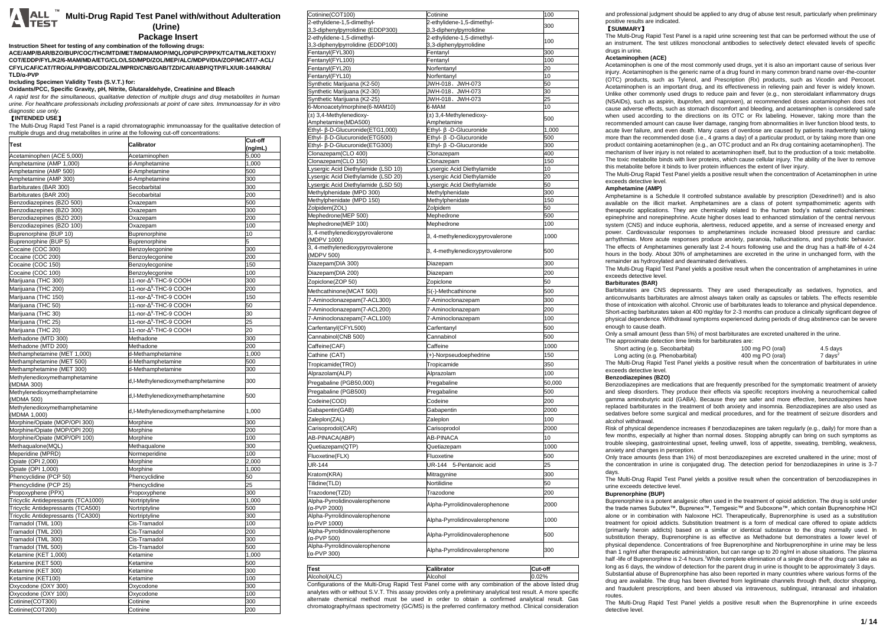# **Multi-Drug Rapid Test Panel with/without Adulteration (Urine)**

# **Package Insert**

**Instruction Sheet for testing of any combination of the following drugs: ACE/AMP/BAR/BZO/BUP/COC/THC/MTD/MET/MDMA/MOP/MQL/OPI/PCP/PPX/TCA/TML/KET/OXY/ COT/EDDP/FYL/K2/6-MAM/MDA/ETG/CLO/LSD/MPD/ZOL/MEP/ALC/MDPV/DIA/ZOP/MCAT/7-ACL/ CFYL/CAF/CAT/TRO/ALP/PGB/COD/ZAL/MPRD/CNB/GAB/TZD/CAR/ABP/QTP/FLX/UR-144/KRA/ TLD/α-PVP**

# **Including Specimen Validity Tests (S.V.T.) for:**

**Oxidants/PCC, Specific Gravity, pH, Nitrite, Glutaraldehyde, Creatinine and Bleach**

*A rapid test for the simultaneous, qualitative detection of multiple drugs and drug metabolites in human urine. For healthcare professionals including professionals at point of care sites. Immunoassay for in vitro diagnostic use only.*

# 【**INTENDED USE**】

The Multi-Drug Rapid Test Panel is a rapid chromatographic immunoassay for the qualitative detection of multiple drugs and drug metabolites in urine at the following cut-off concentrations:

| <b>Test</b>                                | Calibrator                        | Cut-off |
|--------------------------------------------|-----------------------------------|---------|
|                                            |                                   | (ng/mL) |
| Acetaminophen (ACE 5,000)                  | Acetaminophen                     | 5,000   |
| Amphetamine (AMP 1,000)                    | d-Amphetamine                     | 1,000   |
| Amphetamine (AMP 500)                      | d-Amphetamine                     | 500     |
| Amphetamine (AMP 300)                      | d-Amphetamine                     | 300     |
| Barbiturates (BAR 300)                     | Secobarbital                      | 300     |
|                                            | Secobarbital                      | 200     |
| Barbiturates (BAR 200)                     |                                   |         |
| Benzodiazepines (BZO 500)                  | Oxazepam                          | 500     |
| Benzodiazepines (BZO 300)                  | Oxazepam                          | 300     |
| Benzodiazepines (BZO 200)                  | Oxazepam                          | 200     |
| Benzodiazepines (BZO 100)                  | Oxazepam                          | 100     |
| Buprenorphine (BUP 10)                     | Buprenorphine                     | 10      |
| Buprenorphine (BUP 5)                      | Buprenorphine                     | 5       |
| Cocaine (COC 300)                          | Benzoylecgonine                   | 300     |
| Cocaine (COC 200)                          | Benzoylecgonine                   | 200     |
| Cocaine (COC 150)                          | Benzoylecgonine                   | 150     |
| Cocaine (COC 100)                          | Benzoylecgonine                   | 100     |
| Marijuana (THC 300)                        | 11-nor-A <sup>9</sup> -THC-9 COOH | 300     |
|                                            | 11-nor-A <sup>9</sup> -THC-9 COOH | 200     |
| Marijuana (THC 200)                        |                                   |         |
| Marijuana (THC 150)                        | 11-nor-A <sup>9</sup> -THC-9 COOH | 150     |
| Marijuana (THC 50)                         | 11-nor-A <sup>9</sup> -THC-9 COOH | 50      |
| Marijuana (THC 30)                         | 11-nor-A <sup>9</sup> -THC-9 COOH | 30      |
| Marijuana (THC 25)                         | 11-nor-A <sup>9</sup> -THC-9 COOH | 25      |
| Marijuana (THC 20)                         | 11-nor-A <sup>9</sup> -THC-9 COOH | 20      |
| Methadone (MTD 300)                        | Methadone                         | 300     |
| Methadone (MTD 200)                        | Methadone                         | 200     |
| Methamphetamine (MET 1,000)                | d-Methamphetamine                 | 1,000   |
|                                            |                                   | 500     |
| Methamphetamine (MET 500)                  | d-Methamphetamine                 |         |
| Methamphetamine (MET 300)                  | d-Methamphetamine                 | 300     |
| Methylenedioxymethamphetamine              | d,I-Methylenedioxymethamphetamine | 300     |
| (MDMA 300)                                 |                                   |         |
| Methylenedioxymethamphetamine              | d,I-Methylenedioxymethamphetamine | 500     |
| (MDMA 500)                                 |                                   |         |
| Methylenedioxymethamphetamine              | d,I-Methylenedioxymethamphetamine | 1,000   |
| (MDMA 1,000)                               |                                   |         |
| Morphine/Opiate (MOP/OPI 300)              | Morphine                          | 300     |
| Morphine/Opiate (MOP/OPI 200)              | Morphine                          | 200     |
| Morphine/Opiate (MOP/OPI 100)              | Morphine                          | 100     |
| Methaqualone(MQL)                          | Methaqualone                      | 300     |
| Meperidine (MPRD)                          | Normeperidine                     | 100     |
| Opiate (OPI 2,000)                         | Morphine                          | 2,000   |
| Opiate (OPI 1,000)                         | Morphine                          | 1,000   |
| Phencyclidine (PCP 50)                     | Phencyclidine                     | 50      |
| Phencyclidine (PCP 25)                     | Phencyclidine                     | 25      |
| Propoxyphene (PPX)                         | Propoxyphene                      | 300     |
| Tricyclic Antidepressants (TCA1000)        | Nortriptyline                     | 1,000   |
| Tricyclic Antidepressants (TCA500)         |                                   | 500     |
|                                            | Nortriptyline                     |         |
| Tricyclic Antidepressants (TCA300)         | Nortriptyline                     | 300     |
| Tramadol (TML 100)                         | Cis-Tramadol                      | 100     |
| Tramadol (TML 200)                         | Cis-Tramadol                      | 200     |
| Tramadol (TML 300)                         | Cis-Tramadol                      | 300     |
| Tramadol (TML 500)                         | Cis-Tramadol                      | 500     |
| Ketamine (KET 1,000)<br>Ketamine (KET 500) | Ketamine                          | 1,000   |
|                                            | Ketamine                          | 500     |
| Ketamine (KET 300)                         | Ketamine                          | 300     |
| Ketamine (KET100)                          | Ketamine                          | 100     |
| Oxycodone (OXY 300)                        | Oxycodone                         | 300     |
| Oxycodone (OXY 100)                        | Oxycodone                         | 100     |
| Cotinine(COT300)                           | Cotinine                          | 300     |
| Cotinine(COT200)                           | Cotinine                          | 200     |
|                                            |                                   |         |

| Cotinine(COT100)                                                           | Cotinine                                                 | 100        |
|----------------------------------------------------------------------------|----------------------------------------------------------|------------|
| 2-ethylidene-1,5-dimethyl-                                                 | 2-ethylidene-1,5-dimethyl-                               | 300        |
| 3,3-diphenylpyrrolidine (EDDP300)                                          | 3,3-diphenylpyrrolidine                                  |            |
| 2-ethylidene-1,5-dimethyl-                                                 | 2-ethylidene-1,5-dimethyl-                               | 100        |
| 3,3-diphenylpyrrolidine (EDDP100)<br>Fentanyl(FYL300)                      | 3,3-diphenylpyrrolidine<br>Fentanyl                      | 300        |
| Fentanyl(FYL100)                                                           | Fentanyl                                                 | 100        |
| Fentanyl(FYL20)                                                            | Norfentanyl                                              | 20         |
| Fentanyl(FYL10)                                                            | Norfentanyl                                              | 10         |
| Synthetic Marijuana (K2-50)                                                | JWH-018、JWH-073                                          | 50         |
| Synthetic Marijuana (K2-30)                                                | JWH-018、JWH-073                                          | 30         |
| Synthetic Marijuana (K2-25)                                                | JWH-018、JWH-073                                          | 25         |
| 6-Monoacetylmorphine(6-MAM10)<br>(±) 3,4-Methylenedioxy-                   | 6-MAM<br>(±) 3,4-Methylenedioxy-                         | 10         |
| Amphetamine(MDA500)                                                        | Amphetamine                                              | 500        |
| Ethyl- β-D-Glucuronide(ETG1,000)                                           | Ethyl- β -D-Glucuronide                                  | 1,000      |
| Ethyl- β-D-Glucuronide(ETG500)                                             | Ethyl- ß -D-Glucuronide                                  | 500        |
| Ethyl- β-D-Glucuronide (ETG300)                                            | Ethyl- β -D-Glucuronide                                  | 300        |
| Clonazepam(CLO 400)                                                        | Clonazepam                                               | 400        |
| Clonazepam(CLO 150)                                                        | Clonazepam                                               | 150        |
| Lysergic Acid Diethylamide (LSD 10)                                        | Lysergic Acid Diethylamide                               | 10         |
| Lysergic Acid Diethylamide (LSD 20)<br>Lysergic Acid Diethylamide (LSD 50) | Lysergic Acid Diethylamide<br>Lysergic Acid Diethylamide | 20<br>50   |
| Methylphenidate (MPD 300)                                                  | Methylphenidate                                          | 300        |
| Methylphenidate (MPD 150)                                                  | Methylphenidate                                          | 150        |
| Zolpidem(ZOL)                                                              | Zolpidem                                                 | 50         |
| Mephedrone(MEP 500)                                                        | Mephedrone                                               | 500        |
| Mephedrone(MEP 100)                                                        | Mephedrone                                               | 100        |
| 3, 4-methylenedioxypyrovalerone<br>(MDPV 1000)                             | 3, 4-methylenedioxypyrovalerone                          | 1000       |
| 3, 4-methylenedioxypyrovalerone<br>(MDPV 500)                              | 3, 4-methylenedioxypyrovalerone                          | 500        |
| Diazepam(DIA 300)                                                          | Diazepam                                                 | 300        |
| Diazepam(DIA 200)                                                          | Diazepam                                                 | 200        |
| Zopiclone(ZOP 50)                                                          | Zopiclone                                                | 50         |
| Methcathinone(MCAT 500)                                                    | S(-)-Methcathinone                                       | 500        |
| 7-Aminoclonazepam(7-ACL300)                                                | 7-Aminoclonazepam                                        | 300        |
| 7-Aminoclonazepam(7-ACL200)                                                | 7-Aminoclonazepam                                        | 200        |
| 7-Aminoclonazepam(7-ACL100)                                                | 7-Aminoclonazepam                                        | 100        |
| Carfentanyl(CFYL500)                                                       | Carfentanyl                                              | 500        |
| Cannabinol(CNB 500)                                                        | Cannabinol                                               | 500        |
| Caffeine(CAF)                                                              | Caffeine                                                 | 1000       |
| Cathine (CAT)                                                              | (+)-Norpseudoephedrine                                   | 150        |
| Tropicamide(TRO)                                                           | Tropicamide                                              | 350        |
| Alprazolam(ALP)                                                            | Alprazolam                                               | 100        |
| Pregabaline (PGB50,000)                                                    | Pregabaline                                              |            |
| Pregabaline (PGB500)                                                       | Pregabaline                                              | 50,000     |
|                                                                            | Codeine                                                  | 500<br>200 |
| Codeine(COD)                                                               | Gabapentin                                               | 2000       |
| Gabapentin(GAB)                                                            |                                                          |            |
| Zaleplon(ZAL)                                                              | Zaleplon                                                 | 100        |
| Carisoprodol(CAR)                                                          | Carisoprodol                                             | 2000       |
| AB-PINACA(ABP)                                                             | AB-PINACA                                                | 10         |
| Quetiazepam(QTP)                                                           | Quetiazepam                                              | 1000       |
| Fluoxetine(FLX)                                                            | Fluoxetine                                               | 500        |
| <b>UR-144</b>                                                              | UR-144<br>5-Pentanoic acid                               | 25         |
| Kratom(KRA)                                                                | Mitragynine                                              | 300        |
| Tilidine(TLD)                                                              | Nortilidine                                              | 50         |
| Trazodone(TZD)                                                             | Trazodone                                                | 200        |
| Alpha-Pyrrolidinovalerophenone<br>(α-PVP 2000)                             | Alpha-Pyrrolidinovalerophenone                           | 2000       |
| Alpha-Pyrrolidinovalerophenone<br>(α-PVP 1000)                             | Alpha-Pyrrolidinovalerophenone                           | 1000       |
| Alpha-Pyrrolidinovalerophenone<br>(α-PVP 500)                              | Alpha-Pyrrolidinovalerophenone                           | 500        |
| Alpha-Pyrrolidinovalerophenone<br>(α-PVP 300)                              | Alpha-Pyrrolidinovalerophenone                           | 300        |
|                                                                            |                                                          |            |

**Test Calibrator Cut-off**  Alcohol(ALC) Alcohol 0.02% and 0.02% Configurations of the Multi-Drug Rapid Test Panel come with any combination of the above listed drug

analytes with or without S.V.T. This assay provides only a preliminary analytical test result. A more specific alternate chemical method must be used in order to obtain a confirmed analytical result. Gas chromatography/mass spectrometry (GC/MS) is the preferred confirmatory method. Clinical consideration

and professional judgment should be applied to any drug of abuse test result, particularly when preliminary positive results are indicated.

#### 【**SUMMARY**】

The Multi-Drug Rapid Test Panel is a rapid urine screening test that can be performed without the use of an instrument. The test utilizes monoclonal antibodies to selectively detect elevated levels of specific drugs in urine.

#### **Acetaminophen (ACE)**

Acetaminophen is one of the most commonly used drugs, yet it is also an important cause of serious liver injury. Acetaminophen is the generic name of a drug found in many common brand name over-the-counter (OTC) products, such as Tylenol, and Prescription (Rx) products, such as Vicodin and Percocet. Acetaminophen is an important drug, and its effectiveness in relieving pain and fever is widely known. Unlike other commonly used drugs to reduce pain and fever (e.g., non steroidalant inflammatory drugs (NSAIDs), such as aspirin, ibuprofen, and naproxen), at recommended doses acetaminophen does not cause adverse effects, such as stomach discomfort and bleeding, and acetaminophen is considered safe when used according to the directions on its OTC or Rx labeling. However, taking more than the recommended amount can cause liver damage, ranging from abnormalities in liver function blood tests, to acute liver failure, and even death. Many cases of overdose are caused by patients inadvertently taking more than the recommended dose (i.e., 4 grams a day) of a particular product, or by taking more than one product containing acetaminophen (e.g., an OTC product and an Rx drug containing acetaminophen). The mechanism of liver injury is not related to acetaminophen itself, but to the production of a toxic metabolite. The toxic metabolite binds with liver proteins, which cause cellular injury. The ability of the liver to remove this metabolite before it binds to liver protein influences the extent of liver injury.

The Multi-Drug Rapid Test Panel yields a positive result when the concentration of Acetaminophen in urine exceeds detective level.

# **Amphetamine (AMP)**

Amphetamine is a Schedule II controlled substance available by prescription (Dexedrine®) and is also available on the illicit market. Amphetamines are a class of potent sympathomimetic agents with therapeutic applications. They are chemically related to the human body's natural catecholamines: epinephrine and norepinephrine. Acute higher doses lead to enhanced stimulation of the central nervous system (CNS) and induce euphoria, alertness, reduced appetite, and a sense of increased energy and power. Cardiovascular responses to amphetamines include increased blood pressure and cardiac arrhythmias. More acute responses produce anxiety, paranoia, hallucinations, and psychotic behavior. The effects of Amphetamines generally last 2-4 hours following use and the drug has a half-life of 4-24 hours in the body. About 30% of amphetamines are excreted in the urine in unchanged form, with the remainder as hydroxylated and deaminated derivatives.

The Multi-Drug Rapid Test Panel yields a positive result when the concentration of amphetamines in urine exceeds detective level.

### **Barbiturates (BAR)**

Barbiturates are CNS depressants. They are used therapeutically as sedatives, hypnotics, and anticonvulsants barbiturates are almost always taken orally as capsules or tablets. The effects resemble those of intoxication with alcohol. Chronic use of barbiturates leads to tolerance and physical dependence. Short-acting barbiturates taken at 400 mg/day for 2-3 months can produce a clinically significant degree of physical dependence. Withdrawal symptoms experienced during periods of drug abstinence can be severe enough to cause death.

Only a small amount (less than 5%) of most barbiturates are excreted unaltered in the urine.

The approximate detection time limits for barbiturates are:

| Short acting (e.g. Secobarbital)                                                                         | 100 mg PO (oral) | 4.5 davs           |
|----------------------------------------------------------------------------------------------------------|------------------|--------------------|
| Long acting (e.g. Phenobarbital)                                                                         | 400 mg PO (oral) | $7 \text{ days}^2$ |
| The Multi-Drug Rapid Test Panel yields a positive result when the concentration of barbiturates in urine |                  |                    |
| exceeds detective level.                                                                                 |                  |                    |

# **Benzodiazepines (BZO)**

Benzodiazepines are medications that are frequently prescribed for the symptomatic treatment of anxiety and sleep disorders. They produce their effects via specific receptors involving a neurochemical called gamma aminobutyric acid (GABA). Because they are safer and more effective, benzodiazepines have replaced barbiturates in the treatment of both anxiety and insomnia. Benzodiazepines are also used as sedatives before some surgical and medical procedures, and for the treatment of seizure disorders and alcohol withdrawal.

Risk of physical dependence increases if benzodiazepines are taken regularly (e.g., daily) for more than a few months, especially at higher than normal doses. Stopping abruptly can bring on such symptoms as trouble sleeping, gastrointestinal upset, feeling unwell, loss of appetite, sweating, trembling, weakness, anxiety and changes in perception.

Only trace amounts (less than 1%) of most benzodiazepines are excreted unaltered in the urine; most of the concentration in urine is conjugated drug. The detection period for benzodiazepines in urine is 3-7 days.

The Multi-Drug Rapid Test Panel yields a positive result when the concentration of benzodiazepines in urine exceeds detective level.

#### **Buprenorphine (BUP)**

Buprenorphine is a potent analgesic often used in the treatment of opioid addiction. The drug is sold under the trade names Subutex™, Buprenex™, Temgesic™ and Suboxone™, which contain Buprenorphine HCl alone or in combination with Naloxone HCl. Therapeutically, Buprenorphine is used as a substitution treatment for opioid addicts. Substitution treatment is a form of medical care offered to opiate addicts (primarily heroin addicts) based on a similar or identical substance to the drug normally used. In substitution therapy, Buprenorphine is as effective as Methadone but demonstrates a lower level of physical dependence. Concentrations of free Buprenorphine and Norbuprenorphine in urine may be less than 1 ng/ml after therapeutic administration, but can range up to 20 ng/ml in abuse situations. The plasma half -life of Buprenorphine is 2-4 hours.<sup>7</sup>While complete elimination of a single dose of the drug can take as long as 6 days, the window of detection for the parent drug in urine is thought to be approximately 3 days. Substantial abuse of Buprenorphine has also been reported in many countries where various forms of the drug are available. The drug has been diverted from legitimate channels through theft, doctor shopping, and fraudulent prescriptions, and been abused via intravenous, sublingual, intranasal and inhalation routes.

The Multi-Drug Rapid Test Panel yields a positive result when the Buprenorphine in urine exceeds detective level.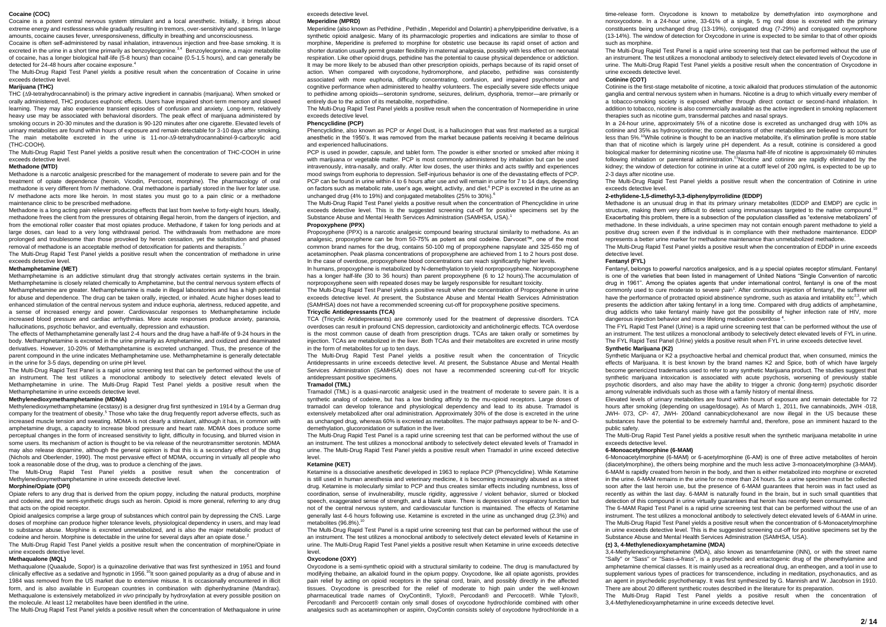#### **Cocaine (COC)**

Cocaine is a potent central nervous system stimulant and a local anesthetic. Initially, it brings about extreme energy and restlessness while gradually resulting in tremors, over-sensitivity and spasms. In large amounts, cocaine causes fever, unresponsiveness, difficulty in breathing and unconsciousness.

Cocaine is often self-administered by nasal inhalation, intravenous injection and free-base smoking. It is excreted in the urine in a short time primarily as benzoylecgonine.<sup>3,4</sup> Benzoylecgonine, a major metabolite of cocaine, has a longer biological half-life (5-8 hours) than cocaine (0.5-1.5 hours), and can generally be detected for 24-48 hours after cocaine exposure.<sup>4</sup>

The Multi-Drug Rapid Test Panel yields a positive result when the concentration of Cocaine in urine exceeds detective level.

#### **Marijuana (THC)**

THC (A9-tetrahydrocannabinol) is the primary active ingredient in cannabis (marijuana). When smoked or orally administered, THC produces euphoric effects. Users have impaired short-term memory and slowed learning. They may also experience transient episodes of confusion and anxiety. Long-term, relatively heavy use may be associated with behavioral disorders. The peak effect of marijuana administered by smoking occurs in 20-30 minutes and the duration is 90-120 minutes after one cigarette. Elevated levels of urinary metabolites are found within hours of exposure and remain detectable for 3-10 days after smoking. The main metabolite excreted in the urine is 11-nor- $\Delta$ 9-tetrahydrocannabinol-9-carboxylic acid (THC-COOH).

The Multi-Drug Rapid Test Panel yields a positive result when the concentration of THC-COOH in urine exceeds detective level.

# **Methadone (MTD)**

Methadone is a narcotic analgesic prescribed for the management of moderate to severe pain and for the treatment of opiate dependence (heroin, Vicodin, Percocet, morphine). The pharmacology of oral methadone is very different from IV methadone. Oral methadone is partially stored in the liver for later use. IV methadone acts more like heroin. In most states you must go to a pain clinic or a methadone maintenance clinic to be prescribed methadone.

Methadone is a long acting pain reliever producing effects that last from twelve to forty-eight hours. Ideally, methadone frees the client from the pressures of obtaining illegal heroin, from the dangers of injection, and from the emotional roller coaster that most opiates produce. Methadone, if taken for long periods and at large doses, can lead to a very long withdrawal period. The withdrawals from methadone are more prolonged and troublesome than those provoked by heroin cessation, yet the substitution and phased removal of methadone is an acceptable method of detoxification for patients and therapists.

The Multi-Drug Rapid Test Panel yields a positive result when the concentration of methadone in urine exceeds detective level.

#### **Methamphetamine (MET)**

Methamphetamine is an addictive stimulant drug that strongly activates certain systems in the brain. Methamphetamine is closely related chemically to Amphetamine, but the central nervous system effects of Methamphetamine are greater. Methamphetamine is made in illegal laboratories and has a high potential for abuse and dependence. The drug can be taken orally, injected, or inhaled. Acute higher doses lead to enhanced stimulation of the central nervous system and induce euphoria, alertness, reduced appetite, and a sense of increased energy and power. Cardiovascular responses to Methamphetamine include increased blood pressure and cardiac arrhythmias. More acute responses produce anxiety, paranoia, hallucinations, psychotic behavior, and eventually, depression and exhaustion.

The effects of Methamphetamine generally last 2-4 hours and the drug have a half-life of 9-24 hours in the body. Methamphetamine is excreted in the urine primarily as Amphetamine, and oxidized and deaminated derivatives. However, 10-20% of Methamphetamine is excreted unchanged. Thus, the presence of the parent compound in the urine indicates Methamphetamine use. Methamphetamine is generally detectable in the urine for 3-5 days, depending on urine pH level.

The Multi-Drug Rapid Test Panel is a rapid urine screening test that can be performed without the use of an instrument. The test utilizes a monoclonal antibody to selectively detect elevated levels of Methamphetamine in urine. The Multi-Drug Rapid Test Panel yields a positive result when the Methamphetamine in urine exceeds detective level.

### **Methylenedioxymethamphetamine (MDMA)**

Methylenedioxymethamphetamine (ecstasy) is a designer drug first synthesized in 1914 by a German drug company for the treatment of obesity.<sup>5</sup> Those who take the drug frequently report adverse effects, such as increased muscle tension and sweating. MDMA is not clearly a stimulant, although it has, in common with amphetamine drugs, a capacity to increase blood pressure and heart rate. MDMA does produce some perceptual changes in the form of increased sensitivity to light, difficulty in focusing, and blurred vision in some users. Its mechanism of action is thought to be via release of the neurotransmitter serotonin. MDMA may also release dopamine, although the general opinion is that this is a secondary effect of the drug (Nichols and Oberlender, 1990). The most pervasive effect of MDMA, occurring in virtually all people who took a reasonable dose of the drug, was to produce a clenching of the jaws.

The Multi-Drug Rapid Test Panel yields a positive result when the concentration of Methylenedioxymethamphetamine in urine exceeds detective level.

# **Morphine/Opiate (OPI)**

Opiate refers to any drug that is derived from the opium poppy, including the natural products, morphine and codeine, and the semi-synthetic drugs such as heroin. Opioid is more general, referring to any drug that acts on the opioid receptor

Opioid analgesics comprise a large group of substances which control pain by depressing the CNS. Large doses of morphine can produce higher tolerance levels, physiological dependency in users, and may lead to substance abuse. Morphine is excreted unmetabolized, and is also the major metabolic product of codeine and heroin. Morphine is detectable in the urine for several days after an opiate dose.<sup>2</sup>

The Multi-Drug Rapid Test Panel yields a positive result when the concentration of morphine/Opiate in urine exceeds detective level.

#### **Methaqualone (MQL)**

Methaqualone (Quaalude, Sopor) is a quinazoline derivative that was first synthesized in 1951 and found  $\frac{1}{2}$ clinically effective as a sedative and hypnotic in 1956.<sup>10</sup>It soon gained popularity as a drug of abuse and in 1984 was removed from the US market due to extensive misuse. It is occasionally encountered in illicit form, and is also available in European countries in combination with diphenhydramine (Mandrax). Methaqualone is extensively metabolized *in vivo* principally by hydroxylation at every possible position on the molecule. At least 12 metabolites have been identified in the urine.

The Multi-Drug Rapid Test Panel yields a positive result when the concentration of Methaqualone in urine

#### exceeds detective level. **Meperidine (MPRD)**

Meperidine (also known as Pethidine , Pethidin , Meperidol and Dolantin) a phenylpiperidine derivative, is a synthetic opioid analgesic. Many of its pharmacologic properties and indications are similar to those of morphine, Meperidine is preferred to morphine for obstetric use because its rapid onset of action and shorter duration usually permit greater flexibility in maternal analgesia, possibly with less effect on neonatal respiration. Like other opioid drugs, pethidine has the potential to cause physical dependence or addiction. It may be more likely to be abused than other prescription opioids, perhaps because of its rapid onset of action. When compared with oxycodone, hydromorphone, and placebo, pethidine was consistently associated with more euphoria, difficulty concentrating, confusion, and impaired psychomotor and cognitive performance when administered to healthy volunteers. The especially severe side effects unique to pethidine among opioids—serotonin syndrome, seizures, delirium, dysphoria, tremor—are primarily or entirely due to the action of its metabolite, norpethidine.

The Multi-Drug Rapid Test Panel yields a positive result when the concentration of Normeperidine in urine exceeds detective level.

# **Phencyclidine (PCP)**

Phencyclidine, also known as PCP or Angel Dust, is a hallucinogen that was first marketed as a surgical anesthetic in the 1950's. It was removed from the market because patients receiving it became delirious and experienced hallucinations.

PCP is used in powder, capsule, and tablet form. The powder is either snorted or smoked after mixing it with marijuana or vegetable matter. PCP is most commonly administered by inhalation but can be used intravenously, intra-nasally, and orally. After low doses, the user thinks and acts swiftly and experiences mood swings from euphoria to depression. Self-injurious behavior is one of the devastating effects of PCP. PCP can be found in urine within 4 to 6 hours after use and will remain in urine for 7 to 14 days, depending on factors such as metabolic rate, user's age, weight, activity, and diet.<sup>6</sup> PCP is excreted in the urine as an unchanged drug (4% to 19%) and conjugated metabolites (25% to 30%).<sup>6</sup>

The Multi-Drug Rapid Test Panel yields a positive result when the concentration of Phencyclidine in urine exceeds detective level. This is the suggested screening cut-off for positive specimens set by the Substance Abuse and Mental Health Services Administration (SAMHSA, USA).<sup>1</sup>

# **Propoxyphene (PPX)**

Propoxyphene (PPX) is a narcotic analgesic compound bearing structural similarity to methadone. As an analgesic, propoxyphene can be from 50-75% as potent as oral codeine. Darvocet™, one of the most common brand names for the drug, contains 50-100 mg of propoxyphene napsylate and 325-650 mg of acetaminophen. Peak plasma concentrations of propoxyphene are achieved from 1 to 2 hours post dose. In the case of overdose, propoxyphene blood concentrations can reach significantly higher levels.

In humans, propoxyphene is metabolized by N-demethylation to yield norpropoxyphene. Norpropoxyphene has a longer half-life (30 to 36 hours) than parent propoxyphene (6 to 12 hours).The accumulation of norpropoxyphene seen with repeated doses may be largely responsible for resultant toxicity.

The Multi-Drug Rapid Test Panel yields a positive result when the concentration of Propoxyphene in urine exceeds detective level. At present, the Substance Abuse and Mental Health Services Administration (SAMHSA) does not have a recommended screening cut-off for propoxyphene positive specimens. **Tricyclic Antidepressants (TCA)**

TCA (Tricyclic Antidepressants) are commonly used for the treatment of depressive disorders. TCA overdoses can result in profound CNS depression, cardiotoxicity and anticholinergic effects. TCA overdose is the most common cause of death from prescription drugs. TCAs are taken orally or sometimes by injection. TCAs are metabolized in the liver. Both TCAs and their metabolites are excreted in urine mostly in the form of metabolites for up to ten days.

The Multi-Drug Rapid Test Panel yields a positive result when the concentration of Tricyclic Antidepressants in urine exceeds detective level. At present, the Substance Abuse and Mental Health Services Administration (SAMHSA) does not have a recommended screening cut-off for tricyclic antidepressant positive specimens.

# **Tramadol (TML)**

Tramadol (TML) is a quasi-narcotic analgesic used in the treatment of moderate to severe pain. It is a synthetic analog of codeine, but has a low binding affinity to the mu-opioid receptors. Large doses of tramadol can develop tolerance and physiological dependency and lead to its abuse. Tramadol is extensively metabolized after oral administration. Approximately 30% of the dose is excreted in the urine as unchanged drug, whereas 60% is excreted as metabolites. The major pathways appear to be N- and Odemethylation, glucoronidation or sulfation in the liver.

The Multi-Drug Rapid Test Panel is a rapid urine screening test that can be performed without the use of an instrument. The test utilizes a monoclonal antibody to selectively detect elevated levels of Tramadol in urine. The Multi-Drug Rapid Test Panel yields a positive result when Tramadol in urine exceed detective level.

# **Ketamine (KET)**

Ketamine is a dissociative anesthetic developed in 1963 to replace PCP (Phencyclidine). While Ketamine is still used in human anesthesia and veterinary medicine, it is becoming increasingly abused as a street drug. Ketamine is molecularly similar to PCP and thus creates similar effects including numbness, loss of coordination, sense of invulnerability, muscle rigidity, aggressive / violent behavior, slurred or blocked speech, exaggerated sense of strength, and a blank stare. There is depression of respiratory function but not of the central nervous system, and cardiovascular function is maintained. The effects of Ketamine generally last 4-6 hours following use. Ketamine is excreted in the urine as unchanged drug (2.3%) and metabolites (96.8%).<sup>10</sup>

The Multi-Drug Rapid Test Panel is a rapid urine screening test that can be performed without the use of an instrument. The test utilizes a monoclonal antibody to selectively detect elevated levels of Ketamine in urine. The Multi-Drug Rapid Test Panel yields a positive result when Ketamine in urine exceeds detective level.

### **Oxycodone (OXY)**

Oxycodone is a semi-synthetic opioid with a structural similarity to codeine. The drug is manufactured by modifying thebaine, an alkaloid found in the opium poppy. Oxycodone, like all opiate agonists, provides pain relief by acting on opioid receptors in the spinal cord, brain, and possibly directly in the affected tissues. Oxycodone is prescribed for the relief of moderate to high pain under the well-known pharmaceutical trade names of OxyContin®, Tylox®, Percodan® and Percocet®. While Tylox®, Percodan® and Percocet® contain only small doses of oxycodone hydrochloride combined with other analgesics such as acetaminophen or aspirin, OxyContin consists solely of oxycodone hydrochloride in a

time-release form. Oxycodone is known to metabolize by demethylation into oxymorphone and noroxycodone. In a 24-hour urine, 33-61% of a single, 5 mg oral dose is excreted with the primary constituents being unchanged drug (13-19%), conjugated drug (7-29%) and conjugated oxymorphone (13-14%). The window of detection for Oxycodone in urine is expected to be similar to that of other opioids such as morphine.

The Multi-Drug Rapid Test Panel is a rapid urine screening test that can be performed without the use of an instrument. The test utilizes a monoclonal antibody to selectively detect elevated levels of Oxycodone in urine. The Multi-Drug Rapid Test Panel yields a positive result when the concentration of Oxycodone in urine exceeds detective level.

#### **Cotinine (COT)**

Cotinine is the first-stage metabolite of nicotine, a toxic alkaloid that produces stimulation of the autonomic ganglia and central nervous system when in humans. Nicotine is a drug to which virtually every member of a tobacco-smoking society is exposed whether through direct contact or second-hand inhalation. In addition to tobacco, nicotine is also commercially available as the active ingredient in smoking replacement therapies such as nicotine gum, transdermal patches and nasal sprays.

In a 24-hour urine, approximately 5% of a nicotine dose is excreted as unchanged drug with 10% as cotinine and 35% as hydroxycotinine; the concentrations of other metabolites are believed to account for less than 5%.<sup>10</sup>While cotinine is thought to be an inactive metabolite, it's elimination profile is more stable than that of nicotine which is largely urine pH dependent. As a result, cotinine is considered a good biological marker for determining nicotine use. The plasma half-life of nicotine is approximately 60 minutes following inhalation or parenteral administration.<sup>11</sup>Nicotine and cotinine are rapidly eliminated by the kidney; the window of detection for cotinine in urine at a cutoff level of 200 ng/mL is expected to be up to 2-3 days after nicotine use.

The Multi-Drug Rapid Test Panel yields a positive result when the concentration of Cotinine in urine exceeds detective level.

# **2-ethylidene-1,5-dimethyl-3,3-diphenylpyrrolidine (EDDP)**

Methadone is an unusual drug in that its primary urinary metabolites (EDDP and EMDP) are cyclic in structure. making them very difficult to detect using immunoassays targeted to the native compound.<sup>10</sup> Exacerbating this problem, there is a subsection of the population classified as "extensive metabolizers" of methadone. In these individuals, a urine specimen may not contain enough parent methadone to yield a positive drug screen even if the individual is in compliance with their methadone maintenance. EDDP represents a better urine marker for methadone maintenance than unmetabolized methadone.

The Multi-Drug Rapid Test Panel yields a positive result when the concentration of EDDP in urine exceeds detective level.

#### **Fentanyl (FYL)**

Fentanyl, belongs to powerful narcotics analgesics, and is a μ special opiates receptor stimulant. Fentanyl is one of the varieties that been listed in management of United Nations "Single Convention of narcotic drug in 1961". Among the opiates agents that under international control, fentanyl is one of the most commonly used to cure moderate to severe pain<sup>1</sup>. After continuous injection of fentanyl, the sufferer will have the performance of protracted opioid abstinence syndrome, such as ataxia and irritability etc<sup>2,3</sup>, which presents the addiction after taking fentanyl in a long time. Compared with drug addicts of amphetamine, drug addicts who take fentanyl mainly have got the possibility of higher infection rate of HIV, more dangerous injection behavior and more lifelong medication overdose<sup>4</sup>.

The FYL Rapid Test Panel (Urine) is a rapid urine screening test that can be performed without the use of an instrument. The test utilizes a monoclonal antibody to selectively detect elevated levels of FYL in urine. The FYL Rapid Test Panel (Urine) yields a positive result when FYL in urine exceeds detective level. **Synthetic Marijuana (K2)**

Synthetic Marijuana or K2 a psychoactive herbal and chemical product that, when consumed, mimics the effects of Marijuana. It is best known by the brand names K2 and Spice, both of which have largely become genericized trademarks used to refer to any synthetic Marijuana product. The studies suggest that synthetic marijuana intoxication is associated with acute psychosis, worsening of previously stable psychotic disorders, and also may have the ability to trigger a chronic (long-term) psychotic disorder among vulnerable individuals such as those with a family history of mental illness.

Elevated levels of urinary metabolites are found within hours of exposure and remain detectable for 72 hours after smoking (depending on usage/dosage). As of March 1, 2011, five cannabinoids, JWH -018, JWH- 073, CP- 47, JWH- 200and cannabicyclohexanol are now illegal in the US because these substances have the potential to be extremely harmful and, therefore, pose an imminent hazard to the public safety.

The Multi-Drug Rapid Test Panel yields a positive result when the synthetic marijuana metabolite in urine exceeds detective level.

#### **6-Monoacetylmorphine (6-MAM)**

6-Monoacetylmorphine (6-MAM) or 6-acetylmorphine (6-AM) is one of three activ[e metabolites](http://en.wikipedia.org/wiki/Metabolite) o[f heroin](http://en.wikipedia.org/wiki/Heroin) (diacetylmorphine), the others being morphine and the much less activ[e 3-monoacetylmorphine](http://en.wikipedia.org/wiki/3-Monoacetylmorphine) (3-MAM). 6-MAM is rapidly created from heroin in the body, and then is either metabolized int[o morphine](http://en.wikipedia.org/wiki/Morphine) or excreted in th[e urine.](http://en.wikipedia.org/wiki/Urine) 6-MAM remains in the urine for no more than 24 hours. So a urine specimen must be collected soon after the last heroin use, but the presence of 6-MAM guarantees that heroin was in fact used as recently as within the last day. 6-MAM is naturally found in the brain, but in such small quantities that detection of this compound in urine virtually guarantees that heroin has recently been consumed.

The 6-MAM Rapid Test Panel is a rapid urine screening test that can be performed without the use of an instrument. The test utilizes a monoclonal antibody to selectively detect elevated levels of 6-MAM in urine. The Multi-Drug Rapid Test Panel yields a positive result when the concentration of 6-Monoacetylmorphine in urine exceeds detective level. This is the suggested screening cut-off for positive specimens set by the Substance Abuse and Mental Health Services Administration (SAMHSA, USA).

# **(±) 3, 4-Methylenedioxyamphetamine (MDA)**

3,4-Methylenedioxyamphetamine (MDA), also known as tenamfetamine [\(INN\),](http://en.wikipedia.org/wiki/International_Nonproprietary_Name) or with the street name "Sally" or "Sass" or "Sass-a-frass", is [a psychedelic](http://en.wikipedia.org/wiki/Psychedelic_drug) an[d entactogenic](http://en.wikipedia.org/wiki/Empathogen-entactogen) drug of the [phenethylamine](http://en.wikipedia.org/wiki/Substituted_phenethylamine) and [amphetamine](http://en.wikipedia.org/wiki/Substituted_amphetamine) chemical classes. It is mainly used as [a recreational drug,](http://en.wikipedia.org/wiki/Recreational_drug) a[n entheogen,](http://en.wikipedia.org/wiki/Entheogen) and [a tool](http://en.wikipedia.org/wiki/Tool) in use to supplement various types of practices fo[r transcendence,](http://en.wikipedia.org/wiki/Transcendence_(philosophy)) including i[n meditation,](http://en.wikipedia.org/wiki/Meditation) [psychonautics,](http://en.wikipedia.org/wiki/Psychonautics) and as an agent i[n psychedelic psychotherapy.](http://en.wikipedia.org/wiki/Psychedelic_psychotherapy) It was firs[t synthesized](http://en.wikipedia.org/wiki/Chemical_synthesis) by G. Mannish and W. Jacobson in 1910. There are about 20 different synthetic routes described in the literature for its preparation.

The Multi-Drug Rapid Test Panel yields a positive result when the concentration of 3,4-Methylenedioxyamphetamine in urine exceeds detective level.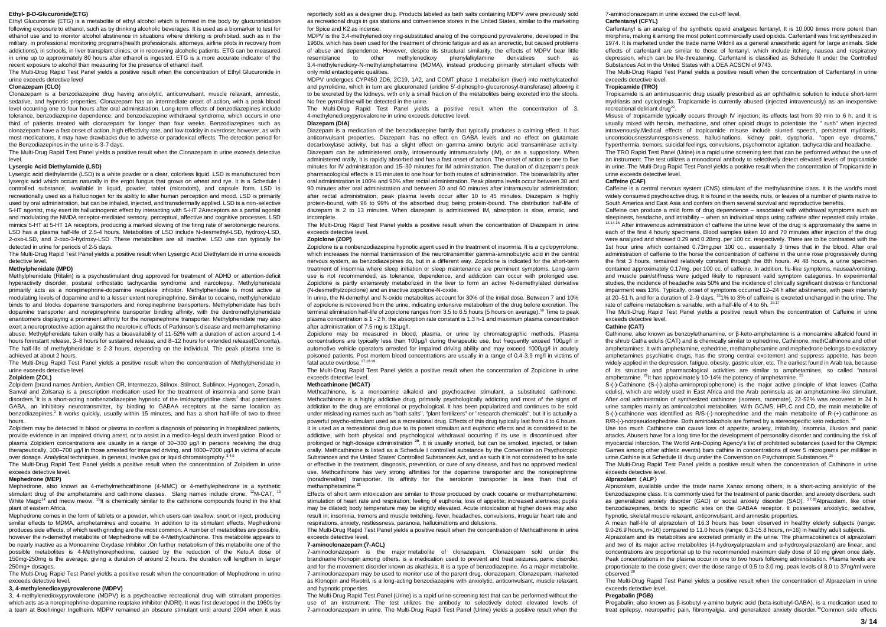### **Ethyl- β-D-Glucuronide(ETG)**

Ethyl Glucuronide (ETG) is a metabolite of ethyl alcohol which is formed in the body by glucuronidation following exposure to ethanol, such as by drinking alcoholic beverages. It is used as a biomarker to test for ethanol use and to monitor alcohol abstinence in situations where drinking is prohibited, such as in the military, in professional monitoring programs(health professionals, attorneys, airline pilots in recovery from addictions), in schools, in liver transplant clinics, or in recovering alcoholic patients. ETG can be measured in urine up to approximately 80 hours after ethanol is ingested. ETG is a more accurate indicator of the recent exposure to alcohol than measuring for the presence of ethanol itself.

The Multi-Drug Rapid Test Panel yields a positive result when the concentration of Ethyl Glucuronide in urine exceeds detective level

# **Clonazepam (CLO)**

Clonazepam is a benzodiazepine drug having anxiolytic, anticonvulsant, muscle relaxant, amnestic, sedative, and hypnotic properties. Clonazepam has an intermediate onset of action, with a peak blood level occurring one to four hours after oral administration. Long-term effects of benzodiazepines include tolerance, benzodiazepine dependence, and benzodiazepine withdrawal syndrome, which occurs in one third of patients treated with clonazepam for longer than four weeks. Benzodiazepines such as clonazepam have a fast onset of action, high effectivity rate, and low toxicity in overdose; however, as with most medications, it may have drawbacks due to adverse or paradoxical effects. The detection period for the Benzodiazepines in the urine is 3-7 days.

The Multi-Drug Rapid Test Panel yields a positive result when the Clonazepam in urine exceeds detective level.

# **Lysergic Acid Diethylamide (LSD)**

Lysergic acid diethylamide (LSD) is a white powder or a clear, colorless liquid. LSD is manufactured from lysergic acid which occurs naturally in the ergot fungus that grows on wheat and rye. It is a Schedule I controlled substance, available in liquid, powder, tablet (microdots), and capsule form. LSD is recreationally used as a hallucinogen for its ability to alter human perception and mood. LSD is primarily used by oral administration, but can be inhaled, injected, and transdermally applied. LSD is a non-selective 5-HT agonist, may exert its hallucinogenic effect by interacting with 5-HT 2Areceptors as a partial agonist and modulating the NMDA receptor-mediated sensory, perceptual, affective and cognitive processes. LSD mimics 5-HT at 5-HT 1A receptors, producing a marked slowing of the firing rate of serotonergic neurons. LSD has a plasma half-life of 2.5-4 hours. Metabolites of LSD include N-desmethyl-LSD, hydroxy-LSD, 2-oxo-LSD, and 2-oxo-3-hydroxy-LSD .These metabolites are all inactive. LSD use can typically be detected in urine for periods of 2-5 days.

The Multi-Drug Rapid Test Panel yields a positive result when Lysergic Acid Diethylamide in urine exceeds detective level.

### **Methylphenidate (MPD)**

Methylphenidate (Ritalin) is a psychostimulant drug approved for treatment of ADHD or attention-deficit hyperactivity disorder, postural orthostatic tachycardia syndrome and narcolepsy. Methylphenidate primarily acts as a norepinephrine-dopamine reuptake inhibitor. Methylphenidate is most active at modulating levels of dopamine and to a lesser extent norepinephrine. Similar to cocaine, methylphenidate binds to and blocks dopamine transporters and norepinephrine transporters. Methylphenidate has both dopamine transporter and norepinephrine transporter binding affinity, with the dextromethylphenidate enantiomers displaying a prominent affinity for the norepinephrine transporter. Methylphenidate may also exert a neuroprotective action against the neurotoxic effects of Parkinson's disease and methamphetamine abuse. Methylphenidate taken orally has a bioavailability of 11-52% with a duration of action around 1-4 hours forinstant release, 3–8 hours for sustained release, and 8–12 hours for extended release(Concerta). The half-life of methylphenidate is 2-3 hours, depending on the individual. The peak plasma time is achieved at about 2 hours.

The Multi-Drug Rapid Test Panel yields a positive result when the concentration of Methylphenidate in urine exceeds detective level

#### **Zolpidem (ZOL)**

Zolpidem (brand names Ambien, Ambien CR, Intermezzo, Stilnox, Stilnoct, Sublinox, Hypnogen, Zonadin, Sanval and Zolsana) is a prescription medication used for the treatment of insomnia and some brain disorders.<sup>1</sup>It is a short-acting nonbenzodiazepine hypnotic of the imidazopyridine class<sup>1</sup> that potentiates GABA, an inhibitory neurotransmitter, by binding to GABAA receptors at the same location as benzodiazepines.<sup>2</sup> It works quickly, usually within 15 minutes, and has a short half-life of two to three hours.

Zolpidem may be detected in blood or plasma to confirm a diagnosis of poisoning in hospitalized patients, provide evidence in an impaired driving arrest, or to assist in a medico-legal death investigation. Blood or plasma Zolpidem concentrations are usually in a range of 30–300 μg/l in persons receiving the drug therapeutically, 100–700 μg/l in those arrested for impaired driving, and 1000–7000 μg/l in victims of acute over dosage. Analytical techniques, in general, involve gas or liquid chromatography.<sup>3,4,</sup>

The Multi-Drug Rapid Test Panel yields a positive result when the concentration of Zolpidem in urine exceeds detective level.

#### **Mephedrone (MEP)**

Mephedrone, also known as 4-methylmethcathinone (4-MMC) or 4-methylephedrone is a synthetic stimulant drug of the amphetamine and cathinone classes. Slang names include drone, <sup>12</sup>M-CAT, <sup>13</sup> White Magic<sup>14</sup> and meow meow. <sup>15</sup>It is chemically similar to the cathinone compounds found in the khat plant of eastern Africa.

Mephedrone comes in the form of tablets or a powder, which users can swallow, snort or inject, producing similar effects to MDMA, amphetamines and cocaine. In addition to its stimulant effects, Mephedrone produces side effects, of which teeth grinding are the most common. A number of metabolites are possible, however the n-demethyl metabolite of Mephedrone will be 4-Methylcathinone. This metabolite appears to be nearly inactive as a Monoamine Oxydase Inhibitor .On further metabolism of this metabolite one of the possible metabolites is 4-Methylnorephedrine, caused by the reduction of the Keto.A dose of 150mg-250mg is the average, giving a duration of around 2 hours. the duration will lengthen in larger 250mg+ dosages.

The Multi-Drug Rapid Test Panel yields a positive result when the concentration of Mephedrone in urine exceeds detective level.

# **3, 4-methylenedioxypyrovalerone (MDPV)**

3, 4-methylenedioxypyrovalerone (MDPV) is a psychoactive recreational drug with stimulant properties which acts as a norepinephrine-dopamine reuptake inhibitor (NDRI). It was first developed in the 1960s by a team at Boehringer Ingelheim. MDPV remained an obscure stimulant until around 2004 when it was

reportedly sold as a designer drug. Products labeled as bath salts containing MDPV were previously sold as recreational drugs in gas stations and convenience stores in the United States, similar to the marketing for Spice and K<sub>2</sub> as incense.

MDPV is the 3,4-methylenedioxy ring-substituted analog of the compound pyrovalerone, developed in the 1960s, which has been used for the treatment of chronic fatigue and as an anorectic, but caused problems of abuse and dependence. However, despite its structural similarity, the effects of MDPV bear little resemblance to other methylenedioxy phenylalkylamine derivatives such as 3,4-methylenedioxy-N-methylamphetamine (MDMA), instead producing primarily stimulant effects with only mild entactogenic qualities.

MDPV undergoes CYP450 2D6, 2C19, 1A2, and COMT phase 1 metabolism (liver) into methylcatechol and pyrrolidine, which in turn are glucuronated (uridine 5'-diphospho-glucuronosyl-transferase) allowing it to be excreted by the kidneys, with only a small fraction of the metabolites being excreted into the stools. No free pyrrolidine will be detected in the urine.

The Multi-Drug Rapid Test Panel yields a positive result when the concentration of 3, 4-methylenedioxypyrovalerone in urine exceeds detective level.

# Diazepam (DIA)

Diazepam is a medication of the [benzodiazepine](https://en.wikipedia.org/wiki/Benzodiazepine) family that typically produces a calming effect. It has [anticonvulsant](https://en.wikipedia.org/wiki/Anticonvulsant) properties. Diazepam has no effect on GABA levels and no effect on glutamate decarboxylase activity, but has a slight effect on gamma-amino butyric acid transaminase activity. Diazepam can be administered orally, intravenously [intramuscularly](https://en.wikipedia.org/wiki/Intramuscular_injection) (IM), or as a [suppository.](https://en.wikipedia.org/wiki/Suppository) When administered orally, it is rapidly absorbed and has a fast onset of action. The onset of action is one to five minutes for IV administration and 15–30 minutes for IM administration. The duration of diazepam's peak pharmacological effects is 15 minutes to one hour for both routes of administration. The bioavailability after oral administration is 100% and 90% after rectal administration. Peak plasma levels occur between 30 and 90 minutes after oral administration and between 30 and 60 minutes after intramuscular administration; after rectal administration, peak plasma levels occur after 10 to 45 minutes. Diazepam is highly protein-bound, with 96 to 99% of the absorbed drug being protein-bound. The distribution half-life of diazepam is 2 to 13 minutes. When diazepam is administered IM, absorption is slow, erratic, and incomplete.

The Multi-Drug Rapid Test Panel yields a positive result when the concentration of Diazepam in urine exceeds detective level.

# **Zopiclone (ZOP)**

Zopiclone is a nonbenzodiazepine hypnotic agent used in the treatment of insomnia. It is a cyclopyrrolone, which increases the normal transmission of the neurotransmitter gamma-aminobutyric acid in the central nervous system, as benzodiazepines do, but in a different way. Zopiclone is indicated for the short-term treatment of insomnia where sleep initiation or sleep maintenance are prominent symptoms. Long-term use is not recommended, as tolerance, dependence, and addiction can occur with prolonged use. Zopiclone is partly extensively metabolized in the liver to form an active N-demethylated derivative (N-desmethylzopiclone) and an inactive zopiclone-N-oxide.

In urine, the N-demethyl and N-oxide metabolites account for 30% of the initial dose. Between 7 and 10% of zopiclone is recovered from the urine, indicating extensive metabolism of the drug before excretion. The terminal elimination half-life of zopiclone ranges from 3.5 to 6.5 hours (5 hours on average).<sup>16</sup> Time to peak plasma concentration is 1 - 2 h, the absorption rate constant is 1.3 h-1 and maximum plasma concentration after administration of 7.5 mg is 131ug/l.

Zopiclone may be measured in blood, plasma, or urine by chromatographic methods. Plasma concentrations are typically less than 100μg/l during therapeutic use, but frequently exceed 100μg/l in automotive vehicle operators arrested for impaired driving ability and may exceed 1000μg/l in acutely poisoned patients. Post mortem blood concentrations are usually in a range of 0.4-3.9 mg/l in victims of fatal acute overdose.<sup>17.18.19</sup>

The Multi-Drug Rapid Test Panel yields a positive result when the concentration of Zopiclone in urine exceeds detective level.

#### **Methcathinone (MCAT)**

Methcathinone**,** is a monoamine alkaloid and psychoactive stimulant, a substituted cathinone. Methcathinone is a highly addictive drug, primarily psychologically addicting and most of the signs of addiction to the drug are emotional or psychological. It has been popularized and continues to be sold under misleading names such as "bath salts", "plant fertilizers" or "research chemicals", but it is actually a powerful psycho-stimulant used as a recreational drug. Effects of this drug typically last from 4 to 6 hours. It is used as a recreational drug due to its potent stimulant and euphoric effects and is considered to be addictive, with both physical and psychological withdrawal occurring if its use is discontinued after prolonged or high-dosage administration **<sup>20</sup>**. It is usually snorted, but can be smoked, injected, or taken orally. Methcathinone is listed as a Schedule I controlled substance by the Convention on Psychotropic Substances and the United States' Controlled Substances Act, and as such it is not considered to be safe or effective in the treatment, diagnosis, prevention, or cure of any disease, and has no approved medical use. Methcathinone has very strong affinities for the dopamine transporter and the norepinephrine (noradrenaline) transporter. Its affinity for the serotonin transporter is less than that of methamphetamine.**<sup>21</sup>**

Effects of short term intoxication are similar to those produced by crack cocaine or methamphetamine: stimulation of heart rate and respiration; feeling of euphoria; loss of appetite; increased alertness; pupils may be dilated; body temperature may be slightly elevated. Acute intoxication at higher doses may also result in: insomnia, tremors and muscle twitching, fever, headaches, convulsions, irregular heart rate and respirations, anxiety, restlessness, paranoia, hallucinations and delusions.

The Multi-Drug Rapid Test Panel yields a positive result when the concentration of Methcathinone in urine exceeds detective level.

### **7-aminoclonazepam (7-ACL)**

7-aminoclonazepam is the major metabolite of clonazepam. Clonazepam sold under the brandname Klonopin among others, is a medication used to prevent and treat [seizures,](https://en.wikipedia.org/wiki/Seizures) [panic disorder,](https://en.wikipedia.org/wiki/Panic_disorder)  and for the [movement disorder](https://en.wikipedia.org/wiki/Movement_disorder) known as [akathisia.](https://en.wikipedia.org/wiki/Akathisia) It is a type of [benzodiazepine.](https://en.wikipedia.org/wiki/Benzodiazepine) As a major metabolite, 7-aminoclonazepam may be used to monitor use of the parent drug, clonazepam. Clonazepam, marketed as Klonopin and Rivotril, is a long-acting benzodiazepine with anxiolytic, anticonvulsant, muscle relaxant, and hypnotic properties.

The Multi-Drug Rapid Test Panel (Urine) is a rapid urine-screening test that can be performed without the use of an instrument. The test utilizes the antibody to selectively detect elevated levels of 7-aminoclonazepam in urine. The Multi-Drug Rapid Test Panel (Urine) yields a positive result when the 7-aminoclonazepam in urine exceed the cut-off level. **Carfentanyl (CFYL)**

Carfentanyl is an analog of the synthetic opioid analgesic fentanyl. It is 10,000 times more potent than morphine, making it among the most potent commercially used opioids. Carfentanil was first synthesized in 1974. It is marketed under the trade name Wildnil as a general anaesthetic agent for large animals. Side effects of carfentanil are similar to those of fentanyl, which include itching, nausea and respiratory depression, which can be life-threatening. Carfentanil is classified as Schedule II under the Controlled Substances Act in the United States with a DEA ACSCN of 9743.

The Multi-Drug Rapid Test Panel yields a positive result when the concentration of Carfentanyl in urine exceeds detective level.

## **Tropicamide (TRO)**

Tropicamide is an antimuscarinic drug usually prescribed as an ophthalmic solution to induce short-term mydriasis and cycloplegia. Tropicamide is currently abused (injected intravenously) as an inexpensive recreational deliriant drug<sup>22</sup> .

Misuse of tropicamide typically occurs through IV injection; its effects last from 30 min to 6 h, and It is usually mixed with heroin, methadone, and other opioid drugs to potentiate the " rush" when injected intravenously.Medical effects of tropicamide misuse include slurred speech, persistent mydriasis, unconsciousness/unresponsiveness, hallucinations, kidney pain, dysphoria, "open eye dreams," hyperthermia, tremors, suicidal feelings, convulsions, psychomotor agitation, tachycardia and headache. The TRO Rapid Test Panel (Urine) is a rapid urine screening test that can be performed without the use of

an instrument. The test utilizes a monoclonal antibody to selectively detect elevated levels of tropicamide in urine. The Multi-Drug Rapid Test Panel yields a positive result when the concentration of Tropicamide in urine exceeds detective level.

# **Caffeine (CAF)**

Caffeine is a central nervous system (CNS) stimulant of the methylxanthine class. It is the world's most widely consumed psychoactive drug. It is found in the seeds, nuts, or leaves of a number of plants native to South America and East Asia and confers on them several survival and reproductive benefits.

Caffeine can produce a mild form of drug dependence – associated with withdrawal symptoms such as sleepiness, headache, and irritability – when an individual stops using caffeine after repeated daily intake.

13.14.15 After intravenous administration of caffeine the urine level of the drug is approximately the same in each of the first 4 hourly specimens. Blood samples taken 10 and 70 minutes after injection of the drug were analyzed and showed 0.29 and 0.28mg. per 100 cc. respectively. There are to be contrasted with the 1st hour urine which contained 0.73mg.per 100 cc., essentially 3 times that in the blood. After oral administration of caffeine to the horse the concentration of caffeine in the urine rose progressively during the first 3 hours, remained relatively constant through the 8th hours. At 48 hours, a urine specimen contained approximately 0.17mg. per 100 cc. of caffeine. In addition, flu-like symptoms, nausea/vomiting, and muscle pain/stiffness were judged likely to represent valid symptom categories. In experimental studies, the incidence of headache was 50% and the incidence of clinically significant distress or functional impairment was 13%. Typically, onset of symptoms occurred 12–24 h after abstinence, with peak intensity at 20–51 h, and for a duration of 2–9 days. <sup>15</sup>1% to 3% of caffeine is excreted unchanged in the urine. The rate of caffeine metabolism is variable, with a half-life of 4 to 6h.

The Multi-Drug Rapid Test Panel yields a positive result when the concentration of Caffeine in urine exceeds detective level.

#### **Cathine (CAT)**

Cathinone, also known as benzoylethanamine, or β-keto-amphetamine is a monoamine alkaloid found in the shrub Catha edulis (CAT) and is chemically similar to ephedrine, Cathinone, methCathinone and other amphetamines. It with amphetamine, ephedrine, methamphetamine and mephedrone belongs to excitatory amphetamines psychiatric drugs, has the strong central excitement and suppress appetite, has been widely applied in the depression, fatigue, obesity, gastric ulcer, etc. The earliest found in Arab tea, because of its structure and pharmacological activities are similar to amphetamines, so called "natural amphetamine.  $^{22}$ It has approximately 10-14% the potency of amphetamine.  $^{23}$ 

S-(-)-Cathinone (S-(-)-alpha-aminopropiophenone) is the major active principle of khat leaves (Catha edulis), which are widely used in East Africa and the Arab peninsula as an amphetamine-like stimulant. After oral administration of synthesized cathinone (isomers, racemate), 22-52% was recovered in 24 h urine samples mainly as aminoalcohol metabolites. With GC/MS, HPLC and CD, the main metabolite of S-(-)-cathinone was identified as R/S-(-)-norephedrine and the main metabolite of R-(+)-cathinone as R/R-(-)-norpseudoephedrine. Both aminoalcohols are formed by a stereospecific keto reduction. <sup>24</sup>

Use too much Cathinone can cause loss of appetite, anxiety, irritability, insomnia, illusion and panic attacks. Abusers have for a long time for the development of personality disorder and continuing the risk of myocardial infarction. The World Anti-Doping Agency's list of prohibited substances (used for the Olympic Games among other athletic events) bars cathine in concentrations of over 5 micrograms per milliliter in urine.Cathine is a Schedule III drug under the Convention on Psychotropic Substances.<sup>25</sup>

The Multi-Drug Rapid Test Panel yields a positive result when the concentration of Cathinone in urine exceeds detective level.

#### **Alprazolam**(**ALP**)

Alprazolam, available under the trade name Xanax among others, is a short-acting anxiolytic of the benzodiazepine class. It is commonly used for the treatment of panic disorder, and anxiety disorders, such as generalized anxiety disorder (GAD) or social anxiety disorder (SAD). <sup>27.28</sup>Alprazolam, like other benzodiazepines, binds to specific sites on the GABAA receptor. It possesses anxiolytic, sedative, hypnotic, skeletal muscle relaxant, anticonvulsant, and amnestic properties.

A mean half-life of alprazolam of 16.3 hours has been observed in healthy elderly subjects (range: 9.0-26.9 hours, n=16) compared to 11.0 hours (range: 6.3-15.8 hours, n=16) in healthy adult subjects. Alprazolam and its metabolites are excreted primarily in the urine. The pharmacokinetics of alprazolam and two of its major active metabolites (4-hydroxyalprazolam and α-hydroxyalprazolam) are linear, and concentrations are proportional up to the recommended maximum daily dose of 10 mg given once daily. Peak concentrations in the plasma occur in one to two hours following administration. Plasma levels are proportionate to the dose given; over the dose range of 0.5 to 3.0 mg, peak levels of 8.0 to 37ng/ml were  $o$ bserved.<sup>2</sup>

The Multi-Drug Rapid Test Panel yields a positive result when the concentration of Alprazolam in urine exceeds detective level.

# **Pregabalin (PGB)**

Pregabalin, also known as β-isobutyl-γ-amino butyric acid (beta-isobutyl-GABA), is a medication used to treat epilepsy, neuropathic pain, fibromyalgia, and generalized anxiety disorder.<sup>34</sup>Common side effects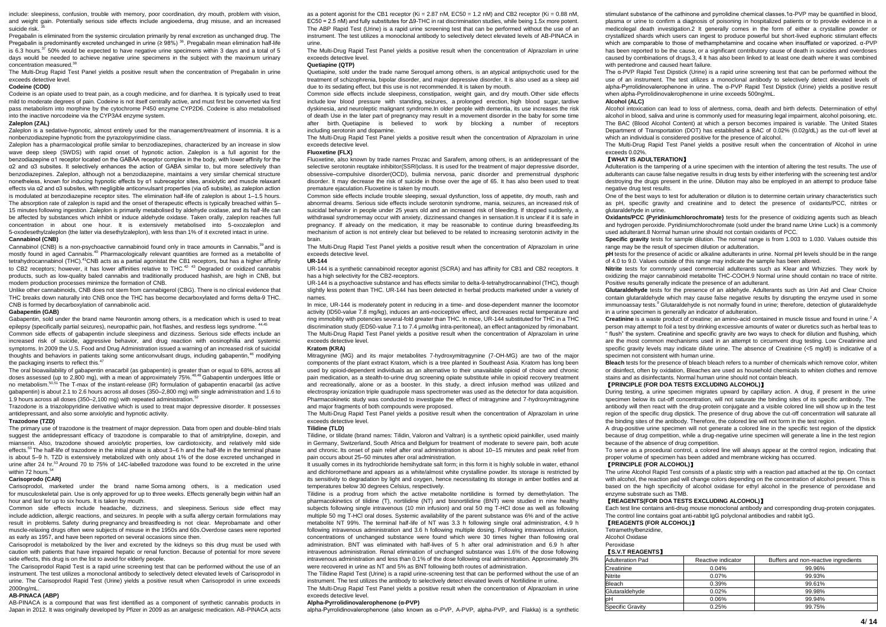include: sleepiness, confusion, trouble with memory, poor coordination, dry mouth, problem with vision, and weight gain. Potentially serious side effects include angioedema, drug misuse, and an increased suicide risk

Pregabalin is eliminated from the systemic circulation primarily by renal excretion as unchanged drug. The Pregabalin is predominantly excreted unchanged in urine (≥ 98%) <sup>36</sup>. Pregabalin mean elimination half-life is 6.3 hours.<sup>37</sup> 50% would be expected to have negative urine specimens within 3 days and a total of 5 days would be needed to achieve negative urine specimens in the subject with the maximum urinary concentration measured.<sup>38</sup>

The Multi-Drug Rapid Test Panel yields a positive result when the concentration of Pregabalin in urine exceeds detective level.

# **Codeine (COD)**

Codeine is an opiate used to treat pain, as a cough medicine, and for diarrhea. It is typically used to treat mild to moderate degrees of pain. Codeine is not itself centrally active, and must first be converted via first pass metabolism into morphine by the cytochrome P450 enzyme CYP2D6. Codeine is also metabolised into the inactive norcodeine via the CYP3A4 enzyme system.

# **Zaleplon (ZAL)**

Zaleplon is a sedative-hypnotic, almost entirely used for the management/treatment of insomnia. It is a nonbenzodiazepine hypnotic from the pyrazolopyrimidine class.

Zaleplon has a pharmacological profile similar to benzodiazepines, characterized by an increase in slow wave deep sleep (SWDS) with rapid onset of hypnotic action. Zaleplon is a full agonist for the benzodiazepine α1 receptor located on the GABAA receptor complex in the body, with lower affinity for the α2 and α3 subsites. It selectively enhances the action of GABA similar to, but more selectively than benzodiazepines. Zaleplon, although not a benzodiazepine, maintains a very similar chemical structure nonetheless, known for inducing hypnotic effects by α1 subreceptor sites, anxiolytic and muscle relaxant effects via α2 and α3 subsites, with negligible anticonvulsant properties (via α5 subsite), as zaleplon action is modulated at benzodiazepine receptor sites. The elimination half-life of zaleplon is about 1–1.5 hours. The absorption rate of zaleplon is rapid and the onset of therapeutic effects is typically breached within 5– 15 minutes following ingestion. Zaleplon is primarily metabolised by aldehyde oxidase, and its half-life can be affected by substances which inhibit or induce aldehyde oxidase. Taken orally, zaleplon reaches full concentration in about one hour. It is extensively metabolised into 5-oxozaleplon and 5-oxodesethylzaleplon (the latter via desethylzaleplon), with less than 1% of it excreted intact in urine. **Cannabinol (CNB)**

Cannabinol (CNB) is a non-psychoactive [cannabinoid](https://en.wikipedia.org/wiki/Cannabinoid) found only in [trace amounts](https://en.wikipedia.org/wiki/Trace_element) i[n Cannabis,](https://en.wikipedia.org/wiki/Cannabis)<sup>39</sup> and is mostly found in aged Cannabis.<sup>40</sup> Pharmacologically relevant quantities are formed as a [metabolite](https://en.wikipedia.org/wiki/Metabolite) of [tetrahydrocannabinol](https://en.wikipedia.org/wiki/Tetrahydrocannabinol) (THC).<sup>41</sup>CNB acts as a partia[l agonista](https://en.wikipedia.org/wiki/Agonist)t th[e CB1 receptors,](https://en.wikipedia.org/wiki/CB1_receptor) but has a higher affinity t[o CB2](https://en.wikipedia.org/wiki/CB2_receptor) [receptors;](https://en.wikipedia.org/wiki/Receptor_(biochemistry)) however, it has lower [affinities](https://en.wikipedia.org/wiki/Affinity_(pharmacology)) relative to THC.<sup>42, 43</sup> Degraded or oxidized cannabis products, such as low-quality baled cannabis and traditionally produced [hashish,](https://en.wikipedia.org/wiki/Hashish) are high in CNB, but modern production processes minimize the formation of CNB.

Unlike other cannabinoids, CNB does not stem fro[m cannabigerol](https://en.wikipedia.org/wiki/Cannabigerol) (CBG). There is no clinical evidence that THC breaks down naturally into CNB once the THC has becom[e decarboxylated](https://en.wikipedia.org/wiki/Decarboxylation) and forms delta-9 THC. CNB is formed by decarboxylation o[f cannabinolic acid.](https://en.wikipedia.org/w/index.php?title=Cannabinolic_acid&action=edit&redlink=1)

#### **Gabapentin (GAB)**

Gabapentin, sold under the brand name Neurontin among others, is a medication which is used to treat epilepsy (specifically partial seizures), neuropathic pain, hot flashes, and restless legs syndrome. <sup>44,4</sup>

Common side effects of gabapentin include sleepiness and dizziness. Serious side effects include an increased risk of suicide, aggressive behavior, and drug reaction with eosinophilia and systemic symptoms. In 2009 the U.S. Food and Drug Administration issued a warning of an increased risk of suicidal thoughts and behaviors in patients taking some anticonvulsant drugs, including gabapentin,<sup>46</sup> modifying the packaging inserts to reflect this.<sup>47</sup>

The oral bioavailability of gabapentin enacarbil (as gabapentin) is greater than or equal to 68%, across all doses assessed (up to 2,800 mg), with a mean of approximately 75%.<sup>48,49</sup> Gabapentin undergoes little or no metabolism.50,51 The T-max of the instant-release (IR) formulation of gabapentin enacarbil (as active gabapentin) is about 2.1 to 2.6 hours across all doses (350–2,800 mg) with single administration and 1.6 to 1.9 hours across all doses (350–2,100 mg) with repeated administration.<sup>52</sup>

Trazodone is a triazolopyridine derivative which is used to treat major depressive disorder. It possesses antidepressant, and also some anxiolytic and hypnotic activity.

#### **Trazodone (TZD)**

The primary use of trazodone is the treatment of major depression. Data from open and double-blind trials suggest the antidepressant efficacy of trazodone is comparable to that of amitriptyline, doxepin, and mianserin. Also, trazodone showed anxiolytic properties, low cardiotoxicity, and relatively mild side effects.<sup>53</sup> The half-life of trazodone in the initial phase is about 3–6 h and the half-life in the terminal phase is about 5–9 h. TZD is extensively metabolized with only about 1% of the dose excreted unchanged in urine after 24 hr $^{53}$  Around 70 to  $75\%$  of 14C-labelled trazodone was found to be excreted in the urine within 72 hours.<sup>5</sup>

#### **Carisoprodo (CAR)**

Carisoprodol, marketed under the brand name Soma among others, is a medication used for [musculoskeletal](https://en.wikipedia.org/wiki/Musculoskeletal) pain. Use is only approved for up to three weeks. Effects generally begin within half an hour and last for up to six hours. It is taken by mouth.

Common side effects include headache, dizziness, and sleepiness. Serious side effect may include [addiction,](https://en.wikipedia.org/wiki/Addiction) [allergic reactions,](https://en.wikipedia.org/wiki/Allergic_reaction) and [seizures.](https://en.wikipedia.org/wiki/Seizure) In people with a [sulfa allergy](https://en.wikipedia.org/wiki/Sulfa_allergy) certain formulations may result in problems. Safety during [pregnancy](https://en.wikipedia.org/wiki/Pregnancy) and [breastfeeding](https://en.wikipedia.org/wiki/Breastfeeding) is not clear. Meprobamate and other muscle-relaxing drugs often were subjects of misuse in the 1950s and 60s.Overdose cases were reported as early as 1957, and have been reported on several occasions since then.

Carisoprodol is metabolized by the liver and excreted by the kidneys so this drug must be used with caution with patients that have impaired hepatic or [renal function.](https://en.wikipedia.org/wiki/Renal_function) Because of potential for more severe side effects, this drug is on the list to avoid for elderly people.

The Carisoprodol Rapid Test is a rapid urine screening test that can be performed without the use of an instrument. The test utilizes a monoclonal antibody to selectively detect elevated levels of Carisoprodol in urine. The Carisoprodol Rapid Test (Urine) yields a positive result when Carisoprodol in urine exceeds 2000ng/mL.

#### **AB-PINACA (ABP)**

AB-PINACA is a compound that was first identified as a component of synthetic cannabis products in Japan in 2012. It was originally developed by Pfizer in 2009 as an analgesic medication. AB-PINACA acts

as a potent agonist for the CB1 receptor (Ki =  $2.87$  nM, EC50 =  $1.2$  nM) and CB2 receptor (Ki =  $0.88$  nM, EC50 = 2.5 nM) and fully substitutes for Δ9-THC in rat discrimination studies, while being 1.5x more potent. The ABP Rapid Test (Urine) is a rapid urine screening test that can be performed without the use of an instrument. The test utilizes a monoclonal antibody to selectively detect elevated levels of AB-PINACA in urine.

The Multi-Drug Rapid Test Panel yields a positive result when the concentration of Alprazolam in urine exceeds detective level.

# **Quetiapine (QTP)**

Quetiapine, sold under the trade name Seroquel among others, is an [atypical antipsychotic](https://en.wikipedia.org/wiki/Atypical_antipsychotic) used for the treatment of [schizophrenia,](https://en.wikipedia.org/wiki/Schizophrenia) [bipolar disorder,](https://en.wikipedia.org/wiki/Bipolar_disorder) and [major depressive disorder.](https://en.wikipedia.org/wiki/Major_depressive_disorder) It is also used as a sleep aid due to its sedating effect, but this use is not recommended. It is taken by mouth.

Common side effects include sleepiness, [constipation,](https://en.wikipedia.org/wiki/Constipation) weight gain, and [dry mouth.](https://en.wikipedia.org/wiki/Dry_mouth) Other side effects include [low blood pressure with standing,](https://en.wikipedia.org/wiki/Orthostatic_hypotension) [seizures,](https://en.wikipedia.org/wiki/Seizures) a [prolonged erection,](https://en.wikipedia.org/wiki/Priapism) [high blood sugar,](https://en.wikipedia.org/wiki/High_blood_sugar) [tardive](https://en.wikipedia.org/wiki/Tardive_dyskinesia)  [dyskinesia,](https://en.wikipedia.org/wiki/Tardive_dyskinesia) and [neuroleptic malignant syndrome.I](https://en.wikipedia.org/wiki/Neuroleptic_malignant_syndrome)n older people with [dementia,](https://en.wikipedia.org/wiki/Dementia) its use increases the risk of death Use in the later part of [pregnancy](https://en.wikipedia.org/wiki/Pregnancy) may result in a [movement disorder](https://en.wikipedia.org/wiki/Movement_disorder) in the baby for some time after birth. Quetiapine is believed to work by blocking a number of receptors including [serotonin](https://en.wikipedia.org/wiki/Serotonin_receptor) and [dopamine.](https://en.wikipedia.org/wiki/Dopamine_receptors)

The Multi-Drug Rapid Test Panel yields a positive result when the concentration of Alprazolam in urine exceeds detective level.

#### **Fluoxetine (FLX)**

Fluoxetine, also known by trade names Prozac and Sarafem, among others, is an [antidepressant](https://en.wikipedia.org/wiki/Antidepressant) of the [selective serotonin reuptake inhibitor\(S](https://en.wikipedia.org/wiki/Selective_serotonin_reuptake_inhibitor)SRI)class. It is used for the treatment o[f major depressive disorder,](https://en.wikipedia.org/wiki/Major_depressive_disorder)  obsessive–[compulsive disorder\(O](https://en.wikipedia.org/wiki/Obsessive%E2%80%93compulsive_disorder)CD), [bulimia nervosa,](https://en.wikipedia.org/wiki/Bulimia_nervosa) [panic disorder](https://en.wikipedia.org/wiki/Panic_disorder) and [premenstrual dysphoric](https://en.wikipedia.org/wiki/Premenstrual_dysphoric_disorder)  [disorder.](https://en.wikipedia.org/wiki/Premenstrual_dysphoric_disorder) It may decrease the risk of suicide in those over the age of 65. It has also been used to treat [premature ejaculation.F](https://en.wikipedia.org/wiki/Premature_ejaculation)luoxetine i[s taken by mouth.](https://en.wikipedia.org/wiki/Oral_administration)

Common side effects include trouble sleeping, sexual dysfunction, loss of appetite, dry mouth, rash and abnormal dreams. Serious side effects includ[e serotonin syndrome,](https://en.wikipedia.org/wiki/Serotonin_syndrome) [mania,](https://en.wikipedia.org/wiki/Mania) [seizures,](https://en.wikipedia.org/wiki/Seizures) an increased risk of [suicidal behavior](https://en.wikipedia.org/wiki/Suicidal_behavior) in people under 25 years old and an increased risk of bleeding. If stopped suddenly, a [withdrawal syndromem](https://en.wikipedia.org/wiki/SSRI_discontinuation_syndrome)ay occur with anxiety[, dizzinessa](https://en.wikipedia.org/wiki/Dizziness)nd changes in sensation.It is unclear if it is safe in [pregnancy.](https://en.wikipedia.org/wiki/Pregnancy) If already on the medication, it may be reasonable to continue during [breastfeeding.I](https://en.wikipedia.org/wiki/Breastfeeding)ts mechanism of action is not entirely clear but believed to be related to increasing [serotonin](https://en.wikipedia.org/wiki/Serotonin) activity in the brain.

The Multi-Drug Rapid Test Panel yields a positive result when the concentration of Alprazolam in urine exceeds detective level.

### **UR-144**

UR-144 is a synthetic cannabinoid receptor agonist (SCRA) and has affinity for CB1 and CB2 receptors. It has a high selectivity for the CB2-receptors.

UR-144 is a psychoactive substance and has effects similar to delta-9-tetrahydrocannabinol (THC), though slightly less potent than THC. UR-144 has been detected in herbal products marketed under a variety of names.

In mice, UR-144 is moderately potent in reducing in a time- and dose-dependent manner the locomotor activity (ID50-value 7.8 mg/kg), induces an anti-nociceptive effect, and decreases rectal temperature and ring immobility with potencies several-fold greater than THC. In mice, UR-144 substituted for THC in a THC discrimination study (ED50-value 7.1 to 7.4 µmol/kg intra-peritoneal), an effect antagonized by rimonabant. The Multi-Drug Rapid Test Panel yields a positive result when the concentration of Alprazolam in urine exceeds detective level.

#### **Kratom (KRA)**

Mitragynine (MG) and its major metabolites 7-hydroxymitragynine (7-OH-MG) are two of the major components of the plant extract Kratom, which is a tree planted in Southeast Asia. Kratom has long been used by opioid-dependent individuals as an alternative to their unavailable opioid of choice and chronic pain medication, as a stealth-to-urine drug screening opiate substitute while in opioid recovery treatment and recreationally, alone or as a booster. In this study, a direct infusion method was utilized and electrospray ionization triple quadrupole mass spectrometer was used as the detector for data acquisition. Pharmacokinetic study was conducted to investigate the effect of mitragynine and 7-hydroxymitragynine and major fragments of both compounds were proposed.

The Multi-Drug Rapid Test Panel yields a positive result when the concentration of Alprazolam in urine exceeds detective level.

#### **Tilidine (TLD)**

Tilidine, or tilidate (brand names: Tilidin, Valoron and Valtran) is a synthetic [opioid](https://en.wikipedia.org/wiki/Opioid) painkiller, used mainly in [Germany,](https://en.wikipedia.org/wiki/Germany) [Switzerland,](https://en.wikipedia.org/wiki/Switzerland) [South Africa](https://en.wikipedia.org/wiki/South_Africa) and [Belgium](https://en.wikipedia.org/wiki/Belgium) for treatment of moderate to severe pain, both acute and chronic. Its onset of pain relief after oral administration is about 10–15 minutes and peak relief from pain occurs about 25–50 minutes after oral administration.

.<br>It usually comes in its [hydrochloride](https://en.wikipedia.org/wiki/Hydrochloride) [hemihydrate](https://en.wikipedia.org/wiki/Hemihydrate) salt form; in this form it is highly soluble in water, ethano and [dichloromethane](https://en.wikipedia.org/wiki/Dichloromethane) and appears as a white/almost white crystalline powder. Its storage is restricted by its sensitivity to degradation by light and oxygen, hence necessitating its storage in amber bottles and at temperatures below 30 degrees Celsius, respectively.

Tilidine is a prodrug from which the active metabolite nortilidine is formed by demethylation. The pharmacokinetics of tilidine (T), nortilidine (NT) and bisnortilidine (BNT) were studied in nine healthy subjects following single intravenous (10 min infusion) and oral 50 mg T-HCl dose as well as following multiple 50 mg T-HCl oral doses. Systemic availability of the parent substance was 6% and of the active metabolite NT 99%. The terminal half-life of NT was 3.3 h following single oral administration, 4.9 h following intravenous administration and 3.6 h following multiple dosing. Following intravenous infusion, concentrations of unchanged substance were found which were 30 times higher than following oral administration. BNT was eliminated with half-lives of 5 h after oral administration and 6.9 h after intravenous administration. Renal elimination of unchanged substance was 1.6% of the dose following intravenous administration and less than 0.1% of the dose following oral administration. Approximately 3% were recovered in urine as NT and 5% as BNT following both routes of administration.

The Tilidine Rapid Test (Urine) is a rapid urine-screening test that can be performed without the use of an instrument. The test utilizes the antibody to selectively detect elevated levels of Nortilidine in urine.

The Multi-Drug Rapid Test Panel yields a positive result when the concentration of Alprazolam in urine exceeds detective level.

#### **Alpha-Pyrrolidinovalerophenone (α-PVP)**

alpha-Pyrrolidinovalerophenone (also known as α-PVP, A-PVP, alpha-PVP, and Flakka) is a synthetic

stimulant substance of the cathinone and pyrrolidine chemical classes.1α-PVP may be quantified in blood, plasma or urine to confirm a diagnosis of poisoning in hospitalized patients or to provide evidence in a medicolegal death investigation.2 It generally comes in the form of either a crystalline powder or crystallized shards which users can ingest to produce powerful but short-lived euphoric stimulant effects which are comparable to those of methamphetamine and cocaine when insufflated or vaporized. α-PVP has been reported to be the cause, or a significant contributory cause of death in suicides and overdoses caused by combinations of drugs.3, 4 It has also been linked to at least one death where it was combined with pentedrone and caused heart failure.

The α-PVP Rapid Test Dipstick (Urine) is a rapid urine screening test that can be performed without the use of an instrument. The test utilizes a monoclonal antibody to selectively detect elevated levels of alpha-Pyrrolidinovalerophenone in urine. The α-PVP Rapid Test Dipstick (Urine) yields a positive result when alpha-Pyrrolidinovalerophenone in urine exceeds 500ng/mL.

#### **Alcohol (ALC)**

Alcohol intoxication can lead to loss of alertness, coma, death and birth defects. Determination of ethyl alcohol in blood, saliva and urine is commonly used for measuring legal impairment, alcohol poisoning, etc. The BAC (Blood Alcohol Content) at which a person becomes impaired is variable. The United States Department of Transportation (DOT) has established a BAC of 0.02% (0.02g/dL) as the cut-off level at which an individual is considered positive for the presence of alcohol.

The Multi-Drug Rapid Test Panel yields a positive result when the concentration of Alcohol in urine exceeds 0.02%.

# 【**WHAT IS ADULTERATION**】

Adulteration is the tampering of a urine specimen with the intention of altering the test results. The use of adulterants can cause false negative results in drug tests by either interfering with the screening test and/or destroying the drugs present in the urine. Dilution may also be employed in an attempt to produce false negative drug test results.

One of the best ways to test for adulteration or dilution is to determine certain urinary characteristics such as pH, specific gravity and creatinine and to detect the presence of oxidants/PCC, nitrites or glutaraldehyde in urine.

**Oxidants/PCC (Pyridiniumchlorochromate)** tests for the presence of oxidizing agents such as bleach and hydrogen peroxide. Pyridiniumchlorochromate (sold under the brand name Urine Luck) is a commonly used adulterant.8 Normal human urine should not contain oxidants of PCC.

**Specific gravity** tests for sample dilution. The normal range is from 1.003 to 1.030. Values outside this range may be the result of specimen dilution or adulteration.

**pH** tests for the presence of acidic or alkaline adulterants in urine. Normal pH levels should be in the range of 4.0 to 9.0. Values outside of this range may indicate the sample has been altered.

**Nitrite** tests for commonly used commercial adulterants such as Klear and Whizzies. They work by oxidizing the major cannabinoid metabolite THC-COOH.9 Normal urine should contain no trace of nitrite. Positive results generally indicate the presence of an adulterant.

**Glutaraldehyde** tests for the presence of an aldehyde. Adulterants such as Urin Aid and Clear Choice contain glutaraldehyde which may cause false negative results by disrupting the enzyme used in some immunoassay tests.<sup>9</sup> Glutaraldehyde is not normally found in urine; therefore, detection of glutaraldehyde in a urine specimen is generally an indicator of adulteration.

**Creatinine** is a waste product of creatine; an amino-acid contained in muscle tissue and found in urine.<sup>2</sup> A

person may attempt to foil a test by drinking excessive amounts of water or diuretics such as herbal teas to " flush" the system. Creatinine and specific gravity are two ways to check for dilution and flushing, which are the most common mechanisms used in an attempt to circumvent drug testing. Low Creatinine and specific gravity levels may indicate dilute urine. The absence of Creatinine (<5 mg/dl) is indicative of a specimen not consistent with human urine.

**Bleach** tests for the presence of bleach bleach refers to a number of chemicals which remov[e color,](https://en.wikipedia.org/wiki/Color) whiten o[r disinfect,](https://en.wikipedia.org/wiki/Disinfectant) often b[y oxidation,](https://en.wikipedia.org/wiki/Oxidation) Bleaches are used a[s household chemicals](https://en.wikipedia.org/wiki/Household_chemicals) to whiten clothes and remove [stains](https://en.wikipedia.org/wiki/Stain) and as disinfectants. Normal human urine should not contain bleach.

### 【**PRINCIPLE (FOR DOA TESTS EXCLUDING ALCOHOL)**】

During testing, a urine specimen migrates upward by capillary action. A drug, if present in the urine specimen below its cut-off concentration, will not saturate the binding sites of its specific antibody. The antibody will then react with the drug-protein conjugate and a visible colored line will show up in the test region of the specific drug dipstick. The presence of drug above the cut-off concentration will saturate all the binding sites of the antibody. Therefore, the colored line will not form in the test region.

A drug-positive urine specimen will not generate a colored line in the specific test region of the dipstick because of drug competition, while a drug-negative urine specimen will generate a line in the test region because of the absence of drug competition.

To serve as a procedural control, a colored line will always appear at the control region, indicating that proper volume of specimen has been added and membrane wicking has occurred.

# 【**PRINCIPLE (FOR ALCOHOL)**】

The urine Alcohol Rapid Test consists of a plastic strip with a reaction pad attached at the tip. On contact with alcohol, the reaction pad will change colors depending on the concentration of alcohol present. This is based on the high specificity of alcohol oxidase for ethyl alcohol in the presence of peroxidase and enzyme substrate such as TMB.

# 【**REAGENTS(FOR DOA TESTS EXCLUDING ALCOHOL)**】

Each test line contains anti-drug mouse monoclonal antibody and corresponding drug-protein conjugates. The control line contains goat anti-rabbit IgG polyclonal antibodies and rabbit IgG. 【**REAGENTS (FOR ALCOHOL)**】

Tetramethylbenzidine,

Alcohol Oxidase

# Peroxidase

### 【**S.V.T REAGENTS**】

| <b>Adulteration Pad</b> | Reactive indicator | Buffers and non-reactive ingredients |
|-------------------------|--------------------|--------------------------------------|
| Creatinine              | 0.04%              | 99.96%                               |
| Nitrite                 | 0.07%              | 99.93%                               |
| Bleach                  | 0.39%              | 99.61%                               |
| Glutaraldehvde          | 0.02%              | 99.98%                               |
| pН                      | 0.06%              | 99.94%                               |
| <b>Specific Gravity</b> | 0.25%              | 99.75%                               |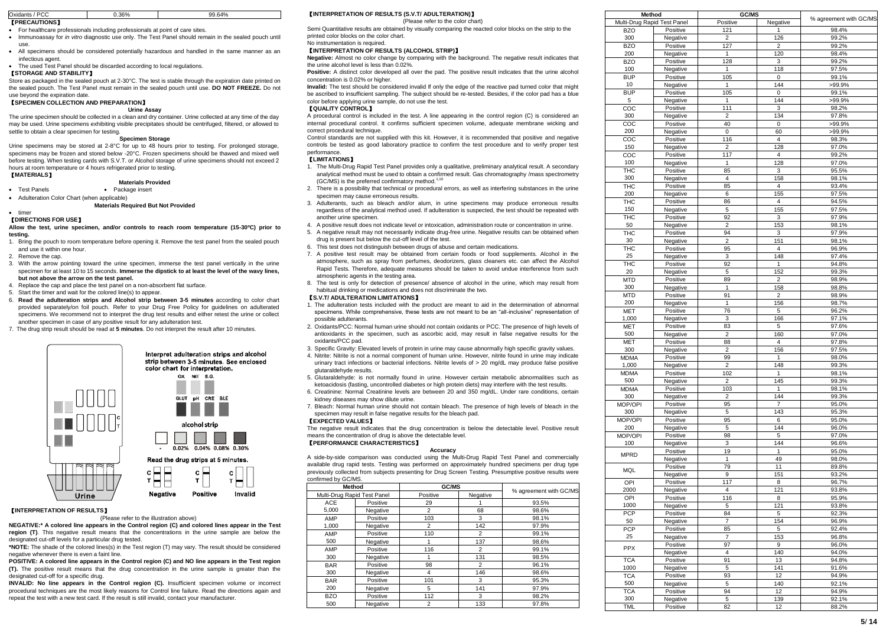| Oxidants<br><b>PCC</b> | 0.36% | 99.64% |
|------------------------|-------|--------|
| <b>[PRECAUTIONS]</b>   |       |        |

For healthcare professionals including professionals at point of care sites.

- Immunoassay for *in vitro* diagnostic use only. The Test Panel should remain in the sealed pouch until use.
- All specimens should be considered potentially hazardous and handled in the same manner as an infectious agent.

The used Test Panel should be discarded according to local regulations.

# 【**STORAGE AND STABILITY**】

Store as packaged in the sealed pouch at 2-30°C. The test is stable through the expiration date printed on the sealed pouch. The Test Panel must remain in the sealed pouch until use. **DO NOT FREEZE.** Do not use beyond the expiration date.

# 【**SPECIMEN COLLECTION AND PREPARATION**】

# **Urine Assay**

The urine specimen should be collected in a clean and dry container. Urine collected at any time of the day may be used. Urine specimens exhibiting visible precipitates should be centrifuged, filtered, or allowed to settle to obtain a clear specimen for testing.

# **Specimen Storage**

Urine specimens may be stored at 2-8°C for up to 48 hours prior to testing. For prolonged storage, specimens may be frozen and stored below -20°C. Frozen specimens should be thawed and mixed well before testing. When testing cards with S.V.T. or Alcohol storage of urine specimens should not exceed 2 hours at room temperature or 4 hours refrigerated prior to testing.

# 【**MATERIALS**】

**Materials Provided**

- Test Panels Package insert
- Adulteration Color Chart (when applicable)

#### **Materials Required But Not Provided**  $t$  timer

### 【**DIRECTIONS FOR USE**】

**Allow the test, urine specimen, and/or controls to reach room temperature (15-30ºC) prior to testing.**

- 1. Bring the pouch to room temperature before opening it. Remove the test panel from the sealed pouch and use it within one hour.
- 2. Remove the cap.
- 3. With the arrow pointing toward the urine specimen, immerse the test panel vertically in the urine specimen for at least 10 to 15 seconds. **Immerse the dipstick to at least the level of the wavy lines, but not above the arrow on the test panel.**
- 4. Replace the cap and place the test panel on a non-absorbent flat surface.
- 5. Start the timer and wait for the colored line(s) to appear.
- 6. **Read the adulteration strips and Alcohol strip between 3-5 minutes** according to color chart provided separately/on foil pouch. Refer to your Drug Free Policy for guidelines on adulterated specimens. We recommend not to interpret the drug test results and either retest the urine or collect another specimen in case of any positive result for any adulteration test.
- 7. The drug strip result should be read at **5 minutes**. Do not interpret the result after 10 minutes.



# 【**INTERPRETATION OF RESULTS**】

(Please refer to the illustration above)

**NEGATIVE:\* A colored line appears in the Control region (C) and colored lines appear in the Test region (T)**. This negative result means that the concentrations in the urine sample are below the designated cut-off levels for a particular drug tested.

**\*NOTE:** The shade of the colored lines(s) in the Test region (T) may vary. The result should be considered negative whenever there is even a faint line.

**POSITIVE: A colored line appears in the Control region (C) and NO line appears in the Test region (T).** The positive result means that the drug concentration in the urine sample is greater than the designated cut-off for a specific drug.

**INVALID: No line appears in the Control region (C).** Insufficient specimen volume or incorrect procedural techniques are the most likely reasons for Control line failure. Read the directions again and repeat the test with a new test card. If the result is still invalid, contact your manufacturer.

# 【**INTERPRETATION OF RESULTS (S.V.T/ ADULTERATION)**】

# (Please refer to the color chart)

Semi Quantitative results are obtained by visually comparing the reacted color blocks on the strip to the printed color blocks on the color chart.

No instrumentation is required.

# 【**INTERPRETATION OF RESULTS (ALCOHOL STRIP)**】

**Negative:** Almost no color change by comparing with the background. The negative result indicates that the urine alcohol level is less than 0.02%.

**Positive:** A distinct color developed all over the pad. The positive result indicates that the urine alcohol concentration is 0.02% or higher.

**Invalid:** The test should be considered invalid If only the edge of the reactive pad turned color that might be ascribed to insufficient sampling. The subject should be re-tested. Besides, if the color pad has a blue color before applying urine sample, do not use the test.

# 【**QUALITY CONTROL**】

A procedural control is included in the test. A line appearing in the control region (C) is considered an internal procedural control. It confirms sufficient specimen volume, adequate membrane wicking and correct procedural technique.

Control standards are not supplied with this kit. However, it is recommended that positive and negative controls be tested as good laboratory practice to confirm the test procedure and to verify proper test performance.

# 【**LIMITATIONS**】

- 1. The Multi-Drug Rapid Test Panel provides only a qualitative, preliminary analytical result. A secondary analytical method must be used to obtain a confirmed result. Gas chromatography /mass spectrometry (GC/MS) is the preferred confirmatory method.<sup>1,10</sup>
- 2. There is a possibility that technical or procedural errors, as well as interfering substances in the urine specimen may cause erroneous results.
- 3. Adulterants, such as bleach and/or alum, in urine specimens may produce erroneous results regardless of the analytical method used. If adulteration is suspected, the test should be repeated with another urine specimen.
- 4. A positive result does not indicate level or intoxication, administration route or concentration in urine.
- 5. A negative result may not necessarily indicate drug-free urine. Negative results can be obtained when
- drug is present but below the cut-off level of the test.
- 6. This test does not distinguish between drugs of abuse and certain medications.
- 7. A positive test result may be obtained from certain foods or food supplements. Alcohol in the atmosphere, such as spray from perfumes, deodorizers, glass cleaners etc. can affect the Alcohol Rapid Tests. Therefore, adequate measures should be taken to avoid undue interference from such atmospheric agents in the testing area.
- 8. The test is only for detection of presence/ absence of alcohol in the urine, which may result from habitual drinking or medications and does not discriminate the two.

# 【**S.V.T/ ADULTERATION LIMITATIONS**】

- 1. The adulteration tests included with the product are meant to aid in the determination of abnormal specimens. While comprehensive, these tests are not meant to be an "all-inclusive" representation of possible adulterants.
- 2. Oxidants/PCC: Normal human urine should not contain oxidants or PCC. The presence of high levels of antioxidants in the specimen, such as ascorbic acid, may result in false negative results for the oxidants/PCC pad.
- 3. Specific Gravity: Elevated levels of protein in urine may cause abnormally high specific gravity values.
- 4. Nitrite: Nitrite is not a normal component of human urine. However, nitrite found in urine may indicate urinary tract infections or bacterial infections. Nitrite levels of > 20 mg/dL may produce false positive glutaraldehyde results.
- 5. Glutaraldehyde: is not normally found in urine. However certain metabolic abnormalities such as ketoacidosis (fasting, uncontrolled diabetes or high protein diets) may interfere with the test results.
- 6. Creatinine: Normal Creatinine levels are between 20 and 350 mg/dL. Under rare conditions, certain kidney diseases may show dilute urine.
- 7. Bleach: Normal human urine should not contain bleach. The presence of high levels of bleach in the specimen may result in false negative results for the bleach pad.

# 【**EXPECTED VALUES**】

The negative result indicates that the drug concentration is below the detectable level. Positive result means the concentration of drug is above the detectable level.

#### 【**PERFORMANCE CHARACTERISTICS**】 **Accuracy**

A side-by-side comparison was conducted using the Multi-Drug Rapid Test Panel and commercially available drug rapid tests. Testing was performed on approximately hundred specimens per drug type previously collected from subjects presenting for Drug Screen Testing. Presumptive positive results were confirmed by GC/MS.

| Method                      |          | GC/MS          |                |                        |  |  |  |
|-----------------------------|----------|----------------|----------------|------------------------|--|--|--|
| Multi-Drug Rapid Test Panel |          | Positive       | Negative       | % agreement with GC/MS |  |  |  |
| ACE                         | Positive | 29             |                | 93.5%                  |  |  |  |
| 5.000                       | Negative | 2              | 68             | 98.6%                  |  |  |  |
| AMP                         | Positive | 103            | 3              | 98.1%                  |  |  |  |
| 1.000                       | Negative | 2              | 142            | 97.9%                  |  |  |  |
| AMP                         | Positive | 110            | $\overline{2}$ | 99.1%                  |  |  |  |
| 500                         | Negative |                | 137            | 98.6%                  |  |  |  |
| AMP                         | Positive | 116            | 2              | 99.1%                  |  |  |  |
| 300                         | Negative |                | 131            | 98.5%                  |  |  |  |
| <b>BAR</b>                  | Positive | 98             | $\overline{2}$ | 96.1%                  |  |  |  |
| 300                         | Negative | 4              | 146            | 98.6%                  |  |  |  |
| <b>BAR</b>                  | Positive | 101            | 3              | 95.3%                  |  |  |  |
| 200                         | Negative | 5              | 141            | 97.9%                  |  |  |  |
| <b>BZO</b>                  | Positive | 112            | 3              | 98.2%                  |  |  |  |
| 500                         | Negative | $\overline{2}$ | 133            | 97.8%                  |  |  |  |

|             | Method                      | <b>GC/MS</b>            |                |                        |
|-------------|-----------------------------|-------------------------|----------------|------------------------|
|             | Multi-Drug Rapid Test Panel | Positive                | Negative       | % agreement with GC/MS |
| <b>BZO</b>  | Positive                    | 121                     | 1              | 98.4%                  |
|             |                             |                         |                |                        |
| 300         | Negative                    | $\overline{2}$          | 126            | 99.2%                  |
| <b>BZO</b>  | Positive                    | 127                     | $\overline{2}$ | 99.2%                  |
| 200         | Negative                    | 1                       | 120            | 98.4%                  |
|             |                             |                         |                |                        |
| <b>BZO</b>  | Positive                    | 128                     | 3              | 99.2%                  |
| 100         | Negative                    | 1                       | 118            | 97.5%                  |
| <b>BUP</b>  | Positive                    | 105                     | 0              | 99.1%                  |
|             |                             |                         |                |                        |
| 10          | Negative                    | 1                       | 144            | >99.9%                 |
| <b>BUP</b>  | Positive                    | 105                     | 0              | 99.1%                  |
| 5           | Negative                    | 1                       | 144            | >99.9%                 |
|             | Positive                    | 111                     | 3              |                        |
| COC         |                             |                         |                | 98.2%                  |
| 300         | Negative                    | $\overline{2}$          | 134            | 97.8%                  |
| COC         | Positive                    | 40                      | 0              | >99.9%                 |
| 200         |                             | 0                       |                |                        |
|             | Negative                    |                         | 60             | >99.9%                 |
| COC         | Positive                    | 116                     | 4              | 98.3%                  |
| 150         | Negative                    | $\overline{2}$          | 128            | 97.0%                  |
| COC         | Positive                    | 117                     | 4              | 99.2%                  |
|             |                             |                         |                |                        |
| 100         | Negative                    | 1                       | 128            | 97.0%                  |
| <b>THC</b>  | Positive                    | 85                      | 3              | 95.5%                  |
| 300         | Negative                    | 4                       | 158            | 98.1%                  |
|             |                             |                         |                |                        |
| <b>THC</b>  | Positive                    | 85                      | 4              | 93.4%                  |
| 200         | Negative                    | 6                       | 155            | 97.5%                  |
| <b>THC</b>  | Positive                    | 86                      | 4              | 94.5%                  |
|             |                             |                         |                |                        |
| 150         | Negative                    | 5                       | 155            | 97.5%                  |
| <b>THC</b>  | Positive                    | 92                      | 3              | 97.9%                  |
| 50          |                             | $\overline{2}$          |                |                        |
|             | Negative                    |                         | 153            | 98.1%                  |
| <b>THC</b>  | Positive                    | 94                      | 3              | 97.9%                  |
| 30          | Negative                    | $\overline{2}$          | 151            | 98.1%                  |
| THC         | Positive                    | 95                      | $\overline{4}$ | 96.9%                  |
|             |                             |                         |                |                        |
| 25          | Negative                    | 3                       | 148            | 97.4%                  |
| THC         | Positive                    | 92                      | $\mathbf{1}$   | 94.8%                  |
| 20          | Negative                    | 5                       | 152            | 99.3%                  |
|             |                             |                         |                |                        |
| <b>MTD</b>  | Positive                    | 89                      | $\overline{2}$ | 98.9%                  |
| 300         | Negative                    | 1                       | 158            | 98.8%                  |
| <b>MTD</b>  | Positive                    | 91                      | $\overline{2}$ | 98.9%                  |
|             |                             |                         |                |                        |
| 200         | Negative                    | 1                       | 156            | 98.7%                  |
| <b>MET</b>  | Positive                    | 76                      | 5              | 96.2%                  |
| 1,000       | Negative                    | 3                       | 166            | 97.1%                  |
|             |                             |                         |                |                        |
| <b>MET</b>  | Positive                    | 83                      | 5              | 97.6%                  |
| 500         | Negative                    | $\overline{2}$          | 160            | 97.0%                  |
| MET         | Positive                    | 88                      | 4              | 97.8%                  |
|             |                             |                         |                |                        |
| 300         | Negative                    | $\overline{\mathbf{c}}$ | 156            | 97.5%                  |
| <b>MDMA</b> | Positive                    | 99                      | 1              | 98.0%                  |
| 1,000       | Negative                    | $\overline{2}$          | 148            | 99.3%                  |
|             |                             |                         | 1              |                        |
| <b>MDMA</b> | Positive                    | 102                     |                | 98.1%                  |
| 500         | Negative                    | $\overline{2}$          | 145            | 99.3%                  |
| <b>MDMA</b> | Positive                    | 103                     | $\mathbf{1}$   | 98.1%                  |
| 300         |                             | $\overline{2}$          | 144            |                        |
|             | Negative                    |                         |                | 99.3%                  |
| MOP/OPI     | Positive                    | 95                      | $\overline{7}$ | 95.0%                  |
| 300         | Negative                    | 5                       | 143            | 95.3%                  |
| MOP/OPI     | Positive                    | 95                      | 6              | 95.0%                  |
|             |                             |                         |                |                        |
| 200         | Negative                    | 5                       | 144            | 96.0%                  |
| MOP/OPI     | Positive                    | 98                      | 5              | 97.0%                  |
| 100         | Negative                    | 3                       | 144            | 96.6%                  |
|             |                             |                         |                |                        |
| <b>MPRD</b> | Positive                    | 19                      | $\mathbf{1}$   | 95.0%                  |
|             | Negative                    | 1                       | 49             | 98.0%                  |
|             | Positive                    | 79                      | 11             | 89.8%                  |
| MQL         |                             |                         |                |                        |
|             | Negative                    | 9                       | 151            | 93.2%                  |
| OPI         | Positive                    | 117                     | 8              | 96.7%                  |
| 2000        | Negative                    | 4                       | 121            | 93.8%                  |
|             |                             |                         |                |                        |
| OPI         | Positive                    | 116                     | 8              | 95.9%                  |
| 1000        | Negative                    | 5                       | 121            | 93.8%                  |
| <b>PCP</b>  | Positive                    | 84                      | 5              | 92.3%                  |
|             |                             |                         |                |                        |
| 50          | Negative                    | 7                       | 154            | 96.9%                  |
| <b>PCP</b>  | Positive                    | 85                      | 5              | 92.4%                  |
| 25          | Negative                    | 7                       | 153            | 96.8%                  |
|             |                             |                         |                |                        |
| <b>PPX</b>  | Positive                    | 97                      | 9              | 96.0%                  |
|             | Negative                    | 4                       | 140            | 94.0%                  |
| <b>TCA</b>  | Positive                    | 91                      | 13             | 94.8%                  |
|             |                             |                         |                |                        |
| 1000        | Negative                    | 5                       | 141            | 91.6%                  |
| <b>TCA</b>  | Positive                    | 93                      | 12             | 94.9%                  |
| 500         |                             | 5                       | 140            | 92.1%                  |
|             | Negative                    |                         |                |                        |
| <b>TCA</b>  | Positive                    | 94                      | 12             | 94.9%                  |
| 300         | Negative                    | 5                       | 139            | 92.1%                  |
| TML         | Positive                    | 82                      | 12             | 88.2%                  |
|             |                             |                         |                |                        |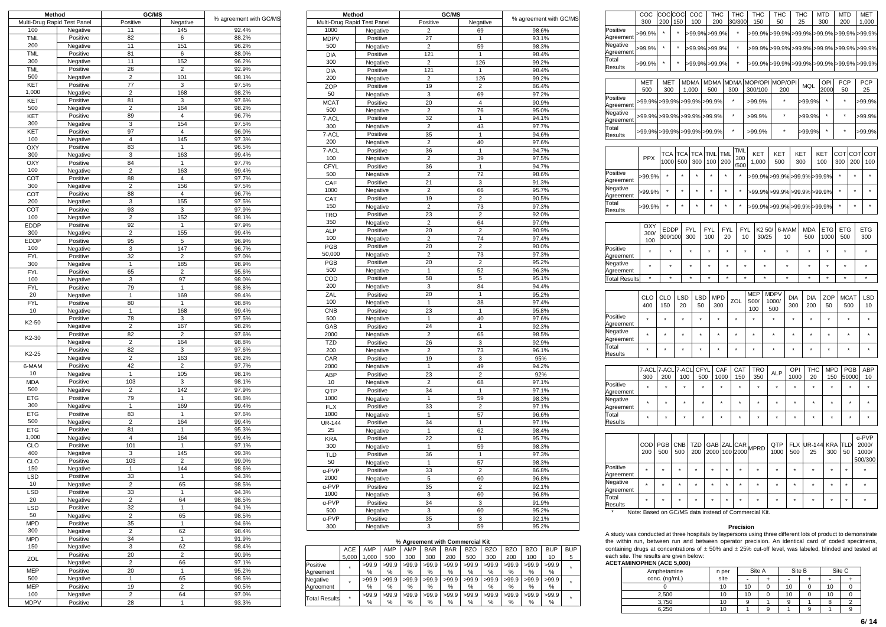| Method                      |                      | GC/MS                   |                    |                        |
|-----------------------------|----------------------|-------------------------|--------------------|------------------------|
| Multi-Drug Rapid Test Panel |                      | Positive                | Negative           | % agreement with GC/MS |
| 100                         | Negative             | 11                      | 145                | 92.4%                  |
| TML                         | Positive             | 82                      | 6                  | 88.2%                  |
| 200                         | Negative             | 11                      | 151                | 96.2%                  |
| TML                         | Positive             | 81                      | 6                  | 88.0%                  |
| 300                         | Negative             | 11                      | 152                | 96.2%                  |
|                             | Positive             | 26                      | 2                  | 92.9%                  |
| <b>TML</b><br>500           |                      |                         |                    |                        |
|                             | Negative             | $\overline{\mathbf{c}}$ | 101                | 98.1%                  |
| KET                         | Positive             | 77                      | 3                  | 97.5%                  |
| 1,000                       | Negative             | $\overline{\mathbf{c}}$ | 168                | 98.2%                  |
| KET                         | Positive             | 81                      | 3                  | 97.6%                  |
| 500                         | Negative             | $\overline{c}$          | 164                | 98.2%                  |
| KET                         | Positive             | 89                      | 4                  | 96.7%                  |
| 300                         | Negative             | 3                       | 154                | 97.5%                  |
| KET                         | Positive             | 97                      | 4                  | 96.0%                  |
| 100                         | Negative             | $\overline{4}$          | 145                | 97.3%                  |
| OXY                         | Positive             | 83                      | 1                  | 96.5%                  |
| 300                         | Negative             | 3                       | 163                | 99.4%                  |
| OXY                         | Positive             | 84                      | 1                  | 97.7%                  |
| 100                         | Negative             | $\overline{2}$          | 163                | 99.4%                  |
| COT                         | Positive             | 88                      | 4                  | 97.7%                  |
| 300                         | Negative             | $\overline{c}$          | 156                | 97.5%                  |
| COT                         | Positive             | 88                      | 4                  | 96.7%                  |
| 200                         | Negative             | 3                       | 155                | 97.5%                  |
| COT                         | Positive             | 93                      | 3                  | 97.9%                  |
| 100                         | Negative             | $\overline{\mathbf{c}}$ | 152                | 98.1%                  |
| EDDP                        | Positive             | 92                      | $\mathbf{1}$       | 97.9%                  |
| 300                         | Negative             | $\overline{\mathbf{c}}$ | 155                | 99.4%                  |
| <b>EDDP</b>                 | Positive             | 95                      | 5                  | 96.9%                  |
| 100                         | Negative             | 3                       | 147                | 96.7%                  |
| <b>FYL</b>                  | Positive             | 32                      | $\overline{2}$     | 97.0%                  |
| 300                         | Negative             | 1                       | 185                | 98.9%                  |
| <b>FYL</b>                  | Positive             | 65                      | 2                  | 95.6%                  |
| 100                         | Negative             | 3                       | 97                 | 98.0%                  |
| <b>FYL</b>                  | Positive             | 79                      | 1                  | 98.8%                  |
| 20                          | Negative             | 1                       | 169                | 99.4%                  |
| <b>FYL</b>                  | Positive             | 80                      | 1                  | 98.8%                  |
| 10                          | Negative             | 1                       | 168                | 99.4%                  |
| K2-50                       | Positive             | 78                      | 3                  | 97.5%                  |
|                             | Negative             | $\overline{\mathbf{c}}$ | 167                | 98.2%                  |
| K2-30                       | Positive             | 82                      | 2                  | 97.6%                  |
|                             | Negative             | $\overline{\mathbf{c}}$ | 164                | 98.8%                  |
| K2-25                       | Positive             | 82                      | 3                  | 97.6%                  |
|                             | Negative             | $\overline{\mathbf{c}}$ | 163                | 98.2%                  |
| 6-MAM                       | Positive             | 42                      | 2                  | 97.7%                  |
| 10                          | Negative             | 1                       | 105                | 98.1%                  |
| <b>MDA</b>                  | Positive             | 103                     | 3                  | 98.1%                  |
| 500                         | Negative             | $\overline{\mathbf{c}}$ | 142                | 97.9%                  |
| ETG                         | Positive             | 79                      | $\mathbf{1}$       | 98.8%                  |
| 300                         | Negative             | 1                       | 169                | 99.4%                  |
| <b>ETG</b>                  | Positive             | 83                      | 1                  | 97.6%                  |
| 500                         | Negative             | 2                       | 164                | 99.4%                  |
| <b>ETG</b>                  | Positive             | 81                      | 1                  | 95.3%                  |
| 1,000                       | Negative             | 4                       | 164                | 99.4%                  |
| <b>CLO</b>                  | Positive             | 101                     | 1                  | 97.1%                  |
| 400                         | Negative             | 3                       | 145                | 99.3%                  |
| CLO                         | Positive             | 103                     | $\overline{2}$     | 99.0%                  |
| 150                         | Negative             | 1                       | 144                | 98.6%                  |
| LSD                         | Positive             | 33                      | $\mathbf{1}$       | 94.3%                  |
| 10                          | Negative             | 2                       | 65                 | 98.5%                  |
| LSD                         | Positive             | 33                      | 1                  | 94.3%                  |
| 20                          | Negative             | 2                       | 64                 | 98.5%                  |
| LSD                         | Positive             | 32                      | 1                  | 94.1%                  |
| 50                          | Negative             | $\overline{\mathbf{c}}$ | 65                 | 98.5%                  |
| <b>MPD</b><br>300           | Positive             | 35<br>2                 | $\mathbf{1}$       | 94.6%<br>98.4%         |
|                             | Negative             |                         | 62<br>$\mathbf{1}$ |                        |
| <b>MPD</b><br>150           | Positive             | 34<br>3                 | 62                 | 91.9%<br>98.4%         |
|                             | Negative<br>Positive | 20                      | 2                  | 90.9%                  |
| ZOL                         | Negative             | 2                       |                    | 97.1%                  |
| <b>MEP</b>                  | Positive             | 20                      | 66<br>$\mathbf{1}$ | 95.2%                  |
| 500                         |                      | 1                       | 65                 | 98.5%                  |
| <b>MEP</b>                  | Negative<br>Positive | 19                      |                    | 90.5%                  |
| 100                         |                      | 2                       | 2<br>64            |                        |
| <b>MDPV</b>                 | Negative<br>Positive | 28                      | 1                  | 97.0%<br>93.3%         |
|                             |                      |                         |                    |                        |

|               | Method                      | GC/MS                   |                | % agreement with GC/MS |
|---------------|-----------------------------|-------------------------|----------------|------------------------|
|               | Multi-Drug Rapid Test Panel | Positive                | Negative       |                        |
| 1000          | Negative                    | $\overline{c}$          | 69             | 98.6%                  |
| <b>MDPV</b>   | Positive                    | 27                      | 1              | 93.1%                  |
| 500           | Negative                    | 2                       | 59             | 98.3%                  |
| <b>DIA</b>    | Positive                    | 121                     | 1              | 98.4%                  |
| 300           | Negative                    | $\overline{2}$          | 126            | 99.2%                  |
| <b>DIA</b>    | Positive                    | 121                     | 1              | 98.4%                  |
| 200           | Negative                    | $\overline{\mathbf{c}}$ | 126            | 99.2%                  |
| ZOP           | Positive                    | 19                      | $\overline{2}$ | 86.4%                  |
|               |                             |                         |                |                        |
| 50            | Negative                    | $\overline{3}$          | 69             | 97.2%                  |
| <b>MCAT</b>   | Positive                    | 20                      | $\overline{4}$ | 90.9%                  |
| 500           | Negative                    | $\overline{\mathbf{c}}$ | 76             | 95.0%                  |
| 7-ACL         | Positive                    | 32                      | $\mathbf{1}$   | 94.1%                  |
| 300           | Negative                    | $\overline{2}$          | 43             | 97.7%                  |
| 7-ACL         | Positive                    | 35                      | 1              | 94.6%                  |
| 200           | Negative                    | $\overline{\mathbf{c}}$ | 40             | 97.6%                  |
| 7-ACL         | Positive                    | 36                      | 1              | 94.7%                  |
| 100           | Negative                    | $\overline{2}$          | 39             | 97.5%                  |
| CFYL          |                             | 36                      | 1              | 94.7%                  |
|               | Positive                    |                         |                |                        |
| 500           | Negative                    | $\overline{\mathbf{c}}$ | 72             | 98.6%                  |
| CAF           | Positive                    | 21                      | 3              | 91.3%                  |
| 1000          | Negative                    | $\overline{2}$          | 66             | 95.7%                  |
| CAT           | Positive                    | 19                      | $\overline{2}$ | 90.5%                  |
| 150           | Negative                    | $\overline{\mathbf{c}}$ | 73             | 97.3%                  |
| <b>TRO</b>    | Positive                    | 23                      | $\overline{2}$ | 92.0%                  |
| 350           | Negative                    | $\overline{2}$          | 64             | 97.0%                  |
| <b>ALP</b>    | Positive                    | 20                      | $\overline{2}$ | 90.9%                  |
| 100           | Negative                    | $\overline{\mathbf{c}}$ | 74             | 97.4%                  |
| PGB           |                             | 20                      | $\overline{2}$ | 90.0%                  |
|               | Positive                    |                         |                |                        |
| 50,000        | Negative                    | $\overline{2}$          | 73             | 97.3%                  |
| PGB           | Positive                    | 20                      | $\overline{2}$ | 95.2%                  |
| 500           | Negative                    | 1                       | 52             | 96.3%                  |
| COD           | Positive                    | 58                      | 5              | 95.1%                  |
| 200           | Negative                    | 3                       | 84             | 94.4%                  |
| ZAL           | Positive                    | 20                      | 1              | 95.2%                  |
| 100           | Negative                    | 1                       | 38             | 97.4%                  |
| CNB           | Positive                    | 23                      | 1              | 95.8%                  |
| 500           | Negative                    | 1                       | 40             | 97.6%                  |
| GAB           | Positive                    | 24                      | 1              | 92.3%                  |
| 2000          |                             | $\overline{2}$          |                |                        |
|               | Negative                    |                         | 65             | 98.5%                  |
| <b>TZD</b>    | Positive                    | 26                      | 3              | 92.9%                  |
| 200           | Negative                    | $\overline{2}$          | 73             | 96.1%                  |
| CAR           | Positive                    | 19                      | 3              | 95%                    |
| 2000          | Negative                    | 1                       | 49             | 94.2%                  |
| ABP           | Positive                    | 23                      | $\overline{c}$ | 92%                    |
| 10            | Negative                    | $\overline{2}$          | 68             | 97.1%                  |
| QTP           | Positive                    | 34                      | 1              | 97.1%                  |
| 1000          | Negative                    | 1                       | 59             | 98.3%                  |
| <b>FLX</b>    | Positive                    | 33                      | $\overline{c}$ | 97.1%                  |
| 1000          |                             | 1                       | 57             |                        |
|               | Negative                    |                         |                | 96.6%                  |
| <b>UR-144</b> | Positive                    | 34                      | 1              | 97.1%                  |
| 25            | Negative                    | 1                       | 62             | 98.4%                  |
| <b>KRA</b>    | Positive                    | 22                      | 1              | 95.7%                  |
| 300           | Negative                    | 1                       | 59             | 98.3%                  |
| <b>TLD</b>    | Positive                    | 36                      | 1              | 97.3%                  |
| 50            | Negative                    | 1                       | 57             | 98.3%                  |
| α-PVP         | Positive                    | 33                      | $\overline{c}$ | 86.8%                  |
| 2000          | Negative                    | 5                       | 60             | 96.8%                  |
| α-PVP         |                             | 35                      | $\overline{2}$ | 92.1%                  |
|               | Positive                    |                         |                |                        |
| 1000          | Negative                    | 3                       | 60             | 96.8%                  |
| α-PVP         | Positive                    | 34                      | 3              | 91.9%                  |
| 500           | Negative                    | 3                       | 60             | 95.2%                  |
| α-PVP         | Positive                    | 35                      | 3              | 92.1%                  |
| 300           | Negative                    | 3                       | 59             | 95.2%                  |

# **% Agreement with Commercial Kit**

|                      | ACE   | AMP   | AMP   | AMP   | <b>BAR</b> | <b>BAR</b> | <b>BZO</b> | BZO   | <b>BZO</b> | <b>BZO</b> | <b>BUP</b> | <b>BUP</b> |
|----------------------|-------|-------|-------|-------|------------|------------|------------|-------|------------|------------|------------|------------|
|                      | 5.000 | .000  | 500   | 300   | 300        | 200        | 500        | 300   | 200        | 100        | 10         | 5          |
| Positive             |       | >99.9 | >99.9 | >99.9 | >99.9      | >99.9      | >99.9      | >99.9 | >99.9      | >99.9      | >99.9      |            |
| Aareement            |       | %     | %     | %     | %          | %          | %          | %     | %          | %          | %          |            |
| Negative             |       | >99.9 | >99.9 | >99.9 | >99.9      | >99.9      | >99.9      | >99.9 | >99.9      | >99.9      | >99.9      |            |
| Agreement            |       | %     | %     | %     | %          | %          | %          | %     | %          | %          | %          |            |
| <b>Total Results</b> | ٠     | >99.9 | >99.9 | >99.9 | >99.9      | >99.9      | >99.9      | >99.9 | >99.9      | >99.9      | >99.9      |            |
|                      |       | %     | %     | %     | %          | %          | %          | %     | %          | %          | %          |            |

|                                   | COC                                                  | COC                    | COC        |              | COC               | THC               |                   |                   | <b>THC</b>        |                           | THC               | THC                         |                   | THC                  |                     | <b>MTD</b>         |            | MTD                      |                   | <b>MET</b>                                 |  |
|-----------------------------------|------------------------------------------------------|------------------------|------------|--------------|-------------------|-------------------|-------------------|-------------------|-------------------|---------------------------|-------------------|-----------------------------|-------------------|----------------------|---------------------|--------------------|------------|--------------------------|-------------------|--------------------------------------------|--|
| Positive                          | 300                                                  | 200                    | 150        |              | 100               | 200               |                   |                   | 30/300            |                           | 150               | 50                          |                   | 25                   |                     | 300                |            | 200                      |                   | 1,000                                      |  |
| Agreement<br>Negative             | -99.9%                                               |                        | $\star$    |              | -99.9%            | -99.9%            |                   |                   |                   |                           | -99.9%            | >99.9%                      |                   | -99.9%               |                     | >99.9%             |            | >99.9%                   |                   | >99.9%                                     |  |
| Agreement                         | >99.9%                                               | ×                      | ×          |              | >99.9%            | >99.9%            |                   |                   | ,                 |                           |                   |                             |                   | >99.9% >99.9% >99.9% |                     | >99.9%             |            | >99.9%                   |                   | >99.9%                                     |  |
| Total<br>Results                  | >99.9%                                               | ٠                      | ٠          |              | -99.9%            | >99.9%            |                   |                   | ÷                 |                           | -99.9%            |                             | >99.9%<br>>99.9%  |                      |                     | >99.9%             |            | >99.9%                   |                   | -99.9%                                     |  |
|                                   | <b>MET</b>                                           | <b>MET</b>             |            |              | <b>MDMA</b>       | <b>MDMA</b>       |                   | <b>MDMA</b>       |                   |                           | MOP/OPI           | MOP/OPI                     |                   |                      |                     | OPI                |            | PCP                      |                   | PCP                                        |  |
|                                   | 500                                                  | 300                    |            |              | 1,000             | 500               |                   | 300               |                   |                           | 300/100           | 200                         |                   | MQL                  |                     | 2000               |            | 50                       |                   | 25                                         |  |
| Positive<br>Agreement             | -99.9%                                               | -99.9%                 |            |              | >99.9%            | >99.9%            |                   |                   |                   |                           | >99.9%            | $\star$                     |                   | -99.9%               |                     | $\star$            |            | $\star$                  |                   | >99.9%                                     |  |
| Negative<br>Agreement             | >99.9%                                               | >99.9%                 |            |              | >99.9%            | >99.9%            |                   | ×                 |                   |                           | >99.9%            | $\star$                     |                   | >99.9%               |                     | $\star$            |            | ۰                        |                   | >99.9%                                     |  |
| Total<br>Results                  | >99.9% >99.9% >99.9% >99.9%                          |                        |            |              |                   |                   |                   |                   |                   |                           | >99.9%            | $\star$                     |                   | >99.9%               |                     |                    |            | $\star$                  |                   | >99.9%                                     |  |
|                                   |                                                      |                        |            |              |                   |                   |                   |                   | <b>TML</b>        |                           |                   |                             |                   |                      |                     |                    |            |                          |                   |                                            |  |
|                                   | <b>PPX</b>                                           | TCA<br>1000            |            | TCA<br>500   | <b>TCA</b><br>300 | TML<br>100        | <b>TML</b><br>200 |                   | 300<br>/500       |                           | KET<br>1,000      | KET<br>500                  |                   | KET<br>300           |                     | KET<br>100         | COT<br>300 |                          | COT<br>200        | COT<br>100                                 |  |
| Positive<br>Agreement             | >99.9%                                               | ٠                      |            |              | ä,                | ٠                 |                   |                   | $\star$           |                           |                   | >99.9%>99.9%                |                   | >99.9% >99.9%        |                     |                    | ÷.         |                          | ä.                | $\star$                                    |  |
| Negative<br>Agreement             | >99.9%                                               | ٠                      |            | $\star$      | $\star$           | ٠                 | ٠                 |                   | $\star$           |                           | >99.9%            | >99.9%                      |                   | >99.9%>99.9%         |                     |                    | ٠          |                          | ٠                 | $\star$                                    |  |
| Total<br>Results                  | >99.9%                                               | ٠                      |            | $\star$      | $\star$           | ٠                 | ٠                 |                   | $\star$           |                           |                   | >99.9% >99.9% >99.9% >99.9% |                   |                      |                     |                    | ٠          |                          | ÷.                | $\star$                                    |  |
|                                   |                                                      |                        |            |              |                   |                   |                   |                   |                   |                           |                   |                             |                   |                      |                     |                    |            |                          |                   |                                            |  |
|                                   | OXY<br>300/<br>100                                   | <b>EDDP</b><br>300/100 |            |              | <b>FYL</b><br>300 | <b>FYL</b><br>100 |                   | <b>FYL</b><br>20  | <b>FYL</b><br>10  |                           | K2 50/<br>30/25   |                             | 6-MAM<br>10       | <b>MDA</b><br>500    |                     | <b>ETG</b><br>1000 |            | <b>ETG</b><br>500        | <b>ETG</b><br>300 |                                            |  |
| Positive<br>Agreement             | $\star$                                              | ×                      |            |              | ×                 | ٠                 |                   | $\star$           | ٠                 |                           | ×                 |                             | $\star$           | ۰                    |                     | $\star$            |            | š,                       | ×                 |                                            |  |
| Negative                          | *                                                    | $\star$                |            | ×            |                   | ٠                 |                   | $\star$           | ٠                 |                           | $\star$           |                             | $\star$           | $\star$              |                     | ×                  |            | ,                        | $\star$           |                                            |  |
| Agreement<br><b>Total Results</b> | $\overline{\ast}$                                    | $\overline{\ast}$      |            |              | $\overline{\ast}$ | $\overline{\ast}$ |                   | $\overline{\ast}$ | $\overline{\ast}$ |                           | $\overline{\ast}$ |                             | $\star$           | $\overline{\ast}$    |                     | $\overline{\ast}$  |            | $\overline{\phantom{a}}$ | $\overline{\ast}$ |                                            |  |
|                                   |                                                      |                        |            |              |                   |                   |                   |                   |                   |                           |                   |                             |                   |                      |                     |                    |            |                          |                   |                                            |  |
|                                   | CLO<br>400                                           | CLO<br>150             |            | LSD<br>20    | LSD<br>50         | <b>MPD</b><br>300 |                   |                   | ZOL               | <b>MEP</b><br>500/<br>100 |                   | <b>MDPV</b><br>1000/<br>500 | <b>DIA</b><br>300 |                      | <b>DIA</b><br>200   | ZOP<br>50          |            | <b>MCAT</b><br>500       | LSD<br>10         |                                            |  |
| Positive                          | $\star$                                              | ٠                      |            | $\star$      | ٠                 | ٠                 |                   |                   | $\star$           | $\star$                   |                   | ۰                           | $\star$           |                      | ٠                   | $\star$            |            | ٠                        |                   | $\star$                                    |  |
| Agreement<br>Negative             | ٠                                                    | ٠                      |            | ٠            | ٠                 | ٠                 |                   |                   | ٠                 | $\star$                   |                   | ۰                           | ٠                 |                      | ٠                   | ×                  |            | ٠                        |                   | $\star$                                    |  |
| Agreement<br>Total                | ٠                                                    | ٠                      |            | ٠            | ٠                 | ٠                 |                   |                   | $\star$           | $\star$                   |                   | $\star$                     | ٠                 |                      | *                   | *                  |            | ٠                        |                   | $\star$                                    |  |
| Results                           |                                                      |                        |            |              |                   |                   |                   |                   |                   |                           |                   |                             |                   |                      |                     |                    |            |                          |                   |                                            |  |
|                                   | 7-ACL<br>300                                         | 7-ACL<br>200           |            | 7-ACL<br>100 |                   | CFYL<br>500       | CAF<br>1000       |                   | CAT<br>150        |                           | <b>TRO</b><br>350 | <b>ALP</b>                  | OPI<br>1000       |                      | THC<br>20           | <b>MPD</b><br>150  |            | PGB<br>50000             |                   | <b>ABP</b><br>10                           |  |
| Positive<br>Agreement             | $\star$                                              | $\star$                |            | $\star$      |                   | ٠                 | ×                 |                   | $\star$           |                           | $\star$           | ٠                           | ٠                 |                      | ٠                   | ٠                  |            | $\star$                  |                   | ٠                                          |  |
| Negative<br>Agreement             | ٠                                                    | $\star$                |            | ٠            |                   | ٠                 | ٠                 |                   | ٠                 |                           | $\star$           | ٠                           | ٠                 |                      | ٠                   | ٠                  |            | $\star$                  |                   | ٠                                          |  |
| Total<br>Results                  | $\star$                                              |                        |            | $\star$      |                   |                   |                   |                   |                   |                           |                   |                             |                   |                      |                     | $\star$            |            |                          |                   | $\star$                                    |  |
|                                   |                                                      |                        |            |              |                   |                   |                   |                   |                   |                           |                   |                             |                   |                      |                     |                    |            |                          |                   |                                            |  |
|                                   | COD<br>200                                           | PGB<br>500             | CNB<br>500 |              | <b>TZD</b><br>200 | GAB<br>2000       |                   | ZAL               | CAR<br>100 2000   |                           | <b>MPRD</b>       | QTP<br>1000                 | <b>FLX</b><br>500 |                      | <b>UR-144</b><br>25 | <b>KRA</b><br>300  |            | TLD<br>50                |                   | $\alpha$ -PVP<br>2000/<br>1000/<br>500/300 |  |
| Positive<br>Agreement             | ٠                                                    | ۰                      | ٠          |              | $\star$           | ٠                 |                   | ٠                 | ٠                 |                           | ۰                 | $\star$                     | $\star$           |                      | $\star$             | $\star$            |            | $\star$                  |                   | $\star$                                    |  |
| Negative<br>Agreement             | ,                                                    | ×                      | $\star$    |              | $\star$           | ٠                 |                   | ×                 |                   |                           | ×                 | ×                           | $\star$           |                      | ×                   | ٠                  |            | $\star$                  |                   | $\star$                                    |  |
| —<br>Total<br>Results             | ×                                                    |                        | ۰          |              | $\star$           | ٠                 |                   | ٠                 |                   |                           |                   | $\star$                     | $\star$           |                      | *                   | $\star$            |            | $\star$                  |                   | $\star$                                    |  |
|                                   | Note: Based on GC/MS data instead of Commercial Kit. |                        |            |              |                   |                   |                   |                   |                   |                           |                   |                             |                   |                      |                     |                    |            |                          |                   |                                            |  |

# **Precision**

A study was conducted at three hospitals by laypersons using three different lots of product to demonstrate<br>the within run, between run and between operator precision. An identical card of coded specimens,<br>containing drugs

| babit bitch this results are given bel |  |  |  |
|----------------------------------------|--|--|--|
| <b>ACETAMINOPHEN (ACE 5,000)</b>       |  |  |  |

| Amphetamine   | n per |    | Site A | Site B                   |    | Site C |
|---------------|-------|----|--------|--------------------------|----|--------|
| conc. (ng/mL) | site  | ۰  |        | $\overline{\phantom{a}}$ | ۰  |        |
|               | 10    | 10 |        | 10                       | 10 |        |
| 2,500         | 10    | 10 |        | 10                       | 10 |        |
| 3.750         | 10    |    |        |                          |    |        |
| 6,250         | 10    |    | a      |                          |    | g      |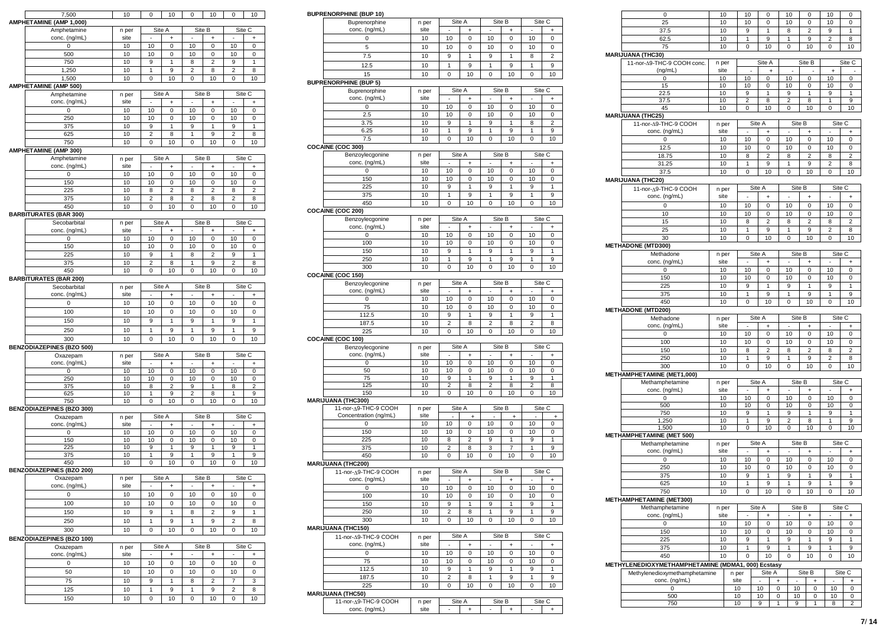| 7,500                            | 10            | 0                        | 10             | 0                        | 10             | 0                        | 10             |
|----------------------------------|---------------|--------------------------|----------------|--------------------------|----------------|--------------------------|----------------|
| AMPHETAMINE (AMP 1,000)          |               |                          |                |                          |                |                          |                |
| Amphetamine                      | n per         | Site A                   |                | Site B                   |                |                          | Site C         |
| conc. (ng/mL)                    | site          |                          | ÷              |                          | ÷              |                          | ÷              |
| 0                                | 10            | 10                       | 0              | 10                       | 0              | 10                       | 0              |
| 500                              | 10            | 10                       | 0              | 10                       | 0              | 10                       | 0              |
| 750                              | 10            | 9                        | 1              | 8                        | $\overline{2}$ | 9                        | 1              |
| 1,250                            | 10            | 1                        | 9              | $\overline{2}$           | 8              | $\overline{2}$           | 8              |
| 1,500                            | 10            | 0                        | 10             | 0                        | 10             | 0                        | 10             |
| <b>AMPHETAMINE (AMP 500)</b>     |               |                          |                |                          |                |                          |                |
| Amphetamine                      | n per         | Site A                   |                | Site B                   |                | Site C                   |                |
| conc. (ng/mL)                    | site          |                          | +              |                          | +              |                          | +              |
| 0                                | 10            | 10                       | 0              | 10                       | 0              | 10                       | 0              |
| 250                              | 10            | 10                       | 0              | 10                       | 0              | 10                       | 0              |
| 375                              | 10            | 9                        | 1              | 9                        | $\mathbf{1}$   | 9                        | 1              |
|                                  | 10            | $\overline{c}$           | 8              |                          | 9              | 2                        |                |
| 625<br>750                       | 10            |                          | 10             | 1<br>0                   | 10             | 0                        | 8<br>10        |
|                                  |               | 0                        |                |                          |                |                          |                |
| AMPHETAMINE (AMP 300)            |               |                          |                |                          |                |                          |                |
| Amphetamine                      | n per<br>site | Site A<br>ä,             | $\ddot{}$      | Site B<br>ä,             | $\ddot{}$      | Site C<br>ä,             | $\ddot{}$      |
| conc. (ng/mL)<br>0               | 10            | 10                       | 0              | 10                       | 0              | 10                       | 0              |
|                                  |               |                          |                |                          |                |                          |                |
| 150                              | 10            | 10                       | 0              | 10                       | 0              | 10                       | 0              |
| 225                              | 10            | 8                        | $\overline{c}$ | 8                        | 2              | 8                        | $\overline{2}$ |
| 375                              | 10            | $\overline{c}$           | 8              | $\overline{\mathbf{c}}$  | 8              | $\overline{c}$           | 8              |
| 450                              | 10            | 0                        | 10             | 0                        | 10             | 0                        | 10             |
| <b>BARBITURATES (BAR 300)</b>    |               |                          |                |                          |                |                          |                |
| Secobarbital                     | n per         | Site A                   |                | Site B                   |                | Site C                   |                |
| conc. (ng/mL)                    | site          |                          | ÷              |                          | +              |                          | $\ddot{}$      |
| 0                                | 10            | 10                       | 0              | 10                       | 0              | 10                       | 0              |
| 150                              | 10            | 10                       | 0              | 10                       | 0              | 10                       | 0              |
| 225                              | 10            | 9                        | 1              | 8                        | $\overline{2}$ | 9                        | $\mathbf{1}$   |
| 375                              | 10            | 2                        | 8              | 1                        | 9              | 2                        | 8              |
| 450                              | 10            | 0                        | 10             | 0                        | 10             | 0                        | 10             |
| <b>BARBITURATES (BAR 200)</b>    |               |                          |                |                          |                |                          |                |
| Secobarbital                     | n per         | Site A                   |                |                          | Site B         | Site C                   |                |
| conc. (ng/mL)                    | site          | $\overline{\phantom{a}}$ | +              | $\centerdot$             | +              | $\overline{\phantom{a}}$ | +              |
| 0                                | 10            | 10                       | 0              | 10                       | 0              | 10                       | 0              |
| 100                              | 10            | 10                       | 0              | 10                       | 0              | 10                       | 0              |
| 150                              | 10            | 9                        | 1              | 9                        | 1              | 9                        | $\mathbf{1}$   |
| 250                              | 10            | 1                        | 9              | 1                        | 9              | 1                        | 9              |
| 300                              | 10            | $\mathbf 0$              | 10             | $\mathbf 0$              | 10             | $\mathbf 0$              | 10             |
|                                  |               |                          |                |                          |                |                          |                |
| <b>BENZODIAZEPINES (BZO 500)</b> |               |                          | Site A         | Site B                   |                |                          | Site C         |
| Oxazepam<br>conc. (ng/mL)        | n per<br>site | ×,                       |                | ÷,                       |                | $\overline{\phantom{a}}$ |                |
| 0                                | 10            | 10                       | $\ddot{}$<br>0 | 10                       | $\ddot{}$<br>0 | 10                       | $\ddot{}$<br>0 |
| 250                              | 10            | 10                       | 0              | 10                       | 0              | 10                       | 0              |
| 375                              | 10            | 8                        | 2              | 9                        | 1              | 8                        | 2              |
| 625                              | 10            | 1                        | 9              | $\overline{2}$           | 8              | 1                        | 9              |
| 750                              | 10            | 0                        | 10             | 0                        | 10             | 0                        | 10             |
| <b>BENZODIAZEPINES (BZO 300)</b> |               |                          |                |                          |                |                          |                |
| Oxazepam                         | n per         | Site A                   |                | Site B                   |                | Site C                   |                |
| conc. (ng/mL)                    | site          | ×,                       | $\ddot{}$      | ÷,                       | $\ddot{}$      | $\overline{\phantom{a}}$ | $\ddot{}$      |
| 0                                | 10            | 10                       | 0              | 10                       | 0              | 10                       | 0              |
| 150                              | 10            | 10                       | 0              | 10                       | 0              | 10                       | 0              |
| 225                              | 10            | 9                        | 1              | 9                        | 1              | 9                        | 1              |
| 375                              | 10            | 1                        | 9              | 1                        | 9              | 1                        | 9              |
| 450                              | 10            | 0                        | 10             | 0                        | 10             | 0                        | 10             |
| <b>BENZODIAZEPINES (BZO 200)</b> |               |                          |                |                          |                |                          |                |
| Oxazepam                         | n per         |                          | Site A         | Site B                   |                |                          | Site C         |
| conc. (ng/mL)                    | site          | ×,                       | $\ddot{}$      | ä,                       | +              | ×,                       | +              |
| 0                                | 10            | 10                       | 0              | 10                       | 0              | 10                       | 0              |
| 100                              | 10            | 10                       | 0              | 10                       | 0              | 10                       | 0              |
| 150                              | 10            | 9                        | 1              | 8                        | $\overline{2}$ | 9                        | 1              |
| 250                              | 10            | 1                        | 9              | 1                        | 9              | $\overline{\mathbf{c}}$  | 8              |
|                                  |               |                          |                |                          |                |                          |                |
| 300                              | 10            | 0                        | 10             | 0                        | 10             | 0                        | 10             |
| <b>BENZODIAZEPINES (BZO 100)</b> |               |                          |                |                          |                |                          |                |
| Oxazepam                         | n per         | Site A                   |                |                          | Site B         | Site C                   |                |
| conc. (ng/mL)                    | site          | $\sim$                   | $\ddot{}$      | $\overline{\phantom{a}}$ | $\ddot{}$      | $\sim$                   | $\ddot{}$      |
| $\pmb{0}$                        | 10            | 10                       | 0              | 10                       | 0              | 10                       | 0              |
| 50                               |               |                          | 0              | 10                       | 0              | 10                       | 0              |
|                                  | 10            | 10                       |                |                          |                |                          |                |
| 75                               | 10            | 9                        | 1              | 8                        | 2              | 7                        | 3              |
| 125                              | 10            | 1                        | 9              | $\mathbf{1}$             | 9              | $\overline{2}$           | 8              |
|                                  |               |                          |                |                          |                |                          |                |
| 150                              | 10            | 0                        | 10             | 0                        | 10             | 0                        | 10             |

# **BUPRENORPHINE (BUP 10)**

| Buprenorphine                | n per | Site A |    | Site B   |    |    | Site C |
|------------------------------|-------|--------|----|----------|----|----|--------|
| conc. (ng/mL)                | site  | ۰      |    | ۰        |    |    |        |
|                              | 10    | 10     | 0  | 10       | 0  | 10 |        |
|                              | 10    | 10     | 0  | 10       |    | 10 |        |
| 7.5                          | 10    | 9      |    | 9        |    | 8  |        |
| 12.5                         | 10    |        | 9  |          | 9  |    | 9      |
| 15                           | 10    |        | 10 | $\Omega$ | 10 |    | 10     |
| <b>IDDENODDUINE (DIID E)</b> |       |        |    |          |    |    |        |

| <b>BUPRENORPHINE (BUP 5)</b> |       |        |    |        |    |    |        |
|------------------------------|-------|--------|----|--------|----|----|--------|
| Buprenorphine                | n per | Site A |    | Site B |    |    | Site C |
| conc. (ng/mL)                | site  |        |    |        |    |    |        |
|                              | 10    | 10     | 0  | 10     |    | 10 |        |
| 2.5                          | 10    | 10     | 0  | 10     |    | 10 |        |
| 3.75                         | 10    | g      |    | 9      |    | 8  |        |
| 6.25                         | 10    |        | 9  |        | 9  |    | 9      |
| 7.5                          | 10    |        | 10 | 0      | 10 |    | 10     |
| COCVINE (COC 300)            |       |        |    |        |    |    |        |

# **COCAINE (COC 300)**

| Benzoylecgonine   | n per |    | Site A |    | Site B |    | Site C |
|-------------------|-------|----|--------|----|--------|----|--------|
| conc. (ng/mL)     | site  | -  |        |    |        |    |        |
|                   | 10    | 10 |        | 10 |        | 10 |        |
| 150               | 10    | 10 |        | 10 |        | 10 |        |
| 225               | 10    | 9  |        | 9  |        | 9  |        |
| 375               | 10    |    | 9      |    | 9      |    |        |
| 450               | 10    |    | 10     |    | 10     |    | 10     |
| COCAINE (COC 200) |       |    |        |    |        |    |        |

#### **COCAINE (COC 200)**

| Benzoylecgonine             | n per | Site A                   |    | Site B |    |    | Site C |
|-----------------------------|-------|--------------------------|----|--------|----|----|--------|
| conc. (ng/mL)               | site  | $\overline{\phantom{a}}$ |    | ۰      |    | ۰  |        |
|                             | 10    | 10                       | 0  | 10     |    | 10 |        |
| 100                         | 10    | 10                       | 0  | 10     |    | 10 |        |
| 150                         | 10    | 9                        |    | 9      |    | 9  |        |
| 250                         | 10    |                          | 9  |        | 9  |    | 9      |
| 300                         | 10    |                          | 10 |        | 10 |    | 10     |
| $0.0011117$ ( $0.0011721$ ) |       |                          |    |        |    |    |        |

# **COCAINE (COC 150)**

| Benzoylecgonine | n per | Site A |    | Site B |    |    | Site C |
|-----------------|-------|--------|----|--------|----|----|--------|
| conc. (ng/mL)   | site  |        |    | ۰      |    |    |        |
|                 | 10    | 10     |    | 10     |    | 10 |        |
| 75              | 10    | 10     |    | 10     |    | 10 |        |
| 112.5           | 10    |        |    |        |    | 9  |        |
| 187.5           | 10    |        |    |        | 8  | ີ  |        |
| 225             | 10    |        | 10 |        | 10 |    |        |
|                 |       |        |    |        |    |    |        |

# **COCAINE (COC 100)**

| Benzoylecgonine | n per | Site A |    | Site B |    |    | Site C |
|-----------------|-------|--------|----|--------|----|----|--------|
| conc. (ng/mL)   | site  | ۰      |    | ۰      |    | ۰  |        |
|                 | 10    | 10     | O  | 10     |    | 10 |        |
| 50              | 10    | 10     |    | 10     |    | 10 |        |
|                 |       |        |    |        |    |    |        |
| 125             | 10    |        | 8  |        |    |    |        |
| 150             | 10    |        | 10 |        | 10 |    | 10     |

# **MARIJUANA (THC300)**

| 11-nor-A9-THC-9 COOH      | n per | Site A |    | Site B |    | Site C |    |
|---------------------------|-------|--------|----|--------|----|--------|----|
| Concentration (ng/mL)     | site  | ۰      |    | ۰      |    | ۰      |    |
|                           | 10    | 10     |    | 10     |    | 10     |    |
| 150                       | 10    | 10     |    | 10     |    | 10     |    |
| 225                       | 10    |        |    |        |    | 9      |    |
| 375                       | 10    |        |    | 3      |    |        | 9  |
| 450                       | 10    |        | 10 |        | 10 |        | 10 |
| <b>MARIJUANA (THC200)</b> |       |        |    |        |    |        |    |

#### 11-nor-A9-THC-9 COOH conc. (ng/mL) n per site Site A Site B Site C - + - + -  $+$ 0 10 10 0<br>100 10 10 0 10  $\begin{array}{|c|c|c|c|}\n\hline\n0 & 10 \\
\hline\n0 & 10 \\
\hline\n\end{array}$  $\overline{\phantom{0}}$  $\frac{10}{10}$  10 10 0  $\overline{1}$   $\overline{1}$   $\overline{1}$ 250 10 8 10  $\overline{0}$  10 1  $\overline{0}$  10  $0 \quad 10$

# **MARIJUANA (THC150)**

| 1.1.1.1.0.04117711101001 |       |                |          |          |        |          |        |
|--------------------------|-------|----------------|----------|----------|--------|----------|--------|
| 11-nor-A9-THC-9 COOH     | n per | Site A         |          |          | Site B | Site C   |        |
| conc. (ng/mL)            | site  |                |          |          |        |          |        |
|                          | 10    | 10             | $\Omega$ | 10       | O      | 10       |        |
| 75                       | 10    | 10             |          | 10       |        | 10       |        |
| 112.5                    | 10    | 9              |          | 9        |        | 9        |        |
| 187.5                    | 10    | $\overline{2}$ | 8        |          | 9      |          | 9      |
| 225                      | 10    |                | 10       | $\Omega$ | 10     | $\Omega$ | 10     |
| <b>MARIJUANA (THC50)</b> |       |                |          |          |        |          |        |
| 11-nor-A9-THC-9 COOH     | n per | Site A         |          |          | Site B |          | Site C |
| conc. (ng/mL)            | site  |                |          |          |        |          |        |

| 25<br>10<br>10<br>10<br>0<br>10<br>0<br>37.5<br>10<br>9<br>1<br>$\overline{2}$<br>9<br>8<br>$\overline{2}$<br>62.5<br>10<br>1<br>9<br>9<br>1<br>75<br>10<br>0<br>10<br>0<br>10<br>0<br><b>MARIJUANA (THC30)</b><br>11-nor-A9-THC-9 COOH conc.<br>Site A<br>Site B<br>Site C<br>n per<br>(ng/mL)<br>site<br>×,<br>$\ddot{}$<br>×,<br>$\ddot{}$<br>0<br>10<br>10<br>0<br>10<br>0<br>10<br>15<br>10<br>10<br>10<br>10<br>0<br>0<br>22.5<br>10<br>9<br>1<br>9<br>1<br>9<br>37.5<br>10<br>$\overline{2}$<br>8<br>2<br>8<br>1<br>45<br>10<br>10<br>10<br>0<br>0<br>0<br><b>MARIJUANA (THC25)</b><br>11-nor-A9-THC-9 COOH<br>Site A<br>Site B<br>Site C<br>n per<br>conc. (ng/mL)<br>site<br>+<br>$\ddot{}$<br>10<br>10<br>10<br>10<br>0<br>0<br>0<br>12.5<br>10<br>10<br>10<br>0<br>10<br>$\mathbf 0$<br>$\overline{2}$<br>$\overline{2}$<br>18.75<br>10<br>8<br>8<br>8<br>31.25<br>1<br>1<br>$\overline{2}$<br>10<br>9<br>9<br>37.5<br>10<br>$\mathbf 0$<br>10<br>0<br>10<br>0<br><b>MARIJUANA (THC20)</b><br>Site A<br>Site B<br>Site C<br>11-nor-A9-THC-9 COOH<br>n per<br>conc. (ng/mL)<br>site<br>ä,<br>÷.<br>$\ddot{}$<br>٠<br>$\ddot{}$<br>$\mathbf 0$<br>10<br>10<br>0<br>10<br>0<br>10<br>10<br>10<br>10<br>0<br>10<br>10<br>0<br>15<br>10<br>8<br>$\overline{2}$<br>8<br>$\overline{2}$<br>8<br>25<br>10<br>1<br>9<br>1<br>9<br>$\overline{2}$<br>10<br>0<br>10<br>10<br>$\mathbf 0$<br>30<br>0<br><b>METHADONE (MTD300)</b><br>Site B<br>Site C<br>Methadone<br>Site A<br>n per<br>conc. (ng/mL)<br>site<br>$\ddot{}$<br>$\ddot{}$<br>10<br>10<br>10<br>0<br>0<br>10<br>0<br>10<br>10<br>10<br>10<br>150<br>0<br>0<br>225<br>10<br>9<br>1<br>9<br>1<br>9<br>$\mathbf{1}$<br>9<br>$\mathbf{1}$<br>375<br>10<br>1<br>9<br>450<br>10<br>0<br>10<br>0<br>10<br>0<br><b>METHADONE (MTD200)</b><br>Site A<br>Site B<br>Site C<br>Methadone<br>n per<br>conc. (ng/mL)<br>site<br>٠<br>+<br>$\overline{\phantom{a}}$<br>+<br>٠<br>10<br>10<br>0<br>10<br>0<br>0<br>10<br>10<br>100<br>10<br>0<br>10<br>10<br>0<br>10<br>8<br>$\overline{2}$<br>$\overline{2}$<br>8<br>150<br>8<br>250<br>10<br>2<br>1<br>9<br>1<br>9<br>10<br>10<br>10<br>300<br>0<br>0<br>0<br>METHAMPHETAMINE (MET1,000)<br>Methamphetamine<br>Site A<br>Site B<br>Site C<br>n per<br>conc. (ng/mL)<br>site<br>ä,<br>ä,<br>ä,<br>$\ddot{}$<br>$\ddot{}$<br>10<br>10<br>$\mathbf 0$<br>0<br>10<br>0<br>10<br>500<br>10<br>10<br>10<br>0<br>10<br>0<br>10<br>9<br>9<br>750<br>1<br>9<br>1<br>10<br>1<br>1,250<br>1<br>9<br>2<br>8 |
|------------------------------------------------------------------------------------------------------------------------------------------------------------------------------------------------------------------------------------------------------------------------------------------------------------------------------------------------------------------------------------------------------------------------------------------------------------------------------------------------------------------------------------------------------------------------------------------------------------------------------------------------------------------------------------------------------------------------------------------------------------------------------------------------------------------------------------------------------------------------------------------------------------------------------------------------------------------------------------------------------------------------------------------------------------------------------------------------------------------------------------------------------------------------------------------------------------------------------------------------------------------------------------------------------------------------------------------------------------------------------------------------------------------------------------------------------------------------------------------------------------------------------------------------------------------------------------------------------------------------------------------------------------------------------------------------------------------------------------------------------------------------------------------------------------------------------------------------------------------------------------------------------------------------------------------------------------------------------------------------------------------------------------------------------------------------------------------------------------------------------------------------------------------------------------------------------------------------------------------------------------------------------------------------------------------------------------------------------------------------------------------------------------------------------------------------------------------------------------------------|
|                                                                                                                                                                                                                                                                                                                                                                                                                                                                                                                                                                                                                                                                                                                                                                                                                                                                                                                                                                                                                                                                                                                                                                                                                                                                                                                                                                                                                                                                                                                                                                                                                                                                                                                                                                                                                                                                                                                                                                                                                                                                                                                                                                                                                                                                                                                                                                                                                                                                                                |
|                                                                                                                                                                                                                                                                                                                                                                                                                                                                                                                                                                                                                                                                                                                                                                                                                                                                                                                                                                                                                                                                                                                                                                                                                                                                                                                                                                                                                                                                                                                                                                                                                                                                                                                                                                                                                                                                                                                                                                                                                                                                                                                                                                                                                                                                                                                                                                                                                                                                                                |
|                                                                                                                                                                                                                                                                                                                                                                                                                                                                                                                                                                                                                                                                                                                                                                                                                                                                                                                                                                                                                                                                                                                                                                                                                                                                                                                                                                                                                                                                                                                                                                                                                                                                                                                                                                                                                                                                                                                                                                                                                                                                                                                                                                                                                                                                                                                                                                                                                                                                                                |
|                                                                                                                                                                                                                                                                                                                                                                                                                                                                                                                                                                                                                                                                                                                                                                                                                                                                                                                                                                                                                                                                                                                                                                                                                                                                                                                                                                                                                                                                                                                                                                                                                                                                                                                                                                                                                                                                                                                                                                                                                                                                                                                                                                                                                                                                                                                                                                                                                                                                                                |
|                                                                                                                                                                                                                                                                                                                                                                                                                                                                                                                                                                                                                                                                                                                                                                                                                                                                                                                                                                                                                                                                                                                                                                                                                                                                                                                                                                                                                                                                                                                                                                                                                                                                                                                                                                                                                                                                                                                                                                                                                                                                                                                                                                                                                                                                                                                                                                                                                                                                                                |
|                                                                                                                                                                                                                                                                                                                                                                                                                                                                                                                                                                                                                                                                                                                                                                                                                                                                                                                                                                                                                                                                                                                                                                                                                                                                                                                                                                                                                                                                                                                                                                                                                                                                                                                                                                                                                                                                                                                                                                                                                                                                                                                                                                                                                                                                                                                                                                                                                                                                                                |
|                                                                                                                                                                                                                                                                                                                                                                                                                                                                                                                                                                                                                                                                                                                                                                                                                                                                                                                                                                                                                                                                                                                                                                                                                                                                                                                                                                                                                                                                                                                                                                                                                                                                                                                                                                                                                                                                                                                                                                                                                                                                                                                                                                                                                                                                                                                                                                                                                                                                                                |
|                                                                                                                                                                                                                                                                                                                                                                                                                                                                                                                                                                                                                                                                                                                                                                                                                                                                                                                                                                                                                                                                                                                                                                                                                                                                                                                                                                                                                                                                                                                                                                                                                                                                                                                                                                                                                                                                                                                                                                                                                                                                                                                                                                                                                                                                                                                                                                                                                                                                                                |
|                                                                                                                                                                                                                                                                                                                                                                                                                                                                                                                                                                                                                                                                                                                                                                                                                                                                                                                                                                                                                                                                                                                                                                                                                                                                                                                                                                                                                                                                                                                                                                                                                                                                                                                                                                                                                                                                                                                                                                                                                                                                                                                                                                                                                                                                                                                                                                                                                                                                                                |
|                                                                                                                                                                                                                                                                                                                                                                                                                                                                                                                                                                                                                                                                                                                                                                                                                                                                                                                                                                                                                                                                                                                                                                                                                                                                                                                                                                                                                                                                                                                                                                                                                                                                                                                                                                                                                                                                                                                                                                                                                                                                                                                                                                                                                                                                                                                                                                                                                                                                                                |
|                                                                                                                                                                                                                                                                                                                                                                                                                                                                                                                                                                                                                                                                                                                                                                                                                                                                                                                                                                                                                                                                                                                                                                                                                                                                                                                                                                                                                                                                                                                                                                                                                                                                                                                                                                                                                                                                                                                                                                                                                                                                                                                                                                                                                                                                                                                                                                                                                                                                                                |
|                                                                                                                                                                                                                                                                                                                                                                                                                                                                                                                                                                                                                                                                                                                                                                                                                                                                                                                                                                                                                                                                                                                                                                                                                                                                                                                                                                                                                                                                                                                                                                                                                                                                                                                                                                                                                                                                                                                                                                                                                                                                                                                                                                                                                                                                                                                                                                                                                                                                                                |
|                                                                                                                                                                                                                                                                                                                                                                                                                                                                                                                                                                                                                                                                                                                                                                                                                                                                                                                                                                                                                                                                                                                                                                                                                                                                                                                                                                                                                                                                                                                                                                                                                                                                                                                                                                                                                                                                                                                                                                                                                                                                                                                                                                                                                                                                                                                                                                                                                                                                                                |
|                                                                                                                                                                                                                                                                                                                                                                                                                                                                                                                                                                                                                                                                                                                                                                                                                                                                                                                                                                                                                                                                                                                                                                                                                                                                                                                                                                                                                                                                                                                                                                                                                                                                                                                                                                                                                                                                                                                                                                                                                                                                                                                                                                                                                                                                                                                                                                                                                                                                                                |
|                                                                                                                                                                                                                                                                                                                                                                                                                                                                                                                                                                                                                                                                                                                                                                                                                                                                                                                                                                                                                                                                                                                                                                                                                                                                                                                                                                                                                                                                                                                                                                                                                                                                                                                                                                                                                                                                                                                                                                                                                                                                                                                                                                                                                                                                                                                                                                                                                                                                                                |
|                                                                                                                                                                                                                                                                                                                                                                                                                                                                                                                                                                                                                                                                                                                                                                                                                                                                                                                                                                                                                                                                                                                                                                                                                                                                                                                                                                                                                                                                                                                                                                                                                                                                                                                                                                                                                                                                                                                                                                                                                                                                                                                                                                                                                                                                                                                                                                                                                                                                                                |
|                                                                                                                                                                                                                                                                                                                                                                                                                                                                                                                                                                                                                                                                                                                                                                                                                                                                                                                                                                                                                                                                                                                                                                                                                                                                                                                                                                                                                                                                                                                                                                                                                                                                                                                                                                                                                                                                                                                                                                                                                                                                                                                                                                                                                                                                                                                                                                                                                                                                                                |
|                                                                                                                                                                                                                                                                                                                                                                                                                                                                                                                                                                                                                                                                                                                                                                                                                                                                                                                                                                                                                                                                                                                                                                                                                                                                                                                                                                                                                                                                                                                                                                                                                                                                                                                                                                                                                                                                                                                                                                                                                                                                                                                                                                                                                                                                                                                                                                                                                                                                                                |
|                                                                                                                                                                                                                                                                                                                                                                                                                                                                                                                                                                                                                                                                                                                                                                                                                                                                                                                                                                                                                                                                                                                                                                                                                                                                                                                                                                                                                                                                                                                                                                                                                                                                                                                                                                                                                                                                                                                                                                                                                                                                                                                                                                                                                                                                                                                                                                                                                                                                                                |
|                                                                                                                                                                                                                                                                                                                                                                                                                                                                                                                                                                                                                                                                                                                                                                                                                                                                                                                                                                                                                                                                                                                                                                                                                                                                                                                                                                                                                                                                                                                                                                                                                                                                                                                                                                                                                                                                                                                                                                                                                                                                                                                                                                                                                                                                                                                                                                                                                                                                                                |
|                                                                                                                                                                                                                                                                                                                                                                                                                                                                                                                                                                                                                                                                                                                                                                                                                                                                                                                                                                                                                                                                                                                                                                                                                                                                                                                                                                                                                                                                                                                                                                                                                                                                                                                                                                                                                                                                                                                                                                                                                                                                                                                                                                                                                                                                                                                                                                                                                                                                                                |
|                                                                                                                                                                                                                                                                                                                                                                                                                                                                                                                                                                                                                                                                                                                                                                                                                                                                                                                                                                                                                                                                                                                                                                                                                                                                                                                                                                                                                                                                                                                                                                                                                                                                                                                                                                                                                                                                                                                                                                                                                                                                                                                                                                                                                                                                                                                                                                                                                                                                                                |
|                                                                                                                                                                                                                                                                                                                                                                                                                                                                                                                                                                                                                                                                                                                                                                                                                                                                                                                                                                                                                                                                                                                                                                                                                                                                                                                                                                                                                                                                                                                                                                                                                                                                                                                                                                                                                                                                                                                                                                                                                                                                                                                                                                                                                                                                                                                                                                                                                                                                                                |
|                                                                                                                                                                                                                                                                                                                                                                                                                                                                                                                                                                                                                                                                                                                                                                                                                                                                                                                                                                                                                                                                                                                                                                                                                                                                                                                                                                                                                                                                                                                                                                                                                                                                                                                                                                                                                                                                                                                                                                                                                                                                                                                                                                                                                                                                                                                                                                                                                                                                                                |
|                                                                                                                                                                                                                                                                                                                                                                                                                                                                                                                                                                                                                                                                                                                                                                                                                                                                                                                                                                                                                                                                                                                                                                                                                                                                                                                                                                                                                                                                                                                                                                                                                                                                                                                                                                                                                                                                                                                                                                                                                                                                                                                                                                                                                                                                                                                                                                                                                                                                                                |
|                                                                                                                                                                                                                                                                                                                                                                                                                                                                                                                                                                                                                                                                                                                                                                                                                                                                                                                                                                                                                                                                                                                                                                                                                                                                                                                                                                                                                                                                                                                                                                                                                                                                                                                                                                                                                                                                                                                                                                                                                                                                                                                                                                                                                                                                                                                                                                                                                                                                                                |
|                                                                                                                                                                                                                                                                                                                                                                                                                                                                                                                                                                                                                                                                                                                                                                                                                                                                                                                                                                                                                                                                                                                                                                                                                                                                                                                                                                                                                                                                                                                                                                                                                                                                                                                                                                                                                                                                                                                                                                                                                                                                                                                                                                                                                                                                                                                                                                                                                                                                                                |
|                                                                                                                                                                                                                                                                                                                                                                                                                                                                                                                                                                                                                                                                                                                                                                                                                                                                                                                                                                                                                                                                                                                                                                                                                                                                                                                                                                                                                                                                                                                                                                                                                                                                                                                                                                                                                                                                                                                                                                                                                                                                                                                                                                                                                                                                                                                                                                                                                                                                                                |
|                                                                                                                                                                                                                                                                                                                                                                                                                                                                                                                                                                                                                                                                                                                                                                                                                                                                                                                                                                                                                                                                                                                                                                                                                                                                                                                                                                                                                                                                                                                                                                                                                                                                                                                                                                                                                                                                                                                                                                                                                                                                                                                                                                                                                                                                                                                                                                                                                                                                                                |
|                                                                                                                                                                                                                                                                                                                                                                                                                                                                                                                                                                                                                                                                                                                                                                                                                                                                                                                                                                                                                                                                                                                                                                                                                                                                                                                                                                                                                                                                                                                                                                                                                                                                                                                                                                                                                                                                                                                                                                                                                                                                                                                                                                                                                                                                                                                                                                                                                                                                                                |
|                                                                                                                                                                                                                                                                                                                                                                                                                                                                                                                                                                                                                                                                                                                                                                                                                                                                                                                                                                                                                                                                                                                                                                                                                                                                                                                                                                                                                                                                                                                                                                                                                                                                                                                                                                                                                                                                                                                                                                                                                                                                                                                                                                                                                                                                                                                                                                                                                                                                                                |
|                                                                                                                                                                                                                                                                                                                                                                                                                                                                                                                                                                                                                                                                                                                                                                                                                                                                                                                                                                                                                                                                                                                                                                                                                                                                                                                                                                                                                                                                                                                                                                                                                                                                                                                                                                                                                                                                                                                                                                                                                                                                                                                                                                                                                                                                                                                                                                                                                                                                                                |
|                                                                                                                                                                                                                                                                                                                                                                                                                                                                                                                                                                                                                                                                                                                                                                                                                                                                                                                                                                                                                                                                                                                                                                                                                                                                                                                                                                                                                                                                                                                                                                                                                                                                                                                                                                                                                                                                                                                                                                                                                                                                                                                                                                                                                                                                                                                                                                                                                                                                                                |
|                                                                                                                                                                                                                                                                                                                                                                                                                                                                                                                                                                                                                                                                                                                                                                                                                                                                                                                                                                                                                                                                                                                                                                                                                                                                                                                                                                                                                                                                                                                                                                                                                                                                                                                                                                                                                                                                                                                                                                                                                                                                                                                                                                                                                                                                                                                                                                                                                                                                                                |
|                                                                                                                                                                                                                                                                                                                                                                                                                                                                                                                                                                                                                                                                                                                                                                                                                                                                                                                                                                                                                                                                                                                                                                                                                                                                                                                                                                                                                                                                                                                                                                                                                                                                                                                                                                                                                                                                                                                                                                                                                                                                                                                                                                                                                                                                                                                                                                                                                                                                                                |
|                                                                                                                                                                                                                                                                                                                                                                                                                                                                                                                                                                                                                                                                                                                                                                                                                                                                                                                                                                                                                                                                                                                                                                                                                                                                                                                                                                                                                                                                                                                                                                                                                                                                                                                                                                                                                                                                                                                                                                                                                                                                                                                                                                                                                                                                                                                                                                                                                                                                                                |
|                                                                                                                                                                                                                                                                                                                                                                                                                                                                                                                                                                                                                                                                                                                                                                                                                                                                                                                                                                                                                                                                                                                                                                                                                                                                                                                                                                                                                                                                                                                                                                                                                                                                                                                                                                                                                                                                                                                                                                                                                                                                                                                                                                                                                                                                                                                                                                                                                                                                                                |
|                                                                                                                                                                                                                                                                                                                                                                                                                                                                                                                                                                                                                                                                                                                                                                                                                                                                                                                                                                                                                                                                                                                                                                                                                                                                                                                                                                                                                                                                                                                                                                                                                                                                                                                                                                                                                                                                                                                                                                                                                                                                                                                                                                                                                                                                                                                                                                                                                                                                                                |
|                                                                                                                                                                                                                                                                                                                                                                                                                                                                                                                                                                                                                                                                                                                                                                                                                                                                                                                                                                                                                                                                                                                                                                                                                                                                                                                                                                                                                                                                                                                                                                                                                                                                                                                                                                                                                                                                                                                                                                                                                                                                                                                                                                                                                                                                                                                                                                                                                                                                                                |
|                                                                                                                                                                                                                                                                                                                                                                                                                                                                                                                                                                                                                                                                                                                                                                                                                                                                                                                                                                                                                                                                                                                                                                                                                                                                                                                                                                                                                                                                                                                                                                                                                                                                                                                                                                                                                                                                                                                                                                                                                                                                                                                                                                                                                                                                                                                                                                                                                                                                                                |
|                                                                                                                                                                                                                                                                                                                                                                                                                                                                                                                                                                                                                                                                                                                                                                                                                                                                                                                                                                                                                                                                                                                                                                                                                                                                                                                                                                                                                                                                                                                                                                                                                                                                                                                                                                                                                                                                                                                                                                                                                                                                                                                                                                                                                                                                                                                                                                                                                                                                                                |
|                                                                                                                                                                                                                                                                                                                                                                                                                                                                                                                                                                                                                                                                                                                                                                                                                                                                                                                                                                                                                                                                                                                                                                                                                                                                                                                                                                                                                                                                                                                                                                                                                                                                                                                                                                                                                                                                                                                                                                                                                                                                                                                                                                                                                                                                                                                                                                                                                                                                                                |
|                                                                                                                                                                                                                                                                                                                                                                                                                                                                                                                                                                                                                                                                                                                                                                                                                                                                                                                                                                                                                                                                                                                                                                                                                                                                                                                                                                                                                                                                                                                                                                                                                                                                                                                                                                                                                                                                                                                                                                                                                                                                                                                                                                                                                                                                                                                                                                                                                                                                                                |
|                                                                                                                                                                                                                                                                                                                                                                                                                                                                                                                                                                                                                                                                                                                                                                                                                                                                                                                                                                                                                                                                                                                                                                                                                                                                                                                                                                                                                                                                                                                                                                                                                                                                                                                                                                                                                                                                                                                                                                                                                                                                                                                                                                                                                                                                                                                                                                                                                                                                                                |
|                                                                                                                                                                                                                                                                                                                                                                                                                                                                                                                                                                                                                                                                                                                                                                                                                                                                                                                                                                                                                                                                                                                                                                                                                                                                                                                                                                                                                                                                                                                                                                                                                                                                                                                                                                                                                                                                                                                                                                                                                                                                                                                                                                                                                                                                                                                                                                                                                                                                                                |
|                                                                                                                                                                                                                                                                                                                                                                                                                                                                                                                                                                                                                                                                                                                                                                                                                                                                                                                                                                                                                                                                                                                                                                                                                                                                                                                                                                                                                                                                                                                                                                                                                                                                                                                                                                                                                                                                                                                                                                                                                                                                                                                                                                                                                                                                                                                                                                                                                                                                                                |
|                                                                                                                                                                                                                                                                                                                                                                                                                                                                                                                                                                                                                                                                                                                                                                                                                                                                                                                                                                                                                                                                                                                                                                                                                                                                                                                                                                                                                                                                                                                                                                                                                                                                                                                                                                                                                                                                                                                                                                                                                                                                                                                                                                                                                                                                                                                                                                                                                                                                                                |
|                                                                                                                                                                                                                                                                                                                                                                                                                                                                                                                                                                                                                                                                                                                                                                                                                                                                                                                                                                                                                                                                                                                                                                                                                                                                                                                                                                                                                                                                                                                                                                                                                                                                                                                                                                                                                                                                                                                                                                                                                                                                                                                                                                                                                                                                                                                                                                                                                                                                                                |
|                                                                                                                                                                                                                                                                                                                                                                                                                                                                                                                                                                                                                                                                                                                                                                                                                                                                                                                                                                                                                                                                                                                                                                                                                                                                                                                                                                                                                                                                                                                                                                                                                                                                                                                                                                                                                                                                                                                                                                                                                                                                                                                                                                                                                                                                                                                                                                                                                                                                                                |
|                                                                                                                                                                                                                                                                                                                                                                                                                                                                                                                                                                                                                                                                                                                                                                                                                                                                                                                                                                                                                                                                                                                                                                                                                                                                                                                                                                                                                                                                                                                                                                                                                                                                                                                                                                                                                                                                                                                                                                                                                                                                                                                                                                                                                                                                                                                                                                                                                                                                                                |
|                                                                                                                                                                                                                                                                                                                                                                                                                                                                                                                                                                                                                                                                                                                                                                                                                                                                                                                                                                                                                                                                                                                                                                                                                                                                                                                                                                                                                                                                                                                                                                                                                                                                                                                                                                                                                                                                                                                                                                                                                                                                                                                                                                                                                                                                                                                                                                                                                                                                                                |
|                                                                                                                                                                                                                                                                                                                                                                                                                                                                                                                                                                                                                                                                                                                                                                                                                                                                                                                                                                                                                                                                                                                                                                                                                                                                                                                                                                                                                                                                                                                                                                                                                                                                                                                                                                                                                                                                                                                                                                                                                                                                                                                                                                                                                                                                                                                                                                                                                                                                                                |
|                                                                                                                                                                                                                                                                                                                                                                                                                                                                                                                                                                                                                                                                                                                                                                                                                                                                                                                                                                                                                                                                                                                                                                                                                                                                                                                                                                                                                                                                                                                                                                                                                                                                                                                                                                                                                                                                                                                                                                                                                                                                                                                                                                                                                                                                                                                                                                                                                                                                                                |
|                                                                                                                                                                                                                                                                                                                                                                                                                                                                                                                                                                                                                                                                                                                                                                                                                                                                                                                                                                                                                                                                                                                                                                                                                                                                                                                                                                                                                                                                                                                                                                                                                                                                                                                                                                                                                                                                                                                                                                                                                                                                                                                                                                                                                                                                                                                                                                                                                                                                                                |
| 1,500<br>10<br>0<br>10<br>0<br>10<br>0                                                                                                                                                                                                                                                                                                                                                                                                                                                                                                                                                                                                                                                                                                                                                                                                                                                                                                                                                                                                                                                                                                                                                                                                                                                                                                                                                                                                                                                                                                                                                                                                                                                                                                                                                                                                                                                                                                                                                                                                                                                                                                                                                                                                                                                                                                                                                                                                                                                         |
|                                                                                                                                                                                                                                                                                                                                                                                                                                                                                                                                                                                                                                                                                                                                                                                                                                                                                                                                                                                                                                                                                                                                                                                                                                                                                                                                                                                                                                                                                                                                                                                                                                                                                                                                                                                                                                                                                                                                                                                                                                                                                                                                                                                                                                                                                                                                                                                                                                                                                                |
| METHAMPHETAMINE (MET 500)                                                                                                                                                                                                                                                                                                                                                                                                                                                                                                                                                                                                                                                                                                                                                                                                                                                                                                                                                                                                                                                                                                                                                                                                                                                                                                                                                                                                                                                                                                                                                                                                                                                                                                                                                                                                                                                                                                                                                                                                                                                                                                                                                                                                                                                                                                                                                                                                                                                                      |
| Site B<br>Site C<br>Methamphetamine<br>Site A<br>n per                                                                                                                                                                                                                                                                                                                                                                                                                                                                                                                                                                                                                                                                                                                                                                                                                                                                                                                                                                                                                                                                                                                                                                                                                                                                                                                                                                                                                                                                                                                                                                                                                                                                                                                                                                                                                                                                                                                                                                                                                                                                                                                                                                                                                                                                                                                                                                                                                                         |
| conc. (ng/mL)<br>site<br>$\ddot{}$<br>$\overline{\phantom{a}}$<br>$\ddot{}$<br>$\overline{\phantom{a}}$                                                                                                                                                                                                                                                                                                                                                                                                                                                                                                                                                                                                                                                                                                                                                                                                                                                                                                                                                                                                                                                                                                                                                                                                                                                                                                                                                                                                                                                                                                                                                                                                                                                                                                                                                                                                                                                                                                                                                                                                                                                                                                                                                                                                                                                                                                                                                                                        |
| $\mathbf 0$<br>10<br>10<br>10<br>10<br>$\mathbf 0$<br>0                                                                                                                                                                                                                                                                                                                                                                                                                                                                                                                                                                                                                                                                                                                                                                                                                                                                                                                                                                                                                                                                                                                                                                                                                                                                                                                                                                                                                                                                                                                                                                                                                                                                                                                                                                                                                                                                                                                                                                                                                                                                                                                                                                                                                                                                                                                                                                                                                                        |
| 250<br>10<br>10<br>0<br>10<br>0<br>10                                                                                                                                                                                                                                                                                                                                                                                                                                                                                                                                                                                                                                                                                                                                                                                                                                                                                                                                                                                                                                                                                                                                                                                                                                                                                                                                                                                                                                                                                                                                                                                                                                                                                                                                                                                                                                                                                                                                                                                                                                                                                                                                                                                                                                                                                                                                                                                                                                                          |
| 375<br>10<br>9<br>$\mathbf{1}$<br>9<br>1<br>9                                                                                                                                                                                                                                                                                                                                                                                                                                                                                                                                                                                                                                                                                                                                                                                                                                                                                                                                                                                                                                                                                                                                                                                                                                                                                                                                                                                                                                                                                                                                                                                                                                                                                                                                                                                                                                                                                                                                                                                                                                                                                                                                                                                                                                                                                                                                                                                                                                                  |
| $\overline{1}$<br>625<br>10<br>9<br>1<br>9<br>1                                                                                                                                                                                                                                                                                                                                                                                                                                                                                                                                                                                                                                                                                                                                                                                                                                                                                                                                                                                                                                                                                                                                                                                                                                                                                                                                                                                                                                                                                                                                                                                                                                                                                                                                                                                                                                                                                                                                                                                                                                                                                                                                                                                                                                                                                                                                                                                                                                                |
| 750<br>10<br>0<br>10<br>0<br>10<br>0                                                                                                                                                                                                                                                                                                                                                                                                                                                                                                                                                                                                                                                                                                                                                                                                                                                                                                                                                                                                                                                                                                                                                                                                                                                                                                                                                                                                                                                                                                                                                                                                                                                                                                                                                                                                                                                                                                                                                                                                                                                                                                                                                                                                                                                                                                                                                                                                                                                           |
| METHAMPHETAMINE (MET300)                                                                                                                                                                                                                                                                                                                                                                                                                                                                                                                                                                                                                                                                                                                                                                                                                                                                                                                                                                                                                                                                                                                                                                                                                                                                                                                                                                                                                                                                                                                                                                                                                                                                                                                                                                                                                                                                                                                                                                                                                                                                                                                                                                                                                                                                                                                                                                                                                                                                       |
| Site A<br>Site B<br>Site C<br>Methamphetamine<br>n per                                                                                                                                                                                                                                                                                                                                                                                                                                                                                                                                                                                                                                                                                                                                                                                                                                                                                                                                                                                                                                                                                                                                                                                                                                                                                                                                                                                                                                                                                                                                                                                                                                                                                                                                                                                                                                                                                                                                                                                                                                                                                                                                                                                                                                                                                                                                                                                                                                         |
| conc. (ng/mL)<br>site<br>ä,<br>×,<br>+<br>٠<br>+                                                                                                                                                                                                                                                                                                                                                                                                                                                                                                                                                                                                                                                                                                                                                                                                                                                                                                                                                                                                                                                                                                                                                                                                                                                                                                                                                                                                                                                                                                                                                                                                                                                                                                                                                                                                                                                                                                                                                                                                                                                                                                                                                                                                                                                                                                                                                                                                                                               |
|                                                                                                                                                                                                                                                                                                                                                                                                                                                                                                                                                                                                                                                                                                                                                                                                                                                                                                                                                                                                                                                                                                                                                                                                                                                                                                                                                                                                                                                                                                                                                                                                                                                                                                                                                                                                                                                                                                                                                                                                                                                                                                                                                                                                                                                                                                                                                                                                                                                                                                |
|                                                                                                                                                                                                                                                                                                                                                                                                                                                                                                                                                                                                                                                                                                                                                                                                                                                                                                                                                                                                                                                                                                                                                                                                                                                                                                                                                                                                                                                                                                                                                                                                                                                                                                                                                                                                                                                                                                                                                                                                                                                                                                                                                                                                                                                                                                                                                                                                                                                                                                |
| 0<br>10<br>10<br>0<br>10<br>10<br>0                                                                                                                                                                                                                                                                                                                                                                                                                                                                                                                                                                                                                                                                                                                                                                                                                                                                                                                                                                                                                                                                                                                                                                                                                                                                                                                                                                                                                                                                                                                                                                                                                                                                                                                                                                                                                                                                                                                                                                                                                                                                                                                                                                                                                                                                                                                                                                                                                                                            |
| 150<br>10<br>10<br>0<br>10<br>10<br>0                                                                                                                                                                                                                                                                                                                                                                                                                                                                                                                                                                                                                                                                                                                                                                                                                                                                                                                                                                                                                                                                                                                                                                                                                                                                                                                                                                                                                                                                                                                                                                                                                                                                                                                                                                                                                                                                                                                                                                                                                                                                                                                                                                                                                                                                                                                                                                                                                                                          |
| 225<br>10<br>9<br>1<br>9<br>1<br>9                                                                                                                                                                                                                                                                                                                                                                                                                                                                                                                                                                                                                                                                                                                                                                                                                                                                                                                                                                                                                                                                                                                                                                                                                                                                                                                                                                                                                                                                                                                                                                                                                                                                                                                                                                                                                                                                                                                                                                                                                                                                                                                                                                                                                                                                                                                                                                                                                                                             |
| 10<br>9<br>9<br>1<br>375<br>1<br>1                                                                                                                                                                                                                                                                                                                                                                                                                                                                                                                                                                                                                                                                                                                                                                                                                                                                                                                                                                                                                                                                                                                                                                                                                                                                                                                                                                                                                                                                                                                                                                                                                                                                                                                                                                                                                                                                                                                                                                                                                                                                                                                                                                                                                                                                                                                                                                                                                                                             |
| 450<br>10<br>0<br>10<br>10<br>0<br>0                                                                                                                                                                                                                                                                                                                                                                                                                                                                                                                                                                                                                                                                                                                                                                                                                                                                                                                                                                                                                                                                                                                                                                                                                                                                                                                                                                                                                                                                                                                                                                                                                                                                                                                                                                                                                                                                                                                                                                                                                                                                                                                                                                                                                                                                                                                                                                                                                                                           |
|                                                                                                                                                                                                                                                                                                                                                                                                                                                                                                                                                                                                                                                                                                                                                                                                                                                                                                                                                                                                                                                                                                                                                                                                                                                                                                                                                                                                                                                                                                                                                                                                                                                                                                                                                                                                                                                                                                                                                                                                                                                                                                                                                                                                                                                                                                                                                                                                                                                                                                |
| Site A<br>Site B<br>Site C                                                                                                                                                                                                                                                                                                                                                                                                                                                                                                                                                                                                                                                                                                                                                                                                                                                                                                                                                                                                                                                                                                                                                                                                                                                                                                                                                                                                                                                                                                                                                                                                                                                                                                                                                                                                                                                                                                                                                                                                                                                                                                                                                                                                                                                                                                                                                                                                                                                                     |
| Methylenedioxymethamphetamine<br>n per<br>site                                                                                                                                                                                                                                                                                                                                                                                                                                                                                                                                                                                                                                                                                                                                                                                                                                                                                                                                                                                                                                                                                                                                                                                                                                                                                                                                                                                                                                                                                                                                                                                                                                                                                                                                                                                                                                                                                                                                                                                                                                                                                                                                                                                                                                                                                                                                                                                                                                                 |
| METHYLENEDIOXYMETHAMPHETAMINE (MDMA1, 000) Ecstasy<br>conc. (ng/mL)<br>10<br>10<br>0<br>10<br>0<br>0<br>10                                                                                                                                                                                                                                                                                                                                                                                                                                                                                                                                                                                                                                                                                                                                                                                                                                                                                                                                                                                                                                                                                                                                                                                                                                                                                                                                                                                                                                                                                                                                                                                                                                                                                                                                                                                                                                                                                                                                                                                                                                                                                                                                                                                                                                                                                                                                                                                     |

10 10 0 10 0 10

 

750 10 1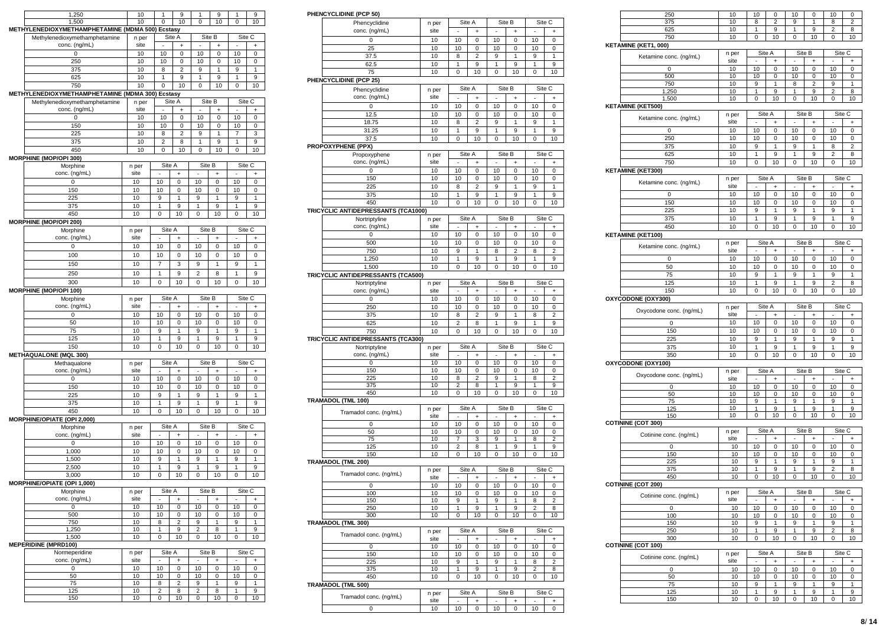| 1<br>1<br>1<br>10<br>10<br>10<br>1,500<br>0<br>10<br>0<br>0<br>METHYLENEDIOXYMETHAMPHETAMINE (MDMA 500) Ecstasy<br>Site A<br>Site B<br>Site C<br>Methylenedioxymethamphetamine<br>n per<br>conc. (ng/mL)<br>site<br>÷<br>+<br>10<br>10<br>0<br>10<br>0<br>10<br>0<br>0<br>250<br>10<br>10<br>10<br>10<br>0<br>0<br>0<br>10<br>8<br>$\overline{2}$<br>9<br>1<br>9<br>375<br>1<br>625<br>10<br>1<br>9<br>1<br>9<br>1<br>9<br>10<br>$\mathbf 0$<br>10<br>$\mathbf 0$<br>10<br>10<br>750<br>0<br>METHYLENEDIOXYMETHAMPHETAMINE (MDMA 300)<br><b>Ecstasy</b><br>Site A<br>Site B<br>Site C<br>Methylenedioxymethamphetamine<br>n per<br>conc. (ng/mL)<br>site<br>$\ddot{}$<br>÷<br>÷<br>0<br>$\mathbf 0$<br>10<br>10<br>0<br>10<br>0<br>10<br>150<br>10<br>10<br>10<br>10<br>0<br>0<br>0<br>225<br>10<br>8<br>$\overline{2}$<br>9<br>1<br>7<br>3<br>375<br>10<br>$\overline{2}$<br>8<br>9<br>1<br>9<br>1<br>450<br>10<br>10<br>0<br>10<br>0<br>0<br>10<br>MORPHINE (MOP/OPI 300)<br>Site C<br>Site A<br>Site B<br>Morphine<br>n per<br>conc. (ng/mL)<br>site<br>$\ddot{}$<br>ä,<br>ä,<br>$\ddot{}$<br>÷,<br>$\ddot{}$<br>0<br>10<br>10<br>0<br>10<br>0<br>10<br>0<br>10<br>10<br>150<br>10<br>10<br>0<br>0<br>0<br>225<br>10<br>9<br>1<br>1<br>1<br>9<br>9<br>375<br>10<br>1<br>9<br>1<br>9<br>1<br>9<br>450<br>10<br>0<br>10<br>0<br>10<br>0<br>10<br><b>MORPHINE (MOP/OPI 200)</b><br>Site A<br>Site B<br>Site C<br>Morphine<br>n per<br>conc. (ng/mL)<br>site<br>$\ddot{}$<br>÷<br>+<br>10<br>0<br>10<br>10<br>0<br>10<br>0<br>0<br>100<br>10<br>10<br>10<br>10<br>0<br>0<br>0<br>150<br>10<br>$\overline{7}$<br>3<br>1<br>9<br>9<br>1<br>$\overline{c}$<br>250<br>10<br>9<br>1<br>9<br>1<br>8<br>10<br>10<br>300<br>10<br>0<br>0<br>0<br>10<br><b>MORPHINE (MOP/OPI 100)</b><br>Site A<br>Site B<br>Site C<br>Morphine<br>n per<br>conc. (ng/mL)<br>site<br>÷,<br>÷,<br>ä,<br>$\ddot{}$<br>$\ddot{}$<br>$\ddot{}$<br>10<br>0<br>10<br>0<br>10<br>$\mathbf 0$<br>10<br>0<br>50<br>10<br>10<br>0<br>10<br>$\mathbf 0$<br>10<br>0<br>75<br>10<br>9<br>1<br>9<br>9<br>1<br>1<br>125<br>10<br>1<br>9<br>1<br>9<br>1<br>9<br>150<br>10<br>10<br>0<br>10<br>0<br>10<br>0<br><b>METHAQUALONE (MQL 300)</b><br>Methaqualone<br>Site A<br>Site B<br>Site C<br>n per<br>conc. (ng/mL)<br>site<br>$\ddot{}$<br>+<br>÷<br>10<br>10<br>10<br>0<br>10<br>0<br>0<br>0<br>150<br>10<br>10<br>0<br>10<br>0<br>10<br>0<br>225<br>10<br>9<br>1<br>9<br>1<br>9<br>1<br>1<br>375<br>10<br>1<br>9<br>9<br>1<br>9<br>450<br>10<br>$\mathbf 0$<br>10<br>0<br>10<br>0<br>10<br>MORPHINE/OPIATE (OPI 2,000)<br>Site A<br>Site B<br>Site C<br>Morphine<br>n per<br>conc. (ng/mL)<br>site<br>$\ddot{}$<br>$\ddot{}$<br>ä,<br>٠<br>+<br>٠<br>0<br>10<br>10<br>0<br>10<br>0<br>10<br>0<br>1,000<br>10<br>10<br>10<br>10<br>0<br>0<br>0<br>10<br>9<br>1<br>9<br>1<br>9<br>1<br>1,500<br>9<br>10<br>1<br>1<br>9<br>1<br>9<br>2,500<br>10<br>10<br>3,000<br>10<br>U<br>υ<br>ιυ<br>υ<br>MORPHINE/OPIATE (OPI 1,000)<br>Site B<br>Site C<br>Morphine<br>Site A<br>n per<br>conc. (ng/mL)<br>site<br>$\sim$<br>÷.<br>$\sim$<br>$\ddot{}$<br>$\ddot{}$<br>$\ddot{}$<br>10<br>10<br>$\overline{0}$<br>10<br>10<br>0<br>0<br>0<br>500<br>10<br>10<br>10<br>10<br>0<br>0<br>0<br>750<br>10<br>2<br>1<br>9<br>$\mathbf{1}$<br>8<br>9<br>$\overline{2}$<br>1<br>9<br>1,250<br>10<br>9<br>8<br>1<br>10<br>1,500<br>10<br>0<br>10<br>0<br>10<br>0<br><b>MEPERIDINE (MPRD100)</b><br>Site B<br>Site C<br>Normeperidine<br>Site A<br>n per<br>conc. (ng/mL)<br>site<br>+<br>$\ddot{}$<br>$\ddot{}$<br>0<br>10<br>10<br>10<br>10<br>0<br>0<br>0<br>50<br>10<br>10<br>0<br>10<br>0<br>10<br>0<br>75<br>10<br>$\overline{\mathbf{c}}$<br>1<br>8<br>9<br>1<br>9<br>9<br>125<br>10<br>2<br>8<br>2<br>8<br>1<br>10<br>150<br>10<br>0<br>0<br>10<br>0<br>10 |       |    |   |   |   |
|------------------------------------------------------------------------------------------------------------------------------------------------------------------------------------------------------------------------------------------------------------------------------------------------------------------------------------------------------------------------------------------------------------------------------------------------------------------------------------------------------------------------------------------------------------------------------------------------------------------------------------------------------------------------------------------------------------------------------------------------------------------------------------------------------------------------------------------------------------------------------------------------------------------------------------------------------------------------------------------------------------------------------------------------------------------------------------------------------------------------------------------------------------------------------------------------------------------------------------------------------------------------------------------------------------------------------------------------------------------------------------------------------------------------------------------------------------------------------------------------------------------------------------------------------------------------------------------------------------------------------------------------------------------------------------------------------------------------------------------------------------------------------------------------------------------------------------------------------------------------------------------------------------------------------------------------------------------------------------------------------------------------------------------------------------------------------------------------------------------------------------------------------------------------------------------------------------------------------------------------------------------------------------------------------------------------------------------------------------------------------------------------------------------------------------------------------------------------------------------------------------------------------------------------------------------------------------------------------------------------------------------------------------------------------------------------------------------------------------------------------------------------------------------------------------------------------------------------------------------------------------------------------------------------------------------------------------------------------------------------------------------------------------------------------------------------------------------------------------------------------------------------------------------------------------------------------------------------------------------------------------------------------------------------------------------------------------------------------------------------------------------------------------------------------------------------------------------------------------------------------------------------------------------------------------------------------------------------------------------------------------------------------------------------------------------------------------------------------------------------------------------------------------------------------|-------|----|---|---|---|
|                                                                                                                                                                                                                                                                                                                                                                                                                                                                                                                                                                                                                                                                                                                                                                                                                                                                                                                                                                                                                                                                                                                                                                                                                                                                                                                                                                                                                                                                                                                                                                                                                                                                                                                                                                                                                                                                                                                                                                                                                                                                                                                                                                                                                                                                                                                                                                                                                                                                                                                                                                                                                                                                                                                                                                                                                                                                                                                                                                                                                                                                                                                                                                                                                                                                                                                                                                                                                                                                                                                                                                                                                                                                                                                                                                                                      | 1,250 | 10 | 9 | 9 | 9 |
|                                                                                                                                                                                                                                                                                                                                                                                                                                                                                                                                                                                                                                                                                                                                                                                                                                                                                                                                                                                                                                                                                                                                                                                                                                                                                                                                                                                                                                                                                                                                                                                                                                                                                                                                                                                                                                                                                                                                                                                                                                                                                                                                                                                                                                                                                                                                                                                                                                                                                                                                                                                                                                                                                                                                                                                                                                                                                                                                                                                                                                                                                                                                                                                                                                                                                                                                                                                                                                                                                                                                                                                                                                                                                                                                                                                                      |       |    |   |   |   |
|                                                                                                                                                                                                                                                                                                                                                                                                                                                                                                                                                                                                                                                                                                                                                                                                                                                                                                                                                                                                                                                                                                                                                                                                                                                                                                                                                                                                                                                                                                                                                                                                                                                                                                                                                                                                                                                                                                                                                                                                                                                                                                                                                                                                                                                                                                                                                                                                                                                                                                                                                                                                                                                                                                                                                                                                                                                                                                                                                                                                                                                                                                                                                                                                                                                                                                                                                                                                                                                                                                                                                                                                                                                                                                                                                                                                      |       |    |   |   |   |
|                                                                                                                                                                                                                                                                                                                                                                                                                                                                                                                                                                                                                                                                                                                                                                                                                                                                                                                                                                                                                                                                                                                                                                                                                                                                                                                                                                                                                                                                                                                                                                                                                                                                                                                                                                                                                                                                                                                                                                                                                                                                                                                                                                                                                                                                                                                                                                                                                                                                                                                                                                                                                                                                                                                                                                                                                                                                                                                                                                                                                                                                                                                                                                                                                                                                                                                                                                                                                                                                                                                                                                                                                                                                                                                                                                                                      |       |    |   |   |   |
|                                                                                                                                                                                                                                                                                                                                                                                                                                                                                                                                                                                                                                                                                                                                                                                                                                                                                                                                                                                                                                                                                                                                                                                                                                                                                                                                                                                                                                                                                                                                                                                                                                                                                                                                                                                                                                                                                                                                                                                                                                                                                                                                                                                                                                                                                                                                                                                                                                                                                                                                                                                                                                                                                                                                                                                                                                                                                                                                                                                                                                                                                                                                                                                                                                                                                                                                                                                                                                                                                                                                                                                                                                                                                                                                                                                                      |       |    |   |   |   |
|                                                                                                                                                                                                                                                                                                                                                                                                                                                                                                                                                                                                                                                                                                                                                                                                                                                                                                                                                                                                                                                                                                                                                                                                                                                                                                                                                                                                                                                                                                                                                                                                                                                                                                                                                                                                                                                                                                                                                                                                                                                                                                                                                                                                                                                                                                                                                                                                                                                                                                                                                                                                                                                                                                                                                                                                                                                                                                                                                                                                                                                                                                                                                                                                                                                                                                                                                                                                                                                                                                                                                                                                                                                                                                                                                                                                      |       |    |   |   |   |
|                                                                                                                                                                                                                                                                                                                                                                                                                                                                                                                                                                                                                                                                                                                                                                                                                                                                                                                                                                                                                                                                                                                                                                                                                                                                                                                                                                                                                                                                                                                                                                                                                                                                                                                                                                                                                                                                                                                                                                                                                                                                                                                                                                                                                                                                                                                                                                                                                                                                                                                                                                                                                                                                                                                                                                                                                                                                                                                                                                                                                                                                                                                                                                                                                                                                                                                                                                                                                                                                                                                                                                                                                                                                                                                                                                                                      |       |    |   |   |   |
|                                                                                                                                                                                                                                                                                                                                                                                                                                                                                                                                                                                                                                                                                                                                                                                                                                                                                                                                                                                                                                                                                                                                                                                                                                                                                                                                                                                                                                                                                                                                                                                                                                                                                                                                                                                                                                                                                                                                                                                                                                                                                                                                                                                                                                                                                                                                                                                                                                                                                                                                                                                                                                                                                                                                                                                                                                                                                                                                                                                                                                                                                                                                                                                                                                                                                                                                                                                                                                                                                                                                                                                                                                                                                                                                                                                                      |       |    |   |   |   |
|                                                                                                                                                                                                                                                                                                                                                                                                                                                                                                                                                                                                                                                                                                                                                                                                                                                                                                                                                                                                                                                                                                                                                                                                                                                                                                                                                                                                                                                                                                                                                                                                                                                                                                                                                                                                                                                                                                                                                                                                                                                                                                                                                                                                                                                                                                                                                                                                                                                                                                                                                                                                                                                                                                                                                                                                                                                                                                                                                                                                                                                                                                                                                                                                                                                                                                                                                                                                                                                                                                                                                                                                                                                                                                                                                                                                      |       |    |   |   |   |
|                                                                                                                                                                                                                                                                                                                                                                                                                                                                                                                                                                                                                                                                                                                                                                                                                                                                                                                                                                                                                                                                                                                                                                                                                                                                                                                                                                                                                                                                                                                                                                                                                                                                                                                                                                                                                                                                                                                                                                                                                                                                                                                                                                                                                                                                                                                                                                                                                                                                                                                                                                                                                                                                                                                                                                                                                                                                                                                                                                                                                                                                                                                                                                                                                                                                                                                                                                                                                                                                                                                                                                                                                                                                                                                                                                                                      |       |    |   |   |   |
|                                                                                                                                                                                                                                                                                                                                                                                                                                                                                                                                                                                                                                                                                                                                                                                                                                                                                                                                                                                                                                                                                                                                                                                                                                                                                                                                                                                                                                                                                                                                                                                                                                                                                                                                                                                                                                                                                                                                                                                                                                                                                                                                                                                                                                                                                                                                                                                                                                                                                                                                                                                                                                                                                                                                                                                                                                                                                                                                                                                                                                                                                                                                                                                                                                                                                                                                                                                                                                                                                                                                                                                                                                                                                                                                                                                                      |       |    |   |   |   |
|                                                                                                                                                                                                                                                                                                                                                                                                                                                                                                                                                                                                                                                                                                                                                                                                                                                                                                                                                                                                                                                                                                                                                                                                                                                                                                                                                                                                                                                                                                                                                                                                                                                                                                                                                                                                                                                                                                                                                                                                                                                                                                                                                                                                                                                                                                                                                                                                                                                                                                                                                                                                                                                                                                                                                                                                                                                                                                                                                                                                                                                                                                                                                                                                                                                                                                                                                                                                                                                                                                                                                                                                                                                                                                                                                                                                      |       |    |   |   |   |
|                                                                                                                                                                                                                                                                                                                                                                                                                                                                                                                                                                                                                                                                                                                                                                                                                                                                                                                                                                                                                                                                                                                                                                                                                                                                                                                                                                                                                                                                                                                                                                                                                                                                                                                                                                                                                                                                                                                                                                                                                                                                                                                                                                                                                                                                                                                                                                                                                                                                                                                                                                                                                                                                                                                                                                                                                                                                                                                                                                                                                                                                                                                                                                                                                                                                                                                                                                                                                                                                                                                                                                                                                                                                                                                                                                                                      |       |    |   |   |   |
|                                                                                                                                                                                                                                                                                                                                                                                                                                                                                                                                                                                                                                                                                                                                                                                                                                                                                                                                                                                                                                                                                                                                                                                                                                                                                                                                                                                                                                                                                                                                                                                                                                                                                                                                                                                                                                                                                                                                                                                                                                                                                                                                                                                                                                                                                                                                                                                                                                                                                                                                                                                                                                                                                                                                                                                                                                                                                                                                                                                                                                                                                                                                                                                                                                                                                                                                                                                                                                                                                                                                                                                                                                                                                                                                                                                                      |       |    |   |   |   |
|                                                                                                                                                                                                                                                                                                                                                                                                                                                                                                                                                                                                                                                                                                                                                                                                                                                                                                                                                                                                                                                                                                                                                                                                                                                                                                                                                                                                                                                                                                                                                                                                                                                                                                                                                                                                                                                                                                                                                                                                                                                                                                                                                                                                                                                                                                                                                                                                                                                                                                                                                                                                                                                                                                                                                                                                                                                                                                                                                                                                                                                                                                                                                                                                                                                                                                                                                                                                                                                                                                                                                                                                                                                                                                                                                                                                      |       |    |   |   |   |
|                                                                                                                                                                                                                                                                                                                                                                                                                                                                                                                                                                                                                                                                                                                                                                                                                                                                                                                                                                                                                                                                                                                                                                                                                                                                                                                                                                                                                                                                                                                                                                                                                                                                                                                                                                                                                                                                                                                                                                                                                                                                                                                                                                                                                                                                                                                                                                                                                                                                                                                                                                                                                                                                                                                                                                                                                                                                                                                                                                                                                                                                                                                                                                                                                                                                                                                                                                                                                                                                                                                                                                                                                                                                                                                                                                                                      |       |    |   |   |   |
|                                                                                                                                                                                                                                                                                                                                                                                                                                                                                                                                                                                                                                                                                                                                                                                                                                                                                                                                                                                                                                                                                                                                                                                                                                                                                                                                                                                                                                                                                                                                                                                                                                                                                                                                                                                                                                                                                                                                                                                                                                                                                                                                                                                                                                                                                                                                                                                                                                                                                                                                                                                                                                                                                                                                                                                                                                                                                                                                                                                                                                                                                                                                                                                                                                                                                                                                                                                                                                                                                                                                                                                                                                                                                                                                                                                                      |       |    |   |   |   |
|                                                                                                                                                                                                                                                                                                                                                                                                                                                                                                                                                                                                                                                                                                                                                                                                                                                                                                                                                                                                                                                                                                                                                                                                                                                                                                                                                                                                                                                                                                                                                                                                                                                                                                                                                                                                                                                                                                                                                                                                                                                                                                                                                                                                                                                                                                                                                                                                                                                                                                                                                                                                                                                                                                                                                                                                                                                                                                                                                                                                                                                                                                                                                                                                                                                                                                                                                                                                                                                                                                                                                                                                                                                                                                                                                                                                      |       |    |   |   |   |
|                                                                                                                                                                                                                                                                                                                                                                                                                                                                                                                                                                                                                                                                                                                                                                                                                                                                                                                                                                                                                                                                                                                                                                                                                                                                                                                                                                                                                                                                                                                                                                                                                                                                                                                                                                                                                                                                                                                                                                                                                                                                                                                                                                                                                                                                                                                                                                                                                                                                                                                                                                                                                                                                                                                                                                                                                                                                                                                                                                                                                                                                                                                                                                                                                                                                                                                                                                                                                                                                                                                                                                                                                                                                                                                                                                                                      |       |    |   |   |   |
|                                                                                                                                                                                                                                                                                                                                                                                                                                                                                                                                                                                                                                                                                                                                                                                                                                                                                                                                                                                                                                                                                                                                                                                                                                                                                                                                                                                                                                                                                                                                                                                                                                                                                                                                                                                                                                                                                                                                                                                                                                                                                                                                                                                                                                                                                                                                                                                                                                                                                                                                                                                                                                                                                                                                                                                                                                                                                                                                                                                                                                                                                                                                                                                                                                                                                                                                                                                                                                                                                                                                                                                                                                                                                                                                                                                                      |       |    |   |   |   |
|                                                                                                                                                                                                                                                                                                                                                                                                                                                                                                                                                                                                                                                                                                                                                                                                                                                                                                                                                                                                                                                                                                                                                                                                                                                                                                                                                                                                                                                                                                                                                                                                                                                                                                                                                                                                                                                                                                                                                                                                                                                                                                                                                                                                                                                                                                                                                                                                                                                                                                                                                                                                                                                                                                                                                                                                                                                                                                                                                                                                                                                                                                                                                                                                                                                                                                                                                                                                                                                                                                                                                                                                                                                                                                                                                                                                      |       |    |   |   |   |
|                                                                                                                                                                                                                                                                                                                                                                                                                                                                                                                                                                                                                                                                                                                                                                                                                                                                                                                                                                                                                                                                                                                                                                                                                                                                                                                                                                                                                                                                                                                                                                                                                                                                                                                                                                                                                                                                                                                                                                                                                                                                                                                                                                                                                                                                                                                                                                                                                                                                                                                                                                                                                                                                                                                                                                                                                                                                                                                                                                                                                                                                                                                                                                                                                                                                                                                                                                                                                                                                                                                                                                                                                                                                                                                                                                                                      |       |    |   |   |   |
|                                                                                                                                                                                                                                                                                                                                                                                                                                                                                                                                                                                                                                                                                                                                                                                                                                                                                                                                                                                                                                                                                                                                                                                                                                                                                                                                                                                                                                                                                                                                                                                                                                                                                                                                                                                                                                                                                                                                                                                                                                                                                                                                                                                                                                                                                                                                                                                                                                                                                                                                                                                                                                                                                                                                                                                                                                                                                                                                                                                                                                                                                                                                                                                                                                                                                                                                                                                                                                                                                                                                                                                                                                                                                                                                                                                                      |       |    |   |   |   |
|                                                                                                                                                                                                                                                                                                                                                                                                                                                                                                                                                                                                                                                                                                                                                                                                                                                                                                                                                                                                                                                                                                                                                                                                                                                                                                                                                                                                                                                                                                                                                                                                                                                                                                                                                                                                                                                                                                                                                                                                                                                                                                                                                                                                                                                                                                                                                                                                                                                                                                                                                                                                                                                                                                                                                                                                                                                                                                                                                                                                                                                                                                                                                                                                                                                                                                                                                                                                                                                                                                                                                                                                                                                                                                                                                                                                      |       |    |   |   |   |
|                                                                                                                                                                                                                                                                                                                                                                                                                                                                                                                                                                                                                                                                                                                                                                                                                                                                                                                                                                                                                                                                                                                                                                                                                                                                                                                                                                                                                                                                                                                                                                                                                                                                                                                                                                                                                                                                                                                                                                                                                                                                                                                                                                                                                                                                                                                                                                                                                                                                                                                                                                                                                                                                                                                                                                                                                                                                                                                                                                                                                                                                                                                                                                                                                                                                                                                                                                                                                                                                                                                                                                                                                                                                                                                                                                                                      |       |    |   |   |   |
|                                                                                                                                                                                                                                                                                                                                                                                                                                                                                                                                                                                                                                                                                                                                                                                                                                                                                                                                                                                                                                                                                                                                                                                                                                                                                                                                                                                                                                                                                                                                                                                                                                                                                                                                                                                                                                                                                                                                                                                                                                                                                                                                                                                                                                                                                                                                                                                                                                                                                                                                                                                                                                                                                                                                                                                                                                                                                                                                                                                                                                                                                                                                                                                                                                                                                                                                                                                                                                                                                                                                                                                                                                                                                                                                                                                                      |       |    |   |   |   |
|                                                                                                                                                                                                                                                                                                                                                                                                                                                                                                                                                                                                                                                                                                                                                                                                                                                                                                                                                                                                                                                                                                                                                                                                                                                                                                                                                                                                                                                                                                                                                                                                                                                                                                                                                                                                                                                                                                                                                                                                                                                                                                                                                                                                                                                                                                                                                                                                                                                                                                                                                                                                                                                                                                                                                                                                                                                                                                                                                                                                                                                                                                                                                                                                                                                                                                                                                                                                                                                                                                                                                                                                                                                                                                                                                                                                      |       |    |   |   |   |
|                                                                                                                                                                                                                                                                                                                                                                                                                                                                                                                                                                                                                                                                                                                                                                                                                                                                                                                                                                                                                                                                                                                                                                                                                                                                                                                                                                                                                                                                                                                                                                                                                                                                                                                                                                                                                                                                                                                                                                                                                                                                                                                                                                                                                                                                                                                                                                                                                                                                                                                                                                                                                                                                                                                                                                                                                                                                                                                                                                                                                                                                                                                                                                                                                                                                                                                                                                                                                                                                                                                                                                                                                                                                                                                                                                                                      |       |    |   |   |   |
|                                                                                                                                                                                                                                                                                                                                                                                                                                                                                                                                                                                                                                                                                                                                                                                                                                                                                                                                                                                                                                                                                                                                                                                                                                                                                                                                                                                                                                                                                                                                                                                                                                                                                                                                                                                                                                                                                                                                                                                                                                                                                                                                                                                                                                                                                                                                                                                                                                                                                                                                                                                                                                                                                                                                                                                                                                                                                                                                                                                                                                                                                                                                                                                                                                                                                                                                                                                                                                                                                                                                                                                                                                                                                                                                                                                                      |       |    |   |   |   |
|                                                                                                                                                                                                                                                                                                                                                                                                                                                                                                                                                                                                                                                                                                                                                                                                                                                                                                                                                                                                                                                                                                                                                                                                                                                                                                                                                                                                                                                                                                                                                                                                                                                                                                                                                                                                                                                                                                                                                                                                                                                                                                                                                                                                                                                                                                                                                                                                                                                                                                                                                                                                                                                                                                                                                                                                                                                                                                                                                                                                                                                                                                                                                                                                                                                                                                                                                                                                                                                                                                                                                                                                                                                                                                                                                                                                      |       |    |   |   |   |
|                                                                                                                                                                                                                                                                                                                                                                                                                                                                                                                                                                                                                                                                                                                                                                                                                                                                                                                                                                                                                                                                                                                                                                                                                                                                                                                                                                                                                                                                                                                                                                                                                                                                                                                                                                                                                                                                                                                                                                                                                                                                                                                                                                                                                                                                                                                                                                                                                                                                                                                                                                                                                                                                                                                                                                                                                                                                                                                                                                                                                                                                                                                                                                                                                                                                                                                                                                                                                                                                                                                                                                                                                                                                                                                                                                                                      |       |    |   |   |   |
|                                                                                                                                                                                                                                                                                                                                                                                                                                                                                                                                                                                                                                                                                                                                                                                                                                                                                                                                                                                                                                                                                                                                                                                                                                                                                                                                                                                                                                                                                                                                                                                                                                                                                                                                                                                                                                                                                                                                                                                                                                                                                                                                                                                                                                                                                                                                                                                                                                                                                                                                                                                                                                                                                                                                                                                                                                                                                                                                                                                                                                                                                                                                                                                                                                                                                                                                                                                                                                                                                                                                                                                                                                                                                                                                                                                                      |       |    |   |   |   |
|                                                                                                                                                                                                                                                                                                                                                                                                                                                                                                                                                                                                                                                                                                                                                                                                                                                                                                                                                                                                                                                                                                                                                                                                                                                                                                                                                                                                                                                                                                                                                                                                                                                                                                                                                                                                                                                                                                                                                                                                                                                                                                                                                                                                                                                                                                                                                                                                                                                                                                                                                                                                                                                                                                                                                                                                                                                                                                                                                                                                                                                                                                                                                                                                                                                                                                                                                                                                                                                                                                                                                                                                                                                                                                                                                                                                      |       |    |   |   |   |
|                                                                                                                                                                                                                                                                                                                                                                                                                                                                                                                                                                                                                                                                                                                                                                                                                                                                                                                                                                                                                                                                                                                                                                                                                                                                                                                                                                                                                                                                                                                                                                                                                                                                                                                                                                                                                                                                                                                                                                                                                                                                                                                                                                                                                                                                                                                                                                                                                                                                                                                                                                                                                                                                                                                                                                                                                                                                                                                                                                                                                                                                                                                                                                                                                                                                                                                                                                                                                                                                                                                                                                                                                                                                                                                                                                                                      |       |    |   |   |   |
|                                                                                                                                                                                                                                                                                                                                                                                                                                                                                                                                                                                                                                                                                                                                                                                                                                                                                                                                                                                                                                                                                                                                                                                                                                                                                                                                                                                                                                                                                                                                                                                                                                                                                                                                                                                                                                                                                                                                                                                                                                                                                                                                                                                                                                                                                                                                                                                                                                                                                                                                                                                                                                                                                                                                                                                                                                                                                                                                                                                                                                                                                                                                                                                                                                                                                                                                                                                                                                                                                                                                                                                                                                                                                                                                                                                                      |       |    |   |   |   |
|                                                                                                                                                                                                                                                                                                                                                                                                                                                                                                                                                                                                                                                                                                                                                                                                                                                                                                                                                                                                                                                                                                                                                                                                                                                                                                                                                                                                                                                                                                                                                                                                                                                                                                                                                                                                                                                                                                                                                                                                                                                                                                                                                                                                                                                                                                                                                                                                                                                                                                                                                                                                                                                                                                                                                                                                                                                                                                                                                                                                                                                                                                                                                                                                                                                                                                                                                                                                                                                                                                                                                                                                                                                                                                                                                                                                      |       |    |   |   |   |
|                                                                                                                                                                                                                                                                                                                                                                                                                                                                                                                                                                                                                                                                                                                                                                                                                                                                                                                                                                                                                                                                                                                                                                                                                                                                                                                                                                                                                                                                                                                                                                                                                                                                                                                                                                                                                                                                                                                                                                                                                                                                                                                                                                                                                                                                                                                                                                                                                                                                                                                                                                                                                                                                                                                                                                                                                                                                                                                                                                                                                                                                                                                                                                                                                                                                                                                                                                                                                                                                                                                                                                                                                                                                                                                                                                                                      |       |    |   |   |   |
|                                                                                                                                                                                                                                                                                                                                                                                                                                                                                                                                                                                                                                                                                                                                                                                                                                                                                                                                                                                                                                                                                                                                                                                                                                                                                                                                                                                                                                                                                                                                                                                                                                                                                                                                                                                                                                                                                                                                                                                                                                                                                                                                                                                                                                                                                                                                                                                                                                                                                                                                                                                                                                                                                                                                                                                                                                                                                                                                                                                                                                                                                                                                                                                                                                                                                                                                                                                                                                                                                                                                                                                                                                                                                                                                                                                                      |       |    |   |   |   |
|                                                                                                                                                                                                                                                                                                                                                                                                                                                                                                                                                                                                                                                                                                                                                                                                                                                                                                                                                                                                                                                                                                                                                                                                                                                                                                                                                                                                                                                                                                                                                                                                                                                                                                                                                                                                                                                                                                                                                                                                                                                                                                                                                                                                                                                                                                                                                                                                                                                                                                                                                                                                                                                                                                                                                                                                                                                                                                                                                                                                                                                                                                                                                                                                                                                                                                                                                                                                                                                                                                                                                                                                                                                                                                                                                                                                      |       |    |   |   |   |
|                                                                                                                                                                                                                                                                                                                                                                                                                                                                                                                                                                                                                                                                                                                                                                                                                                                                                                                                                                                                                                                                                                                                                                                                                                                                                                                                                                                                                                                                                                                                                                                                                                                                                                                                                                                                                                                                                                                                                                                                                                                                                                                                                                                                                                                                                                                                                                                                                                                                                                                                                                                                                                                                                                                                                                                                                                                                                                                                                                                                                                                                                                                                                                                                                                                                                                                                                                                                                                                                                                                                                                                                                                                                                                                                                                                                      |       |    |   |   |   |
|                                                                                                                                                                                                                                                                                                                                                                                                                                                                                                                                                                                                                                                                                                                                                                                                                                                                                                                                                                                                                                                                                                                                                                                                                                                                                                                                                                                                                                                                                                                                                                                                                                                                                                                                                                                                                                                                                                                                                                                                                                                                                                                                                                                                                                                                                                                                                                                                                                                                                                                                                                                                                                                                                                                                                                                                                                                                                                                                                                                                                                                                                                                                                                                                                                                                                                                                                                                                                                                                                                                                                                                                                                                                                                                                                                                                      |       |    |   |   |   |
|                                                                                                                                                                                                                                                                                                                                                                                                                                                                                                                                                                                                                                                                                                                                                                                                                                                                                                                                                                                                                                                                                                                                                                                                                                                                                                                                                                                                                                                                                                                                                                                                                                                                                                                                                                                                                                                                                                                                                                                                                                                                                                                                                                                                                                                                                                                                                                                                                                                                                                                                                                                                                                                                                                                                                                                                                                                                                                                                                                                                                                                                                                                                                                                                                                                                                                                                                                                                                                                                                                                                                                                                                                                                                                                                                                                                      |       |    |   |   |   |
|                                                                                                                                                                                                                                                                                                                                                                                                                                                                                                                                                                                                                                                                                                                                                                                                                                                                                                                                                                                                                                                                                                                                                                                                                                                                                                                                                                                                                                                                                                                                                                                                                                                                                                                                                                                                                                                                                                                                                                                                                                                                                                                                                                                                                                                                                                                                                                                                                                                                                                                                                                                                                                                                                                                                                                                                                                                                                                                                                                                                                                                                                                                                                                                                                                                                                                                                                                                                                                                                                                                                                                                                                                                                                                                                                                                                      |       |    |   |   |   |
|                                                                                                                                                                                                                                                                                                                                                                                                                                                                                                                                                                                                                                                                                                                                                                                                                                                                                                                                                                                                                                                                                                                                                                                                                                                                                                                                                                                                                                                                                                                                                                                                                                                                                                                                                                                                                                                                                                                                                                                                                                                                                                                                                                                                                                                                                                                                                                                                                                                                                                                                                                                                                                                                                                                                                                                                                                                                                                                                                                                                                                                                                                                                                                                                                                                                                                                                                                                                                                                                                                                                                                                                                                                                                                                                                                                                      |       |    |   |   |   |
|                                                                                                                                                                                                                                                                                                                                                                                                                                                                                                                                                                                                                                                                                                                                                                                                                                                                                                                                                                                                                                                                                                                                                                                                                                                                                                                                                                                                                                                                                                                                                                                                                                                                                                                                                                                                                                                                                                                                                                                                                                                                                                                                                                                                                                                                                                                                                                                                                                                                                                                                                                                                                                                                                                                                                                                                                                                                                                                                                                                                                                                                                                                                                                                                                                                                                                                                                                                                                                                                                                                                                                                                                                                                                                                                                                                                      |       |    |   |   |   |
|                                                                                                                                                                                                                                                                                                                                                                                                                                                                                                                                                                                                                                                                                                                                                                                                                                                                                                                                                                                                                                                                                                                                                                                                                                                                                                                                                                                                                                                                                                                                                                                                                                                                                                                                                                                                                                                                                                                                                                                                                                                                                                                                                                                                                                                                                                                                                                                                                                                                                                                                                                                                                                                                                                                                                                                                                                                                                                                                                                                                                                                                                                                                                                                                                                                                                                                                                                                                                                                                                                                                                                                                                                                                                                                                                                                                      |       |    |   |   |   |
|                                                                                                                                                                                                                                                                                                                                                                                                                                                                                                                                                                                                                                                                                                                                                                                                                                                                                                                                                                                                                                                                                                                                                                                                                                                                                                                                                                                                                                                                                                                                                                                                                                                                                                                                                                                                                                                                                                                                                                                                                                                                                                                                                                                                                                                                                                                                                                                                                                                                                                                                                                                                                                                                                                                                                                                                                                                                                                                                                                                                                                                                                                                                                                                                                                                                                                                                                                                                                                                                                                                                                                                                                                                                                                                                                                                                      |       |    |   |   |   |
|                                                                                                                                                                                                                                                                                                                                                                                                                                                                                                                                                                                                                                                                                                                                                                                                                                                                                                                                                                                                                                                                                                                                                                                                                                                                                                                                                                                                                                                                                                                                                                                                                                                                                                                                                                                                                                                                                                                                                                                                                                                                                                                                                                                                                                                                                                                                                                                                                                                                                                                                                                                                                                                                                                                                                                                                                                                                                                                                                                                                                                                                                                                                                                                                                                                                                                                                                                                                                                                                                                                                                                                                                                                                                                                                                                                                      |       |    |   |   |   |
|                                                                                                                                                                                                                                                                                                                                                                                                                                                                                                                                                                                                                                                                                                                                                                                                                                                                                                                                                                                                                                                                                                                                                                                                                                                                                                                                                                                                                                                                                                                                                                                                                                                                                                                                                                                                                                                                                                                                                                                                                                                                                                                                                                                                                                                                                                                                                                                                                                                                                                                                                                                                                                                                                                                                                                                                                                                                                                                                                                                                                                                                                                                                                                                                                                                                                                                                                                                                                                                                                                                                                                                                                                                                                                                                                                                                      |       |    |   |   |   |
|                                                                                                                                                                                                                                                                                                                                                                                                                                                                                                                                                                                                                                                                                                                                                                                                                                                                                                                                                                                                                                                                                                                                                                                                                                                                                                                                                                                                                                                                                                                                                                                                                                                                                                                                                                                                                                                                                                                                                                                                                                                                                                                                                                                                                                                                                                                                                                                                                                                                                                                                                                                                                                                                                                                                                                                                                                                                                                                                                                                                                                                                                                                                                                                                                                                                                                                                                                                                                                                                                                                                                                                                                                                                                                                                                                                                      |       |    |   |   |   |
|                                                                                                                                                                                                                                                                                                                                                                                                                                                                                                                                                                                                                                                                                                                                                                                                                                                                                                                                                                                                                                                                                                                                                                                                                                                                                                                                                                                                                                                                                                                                                                                                                                                                                                                                                                                                                                                                                                                                                                                                                                                                                                                                                                                                                                                                                                                                                                                                                                                                                                                                                                                                                                                                                                                                                                                                                                                                                                                                                                                                                                                                                                                                                                                                                                                                                                                                                                                                                                                                                                                                                                                                                                                                                                                                                                                                      |       |    |   |   |   |
|                                                                                                                                                                                                                                                                                                                                                                                                                                                                                                                                                                                                                                                                                                                                                                                                                                                                                                                                                                                                                                                                                                                                                                                                                                                                                                                                                                                                                                                                                                                                                                                                                                                                                                                                                                                                                                                                                                                                                                                                                                                                                                                                                                                                                                                                                                                                                                                                                                                                                                                                                                                                                                                                                                                                                                                                                                                                                                                                                                                                                                                                                                                                                                                                                                                                                                                                                                                                                                                                                                                                                                                                                                                                                                                                                                                                      |       |    |   |   |   |
|                                                                                                                                                                                                                                                                                                                                                                                                                                                                                                                                                                                                                                                                                                                                                                                                                                                                                                                                                                                                                                                                                                                                                                                                                                                                                                                                                                                                                                                                                                                                                                                                                                                                                                                                                                                                                                                                                                                                                                                                                                                                                                                                                                                                                                                                                                                                                                                                                                                                                                                                                                                                                                                                                                                                                                                                                                                                                                                                                                                                                                                                                                                                                                                                                                                                                                                                                                                                                                                                                                                                                                                                                                                                                                                                                                                                      |       |    |   |   |   |
|                                                                                                                                                                                                                                                                                                                                                                                                                                                                                                                                                                                                                                                                                                                                                                                                                                                                                                                                                                                                                                                                                                                                                                                                                                                                                                                                                                                                                                                                                                                                                                                                                                                                                                                                                                                                                                                                                                                                                                                                                                                                                                                                                                                                                                                                                                                                                                                                                                                                                                                                                                                                                                                                                                                                                                                                                                                                                                                                                                                                                                                                                                                                                                                                                                                                                                                                                                                                                                                                                                                                                                                                                                                                                                                                                                                                      |       |    |   |   |   |
|                                                                                                                                                                                                                                                                                                                                                                                                                                                                                                                                                                                                                                                                                                                                                                                                                                                                                                                                                                                                                                                                                                                                                                                                                                                                                                                                                                                                                                                                                                                                                                                                                                                                                                                                                                                                                                                                                                                                                                                                                                                                                                                                                                                                                                                                                                                                                                                                                                                                                                                                                                                                                                                                                                                                                                                                                                                                                                                                                                                                                                                                                                                                                                                                                                                                                                                                                                                                                                                                                                                                                                                                                                                                                                                                                                                                      |       |    |   |   |   |
|                                                                                                                                                                                                                                                                                                                                                                                                                                                                                                                                                                                                                                                                                                                                                                                                                                                                                                                                                                                                                                                                                                                                                                                                                                                                                                                                                                                                                                                                                                                                                                                                                                                                                                                                                                                                                                                                                                                                                                                                                                                                                                                                                                                                                                                                                                                                                                                                                                                                                                                                                                                                                                                                                                                                                                                                                                                                                                                                                                                                                                                                                                                                                                                                                                                                                                                                                                                                                                                                                                                                                                                                                                                                                                                                                                                                      |       |    |   |   |   |
|                                                                                                                                                                                                                                                                                                                                                                                                                                                                                                                                                                                                                                                                                                                                                                                                                                                                                                                                                                                                                                                                                                                                                                                                                                                                                                                                                                                                                                                                                                                                                                                                                                                                                                                                                                                                                                                                                                                                                                                                                                                                                                                                                                                                                                                                                                                                                                                                                                                                                                                                                                                                                                                                                                                                                                                                                                                                                                                                                                                                                                                                                                                                                                                                                                                                                                                                                                                                                                                                                                                                                                                                                                                                                                                                                                                                      |       |    |   |   |   |
|                                                                                                                                                                                                                                                                                                                                                                                                                                                                                                                                                                                                                                                                                                                                                                                                                                                                                                                                                                                                                                                                                                                                                                                                                                                                                                                                                                                                                                                                                                                                                                                                                                                                                                                                                                                                                                                                                                                                                                                                                                                                                                                                                                                                                                                                                                                                                                                                                                                                                                                                                                                                                                                                                                                                                                                                                                                                                                                                                                                                                                                                                                                                                                                                                                                                                                                                                                                                                                                                                                                                                                                                                                                                                                                                                                                                      |       |    |   |   |   |
|                                                                                                                                                                                                                                                                                                                                                                                                                                                                                                                                                                                                                                                                                                                                                                                                                                                                                                                                                                                                                                                                                                                                                                                                                                                                                                                                                                                                                                                                                                                                                                                                                                                                                                                                                                                                                                                                                                                                                                                                                                                                                                                                                                                                                                                                                                                                                                                                                                                                                                                                                                                                                                                                                                                                                                                                                                                                                                                                                                                                                                                                                                                                                                                                                                                                                                                                                                                                                                                                                                                                                                                                                                                                                                                                                                                                      |       |    |   |   |   |
|                                                                                                                                                                                                                                                                                                                                                                                                                                                                                                                                                                                                                                                                                                                                                                                                                                                                                                                                                                                                                                                                                                                                                                                                                                                                                                                                                                                                                                                                                                                                                                                                                                                                                                                                                                                                                                                                                                                                                                                                                                                                                                                                                                                                                                                                                                                                                                                                                                                                                                                                                                                                                                                                                                                                                                                                                                                                                                                                                                                                                                                                                                                                                                                                                                                                                                                                                                                                                                                                                                                                                                                                                                                                                                                                                                                                      |       |    |   |   |   |
|                                                                                                                                                                                                                                                                                                                                                                                                                                                                                                                                                                                                                                                                                                                                                                                                                                                                                                                                                                                                                                                                                                                                                                                                                                                                                                                                                                                                                                                                                                                                                                                                                                                                                                                                                                                                                                                                                                                                                                                                                                                                                                                                                                                                                                                                                                                                                                                                                                                                                                                                                                                                                                                                                                                                                                                                                                                                                                                                                                                                                                                                                                                                                                                                                                                                                                                                                                                                                                                                                                                                                                                                                                                                                                                                                                                                      |       |    |   |   |   |
|                                                                                                                                                                                                                                                                                                                                                                                                                                                                                                                                                                                                                                                                                                                                                                                                                                                                                                                                                                                                                                                                                                                                                                                                                                                                                                                                                                                                                                                                                                                                                                                                                                                                                                                                                                                                                                                                                                                                                                                                                                                                                                                                                                                                                                                                                                                                                                                                                                                                                                                                                                                                                                                                                                                                                                                                                                                                                                                                                                                                                                                                                                                                                                                                                                                                                                                                                                                                                                                                                                                                                                                                                                                                                                                                                                                                      |       |    |   |   |   |
|                                                                                                                                                                                                                                                                                                                                                                                                                                                                                                                                                                                                                                                                                                                                                                                                                                                                                                                                                                                                                                                                                                                                                                                                                                                                                                                                                                                                                                                                                                                                                                                                                                                                                                                                                                                                                                                                                                                                                                                                                                                                                                                                                                                                                                                                                                                                                                                                                                                                                                                                                                                                                                                                                                                                                                                                                                                                                                                                                                                                                                                                                                                                                                                                                                                                                                                                                                                                                                                                                                                                                                                                                                                                                                                                                                                                      |       |    |   |   |   |
|                                                                                                                                                                                                                                                                                                                                                                                                                                                                                                                                                                                                                                                                                                                                                                                                                                                                                                                                                                                                                                                                                                                                                                                                                                                                                                                                                                                                                                                                                                                                                                                                                                                                                                                                                                                                                                                                                                                                                                                                                                                                                                                                                                                                                                                                                                                                                                                                                                                                                                                                                                                                                                                                                                                                                                                                                                                                                                                                                                                                                                                                                                                                                                                                                                                                                                                                                                                                                                                                                                                                                                                                                                                                                                                                                                                                      |       |    |   |   |   |
|                                                                                                                                                                                                                                                                                                                                                                                                                                                                                                                                                                                                                                                                                                                                                                                                                                                                                                                                                                                                                                                                                                                                                                                                                                                                                                                                                                                                                                                                                                                                                                                                                                                                                                                                                                                                                                                                                                                                                                                                                                                                                                                                                                                                                                                                                                                                                                                                                                                                                                                                                                                                                                                                                                                                                                                                                                                                                                                                                                                                                                                                                                                                                                                                                                                                                                                                                                                                                                                                                                                                                                                                                                                                                                                                                                                                      |       |    |   |   |   |
|                                                                                                                                                                                                                                                                                                                                                                                                                                                                                                                                                                                                                                                                                                                                                                                                                                                                                                                                                                                                                                                                                                                                                                                                                                                                                                                                                                                                                                                                                                                                                                                                                                                                                                                                                                                                                                                                                                                                                                                                                                                                                                                                                                                                                                                                                                                                                                                                                                                                                                                                                                                                                                                                                                                                                                                                                                                                                                                                                                                                                                                                                                                                                                                                                                                                                                                                                                                                                                                                                                                                                                                                                                                                                                                                                                                                      |       |    |   |   |   |
|                                                                                                                                                                                                                                                                                                                                                                                                                                                                                                                                                                                                                                                                                                                                                                                                                                                                                                                                                                                                                                                                                                                                                                                                                                                                                                                                                                                                                                                                                                                                                                                                                                                                                                                                                                                                                                                                                                                                                                                                                                                                                                                                                                                                                                                                                                                                                                                                                                                                                                                                                                                                                                                                                                                                                                                                                                                                                                                                                                                                                                                                                                                                                                                                                                                                                                                                                                                                                                                                                                                                                                                                                                                                                                                                                                                                      |       |    |   |   |   |
|                                                                                                                                                                                                                                                                                                                                                                                                                                                                                                                                                                                                                                                                                                                                                                                                                                                                                                                                                                                                                                                                                                                                                                                                                                                                                                                                                                                                                                                                                                                                                                                                                                                                                                                                                                                                                                                                                                                                                                                                                                                                                                                                                                                                                                                                                                                                                                                                                                                                                                                                                                                                                                                                                                                                                                                                                                                                                                                                                                                                                                                                                                                                                                                                                                                                                                                                                                                                                                                                                                                                                                                                                                                                                                                                                                                                      |       |    |   |   |   |

#### **PHENCYCLIDINE (PCP 50 )**

| Phencyclidine                | n per |    | Site A |    | Site B | Site C |    |  |  |
|------------------------------|-------|----|--------|----|--------|--------|----|--|--|
| conc. (ng/mL)                | site  |    |        |    |        | ۰      |    |  |  |
|                              | 10    | 10 | O      | 10 | 0      | 10     |    |  |  |
| 25                           | 10    | 10 |        | 10 | 0      | 10     |    |  |  |
| 37.5                         | 10    | 8  |        | 9  |        | 9      |    |  |  |
| 62.5                         | 10    |    | 9      |    | 9      |        | 9  |  |  |
| 75                           | 10    |    | 10     |    | 10     |        | 10 |  |  |
| <b>ICNOVOLIBINE (BOB 95)</b> |       |    |        |    |        |        |    |  |  |

# **PHENCYCLIDINE (PCP 25 )**

| Phencyclidine      | n per | Site A |                | Site B |    | Site C |    |
|--------------------|-------|--------|----------------|--------|----|--------|----|
| conc. (ng/mL)      | site  | ۰      |                | ۰      |    |        |    |
|                    | 10    | 10     | 0              | 10     |    | 10     |    |
| 12.5               | 10    | 10     | 0              | 10     | Ω  | 10     |    |
| 18.75              | 10    | 8      | $\overline{2}$ | 9      |    | 9      |    |
| 31.25              | 10    |        | 9              |        | 9  |        |    |
| 37.5               | 10    | O      | 10             |        | 10 |        | 10 |
| PROPOXYPHENE (PPX) |       |        |                |        |    |        |    |

#### Propoxyphene conc. (ng/mL) n per site Site A Site B Site C - + - + - + 0 10 10<br>150 10 10 10 10 10  $\overline{0}$  $\frac{10}{10}$  $\overline{0}$  10  $\overline{0}$  $\frac{1}{10}$  0 225 10<br>375 10  $\overline{1}$ 10<br>10<br>10<br>10 1  $\frac{9}{10}$  $\frac{1}{0}$   $0 \quad 10$  $\overline{0}$ 10

#### **TRICYCLIC ANTIDEPRESSANTS (TCA1000 )**

| Nortriptyline                      | n per |                  | Site A         |    | Site B         |        | Site C         |  |
|------------------------------------|-------|------------------|----------------|----|----------------|--------|----------------|--|
| conc. (ng/mL)                      | site  |                  | $\ddot{}$      | ٠  | $\ddot{}$      | ٠      | $\ddot{}$      |  |
| 0                                  | 10    | 10               | $\mathbf 0$    | 10 | 0              | 10     | $\mathbf 0$    |  |
| 500                                | 10    | 10               | $\mathbf 0$    | 10 | 0              | 10     | $\mathbf 0$    |  |
| 750                                | 10    | 9                | 1              | 8  | $\overline{2}$ | 8      | $\overline{2}$ |  |
| 1,250                              | 10    | 1                | 9              | 1  | 9              | 1      | 9              |  |
| 1.500                              | 10    | 0                | 10             | 0  | 10             | 0      | 10             |  |
| TRICYCLIC ANTIDEPRESSANTS (TCA500) |       |                  |                |    |                |        |                |  |
| Nortriptyline                      | n per | Site A<br>Site B |                |    |                | Site C |                |  |
| conc. (ng/mL)                      | site  |                  | $\ddot{}$      | ٠  | $+$            |        | $\ddot{}$      |  |
| 0                                  | 10    | 10               | $\mathbf 0$    | 10 | 0              | 10     | $\mathbf 0$    |  |
| 250                                | 10    | 10               | $\mathbf 0$    | 10 | 0              | 10     | $\mathbf 0$    |  |
| 375                                | 10    | 8                | $\overline{2}$ | 9  | 1              | 8      | $\overline{2}$ |  |
| 625                                | 10    | $\overline{2}$   | 8              | 1  | 9              | 1      | 9              |  |
| 750                                | 10    | $\Omega$         | 10             | 0  | 10             | 0      | 10             |  |
| TRICYCLIC ANTIDEPRESSANTS (TCA300) |       |                  |                |    |                |        |                |  |
| Nortriptyline                      | n per |                  | Site A         |    | Site B         |        | Site C         |  |
| conc. (ng/mL)                      | site  |                  | $\ddot{}$      |    | $\ddot{}$      |        | $\ddot{}$      |  |
| 0                                  | 10    | 10               | $\mathbf 0$    | 10 | 0              | 10     | $\mathbf 0$    |  |
| 150                                | 10    | 10               | 0              | 10 | $\mathbf 0$    | 10     | $\mathbf 0$    |  |

| 450                       | 10                                          | $\Omega$       | 10 | $\Omega$ | 10 | $\Omega$ | 10             |  |  |  |  |
|---------------------------|---------------------------------------------|----------------|----|----------|----|----------|----------------|--|--|--|--|
| <b>TRAMADOL (TML 100)</b> | Site A<br>Site B<br>Site C<br>n per<br>site |                |    |          |    |          |                |  |  |  |  |
| Tramadol conc. (ng/mL)    |                                             |                |    |          |    |          |                |  |  |  |  |
|                           |                                             |                |    |          |    |          |                |  |  |  |  |
|                           | 10                                          | 10             |    | 10       |    | 10       | 0              |  |  |  |  |
| 50                        | 10                                          | 10             |    | 10       | 0  | 10       |                |  |  |  |  |
| 75                        | 10                                          |                | 3  | 9        |    | 8        | $\overline{2}$ |  |  |  |  |
| 125                       | 10                                          | $\overline{2}$ | 8  |          | 9  |          | 9              |  |  |  |  |
| 150                       | 10                                          | $\Omega$       | 10 | $\Omega$ | 10 | 0        | 10             |  |  |  |  |
| <b>TRAMADOL (TML 200)</b> |                                             |                |    |          |    |          |                |  |  |  |  |

9

1

 

  $\frac{9}{10}$ 

225 10<br>375 10

| Tramadol conc. (ng/mL) | n per | Site A |    |    | Site B |    | Site C |
|------------------------|-------|--------|----|----|--------|----|--------|
|                        | site  | ۰      |    | ۰  |        | ۰  |        |
|                        | 10    | 10     |    | 10 |        | 10 |        |
| 100                    | 10    | 10     |    | 10 |        | 10 |        |
| 150                    | 10    | 9      |    | 9  |        | 8  |        |
| 250                    | 10    |        |    |    |        |    |        |
| 300                    | 10    |        | 10 |    | 10     |    | 10     |

# **TRAMADOL (TML 300)**

| Tramadol conc. (ng/mL) | n per | Site A |    |    | Site B |    | Site C |  |  |
|------------------------|-------|--------|----|----|--------|----|--------|--|--|
|                        | site  |        |    | -  |        |    |        |  |  |
|                        | 10    | 10     |    | 10 | 0      | 10 |        |  |  |
| 150                    | 10    | 10     |    | 10 | 0      | 10 |        |  |  |
| 225                    | 10    | 9      |    |    |        | 8  |        |  |  |
| 375                    | 10    |        | 9  |    | 9      | 2  |        |  |  |
| 450                    | 10    |        | 10 |    | 10     | 0  | 10     |  |  |
| $\cdots$<br>- - - -    |       |        |    |    |        |    |        |  |  |

| TRAMADOL (TML 500)     |       |        |  |        |  |        |  |  |  |  |  |
|------------------------|-------|--------|--|--------|--|--------|--|--|--|--|--|
| Tramadol conc. (ng/mL) | n per | Site A |  | Site B |  | Site C |  |  |  |  |  |
|                        | site  | ۰      |  | ۰      |  | -      |  |  |  |  |  |
|                        | 10    | 10     |  | 10     |  |        |  |  |  |  |  |
|                        |       |        |  |        |  |        |  |  |  |  |  |

| 10         | 10                                                                                                     | 0                                                            | 10                                                                                                                         | 0                                                       | 10                                                                                                                    | 0                                                                                                                    |
|------------|--------------------------------------------------------------------------------------------------------|--------------------------------------------------------------|----------------------------------------------------------------------------------------------------------------------------|---------------------------------------------------------|-----------------------------------------------------------------------------------------------------------------------|----------------------------------------------------------------------------------------------------------------------|
| 10         | 8                                                                                                      | 2                                                            | 9                                                                                                                          | 1                                                       | 8                                                                                                                     | $\overline{2}$                                                                                                       |
| 10         | 1                                                                                                      | 9                                                            | 1                                                                                                                          | 9                                                       | 2                                                                                                                     | 8                                                                                                                    |
|            |                                                                                                        |                                                              |                                                                                                                            |                                                         |                                                                                                                       | 10                                                                                                                   |
|            |                                                                                                        |                                                              |                                                                                                                            |                                                         |                                                                                                                       |                                                                                                                      |
| n per      |                                                                                                        |                                                              |                                                                                                                            |                                                         |                                                                                                                       |                                                                                                                      |
|            |                                                                                                        | $\ddot{}$                                                    |                                                                                                                            | $\ddot{}$                                               |                                                                                                                       | +                                                                                                                    |
|            |                                                                                                        |                                                              |                                                                                                                            |                                                         |                                                                                                                       | 0                                                                                                                    |
|            |                                                                                                        |                                                              |                                                                                                                            |                                                         |                                                                                                                       | 0                                                                                                                    |
|            |                                                                                                        |                                                              |                                                                                                                            |                                                         |                                                                                                                       | 1                                                                                                                    |
|            |                                                                                                        |                                                              |                                                                                                                            |                                                         |                                                                                                                       | 8                                                                                                                    |
|            |                                                                                                        |                                                              |                                                                                                                            |                                                         |                                                                                                                       | 10                                                                                                                   |
|            |                                                                                                        |                                                              |                                                                                                                            |                                                         |                                                                                                                       |                                                                                                                      |
|            |                                                                                                        |                                                              |                                                                                                                            |                                                         |                                                                                                                       |                                                                                                                      |
|            |                                                                                                        |                                                              |                                                                                                                            |                                                         |                                                                                                                       | $\ddot{}$                                                                                                            |
|            |                                                                                                        |                                                              |                                                                                                                            |                                                         |                                                                                                                       | 0                                                                                                                    |
|            |                                                                                                        |                                                              |                                                                                                                            |                                                         |                                                                                                                       | 0                                                                                                                    |
|            |                                                                                                        |                                                              |                                                                                                                            |                                                         |                                                                                                                       | 2                                                                                                                    |
|            |                                                                                                        |                                                              |                                                                                                                            |                                                         |                                                                                                                       | 8                                                                                                                    |
|            |                                                                                                        |                                                              |                                                                                                                            |                                                         |                                                                                                                       | 10                                                                                                                   |
|            |                                                                                                        |                                                              |                                                                                                                            |                                                         |                                                                                                                       |                                                                                                                      |
| n per      |                                                                                                        |                                                              |                                                                                                                            |                                                         |                                                                                                                       |                                                                                                                      |
| site       |                                                                                                        | ÷                                                            |                                                                                                                            | ÷                                                       |                                                                                                                       |                                                                                                                      |
| 10         | 10                                                                                                     | 0                                                            | 10                                                                                                                         | 0                                                       | 10                                                                                                                    | 0                                                                                                                    |
| 10         | 10                                                                                                     | 0                                                            | 10                                                                                                                         | 0                                                       | 10                                                                                                                    | 0                                                                                                                    |
| 10         | 9                                                                                                      | 1                                                            | 9                                                                                                                          | 1                                                       | 9                                                                                                                     | 1                                                                                                                    |
| 10         | 1                                                                                                      | 9                                                            | 1                                                                                                                          | 9                                                       | 1                                                                                                                     | 9                                                                                                                    |
| 10         | 0                                                                                                      | 10                                                           | 0                                                                                                                          | 10                                                      | 0                                                                                                                     | 10                                                                                                                   |
|            |                                                                                                        |                                                              |                                                                                                                            |                                                         |                                                                                                                       |                                                                                                                      |
| n per      |                                                                                                        |                                                              |                                                                                                                            |                                                         |                                                                                                                       | Site C                                                                                                               |
| site       |                                                                                                        | $\ddot{}$                                                    |                                                                                                                            | $\ddot{}$                                               |                                                                                                                       | $\ddot{}$                                                                                                            |
| 10         | 10                                                                                                     | $\mathbf 0$                                                  | 10                                                                                                                         | $\mathbf 0$                                             | 10                                                                                                                    | 0                                                                                                                    |
| 10         | 10                                                                                                     | 0                                                            | 10                                                                                                                         | 0                                                       | 10                                                                                                                    | 0                                                                                                                    |
| 10         | 9                                                                                                      | 1                                                            | 9                                                                                                                          | 1                                                       | 9                                                                                                                     | 1                                                                                                                    |
|            |                                                                                                        |                                                              | 1                                                                                                                          | 9                                                       |                                                                                                                       | 8                                                                                                                    |
| 10         | 0                                                                                                      | 10                                                           | 0                                                                                                                          | 10                                                      | 0                                                                                                                     | 10                                                                                                                   |
|            |                                                                                                        |                                                              |                                                                                                                            |                                                         |                                                                                                                       |                                                                                                                      |
|            |                                                                                                        |                                                              |                                                                                                                            |                                                         |                                                                                                                       | Site C                                                                                                               |
| site       | ä,                                                                                                     | $\ddot{}$                                                    | ä,                                                                                                                         | $\ddot{}$                                               | ä,                                                                                                                    | $\ddot{}$                                                                                                            |
|            |                                                                                                        |                                                              |                                                                                                                            |                                                         |                                                                                                                       |                                                                                                                      |
| 10         | 10                                                                                                     | 0                                                            | 10                                                                                                                         | 0                                                       | 10                                                                                                                    | 0                                                                                                                    |
| 10         | 10                                                                                                     | 0                                                            | 10                                                                                                                         | 0                                                       | 10                                                                                                                    | 0                                                                                                                    |
| 10         | 9                                                                                                      | 1                                                            | 9                                                                                                                          | 1                                                       | 9                                                                                                                     | 1                                                                                                                    |
| 10         | 1                                                                                                      | 9                                                            | 1                                                                                                                          | 9                                                       | $\mathbf{1}$                                                                                                          | 9                                                                                                                    |
|            | 0                                                                                                      |                                                              | 0                                                                                                                          |                                                         | 0                                                                                                                     |                                                                                                                      |
| 10         |                                                                                                        | 10                                                           |                                                                                                                            | 10                                                      |                                                                                                                       | 10                                                                                                                   |
|            |                                                                                                        |                                                              |                                                                                                                            |                                                         |                                                                                                                       |                                                                                                                      |
| n per      |                                                                                                        | Site A<br>÷                                                  |                                                                                                                            | Site B                                                  |                                                                                                                       | Site C                                                                                                               |
| site<br>10 |                                                                                                        | 0                                                            | 10                                                                                                                         | +<br>0                                                  | 10                                                                                                                    | +<br>0                                                                                                               |
| 10         | 10<br>10                                                                                               | 0                                                            | 10                                                                                                                         | 0                                                       | 10                                                                                                                    | 0                                                                                                                    |
| 10         | 9                                                                                                      | 1                                                            | 9                                                                                                                          | 1                                                       | 9                                                                                                                     | 1                                                                                                                    |
| 10         | 1                                                                                                      | 9                                                            | 1                                                                                                                          | 9                                                       | 1                                                                                                                     | 9                                                                                                                    |
| 10         | 0                                                                                                      | 10                                                           | 0                                                                                                                          | 10                                                      | 0                                                                                                                     | 10                                                                                                                   |
|            |                                                                                                        |                                                              |                                                                                                                            |                                                         |                                                                                                                       |                                                                                                                      |
| n per      |                                                                                                        | Site A                                                       |                                                                                                                            | Site B                                                  |                                                                                                                       | Site C                                                                                                               |
| site       |                                                                                                        | $\ddot{}$                                                    |                                                                                                                            | $\ddot{}$                                               |                                                                                                                       | ÷                                                                                                                    |
| 10         | 10                                                                                                     | 0                                                            | 10                                                                                                                         | 0                                                       | 10                                                                                                                    | 0                                                                                                                    |
| 10         | 10                                                                                                     | 0                                                            | 10                                                                                                                         | 0                                                       | 10                                                                                                                    | 0                                                                                                                    |
| 10         | 9                                                                                                      | 1                                                            | 9                                                                                                                          | 1                                                       | 9                                                                                                                     | 1                                                                                                                    |
| 10         | 1                                                                                                      | 9                                                            | 1                                                                                                                          | 9                                                       | 2                                                                                                                     | 8                                                                                                                    |
| 10         | 0                                                                                                      | 10                                                           | 0                                                                                                                          | 10                                                      | $\mathbf 0$                                                                                                           | 10                                                                                                                   |
|            |                                                                                                        |                                                              |                                                                                                                            |                                                         |                                                                                                                       |                                                                                                                      |
| n per      |                                                                                                        | Site A                                                       |                                                                                                                            | Site B                                                  |                                                                                                                       | Site C                                                                                                               |
| site       |                                                                                                        | +                                                            |                                                                                                                            | +                                                       |                                                                                                                       | +                                                                                                                    |
| 10         | 10                                                                                                     | 0                                                            | 10                                                                                                                         | $\mathbf 0$                                             | 10                                                                                                                    | 0                                                                                                                    |
| 10         | 10                                                                                                     | 0                                                            | 10                                                                                                                         | 0                                                       | 10                                                                                                                    | 0                                                                                                                    |
| 10         | 9                                                                                                      | 1                                                            | 9                                                                                                                          | 1                                                       | 9                                                                                                                     | 1                                                                                                                    |
| 10         | 1                                                                                                      | 9                                                            | 1                                                                                                                          | 9                                                       | 2                                                                                                                     | 8                                                                                                                    |
| 10         | 0                                                                                                      | 10                                                           | 0                                                                                                                          | 10                                                      | 0                                                                                                                     | 10                                                                                                                   |
|            |                                                                                                        |                                                              |                                                                                                                            |                                                         |                                                                                                                       |                                                                                                                      |
| n per      |                                                                                                        | Site A                                                       |                                                                                                                            | Site B                                                  |                                                                                                                       | Site C                                                                                                               |
| site       | $\overline{\phantom{a}}$                                                                               | $\ddot{}$                                                    | $\overline{\phantom{a}}$                                                                                                   | $\ddot{}$                                               | $\overline{\phantom{a}}$                                                                                              | +                                                                                                                    |
| 10         | 10                                                                                                     | 0                                                            | 10                                                                                                                         | 0                                                       | 10                                                                                                                    | 0                                                                                                                    |
| 10         | 10                                                                                                     | 0                                                            | 10                                                                                                                         | 0                                                       | 10                                                                                                                    | 0                                                                                                                    |
| 10         | 9                                                                                                      | 1                                                            | $\overline{9}$                                                                                                             | 1                                                       | 9                                                                                                                     | 1                                                                                                                    |
| 10<br>10   | 1<br>0                                                                                                 | 9<br>10                                                      | 1<br>0                                                                                                                     | 9<br>10                                                 | 1<br>0                                                                                                                | 9<br>10                                                                                                              |
|            | 10<br>site<br>10<br>10<br>10<br>10<br>10<br>n per<br>site<br>10<br>10<br>10<br>10<br>10<br>10<br>n per | 0<br>10<br>10<br>9<br>1<br>0<br>10<br>10<br>9<br>1<br>0<br>1 | 10<br>Site A<br>0<br>0<br>1<br>9<br>10<br>Site A<br>$\ddot{}$<br>0<br>0<br>1<br>9<br>10<br>Site A<br>Site A<br>9<br>Site A | 0<br>10<br>10<br>8<br>1<br>0<br>10<br>10<br>9<br>1<br>0 | 10<br>Site B<br>0<br>0<br>2<br>9<br>10<br>Site B<br>$\ddot{}$<br>0<br>0<br>1<br>9<br>10<br>Site B<br>Site B<br>Site B | 0<br>Site C<br>10<br>10<br>9<br>$\overline{2}$<br>0<br>Site C<br>10<br>10<br>8<br>$\overline{2}$<br>0<br>Site C<br>2 |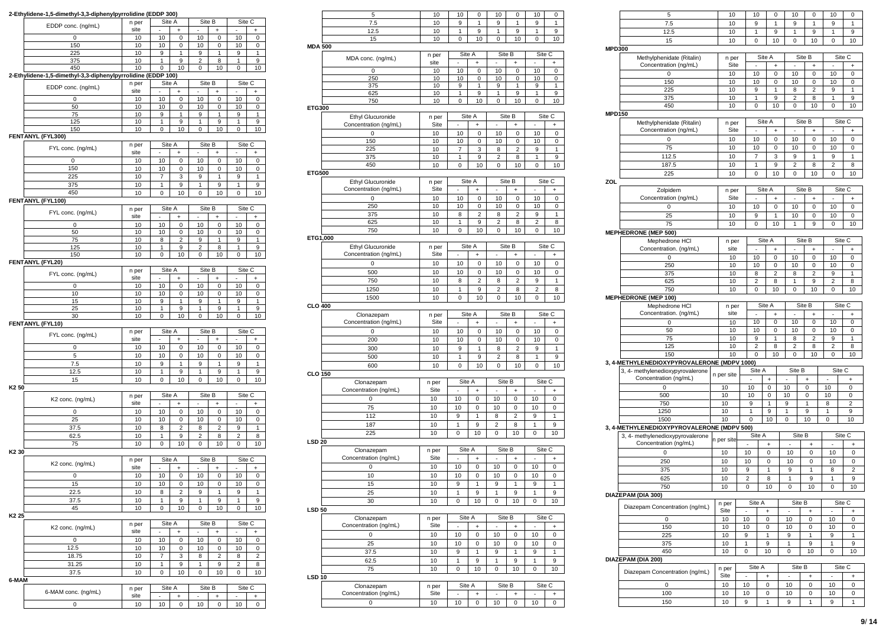| 2-Ethylidene-1,5-dimethyl-3,3-diphenylpyrrolidine (EDDP 300) |               |             |                     |                |                     |                          |                                  |
|--------------------------------------------------------------|---------------|-------------|---------------------|----------------|---------------------|--------------------------|----------------------------------|
| EDDP conc. (ng/mL)                                           | n per<br>site |             | Site A              |                | Site B<br>÷         | Site C                   | +                                |
| $\mathbf 0$                                                  | 10            | 10          | 0                   | 10             | 0                   | 10                       | $\mathbf 0$                      |
| 150                                                          | 10            | 10          | 0                   | 10             | 0                   | 10                       | 0                                |
| 225                                                          | 10            | 9           | 1                   | 9              | 1                   | 9                        | 1                                |
| 375<br>450                                                   | 10<br>10      | 1<br>0      | 9<br>10             | 2<br>0         | 8<br>10             | 1<br>0                   | 9<br>10                          |
| 2-Ethylidene-1,5-dimethyl-3,3-diphenylpyrrolidine (EDDP 100) |               |             |                     |                |                     |                          |                                  |
| EDDP conc. (ng/mL)                                           | n per         | Site A      |                     | Site B         |                     | Site C                   |                                  |
|                                                              | site          | ä,          | $\ddot{}$           | ÷,             | $\ddot{}$           | ÷,                       | +                                |
| $\mathbf 0$                                                  | 10            | 10          | 0                   | 10             | 0                   | 10                       | 0                                |
| 50<br>75                                                     | 10<br>10      | 10<br>9     | 0<br>1              | 10<br>9        | 0<br>1              | 10<br>9                  | 0<br>1                           |
| 125                                                          | 10            | 1           | 9                   | 1              | 9                   | 1                        | 9                                |
| 150                                                          | 10            | 0           | 10                  | 0              | 10                  | 0                        | 10                               |
| FENTANYL (FYL300)                                            |               |             |                     |                |                     |                          |                                  |
| FYL conc. (ng/mL)                                            | n per         | Site A      |                     | Site B         |                     | Site C                   |                                  |
| 0                                                            | site          |             | ÷                   |                | ÷                   |                          |                                  |
| 150                                                          | 10<br>10      | 10<br>10    | 0<br>0              | 10<br>10       | 0<br>0              | 10<br>10                 | 0<br>0                           |
| 225                                                          | 10            | 7           | 3                   | 9              | 1                   | 9                        | 1                                |
| 375                                                          | 10            | 1           | 9                   | 1              | 9                   | 1                        | 9                                |
| 450                                                          | 10            | 0           | 10                  | 0              | 10                  | 0                        | 10                               |
| FENTANYL (FYL100)                                            |               |             |                     |                |                     |                          |                                  |
| FYL conc. (ng/mL)                                            | n per         | Site A      |                     | Site B         |                     | Site C                   |                                  |
|                                                              | site          | ä,          | $\ddot{}$           | ٠              | $\ddot{}$           |                          | $\begin{array}{c} + \end{array}$ |
| $\mathbf 0$                                                  | 10            | 10          | $\mathbf 0$         | 10             | $\mathbf 0$         | 10                       | $\mathsf 0$                      |
| 50<br>75                                                     | 10<br>10      | 10<br>8     | 0<br>$\overline{2}$ | 10<br>9        | 0<br>1              | 10<br>9                  | 0<br>1                           |
| 125                                                          | 10            | 1           | 9                   | 2              | 8                   | 1                        | 9                                |
| 150                                                          | 10            | $\mathbf 0$ | 10                  | 0              | 10                  | $\mathbf 0$              | 10                               |
| FENTANYL (FYL20)                                             |               |             |                     |                |                     |                          |                                  |
| FYL conc. (ng/mL)                                            | n per         | Site A      |                     | Site B         |                     | Site C                   |                                  |
|                                                              | site          | ä,          | +                   |                | $\ddot{}$           | i,                       | $\ddot{}$                        |
| 0                                                            | 10<br>10      | 10<br>10    | 0<br>0              | 10             | 0<br>0              | 10<br>10                 | 0                                |
| 10<br>15                                                     | 10            | 9           | 1                   | 10<br>9        | 1                   | 9                        | 0<br>1                           |
| 25                                                           | 10            | 1           | 9                   | 1              | 9                   | 1                        | 9                                |
| 30                                                           | 10            | 0           | 10                  | 0              | 10                  | 0                        | 10                               |
| FENTANYL (FYL10)                                             |               |             |                     |                |                     |                          |                                  |
| FYL conc. (ng/mL)                                            | n per         | Site A      |                     |                | Site B              | Site C                   |                                  |
|                                                              | site          |             |                     |                | ÷                   |                          | +                                |
| 0<br>5                                                       | 10<br>10      | 10          | 0<br>0              | 10<br>10       | 0<br>0              | 10<br>10                 | 0<br>0                           |
| 7.5                                                          | 10            | 10<br>9     | 1                   | 9              | 1                   | 9                        | $\mathbf{1}$                     |
| 12.5                                                         | 10            | 1           | 9                   | 1              | 9                   | 1                        | 9                                |
| 15                                                           | 10            | $\mathbf 0$ | 10                  | $\mathbf 0$    | 10                  | $\mathbf 0$              | 10                               |
| K <sub>2</sub> 50                                            |               |             |                     |                |                     |                          |                                  |
| K2 conc. (ng/mL)                                             | n per         | Site A      |                     | Site B         |                     | Site C                   |                                  |
|                                                              | site          |             | +                   |                | $\ddot{}$           |                          | +                                |
| 0                                                            | 10            | 10          | 0                   | 10             | 0                   | 10                       | 0                                |
| 25<br>37.5                                                   | 10<br>10      | 10<br>8     | 0<br>$\overline{c}$ | 10<br>8        | 0<br>$\overline{2}$ | 10<br>9                  | 0<br>1                           |
| 62.5                                                         | 10            | 1           | 9                   | $\overline{2}$ | 8                   | $\overline{2}$           | 8                                |
| 75                                                           | 10            | 0           | 10                  | 0              | 10                  | 0                        | 10                               |
| K <sub>2</sub> 30                                            |               |             |                     |                |                     |                          |                                  |
| K2 conc. (ng/mL)                                             | n per         | Site A      |                     | Site B         |                     | Site C                   |                                  |
|                                                              | site          | ä,          | $\ddot{}$           | ä,             | $\ddot{}$           | ÷,                       | $\ddot{}$                        |
| 0                                                            | 10            | 10          | 0                   | 10             | 0                   | 10                       | 0                                |
| 15                                                           | 10            | 10          | 0                   | 10             | 0                   | 10                       | 0                                |
| 22.5                                                         | 10            | 8           | 2                   | 9              | 1                   | 9                        | 1                                |
| 37.5                                                         | 10            | 1           | 9                   | 1              | 9                   | 1                        | 9                                |
| 45<br>K <sub>2</sub> 25                                      | 10            | 0           | 10                  | 0              | 10                  | 0                        | 10                               |
|                                                              | n per         | Site A      |                     | Site B         |                     | Site C                   |                                  |
| K2 conc. (ng/mL)                                             | site          |             | $\ddot{}$           |                | $\ddot{}$           |                          | +                                |
| 0                                                            | 10            | 10          | 0                   | 10             | 0                   | 10                       | 0                                |
| 12.5                                                         | 10            | 10          | 0                   | 10             | 0                   | 10                       | 0                                |
| 18.75                                                        | 10            | 7           | 3                   | 8              | $\overline{2}$      | 8                        | $\overline{c}$                   |
| 31.25                                                        | 10            | 1           | 9                   | 1              | 9                   | 2                        | 8                                |
| 37.5                                                         | 10            | 0           | 10                  | 0              | 10                  | 0                        | 10                               |
| 6-MAM                                                        | n per         | Site A      |                     |                | Site B              | Site C                   |                                  |
| 6-MAM conc. (ng/mL)                                          | site          | ٠           | $\ddot{}$           | ۰              | $\ddot{}$           | $\overline{\phantom{a}}$ | +                                |
| 0                                                            | 10            | 10          | 0                   | 10             | 0                   | 10                       | 0                                |
|                                                              |               |             |                     |                |                     |                          |                                  |

| 7.5<br>10<br>1<br>1<br>9<br>9<br>1<br>9<br>12.5<br>10<br>1<br>9<br>1<br>9<br>1<br>9<br>10<br>10<br>15<br>10<br>0<br>0<br>10<br>0<br><b>MDA 500</b><br>Site B<br>Site C<br>Site A<br>n per<br>MDA conc. (ng/mL)<br>site<br>÷<br>0<br>10<br>0<br>10<br>10<br>0<br>10<br>0<br>10<br>0<br>10<br>250<br>10<br>10<br>0<br>0<br>375<br>10<br>9<br>1<br>9<br>1<br>9<br>1<br>625<br>10<br>9<br>1<br>9<br>1<br>9<br>1<br>10<br>10<br>0<br>750<br>10<br>0<br>0<br>10<br>ETG300<br>Site C<br>Site A<br>Site B<br><b>Ethyl Glucuronide</b><br>n per<br>Concentration (ng/mL)<br>Site<br>÷,<br>ä,<br>ä,<br>$\ddot{}$<br>$\ddot{}$<br>$\ddot{}$<br>10<br>10<br>10<br>10<br>0<br>0<br>0<br>0<br>150<br>10<br>10<br>0<br>10<br>0<br>10<br>0<br>225<br>9<br>10<br>7<br>3<br>8<br>2<br>1<br>375<br>10<br>1<br>9<br>2<br>1<br>8<br>9<br>450<br>10<br>0<br>10<br>10<br>0<br>10<br>0<br><b>ETG500</b><br>Site A<br>Site B<br>Site C<br>Ethyl Glucuronide<br>n per<br>Concentration (ng/mL)<br>Site<br>$\ddot{}$<br>÷<br>$\ddot{}$<br>10<br>10<br>0<br>10<br>0<br>0<br>10<br>0<br>10<br>10<br>10<br>10<br>250<br>0<br>0<br>0<br>375<br>10<br>$\overline{c}$<br>$\overline{2}$<br>1<br>8<br>8<br>9<br>9<br>2<br>$\overline{2}$<br>625<br>10<br>1<br>8<br>8<br>0<br>10<br>10<br>10<br>750<br>10<br>0<br>0<br>ETG1,000<br>Site A<br>Site B<br>Site C<br>Ethyl Glucuronide<br>n per<br>Concentration (ng/mL)<br>Site<br>$\ddot{}$<br>+<br>÷<br>10<br>0<br>10<br>0<br>10<br>10<br>0<br>0<br>500<br>10<br>10<br>10<br>10<br>0<br>0<br>0<br>10<br>$\overline{2}$<br>2<br>9<br>1<br>750<br>8<br>8<br>10<br>1<br>9<br>$\overline{2}$<br>$\overline{2}$<br>1250<br>8<br>8<br>1500<br>10<br>0<br>10<br>0<br>10<br>0<br>10<br><b>CLO 400</b><br>Site A<br>Site B<br>Site C<br>Clonazepam<br>n per<br>Concentration (ng/mL)<br>Site<br>$\ddot{}$<br>$\ddot{}$<br>+<br>10<br>0<br>10<br>10<br>0<br>10<br>0<br>0<br>200<br>10<br>10<br>0<br>10<br>0<br>10<br>0<br>300<br>10<br>9<br>1<br>8<br>$\overline{2}$<br>9<br>1<br>500<br>10<br>1<br>9<br>$\overline{2}$<br>8<br>1<br>9<br>10<br>10<br>10<br>10<br>600<br>0<br>0<br>0<br><b>CLO 150</b><br>Site A<br>Site B<br>Site C<br>Clonazepam<br>n per<br>Concentration (ng/mL)<br>Site<br>÷<br>$\ddot{}$<br>÷<br>10<br>10<br>0<br>10<br>10<br>0<br>0<br>0<br>10<br>10<br>10<br>10<br>0<br>75<br>0<br>0<br>112<br>10<br>9<br>1<br>8<br>$\overline{2}$<br>9<br>1<br>10<br>9<br>2<br>9<br>187<br>1<br>8<br>1<br>225<br>10<br>0<br>10<br>0<br>10<br>0<br>10<br><b>LSD 20</b><br>Clonazepam<br>Site A<br>Site B<br>Site C<br>n per<br>Concentration (ng/mL)<br>Site<br>ä,<br>+<br>٠<br>+<br>×<br>+<br>10<br>10<br>10<br>0<br>10<br>0<br>0<br>0<br>10<br>10<br>10<br>0<br>10<br>0<br>10<br>$\mathbf 0$<br>15<br>10<br>9<br>9<br>1<br>1<br>1<br>9<br>25<br>10<br>1<br>9<br>1<br>9<br>9<br>1<br>30<br>10<br>0<br>10<br>0<br>10<br>0<br>10<br><b>LSD 50</b><br>Site B<br>Site C<br>Site A<br>Clonazepam<br>n per<br>Concentration (ng/mL)<br>Site<br>$\ddot{}$<br>$\ddot{}$<br>÷<br>10<br>10<br>10<br>10<br>0<br>0<br>0<br>0<br>25<br>10<br>10<br>10<br>10<br>0<br>0<br>0<br>37.5<br>10<br>9<br>1<br>9<br>1<br>1<br>9<br>62.5<br>10<br>1<br>9<br>1<br>9<br>1<br>9<br>10<br>10<br>0<br>10<br>10<br>75<br>0<br>0<br><b>LSD 10</b><br>Site A<br>Site B<br>Site C<br>Clonazepam<br>n per<br>Concentration (ng/mL)<br>Site<br>$\ddot{}$<br>+<br>÷<br>$\mathbf 0$<br>10<br>10<br>0<br>10<br>0<br>10<br>0 | 5 | 10 | 10 | 0 | 10 | 0 | 10 | 0 |
|---------------------------------------------------------------------------------------------------------------------------------------------------------------------------------------------------------------------------------------------------------------------------------------------------------------------------------------------------------------------------------------------------------------------------------------------------------------------------------------------------------------------------------------------------------------------------------------------------------------------------------------------------------------------------------------------------------------------------------------------------------------------------------------------------------------------------------------------------------------------------------------------------------------------------------------------------------------------------------------------------------------------------------------------------------------------------------------------------------------------------------------------------------------------------------------------------------------------------------------------------------------------------------------------------------------------------------------------------------------------------------------------------------------------------------------------------------------------------------------------------------------------------------------------------------------------------------------------------------------------------------------------------------------------------------------------------------------------------------------------------------------------------------------------------------------------------------------------------------------------------------------------------------------------------------------------------------------------------------------------------------------------------------------------------------------------------------------------------------------------------------------------------------------------------------------------------------------------------------------------------------------------------------------------------------------------------------------------------------------------------------------------------------------------------------------------------------------------------------------------------------------------------------------------------------------------------------------------------------------------------------------------------------------------------------------------------------------------------------------------------------------------------------------------------------------------------------------------------------------------------------------------------------------------------------------------------------------------------------------------------------------------------------------------------------------------------------------------------------------------------------------------------------------------------------------------------------------------------------------------------------------------------------------------------------------------------------------------------------------------------------------------------|---|----|----|---|----|---|----|---|
|                                                                                                                                                                                                                                                                                                                                                                                                                                                                                                                                                                                                                                                                                                                                                                                                                                                                                                                                                                                                                                                                                                                                                                                                                                                                                                                                                                                                                                                                                                                                                                                                                                                                                                                                                                                                                                                                                                                                                                                                                                                                                                                                                                                                                                                                                                                                                                                                                                                                                                                                                                                                                                                                                                                                                                                                                                                                                                                                                                                                                                                                                                                                                                                                                                                                                                                                                                                                   |   |    |    |   |    |   |    |   |
|                                                                                                                                                                                                                                                                                                                                                                                                                                                                                                                                                                                                                                                                                                                                                                                                                                                                                                                                                                                                                                                                                                                                                                                                                                                                                                                                                                                                                                                                                                                                                                                                                                                                                                                                                                                                                                                                                                                                                                                                                                                                                                                                                                                                                                                                                                                                                                                                                                                                                                                                                                                                                                                                                                                                                                                                                                                                                                                                                                                                                                                                                                                                                                                                                                                                                                                                                                                                   |   |    |    |   |    |   |    |   |
|                                                                                                                                                                                                                                                                                                                                                                                                                                                                                                                                                                                                                                                                                                                                                                                                                                                                                                                                                                                                                                                                                                                                                                                                                                                                                                                                                                                                                                                                                                                                                                                                                                                                                                                                                                                                                                                                                                                                                                                                                                                                                                                                                                                                                                                                                                                                                                                                                                                                                                                                                                                                                                                                                                                                                                                                                                                                                                                                                                                                                                                                                                                                                                                                                                                                                                                                                                                                   |   |    |    |   |    |   |    |   |
|                                                                                                                                                                                                                                                                                                                                                                                                                                                                                                                                                                                                                                                                                                                                                                                                                                                                                                                                                                                                                                                                                                                                                                                                                                                                                                                                                                                                                                                                                                                                                                                                                                                                                                                                                                                                                                                                                                                                                                                                                                                                                                                                                                                                                                                                                                                                                                                                                                                                                                                                                                                                                                                                                                                                                                                                                                                                                                                                                                                                                                                                                                                                                                                                                                                                                                                                                                                                   |   |    |    |   |    |   |    |   |
|                                                                                                                                                                                                                                                                                                                                                                                                                                                                                                                                                                                                                                                                                                                                                                                                                                                                                                                                                                                                                                                                                                                                                                                                                                                                                                                                                                                                                                                                                                                                                                                                                                                                                                                                                                                                                                                                                                                                                                                                                                                                                                                                                                                                                                                                                                                                                                                                                                                                                                                                                                                                                                                                                                                                                                                                                                                                                                                                                                                                                                                                                                                                                                                                                                                                                                                                                                                                   |   |    |    |   |    |   |    |   |
|                                                                                                                                                                                                                                                                                                                                                                                                                                                                                                                                                                                                                                                                                                                                                                                                                                                                                                                                                                                                                                                                                                                                                                                                                                                                                                                                                                                                                                                                                                                                                                                                                                                                                                                                                                                                                                                                                                                                                                                                                                                                                                                                                                                                                                                                                                                                                                                                                                                                                                                                                                                                                                                                                                                                                                                                                                                                                                                                                                                                                                                                                                                                                                                                                                                                                                                                                                                                   |   |    |    |   |    |   |    |   |
|                                                                                                                                                                                                                                                                                                                                                                                                                                                                                                                                                                                                                                                                                                                                                                                                                                                                                                                                                                                                                                                                                                                                                                                                                                                                                                                                                                                                                                                                                                                                                                                                                                                                                                                                                                                                                                                                                                                                                                                                                                                                                                                                                                                                                                                                                                                                                                                                                                                                                                                                                                                                                                                                                                                                                                                                                                                                                                                                                                                                                                                                                                                                                                                                                                                                                                                                                                                                   |   |    |    |   |    |   |    |   |
|                                                                                                                                                                                                                                                                                                                                                                                                                                                                                                                                                                                                                                                                                                                                                                                                                                                                                                                                                                                                                                                                                                                                                                                                                                                                                                                                                                                                                                                                                                                                                                                                                                                                                                                                                                                                                                                                                                                                                                                                                                                                                                                                                                                                                                                                                                                                                                                                                                                                                                                                                                                                                                                                                                                                                                                                                                                                                                                                                                                                                                                                                                                                                                                                                                                                                                                                                                                                   |   |    |    |   |    |   |    |   |
|                                                                                                                                                                                                                                                                                                                                                                                                                                                                                                                                                                                                                                                                                                                                                                                                                                                                                                                                                                                                                                                                                                                                                                                                                                                                                                                                                                                                                                                                                                                                                                                                                                                                                                                                                                                                                                                                                                                                                                                                                                                                                                                                                                                                                                                                                                                                                                                                                                                                                                                                                                                                                                                                                                                                                                                                                                                                                                                                                                                                                                                                                                                                                                                                                                                                                                                                                                                                   |   |    |    |   |    |   |    |   |
|                                                                                                                                                                                                                                                                                                                                                                                                                                                                                                                                                                                                                                                                                                                                                                                                                                                                                                                                                                                                                                                                                                                                                                                                                                                                                                                                                                                                                                                                                                                                                                                                                                                                                                                                                                                                                                                                                                                                                                                                                                                                                                                                                                                                                                                                                                                                                                                                                                                                                                                                                                                                                                                                                                                                                                                                                                                                                                                                                                                                                                                                                                                                                                                                                                                                                                                                                                                                   |   |    |    |   |    |   |    |   |
|                                                                                                                                                                                                                                                                                                                                                                                                                                                                                                                                                                                                                                                                                                                                                                                                                                                                                                                                                                                                                                                                                                                                                                                                                                                                                                                                                                                                                                                                                                                                                                                                                                                                                                                                                                                                                                                                                                                                                                                                                                                                                                                                                                                                                                                                                                                                                                                                                                                                                                                                                                                                                                                                                                                                                                                                                                                                                                                                                                                                                                                                                                                                                                                                                                                                                                                                                                                                   |   |    |    |   |    |   |    |   |
|                                                                                                                                                                                                                                                                                                                                                                                                                                                                                                                                                                                                                                                                                                                                                                                                                                                                                                                                                                                                                                                                                                                                                                                                                                                                                                                                                                                                                                                                                                                                                                                                                                                                                                                                                                                                                                                                                                                                                                                                                                                                                                                                                                                                                                                                                                                                                                                                                                                                                                                                                                                                                                                                                                                                                                                                                                                                                                                                                                                                                                                                                                                                                                                                                                                                                                                                                                                                   |   |    |    |   |    |   |    |   |
|                                                                                                                                                                                                                                                                                                                                                                                                                                                                                                                                                                                                                                                                                                                                                                                                                                                                                                                                                                                                                                                                                                                                                                                                                                                                                                                                                                                                                                                                                                                                                                                                                                                                                                                                                                                                                                                                                                                                                                                                                                                                                                                                                                                                                                                                                                                                                                                                                                                                                                                                                                                                                                                                                                                                                                                                                                                                                                                                                                                                                                                                                                                                                                                                                                                                                                                                                                                                   |   |    |    |   |    |   |    |   |
|                                                                                                                                                                                                                                                                                                                                                                                                                                                                                                                                                                                                                                                                                                                                                                                                                                                                                                                                                                                                                                                                                                                                                                                                                                                                                                                                                                                                                                                                                                                                                                                                                                                                                                                                                                                                                                                                                                                                                                                                                                                                                                                                                                                                                                                                                                                                                                                                                                                                                                                                                                                                                                                                                                                                                                                                                                                                                                                                                                                                                                                                                                                                                                                                                                                                                                                                                                                                   |   |    |    |   |    |   |    |   |
|                                                                                                                                                                                                                                                                                                                                                                                                                                                                                                                                                                                                                                                                                                                                                                                                                                                                                                                                                                                                                                                                                                                                                                                                                                                                                                                                                                                                                                                                                                                                                                                                                                                                                                                                                                                                                                                                                                                                                                                                                                                                                                                                                                                                                                                                                                                                                                                                                                                                                                                                                                                                                                                                                                                                                                                                                                                                                                                                                                                                                                                                                                                                                                                                                                                                                                                                                                                                   |   |    |    |   |    |   |    |   |
|                                                                                                                                                                                                                                                                                                                                                                                                                                                                                                                                                                                                                                                                                                                                                                                                                                                                                                                                                                                                                                                                                                                                                                                                                                                                                                                                                                                                                                                                                                                                                                                                                                                                                                                                                                                                                                                                                                                                                                                                                                                                                                                                                                                                                                                                                                                                                                                                                                                                                                                                                                                                                                                                                                                                                                                                                                                                                                                                                                                                                                                                                                                                                                                                                                                                                                                                                                                                   |   |    |    |   |    |   |    |   |
|                                                                                                                                                                                                                                                                                                                                                                                                                                                                                                                                                                                                                                                                                                                                                                                                                                                                                                                                                                                                                                                                                                                                                                                                                                                                                                                                                                                                                                                                                                                                                                                                                                                                                                                                                                                                                                                                                                                                                                                                                                                                                                                                                                                                                                                                                                                                                                                                                                                                                                                                                                                                                                                                                                                                                                                                                                                                                                                                                                                                                                                                                                                                                                                                                                                                                                                                                                                                   |   |    |    |   |    |   |    |   |
|                                                                                                                                                                                                                                                                                                                                                                                                                                                                                                                                                                                                                                                                                                                                                                                                                                                                                                                                                                                                                                                                                                                                                                                                                                                                                                                                                                                                                                                                                                                                                                                                                                                                                                                                                                                                                                                                                                                                                                                                                                                                                                                                                                                                                                                                                                                                                                                                                                                                                                                                                                                                                                                                                                                                                                                                                                                                                                                                                                                                                                                                                                                                                                                                                                                                                                                                                                                                   |   |    |    |   |    |   |    |   |
|                                                                                                                                                                                                                                                                                                                                                                                                                                                                                                                                                                                                                                                                                                                                                                                                                                                                                                                                                                                                                                                                                                                                                                                                                                                                                                                                                                                                                                                                                                                                                                                                                                                                                                                                                                                                                                                                                                                                                                                                                                                                                                                                                                                                                                                                                                                                                                                                                                                                                                                                                                                                                                                                                                                                                                                                                                                                                                                                                                                                                                                                                                                                                                                                                                                                                                                                                                                                   |   |    |    |   |    |   |    |   |
|                                                                                                                                                                                                                                                                                                                                                                                                                                                                                                                                                                                                                                                                                                                                                                                                                                                                                                                                                                                                                                                                                                                                                                                                                                                                                                                                                                                                                                                                                                                                                                                                                                                                                                                                                                                                                                                                                                                                                                                                                                                                                                                                                                                                                                                                                                                                                                                                                                                                                                                                                                                                                                                                                                                                                                                                                                                                                                                                                                                                                                                                                                                                                                                                                                                                                                                                                                                                   |   |    |    |   |    |   |    |   |
|                                                                                                                                                                                                                                                                                                                                                                                                                                                                                                                                                                                                                                                                                                                                                                                                                                                                                                                                                                                                                                                                                                                                                                                                                                                                                                                                                                                                                                                                                                                                                                                                                                                                                                                                                                                                                                                                                                                                                                                                                                                                                                                                                                                                                                                                                                                                                                                                                                                                                                                                                                                                                                                                                                                                                                                                                                                                                                                                                                                                                                                                                                                                                                                                                                                                                                                                                                                                   |   |    |    |   |    |   |    |   |
|                                                                                                                                                                                                                                                                                                                                                                                                                                                                                                                                                                                                                                                                                                                                                                                                                                                                                                                                                                                                                                                                                                                                                                                                                                                                                                                                                                                                                                                                                                                                                                                                                                                                                                                                                                                                                                                                                                                                                                                                                                                                                                                                                                                                                                                                                                                                                                                                                                                                                                                                                                                                                                                                                                                                                                                                                                                                                                                                                                                                                                                                                                                                                                                                                                                                                                                                                                                                   |   |    |    |   |    |   |    |   |
|                                                                                                                                                                                                                                                                                                                                                                                                                                                                                                                                                                                                                                                                                                                                                                                                                                                                                                                                                                                                                                                                                                                                                                                                                                                                                                                                                                                                                                                                                                                                                                                                                                                                                                                                                                                                                                                                                                                                                                                                                                                                                                                                                                                                                                                                                                                                                                                                                                                                                                                                                                                                                                                                                                                                                                                                                                                                                                                                                                                                                                                                                                                                                                                                                                                                                                                                                                                                   |   |    |    |   |    |   |    |   |
|                                                                                                                                                                                                                                                                                                                                                                                                                                                                                                                                                                                                                                                                                                                                                                                                                                                                                                                                                                                                                                                                                                                                                                                                                                                                                                                                                                                                                                                                                                                                                                                                                                                                                                                                                                                                                                                                                                                                                                                                                                                                                                                                                                                                                                                                                                                                                                                                                                                                                                                                                                                                                                                                                                                                                                                                                                                                                                                                                                                                                                                                                                                                                                                                                                                                                                                                                                                                   |   |    |    |   |    |   |    |   |
|                                                                                                                                                                                                                                                                                                                                                                                                                                                                                                                                                                                                                                                                                                                                                                                                                                                                                                                                                                                                                                                                                                                                                                                                                                                                                                                                                                                                                                                                                                                                                                                                                                                                                                                                                                                                                                                                                                                                                                                                                                                                                                                                                                                                                                                                                                                                                                                                                                                                                                                                                                                                                                                                                                                                                                                                                                                                                                                                                                                                                                                                                                                                                                                                                                                                                                                                                                                                   |   |    |    |   |    |   |    |   |
|                                                                                                                                                                                                                                                                                                                                                                                                                                                                                                                                                                                                                                                                                                                                                                                                                                                                                                                                                                                                                                                                                                                                                                                                                                                                                                                                                                                                                                                                                                                                                                                                                                                                                                                                                                                                                                                                                                                                                                                                                                                                                                                                                                                                                                                                                                                                                                                                                                                                                                                                                                                                                                                                                                                                                                                                                                                                                                                                                                                                                                                                                                                                                                                                                                                                                                                                                                                                   |   |    |    |   |    |   |    |   |
|                                                                                                                                                                                                                                                                                                                                                                                                                                                                                                                                                                                                                                                                                                                                                                                                                                                                                                                                                                                                                                                                                                                                                                                                                                                                                                                                                                                                                                                                                                                                                                                                                                                                                                                                                                                                                                                                                                                                                                                                                                                                                                                                                                                                                                                                                                                                                                                                                                                                                                                                                                                                                                                                                                                                                                                                                                                                                                                                                                                                                                                                                                                                                                                                                                                                                                                                                                                                   |   |    |    |   |    |   |    |   |
|                                                                                                                                                                                                                                                                                                                                                                                                                                                                                                                                                                                                                                                                                                                                                                                                                                                                                                                                                                                                                                                                                                                                                                                                                                                                                                                                                                                                                                                                                                                                                                                                                                                                                                                                                                                                                                                                                                                                                                                                                                                                                                                                                                                                                                                                                                                                                                                                                                                                                                                                                                                                                                                                                                                                                                                                                                                                                                                                                                                                                                                                                                                                                                                                                                                                                                                                                                                                   |   |    |    |   |    |   |    |   |
|                                                                                                                                                                                                                                                                                                                                                                                                                                                                                                                                                                                                                                                                                                                                                                                                                                                                                                                                                                                                                                                                                                                                                                                                                                                                                                                                                                                                                                                                                                                                                                                                                                                                                                                                                                                                                                                                                                                                                                                                                                                                                                                                                                                                                                                                                                                                                                                                                                                                                                                                                                                                                                                                                                                                                                                                                                                                                                                                                                                                                                                                                                                                                                                                                                                                                                                                                                                                   |   |    |    |   |    |   |    |   |
|                                                                                                                                                                                                                                                                                                                                                                                                                                                                                                                                                                                                                                                                                                                                                                                                                                                                                                                                                                                                                                                                                                                                                                                                                                                                                                                                                                                                                                                                                                                                                                                                                                                                                                                                                                                                                                                                                                                                                                                                                                                                                                                                                                                                                                                                                                                                                                                                                                                                                                                                                                                                                                                                                                                                                                                                                                                                                                                                                                                                                                                                                                                                                                                                                                                                                                                                                                                                   |   |    |    |   |    |   |    |   |
|                                                                                                                                                                                                                                                                                                                                                                                                                                                                                                                                                                                                                                                                                                                                                                                                                                                                                                                                                                                                                                                                                                                                                                                                                                                                                                                                                                                                                                                                                                                                                                                                                                                                                                                                                                                                                                                                                                                                                                                                                                                                                                                                                                                                                                                                                                                                                                                                                                                                                                                                                                                                                                                                                                                                                                                                                                                                                                                                                                                                                                                                                                                                                                                                                                                                                                                                                                                                   |   |    |    |   |    |   |    |   |
|                                                                                                                                                                                                                                                                                                                                                                                                                                                                                                                                                                                                                                                                                                                                                                                                                                                                                                                                                                                                                                                                                                                                                                                                                                                                                                                                                                                                                                                                                                                                                                                                                                                                                                                                                                                                                                                                                                                                                                                                                                                                                                                                                                                                                                                                                                                                                                                                                                                                                                                                                                                                                                                                                                                                                                                                                                                                                                                                                                                                                                                                                                                                                                                                                                                                                                                                                                                                   |   |    |    |   |    |   |    |   |
|                                                                                                                                                                                                                                                                                                                                                                                                                                                                                                                                                                                                                                                                                                                                                                                                                                                                                                                                                                                                                                                                                                                                                                                                                                                                                                                                                                                                                                                                                                                                                                                                                                                                                                                                                                                                                                                                                                                                                                                                                                                                                                                                                                                                                                                                                                                                                                                                                                                                                                                                                                                                                                                                                                                                                                                                                                                                                                                                                                                                                                                                                                                                                                                                                                                                                                                                                                                                   |   |    |    |   |    |   |    |   |
|                                                                                                                                                                                                                                                                                                                                                                                                                                                                                                                                                                                                                                                                                                                                                                                                                                                                                                                                                                                                                                                                                                                                                                                                                                                                                                                                                                                                                                                                                                                                                                                                                                                                                                                                                                                                                                                                                                                                                                                                                                                                                                                                                                                                                                                                                                                                                                                                                                                                                                                                                                                                                                                                                                                                                                                                                                                                                                                                                                                                                                                                                                                                                                                                                                                                                                                                                                                                   |   |    |    |   |    |   |    |   |
|                                                                                                                                                                                                                                                                                                                                                                                                                                                                                                                                                                                                                                                                                                                                                                                                                                                                                                                                                                                                                                                                                                                                                                                                                                                                                                                                                                                                                                                                                                                                                                                                                                                                                                                                                                                                                                                                                                                                                                                                                                                                                                                                                                                                                                                                                                                                                                                                                                                                                                                                                                                                                                                                                                                                                                                                                                                                                                                                                                                                                                                                                                                                                                                                                                                                                                                                                                                                   |   |    |    |   |    |   |    |   |
|                                                                                                                                                                                                                                                                                                                                                                                                                                                                                                                                                                                                                                                                                                                                                                                                                                                                                                                                                                                                                                                                                                                                                                                                                                                                                                                                                                                                                                                                                                                                                                                                                                                                                                                                                                                                                                                                                                                                                                                                                                                                                                                                                                                                                                                                                                                                                                                                                                                                                                                                                                                                                                                                                                                                                                                                                                                                                                                                                                                                                                                                                                                                                                                                                                                                                                                                                                                                   |   |    |    |   |    |   |    |   |
|                                                                                                                                                                                                                                                                                                                                                                                                                                                                                                                                                                                                                                                                                                                                                                                                                                                                                                                                                                                                                                                                                                                                                                                                                                                                                                                                                                                                                                                                                                                                                                                                                                                                                                                                                                                                                                                                                                                                                                                                                                                                                                                                                                                                                                                                                                                                                                                                                                                                                                                                                                                                                                                                                                                                                                                                                                                                                                                                                                                                                                                                                                                                                                                                                                                                                                                                                                                                   |   |    |    |   |    |   |    |   |
|                                                                                                                                                                                                                                                                                                                                                                                                                                                                                                                                                                                                                                                                                                                                                                                                                                                                                                                                                                                                                                                                                                                                                                                                                                                                                                                                                                                                                                                                                                                                                                                                                                                                                                                                                                                                                                                                                                                                                                                                                                                                                                                                                                                                                                                                                                                                                                                                                                                                                                                                                                                                                                                                                                                                                                                                                                                                                                                                                                                                                                                                                                                                                                                                                                                                                                                                                                                                   |   |    |    |   |    |   |    |   |
|                                                                                                                                                                                                                                                                                                                                                                                                                                                                                                                                                                                                                                                                                                                                                                                                                                                                                                                                                                                                                                                                                                                                                                                                                                                                                                                                                                                                                                                                                                                                                                                                                                                                                                                                                                                                                                                                                                                                                                                                                                                                                                                                                                                                                                                                                                                                                                                                                                                                                                                                                                                                                                                                                                                                                                                                                                                                                                                                                                                                                                                                                                                                                                                                                                                                                                                                                                                                   |   |    |    |   |    |   |    |   |
|                                                                                                                                                                                                                                                                                                                                                                                                                                                                                                                                                                                                                                                                                                                                                                                                                                                                                                                                                                                                                                                                                                                                                                                                                                                                                                                                                                                                                                                                                                                                                                                                                                                                                                                                                                                                                                                                                                                                                                                                                                                                                                                                                                                                                                                                                                                                                                                                                                                                                                                                                                                                                                                                                                                                                                                                                                                                                                                                                                                                                                                                                                                                                                                                                                                                                                                                                                                                   |   |    |    |   |    |   |    |   |
|                                                                                                                                                                                                                                                                                                                                                                                                                                                                                                                                                                                                                                                                                                                                                                                                                                                                                                                                                                                                                                                                                                                                                                                                                                                                                                                                                                                                                                                                                                                                                                                                                                                                                                                                                                                                                                                                                                                                                                                                                                                                                                                                                                                                                                                                                                                                                                                                                                                                                                                                                                                                                                                                                                                                                                                                                                                                                                                                                                                                                                                                                                                                                                                                                                                                                                                                                                                                   |   |    |    |   |    |   |    |   |
|                                                                                                                                                                                                                                                                                                                                                                                                                                                                                                                                                                                                                                                                                                                                                                                                                                                                                                                                                                                                                                                                                                                                                                                                                                                                                                                                                                                                                                                                                                                                                                                                                                                                                                                                                                                                                                                                                                                                                                                                                                                                                                                                                                                                                                                                                                                                                                                                                                                                                                                                                                                                                                                                                                                                                                                                                                                                                                                                                                                                                                                                                                                                                                                                                                                                                                                                                                                                   |   |    |    |   |    |   |    |   |
|                                                                                                                                                                                                                                                                                                                                                                                                                                                                                                                                                                                                                                                                                                                                                                                                                                                                                                                                                                                                                                                                                                                                                                                                                                                                                                                                                                                                                                                                                                                                                                                                                                                                                                                                                                                                                                                                                                                                                                                                                                                                                                                                                                                                                                                                                                                                                                                                                                                                                                                                                                                                                                                                                                                                                                                                                                                                                                                                                                                                                                                                                                                                                                                                                                                                                                                                                                                                   |   |    |    |   |    |   |    |   |
|                                                                                                                                                                                                                                                                                                                                                                                                                                                                                                                                                                                                                                                                                                                                                                                                                                                                                                                                                                                                                                                                                                                                                                                                                                                                                                                                                                                                                                                                                                                                                                                                                                                                                                                                                                                                                                                                                                                                                                                                                                                                                                                                                                                                                                                                                                                                                                                                                                                                                                                                                                                                                                                                                                                                                                                                                                                                                                                                                                                                                                                                                                                                                                                                                                                                                                                                                                                                   |   |    |    |   |    |   |    |   |
|                                                                                                                                                                                                                                                                                                                                                                                                                                                                                                                                                                                                                                                                                                                                                                                                                                                                                                                                                                                                                                                                                                                                                                                                                                                                                                                                                                                                                                                                                                                                                                                                                                                                                                                                                                                                                                                                                                                                                                                                                                                                                                                                                                                                                                                                                                                                                                                                                                                                                                                                                                                                                                                                                                                                                                                                                                                                                                                                                                                                                                                                                                                                                                                                                                                                                                                                                                                                   |   |    |    |   |    |   |    |   |
|                                                                                                                                                                                                                                                                                                                                                                                                                                                                                                                                                                                                                                                                                                                                                                                                                                                                                                                                                                                                                                                                                                                                                                                                                                                                                                                                                                                                                                                                                                                                                                                                                                                                                                                                                                                                                                                                                                                                                                                                                                                                                                                                                                                                                                                                                                                                                                                                                                                                                                                                                                                                                                                                                                                                                                                                                                                                                                                                                                                                                                                                                                                                                                                                                                                                                                                                                                                                   |   |    |    |   |    |   |    |   |
|                                                                                                                                                                                                                                                                                                                                                                                                                                                                                                                                                                                                                                                                                                                                                                                                                                                                                                                                                                                                                                                                                                                                                                                                                                                                                                                                                                                                                                                                                                                                                                                                                                                                                                                                                                                                                                                                                                                                                                                                                                                                                                                                                                                                                                                                                                                                                                                                                                                                                                                                                                                                                                                                                                                                                                                                                                                                                                                                                                                                                                                                                                                                                                                                                                                                                                                                                                                                   |   |    |    |   |    |   |    |   |
|                                                                                                                                                                                                                                                                                                                                                                                                                                                                                                                                                                                                                                                                                                                                                                                                                                                                                                                                                                                                                                                                                                                                                                                                                                                                                                                                                                                                                                                                                                                                                                                                                                                                                                                                                                                                                                                                                                                                                                                                                                                                                                                                                                                                                                                                                                                                                                                                                                                                                                                                                                                                                                                                                                                                                                                                                                                                                                                                                                                                                                                                                                                                                                                                                                                                                                                                                                                                   |   |    |    |   |    |   |    |   |
|                                                                                                                                                                                                                                                                                                                                                                                                                                                                                                                                                                                                                                                                                                                                                                                                                                                                                                                                                                                                                                                                                                                                                                                                                                                                                                                                                                                                                                                                                                                                                                                                                                                                                                                                                                                                                                                                                                                                                                                                                                                                                                                                                                                                                                                                                                                                                                                                                                                                                                                                                                                                                                                                                                                                                                                                                                                                                                                                                                                                                                                                                                                                                                                                                                                                                                                                                                                                   |   |    |    |   |    |   |    |   |
|                                                                                                                                                                                                                                                                                                                                                                                                                                                                                                                                                                                                                                                                                                                                                                                                                                                                                                                                                                                                                                                                                                                                                                                                                                                                                                                                                                                                                                                                                                                                                                                                                                                                                                                                                                                                                                                                                                                                                                                                                                                                                                                                                                                                                                                                                                                                                                                                                                                                                                                                                                                                                                                                                                                                                                                                                                                                                                                                                                                                                                                                                                                                                                                                                                                                                                                                                                                                   |   |    |    |   |    |   |    |   |
|                                                                                                                                                                                                                                                                                                                                                                                                                                                                                                                                                                                                                                                                                                                                                                                                                                                                                                                                                                                                                                                                                                                                                                                                                                                                                                                                                                                                                                                                                                                                                                                                                                                                                                                                                                                                                                                                                                                                                                                                                                                                                                                                                                                                                                                                                                                                                                                                                                                                                                                                                                                                                                                                                                                                                                                                                                                                                                                                                                                                                                                                                                                                                                                                                                                                                                                                                                                                   |   |    |    |   |    |   |    |   |
|                                                                                                                                                                                                                                                                                                                                                                                                                                                                                                                                                                                                                                                                                                                                                                                                                                                                                                                                                                                                                                                                                                                                                                                                                                                                                                                                                                                                                                                                                                                                                                                                                                                                                                                                                                                                                                                                                                                                                                                                                                                                                                                                                                                                                                                                                                                                                                                                                                                                                                                                                                                                                                                                                                                                                                                                                                                                                                                                                                                                                                                                                                                                                                                                                                                                                                                                                                                                   |   |    |    |   |    |   |    |   |
|                                                                                                                                                                                                                                                                                                                                                                                                                                                                                                                                                                                                                                                                                                                                                                                                                                                                                                                                                                                                                                                                                                                                                                                                                                                                                                                                                                                                                                                                                                                                                                                                                                                                                                                                                                                                                                                                                                                                                                                                                                                                                                                                                                                                                                                                                                                                                                                                                                                                                                                                                                                                                                                                                                                                                                                                                                                                                                                                                                                                                                                                                                                                                                                                                                                                                                                                                                                                   |   |    |    |   |    |   |    |   |
|                                                                                                                                                                                                                                                                                                                                                                                                                                                                                                                                                                                                                                                                                                                                                                                                                                                                                                                                                                                                                                                                                                                                                                                                                                                                                                                                                                                                                                                                                                                                                                                                                                                                                                                                                                                                                                                                                                                                                                                                                                                                                                                                                                                                                                                                                                                                                                                                                                                                                                                                                                                                                                                                                                                                                                                                                                                                                                                                                                                                                                                                                                                                                                                                                                                                                                                                                                                                   |   |    |    |   |    |   |    |   |
|                                                                                                                                                                                                                                                                                                                                                                                                                                                                                                                                                                                                                                                                                                                                                                                                                                                                                                                                                                                                                                                                                                                                                                                                                                                                                                                                                                                                                                                                                                                                                                                                                                                                                                                                                                                                                                                                                                                                                                                                                                                                                                                                                                                                                                                                                                                                                                                                                                                                                                                                                                                                                                                                                                                                                                                                                                                                                                                                                                                                                                                                                                                                                                                                                                                                                                                                                                                                   |   |    |    |   |    |   |    |   |
|                                                                                                                                                                                                                                                                                                                                                                                                                                                                                                                                                                                                                                                                                                                                                                                                                                                                                                                                                                                                                                                                                                                                                                                                                                                                                                                                                                                                                                                                                                                                                                                                                                                                                                                                                                                                                                                                                                                                                                                                                                                                                                                                                                                                                                                                                                                                                                                                                                                                                                                                                                                                                                                                                                                                                                                                                                                                                                                                                                                                                                                                                                                                                                                                                                                                                                                                                                                                   |   |    |    |   |    |   |    |   |
|                                                                                                                                                                                                                                                                                                                                                                                                                                                                                                                                                                                                                                                                                                                                                                                                                                                                                                                                                                                                                                                                                                                                                                                                                                                                                                                                                                                                                                                                                                                                                                                                                                                                                                                                                                                                                                                                                                                                                                                                                                                                                                                                                                                                                                                                                                                                                                                                                                                                                                                                                                                                                                                                                                                                                                                                                                                                                                                                                                                                                                                                                                                                                                                                                                                                                                                                                                                                   |   |    |    |   |    |   |    |   |
|                                                                                                                                                                                                                                                                                                                                                                                                                                                                                                                                                                                                                                                                                                                                                                                                                                                                                                                                                                                                                                                                                                                                                                                                                                                                                                                                                                                                                                                                                                                                                                                                                                                                                                                                                                                                                                                                                                                                                                                                                                                                                                                                                                                                                                                                                                                                                                                                                                                                                                                                                                                                                                                                                                                                                                                                                                                                                                                                                                                                                                                                                                                                                                                                                                                                                                                                                                                                   |   |    |    |   |    |   |    |   |
|                                                                                                                                                                                                                                                                                                                                                                                                                                                                                                                                                                                                                                                                                                                                                                                                                                                                                                                                                                                                                                                                                                                                                                                                                                                                                                                                                                                                                                                                                                                                                                                                                                                                                                                                                                                                                                                                                                                                                                                                                                                                                                                                                                                                                                                                                                                                                                                                                                                                                                                                                                                                                                                                                                                                                                                                                                                                                                                                                                                                                                                                                                                                                                                                                                                                                                                                                                                                   |   |    |    |   |    |   |    |   |
|                                                                                                                                                                                                                                                                                                                                                                                                                                                                                                                                                                                                                                                                                                                                                                                                                                                                                                                                                                                                                                                                                                                                                                                                                                                                                                                                                                                                                                                                                                                                                                                                                                                                                                                                                                                                                                                                                                                                                                                                                                                                                                                                                                                                                                                                                                                                                                                                                                                                                                                                                                                                                                                                                                                                                                                                                                                                                                                                                                                                                                                                                                                                                                                                                                                                                                                                                                                                   |   |    |    |   |    |   |    |   |
|                                                                                                                                                                                                                                                                                                                                                                                                                                                                                                                                                                                                                                                                                                                                                                                                                                                                                                                                                                                                                                                                                                                                                                                                                                                                                                                                                                                                                                                                                                                                                                                                                                                                                                                                                                                                                                                                                                                                                                                                                                                                                                                                                                                                                                                                                                                                                                                                                                                                                                                                                                                                                                                                                                                                                                                                                                                                                                                                                                                                                                                                                                                                                                                                                                                                                                                                                                                                   |   |    |    |   |    |   |    |   |
|                                                                                                                                                                                                                                                                                                                                                                                                                                                                                                                                                                                                                                                                                                                                                                                                                                                                                                                                                                                                                                                                                                                                                                                                                                                                                                                                                                                                                                                                                                                                                                                                                                                                                                                                                                                                                                                                                                                                                                                                                                                                                                                                                                                                                                                                                                                                                                                                                                                                                                                                                                                                                                                                                                                                                                                                                                                                                                                                                                                                                                                                                                                                                                                                                                                                                                                                                                                                   |   |    |    |   |    |   |    |   |
|                                                                                                                                                                                                                                                                                                                                                                                                                                                                                                                                                                                                                                                                                                                                                                                                                                                                                                                                                                                                                                                                                                                                                                                                                                                                                                                                                                                                                                                                                                                                                                                                                                                                                                                                                                                                                                                                                                                                                                                                                                                                                                                                                                                                                                                                                                                                                                                                                                                                                                                                                                                                                                                                                                                                                                                                                                                                                                                                                                                                                                                                                                                                                                                                                                                                                                                                                                                                   |   |    |    |   |    |   |    |   |
|                                                                                                                                                                                                                                                                                                                                                                                                                                                                                                                                                                                                                                                                                                                                                                                                                                                                                                                                                                                                                                                                                                                                                                                                                                                                                                                                                                                                                                                                                                                                                                                                                                                                                                                                                                                                                                                                                                                                                                                                                                                                                                                                                                                                                                                                                                                                                                                                                                                                                                                                                                                                                                                                                                                                                                                                                                                                                                                                                                                                                                                                                                                                                                                                                                                                                                                                                                                                   |   |    |    |   |    |   |    |   |
|                                                                                                                                                                                                                                                                                                                                                                                                                                                                                                                                                                                                                                                                                                                                                                                                                                                                                                                                                                                                                                                                                                                                                                                                                                                                                                                                                                                                                                                                                                                                                                                                                                                                                                                                                                                                                                                                                                                                                                                                                                                                                                                                                                                                                                                                                                                                                                                                                                                                                                                                                                                                                                                                                                                                                                                                                                                                                                                                                                                                                                                                                                                                                                                                                                                                                                                                                                                                   |   |    |    |   |    |   |    |   |
|                                                                                                                                                                                                                                                                                                                                                                                                                                                                                                                                                                                                                                                                                                                                                                                                                                                                                                                                                                                                                                                                                                                                                                                                                                                                                                                                                                                                                                                                                                                                                                                                                                                                                                                                                                                                                                                                                                                                                                                                                                                                                                                                                                                                                                                                                                                                                                                                                                                                                                                                                                                                                                                                                                                                                                                                                                                                                                                                                                                                                                                                                                                                                                                                                                                                                                                                                                                                   |   |    |    |   |    |   |    |   |
|                                                                                                                                                                                                                                                                                                                                                                                                                                                                                                                                                                                                                                                                                                                                                                                                                                                                                                                                                                                                                                                                                                                                                                                                                                                                                                                                                                                                                                                                                                                                                                                                                                                                                                                                                                                                                                                                                                                                                                                                                                                                                                                                                                                                                                                                                                                                                                                                                                                                                                                                                                                                                                                                                                                                                                                                                                                                                                                                                                                                                                                                                                                                                                                                                                                                                                                                                                                                   |   |    |    |   |    |   |    |   |
|                                                                                                                                                                                                                                                                                                                                                                                                                                                                                                                                                                                                                                                                                                                                                                                                                                                                                                                                                                                                                                                                                                                                                                                                                                                                                                                                                                                                                                                                                                                                                                                                                                                                                                                                                                                                                                                                                                                                                                                                                                                                                                                                                                                                                                                                                                                                                                                                                                                                                                                                                                                                                                                                                                                                                                                                                                                                                                                                                                                                                                                                                                                                                                                                                                                                                                                                                                                                   |   |    |    |   |    |   |    |   |

|               | 5                                           | 10            | 10                       |        | 0              |    | 10             |           | 0              |                          | 10             | 0              |
|---------------|---------------------------------------------|---------------|--------------------------|--------|----------------|----|----------------|-----------|----------------|--------------------------|----------------|----------------|
|               | 7.5                                         | 10            | 9                        |        | 1              |    | 9              |           | 1              |                          | 9              | 1              |
|               | 12.5                                        | 10            | 1                        |        | 9              |    | 1              |           | 9              |                          | 1              | 9              |
|               | 15                                          | 10            | 0                        |        | 10             |    | 0              |           | 10             |                          | 0              | 10             |
| <b>MPD300</b> |                                             |               |                          |        |                |    |                |           |                |                          |                |                |
|               | Methylphenidate (Ritalin)                   |               |                          | Site A |                |    |                | Site B    |                |                          |                | Site C         |
|               | Concentration (ng/mL)                       | n per<br>Site |                          |        |                |    |                |           |                |                          |                |                |
|               | 0                                           | 10            | 10                       |        | 4<br>0         |    | 10             |           |                |                          | 10             |                |
|               |                                             |               |                          |        |                |    |                |           | 0              |                          |                | 0              |
|               | 150                                         | 10            | 10                       |        | 0              |    | 10             |           | 0              |                          | 10             | 0              |
|               | 225                                         | 10            | 9                        |        | 1              |    | 8              |           | 2              |                          | 9              | 1              |
|               | 375                                         | 10            | 1                        |        | 9              |    | 2              |           | 8              |                          | 1              | 9              |
|               | 450                                         | 10            | $\mathbf 0$              |        | 10             |    | $\mathbf 0$    |           | 10             |                          | $\mathbf 0$    | 10             |
| <b>MPD150</b> |                                             |               |                          |        |                |    |                |           |                |                          |                |                |
|               | Methylphenidate (Ritalin)                   | n per         |                          | Site A |                |    |                | Site B    |                |                          |                | Site C         |
|               | Concentration (ng/mL)                       | Site          | i,                       |        | $\ddot{}$      |    | ÷,             |           | $\ddot{}$      |                          | ä,             | +              |
|               | 0                                           | 10            | 10                       |        | 0              |    | 10             |           | 0              |                          | 10             | 0              |
|               | 75                                          | 10            | 10                       |        | 0              |    | 10             |           | 0              |                          | 10             | 0              |
|               | 112.5                                       | 10            | 7                        |        | 3              |    | 9              |           | 1              |                          | 9              | 1              |
|               | 187.5                                       | 10            | 1                        |        | 9              |    | $\overline{2}$ |           | 8              |                          | $\overline{2}$ | 8              |
|               | 225                                         | 10            | 0                        |        | 10             |    | $\mathbf 0$    |           | 10             |                          | 0              | 10             |
| ZOL           |                                             |               |                          |        |                |    |                |           |                |                          |                |                |
|               | Zolpidem                                    | n per         |                          | Site A |                |    |                | Site B    |                |                          |                | Site C         |
|               | Concentration (ng/mL)                       | Site          |                          |        | 4              |    |                |           |                |                          |                |                |
|               | 0                                           | 10            | 10                       |        | 0              |    | 10             |           | 0              |                          | 10             | 0              |
|               | 25                                          | 10            | 9                        |        | 1              |    | 10             |           | 0              |                          | 10             | 0              |
|               | 75                                          | 10            | 0                        |        | 10             |    | 1              |           | 9              |                          | 0              | 10             |
|               |                                             |               |                          |        |                |    |                |           |                |                          |                |                |
|               | <b>MEPHEDRONE (MEP 500)</b>                 |               |                          | Site A |                |    |                | Site B    |                |                          |                | Site C         |
|               | Mephedrone HCI                              | n per         |                          |        |                |    |                |           |                |                          |                |                |
|               | Concentration. (ng/mL)                      | site          |                          |        | ÷              |    |                |           | ÷              |                          |                | +              |
|               | $\mathbf 0$                                 | 10            | 10                       |        | 0              |    | 10             |           | 0              |                          | 10             | 0              |
|               | 250                                         | 10            | 10                       |        | 0              |    | 10             |           | 0              |                          | 10             | 0              |
|               | 375                                         | 10            | 8                        |        | $\overline{2}$ |    | 8              |           | $\overline{2}$ |                          | 9              | 1              |
|               | 625                                         | 10            | 2                        |        | 8              |    | 1              |           | 9              |                          | $\overline{2}$ | 8              |
|               | 750                                         | 10            | 0                        |        | 10             |    | 0              |           | 10             |                          | 0              | 10             |
|               | <b>MEPHEDRONE (MEP 100)</b>                 |               |                          |        |                |    |                |           |                |                          |                |                |
|               | Mephedrone HCI                              | n per         |                          | Site A |                |    |                | Site B    |                |                          |                | Site C         |
|               | Concentration. (ng/mL)                      | site          | í,                       |        | $\ddot{}$      |    | ÷,             |           | $\ddot{}$      | ×,                       |                | $\ddot{}$      |
|               | 0                                           | 10            | 10                       |        | $\mathbf 0$    |    | 10             |           | $\mathbf 0$    |                          | 10             | 0              |
|               | 50                                          | 10            | 10                       |        | 0              |    | 10             |           | $\mathbf 0$    |                          | 10             | $\mathbf 0$    |
|               | 75                                          | 10            | 9                        |        | 1              |    | 8              |           | 2              | 9                        |                | 1              |
|               | 125                                         | 10            | $\overline{2}$           |        | 8              |    | $\overline{2}$ |           | 8              |                          | $\overline{c}$ | 8              |
|               | 150                                         | 10            | 0                        |        | 10             |    | 0              |           | 10             |                          | 0              | 10             |
|               | 3, 4-METHYLENEDIOXYPYROVALERONE (MDPV 1000) |               |                          |        |                |    |                |           |                |                          |                |                |
|               | 3, 4- methylenedioxypyrovalerone            | n per site    |                          | Site A |                |    | Site B         |           |                |                          | Site C         |                |
|               | Concentration (ng/mL)                       |               | ä,                       |        | +              | ä, |                | $\ddot{}$ |                | ä,                       |                | $\ddot{}$      |
|               | 0                                           | 10            | 10                       |        | 0              | 10 |                | 0         |                | 10                       |                | 0              |
|               | 500                                         | 10            | 10                       |        | 0              | 10 |                | 0         |                | 10                       |                | 0              |
|               | 750                                         | 10            | 9                        |        | 1              | 9  |                | 1         |                | 8                        |                | $\overline{c}$ |
|               | 1250                                        | 10            | 1                        |        | 9              | 1  |                | 9         |                | 1                        |                | 9              |
|               | 1500                                        | 10            | O                        |        | 10             | 0  |                | 10        |                | 0                        |                | 10             |
|               | 3, 4-METHYLENEDIOXYPYROVALERONE (MDPV 500)  |               |                          |        |                |    |                |           |                |                          |                |                |
|               | 3, 4- methylenedioxypyrovalerone            | n per site    |                          | Site A |                |    |                | Site B    |                |                          |                | Site C         |
|               | Concentration (ng/mL)                       |               |                          |        | $\ddot{}$      |    |                |           | ÷              |                          |                | $\ddot{}$      |
|               | 0                                           | 10            | 10                       |        | 0              |    | 10             |           | 0              | 10                       |                | 0              |
|               | 250                                         | 10            | 10                       |        | 0              |    | 10             |           | 0              | 10                       |                | 0              |
|               | 375                                         | 10            | 9                        |        | 1              |    | 9              |           | 1              | 8                        |                | $\overline{c}$ |
|               | 625                                         | 10            | 2                        |        | 8              |    | 1              |           |                | 1                        |                | 9              |
|               | 750                                         | 10            | 0                        |        | 10             |    | 0              |           | 10             | 0                        |                | 10             |
|               | DIAZEPAM (DIA 300)                          |               |                          |        |                |    |                |           |                |                          |                |                |
|               |                                             | n per         | Site A                   |        |                |    | Site B         |           |                |                          |                | Site C         |
|               | Diazepam Concentration (ng/mL)              | Site          |                          |        | +              |    |                |           | +              |                          |                | +              |
|               | 0                                           | 10            | 10                       |        | 0              |    | 10             |           | 0              | 10                       |                | 0              |
|               | 150                                         | 10            | 10                       |        | 0              |    | 10             |           | 0              | 10                       |                | 0              |
|               | 225                                         | 10            | 9                        |        | 1              | 9  |                |           | 1              | 9                        |                | 1              |
|               | 375                                         | 10            | 1                        |        | 9              |    | 1              |           | 9              | 1                        |                | 9              |
|               | 450                                         | 10            | 0                        |        | 10             | 0  |                |           | 10             | 0                        |                | 10             |
|               | DIAZEPAM (DIA 200)                          |               |                          |        |                |    |                |           |                |                          |                |                |
|               |                                             |               | Site A                   |        |                |    | Site B         |           |                |                          |                | Site C         |
|               | Diazepam Concentration (ng/mL)              | n per<br>Site | $\overline{\phantom{a}}$ |        |                | ×, |                |           |                | $\overline{\phantom{a}}$ |                |                |
|               |                                             |               |                          |        | $\ddot{}$      |    |                |           | $\ddot{}$      |                          |                | $\ddot{}$      |
|               | 0                                           | 10            | 10                       |        | 0              |    | 10             |           | 0              | 10                       |                | 0              |
|               | 100                                         | $10$          | 10                       |        | 0              |    | 10             |           | 0              | 10                       |                | 0              |
|               | 150                                         | 10            | 9                        |        | 1              | 9  |                |           | 1              | 9                        |                | 1              |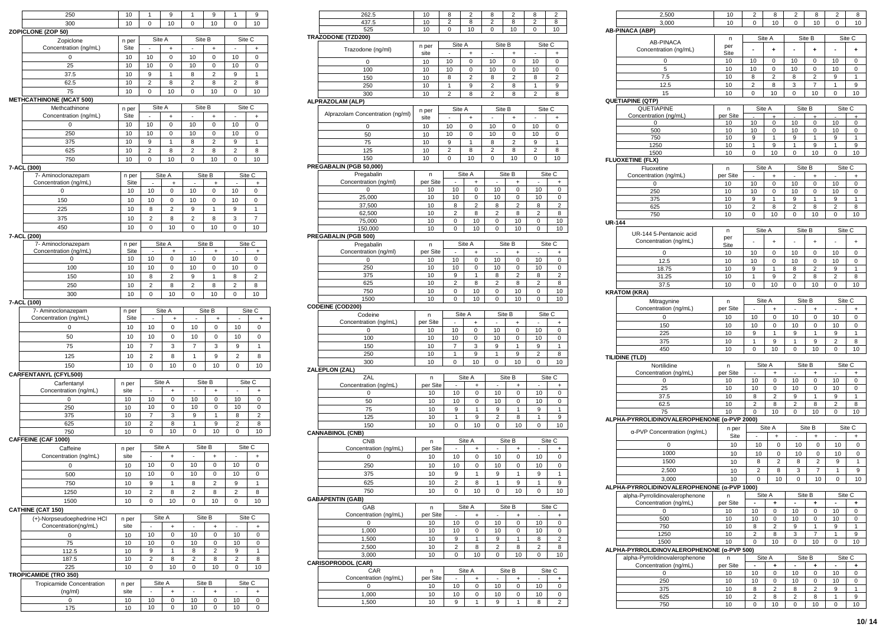| 250                                         | 10            | 1                   | 9           | 1                        | 9              | 1                   | 9                   |
|---------------------------------------------|---------------|---------------------|-------------|--------------------------|----------------|---------------------|---------------------|
| 300                                         | 10            | 0                   | 10          | 0                        | 10             | 0                   | 10                  |
| ZOPICLONE (ZOP 50)                          |               |                     |             |                          |                |                     |                     |
| Zopiclone                                   | n per         | Site A              |             |                          | Site B         |                     | Site C              |
| Concentration (ng/mL)                       | Site          |                     | +           | ä,                       | $\ddot{}$      |                     | $\ddot{}$           |
| 0                                           | 10            | 10                  | 0           | 10                       | 0              | 10                  | 0                   |
| 25                                          | 10            | 10                  | 0           | 10                       | 0              | 10                  | 0                   |
| 37.5                                        | 10            | 9                   | 1           | 8                        | $\overline{2}$ | 9                   | 1                   |
| 62.5                                        | 10            | $\overline{c}$      | 8           | $\overline{2}$           | 8              | $\overline{c}$      | 8                   |
| 75                                          | 10            | 0                   | 10          | $\mathbf 0$              | 10             | 0                   | 10                  |
| <b>METHCATHINONE (MCAT 500)</b>             |               | Site A              |             |                          | Site B         | Site C              |                     |
| Methcathinone<br>Concentration (ng/mL)      | n per<br>Site | ä,                  | $\ddot{}$   | ×,                       | $\ddot{}$      | ä,                  | $\ddot{}$           |
| 0                                           | 10            | 10                  | 0           | 10                       | 0              | 10                  | 0                   |
| 250                                         | 10            | 10                  | 0           | 10                       | 0              | 10                  | 0                   |
| 375                                         | 10            | 9                   | 1           | 8                        | 2              | 9                   | 1                   |
| 625                                         | 10            | $\overline{2}$      | 8           | $\overline{2}$           | 8              | $\overline{2}$      | 8                   |
| 750                                         | 10            | 0                   | 10          | $\mathbf 0$              | 10             | 0                   | 10                  |
| 7-ACL (300)                                 |               |                     |             |                          |                |                     |                     |
| 7- Aminoclonazepam                          | n per         |                     | Site A      |                          | Site B         |                     | Site C              |
| Concentration (ng/mL)                       | Site          |                     | ÷.          |                          | ÷.             |                     | $\ddot{}$           |
| 0                                           | 10            | 10                  | 0           | 10                       | 0              | 10                  | 0                   |
| 150                                         | 10            | 10                  | 0           | 10                       | 0              | 10                  | 0                   |
| 225                                         | 10            | 8                   | 2           | 9                        | 1              | 9                   | 1                   |
| 375                                         | 10            | 2                   | 8           | 2                        | 8              | 3                   | 7                   |
| 450                                         | 10            | 0                   | 10          | 0                        | 10             | 0                   | 10                  |
| 7-ACL (200)                                 |               |                     |             |                          |                |                     |                     |
| 7- Aminoclonazepam<br>Concentration (ng/mL) | n per<br>Site |                     | Site A<br>+ |                          | Site B<br>+    |                     | Site C<br>$^{+}$    |
| 0                                           | 10            | 10                  | 0           | 10                       | 0              | 10                  | 0                   |
| 100                                         | 10            | 10                  | 0           | 10                       | 0              | 10                  | 0                   |
| 150                                         | 10            | 8                   | 2           | 9                        | 1              | 8                   | 2                   |
| 250                                         | 10            | $\overline{2}$      | 8           | 2                        | 8              | 2                   | 8                   |
| 300                                         | 10            | 0                   | 10          | 0                        | 10             | 0                   | 10                  |
| 7-ACL (100)                                 |               |                     |             |                          |                |                     |                     |
| 7- Aminoclonazepam                          | n per         |                     | Site A      |                          | Site B         |                     | Site C              |
| Concentration (ng/mL)                       | Site          | ä,                  | $\ddot{}$   |                          | $\ddot{}$      | ä,                  | $\overline{1}$      |
| 0                                           | 10            | 10                  | 0           | 10                       | 0              | 10                  | 0                   |
| 50                                          | 10            | 10                  | 0           | 10                       | 0              | 10                  | 0                   |
| 75                                          | 10            | $\overline{7}$      | 3           | 7                        | 3              | 9                   | 1                   |
| 125                                         | 10            | $\overline{2}$      | 8           | $\mathbf{1}$             | 9              | $\overline{2}$      | 8                   |
| 150                                         | 10            | 0                   | 10          | 0                        | 10             | 0                   | 10                  |
| CARFENTANYL (CFYL500)                       |               |                     |             |                          |                |                     |                     |
| Carfentanyl                                 | n per         |                     | Site A      |                          | Site B         |                     | Site C              |
| Concentration (ng/mL)                       | site          |                     | $\ddot{}$   |                          | $\ddot{}$      | i,                  | $\ddot{}$           |
| 0                                           | 10            | 10                  | 0           | 10                       | 0              | 10                  | 0                   |
| 250                                         | 10            | 10                  | 0           | 10                       | 0              | 10                  | 0                   |
| 375<br>625                                  | 10<br>10      | 7<br>$\overline{c}$ | 3<br>8      | 9<br>1                   | 1<br>9         | 8<br>$\overline{c}$ | $\overline{2}$<br>8 |
| 750                                         | 10            | 0                   | 10          | 0                        | 10             | $\mathbf 0$         | 10                  |
| CAFFEINE (CAF 1000)                         |               |                     |             |                          |                |                     |                     |
| Caffeine                                    | n per         |                     | Site A      |                          | Site B         |                     | Site C              |
| Concentration (ng/mL)                       | site          | ×                   | +           | ٠                        | $\ddot{}$      | ٠                   | +                   |
| 0                                           | 10            | 10                  | 0           | 10                       | $\mathbf 0$    | 10                  | 0                   |
| 500                                         | 10            | 10                  | 0           | 10                       | 0              | 10                  | 0                   |
| 750                                         | 10            | 9                   | 1           | 8                        | $\overline{2}$ | 9                   | 1                   |
| 1250                                        | 10            | 2                   | 8           | 2                        | 8              | $\overline{2}$      | 8                   |
| 1500                                        | 10            | 0                   | 10          | 0                        | 10             | 0                   | 10                  |
| <b>CATHINE (CAT 150)</b>                    |               |                     |             |                          |                |                     |                     |
| (+)-Norpseudoephedrine HCl                  | n per         |                     | Site A      |                          | Site B         |                     | Site C              |
| Concentration(ng/mL)                        | site          | ÷,                  | $\ddot{}$   | $\overline{\phantom{a}}$ | $\ddot{}$      | ÷,                  | $\ddot{}$           |
| 0                                           | 10            | 10                  | 0           | 10                       | 0              | 10                  | 0                   |
| 75                                          | 10            | 10                  | 0           | 10                       | 0              | 10                  | 0                   |
| 112.5                                       | 10            | 9                   | 1           | 8                        | 2              | 9                   | 1                   |
| 187.5                                       | 10            | 2                   | 8           | 2                        | 8              | 2                   | 8                   |
| 225                                         | 10            | 0                   | 10          | 0                        | 10             | 0                   | 10                  |
| <b>TROPICAMIDE (TRO 350)</b>                |               |                     | Site A      |                          | Site B         |                     | Site C              |
| Tropicamide Concentration<br>(ng/ml)        | n per<br>site | ÷,                  | $\ddot{}$   | ÷,                       | +              | ÷,                  | $\ddot{}$           |
| 0                                           | 10            | 10                  | 0           | 10                       | 0              | 10                  | 0                   |
| 175                                         | 10            | 10                  | 0           | 10                       | 0              | 10                  | 0                   |
|                                             |               |                     |             |                          |                |                     |                     |

+

| 262.5                                                     | 10       | 8              | 2              | 8              | 2                       | 8                       | 2                   |
|-----------------------------------------------------------|----------|----------------|----------------|----------------|-------------------------|-------------------------|---------------------|
| 437.5                                                     | 10       | $\overline{2}$ | 8              | 2              | 8                       | $\overline{2}$          | 8                   |
| 525                                                       | 10       | 0              | 10             | 0              | 10                      | 0                       | 10                  |
| <b>TRAZODONE (TZD200)</b>                                 |          |                |                |                |                         |                         |                     |
| Trazodone (ng/ml)                                         | n per    |                | Site A         | Site B         |                         | Site C                  |                     |
|                                                           | site     | ×              | $\ddot{}$      | ÷,             | $\ddot{}$               | ÷                       | $\ddot{}$           |
| 0                                                         | 10       | 10             | $\mathbf 0$    | 10             | $\mathbf 0$             | 10                      | $\mathbf 0$         |
| 100                                                       | 10       | 10             | 0              | 10             | 0                       | 10                      | 0                   |
| 150                                                       | 10       | 8              | 2              | 8              | 2                       | 8                       | 2                   |
| 250                                                       | 10       | 1              | 9              | $\overline{2}$ | 8                       | 1                       | 9                   |
| 300                                                       | 10       | $\overline{2}$ | 8              | $\overline{2}$ | 8                       | $\overline{2}$          | 8                   |
| ALPRAZOLAM (ALP)                                          |          |                |                |                |                         |                         |                     |
| Alprazolam Concentration (ng/ml)                          | n per    |                | Site A         | Site B         |                         | Site C                  |                     |
|                                                           | site     |                | $\ddot{}$      |                | $\ddot{}$               |                         | +                   |
| $\mathbf 0$                                               | 10       | 10             | $\mathbf 0$    | 10             | $\mathbf 0$             | 10                      | $\mathbf 0$         |
| 50                                                        | 10       | 10             | 0              | 10             | 0                       | 10                      | 0                   |
| 75                                                        | 10       | 9              | 1              | 8              | $\overline{2}$          | 9                       | 1                   |
| 125                                                       | 10       | 2              | 8              | 2              | 8                       | $\overline{2}$          | 8                   |
| 150                                                       | 10       | 0              | 10             | 0              | 10                      | 0                       | 10                  |
| PREGABALIN (PGB 50,000)                                   |          |                |                |                |                         |                         |                     |
| Pregabalin                                                | n        |                | Site A         |                | Site B                  |                         | Site C              |
| Concentration (ng/ml)                                     | per Site |                | +              | ٠              | +                       | ٠                       | +                   |
| 0                                                         | 10       | 10             | 0              | 10             | 0                       | 10                      | 0                   |
| 25,000                                                    | 10       | 10             | 0              | 10             | 0                       | 10                      | 0                   |
| 37,500                                                    | 10       | 8              | $\overline{c}$ | 8              | $\overline{\mathbf{c}}$ | 8                       | $\overline{c}$      |
| 62,500                                                    | 10       | 2              | 8              | $\overline{2}$ | 8                       | $\overline{c}$          | 8                   |
| 75,000                                                    | 10       | 0              | 10             | 0              | 10                      | 0                       | 10                  |
| 150,000                                                   | 10       | 0              | 10             | 0              | 10                      | 0                       | 10                  |
| <b>PREGABALIN (PGB 500)</b>                               |          |                |                |                |                         |                         |                     |
| Pregabalin                                                | n        |                | Site A         |                | Site B                  |                         | Site C              |
| Concentration (ng/ml)                                     | per Site | ÷,             | $\ddot{}$      | ×,             | $\ddot{}$               | ×                       | $\ddot{}$           |
| 0                                                         | 10       | 10             | 0              | 10             | 0                       | 10                      | 0                   |
| 250                                                       | 10       | 10             | 0              | 10             | 0                       | 10                      | 0                   |
| 375                                                       | 10       | 9              | 1              | 8              | $\overline{c}$          | 8                       | $\overline{2}$      |
| 625                                                       | 10       | $\overline{c}$ | 8              | 2              | 8                       | $\overline{c}$          | 8                   |
| 750                                                       | 10       | 0              | 10             | 0              | 10                      | 0                       | 10                  |
| 1500                                                      | 10       | 0              | 10             | 0              | 10                      | 0                       | 10                  |
| <b>CODEINE (COD200)</b>                                   |          |                |                |                |                         |                         |                     |
| Codeine                                                   | n        |                | Site A         |                | Site B                  | Site C                  |                     |
| Concentration (ng/mL)                                     | per Site |                | $\ddot{}$      |                | ÷                       |                         | +                   |
| 0                                                         | 10       | 10             | 0<br>0         | 10             | 0<br>0                  | 10                      | 0                   |
| 100<br>150                                                | 10       | 10             |                | 10             |                         | 10                      | 0<br>1              |
| 250                                                       | 10<br>10 | 7<br>1         | 3<br>9         | 9<br>1         | 1<br>9                  | 9<br>$\overline{c}$     | 8                   |
| 300                                                       | 10       | 0              | 10             | 0              | 10                      | 0                       | 10                  |
| ZALEPLON (ZAL)                                            |          |                |                |                |                         |                         |                     |
| ZAL                                                       | n        |                | Site A         |                | Site B                  |                         | Site C              |
| Concentration (ng/mL)                                     | per Site |                | ÷              |                | ÷                       |                         | $\ddot{}$           |
| 0                                                         | 10       | 10             | 0              | 10             | 0                       | 10                      | 0                   |
| 50                                                        | 10       | 10             | 0              | 10             | 0                       | 10                      | 0                   |
| 75                                                        | 10       | 9              | 1              | 9              | 1                       | 9                       | 1                   |
| 125                                                       | 10       | 1              | 9              | $\overline{c}$ | 8                       | 1                       | 9                   |
| 150                                                       | 10       | 0              | 10             | 0              | 10                      | 0                       | 10                  |
| <b>CANNABINOL (CNB)</b>                                   |          |                |                |                |                         |                         |                     |
| <b>CNB</b>                                                | n        |                | Site A         |                | Site B                  |                         | Site C              |
| Concentration (ng/mL)                                     | per Site |                |                |                |                         |                         | ÷                   |
| 0                                                         | 10       | 10             | 0              | 10             | 0                       | 10                      | 0                   |
|                                                           |          | 10             | 0              | 10             | $\mathbf 0$             | 10                      | $\mathbf 0$         |
|                                                           |          |                | 1              | 9              | 1                       | 9                       | 1                   |
| 250                                                       | 10       |                |                |                |                         | 1                       |                     |
| 375                                                       | 10       | 9              |                |                |                         |                         | 9                   |
| 625                                                       | 10       | $\overline{2}$ | 8              | 1              | 9                       |                         |                     |
| 750                                                       | 10       | 0              | 10             | 0              | 10                      | 0                       |                     |
|                                                           |          |                |                |                |                         |                         |                     |
| GAB                                                       | n        |                | Site A         |                | Site B                  |                         | Site C              |
| Concentration (ng/mL)                                     | per Site |                | +              |                | $\ddot{}$               |                         | $\ddot{}$           |
| 0                                                         | 10       | 10             | 0              | 10             | 0                       | 10                      | 0                   |
| 1,000                                                     | 10       | 10             | 0              | 10             | 0                       | 10                      | 0                   |
| 1,500                                                     | 10       | 9              | 1              | 9              | 1                       | 8                       | 2                   |
| 2,500                                                     | 10       | 2              | 8              | 2              | 8                       | $\overline{\mathbf{c}}$ | 8                   |
| 3,000                                                     | 10       | 0              | 10             | 0              | 10                      | 0                       | 10                  |
|                                                           |          |                |                |                |                         |                         | 10                  |
| CAR                                                       | n        |                | Site A         |                | Site B                  |                         | Site C              |
| Concentration (ng/mL)                                     | per Site |                | +              |                | $\ddot{}$               |                         | $\ddot{}$           |
| <b>GABAPENTIN (GAB)</b><br><b>CARISOPRODOL (CAR)</b><br>0 | 10       | 10             | 0              | 10             | 0                       | 10                      | 0                   |
| 1,000<br>1,500                                            | 10<br>10 | 10<br>9        | 0<br>1         | 10<br>9        | 0<br>1                  | 10<br>8                 | 0<br>$\overline{2}$ |

| 2,500                                                                                                                                                  | 10       | 2                        | 8              | 2                   | 8              | 2                 | 8               |
|--------------------------------------------------------------------------------------------------------------------------------------------------------|----------|--------------------------|----------------|---------------------|----------------|-------------------|-----------------|
| 3,000                                                                                                                                                  | 10       | 0                        | 10             | 0                   | 10             | 0                 | 10              |
| <b>AB-PINACA (ABP)</b>                                                                                                                                 |          |                          |                |                     |                |                   |                 |
|                                                                                                                                                        | n        |                          | Site A         |                     | Site B         |                   | Site C          |
| <b>AB-PINACA</b>                                                                                                                                       | per      | ÷,                       |                | $\overline{a}$      |                |                   |                 |
| Concentration (ng/mL)                                                                                                                                  | Site     |                          | ÷              |                     | ÷              | $\blacksquare$    | ÷               |
| 0                                                                                                                                                      | 10       | 10                       | 0              | 10                  | 0              | 10                | 0               |
| 5                                                                                                                                                      | 10       | 10                       | 0              | 10                  | 0              | 10                | 0               |
| 7.5                                                                                                                                                    | 10       | 8                        | 2              | 8                   | 2              | 9                 | 1               |
| 12.5                                                                                                                                                   | 10       | $\overline{2}$           | 8              | 3                   | 7              | 1                 | 9               |
| 15                                                                                                                                                     | 10       | 0                        | 10             | 0                   | 10             | 0                 | 10              |
| QUETIAPINE (QTP)                                                                                                                                       |          |                          |                |                     |                |                   |                 |
| QUETIAPINE                                                                                                                                             | n        | Site A                   |                | Site B              |                | Site C            |                 |
| Concentration (ng/mL)                                                                                                                                  | per Site |                          |                |                     |                |                   |                 |
| $\mathbf 0$                                                                                                                                            | 10       | 10                       | 0              | 10                  | 0              | 10                | 0               |
| 500                                                                                                                                                    | 10       | 10                       | 0              | 10                  | 0              | 10                | 0               |
| 750                                                                                                                                                    | 10       | 9                        | 1              | 9                   | 1              | 9                 | 1               |
| 1250                                                                                                                                                   | 10       | 1                        | 9              | 1                   | 9              | 1                 | 9               |
| 1500                                                                                                                                                   | 10       | 0                        | 10             | 0                   | 10             | 0                 | 10              |
| <b>FLUOXETINE (FLX)</b>                                                                                                                                |          |                          |                |                     |                |                   |                 |
| Fluoxetine                                                                                                                                             | n        | Site A                   |                | Site B              |                | Site C            |                 |
| Concentration (ng/mL)                                                                                                                                  | per Site | $\overline{\phantom{a}}$ | $\ddot{}$      | ÷,                  | $\ddot{}$      | ×,                | $\ddot{}$       |
| 0                                                                                                                                                      | 10       | 10                       | 0              | 10                  | 0              | 10                | 0               |
| 250                                                                                                                                                    | 10       | 10                       | 0              | 10                  | 0              | 10                | 0               |
| 375                                                                                                                                                    | 10       | 9                        | 1              | 9                   | 1              | 9                 | $\mathbf{1}$    |
| 625                                                                                                                                                    | 10       | 2                        | 8              | 2                   | 8              | $\overline{2}$    | 8               |
| 750                                                                                                                                                    | 10       | 0                        | 10             | 0                   | 10             | 0                 | 10              |
| <b>UR-144</b>                                                                                                                                          |          |                          |                |                     |                |                   |                 |
|                                                                                                                                                        | n        | Site A                   |                | Site B              |                | Site C            |                 |
| UR-144 5-Pentanoic acid                                                                                                                                | per      |                          |                |                     |                |                   |                 |
| Concentration (ng/mL)                                                                                                                                  | Site     |                          | $\ddot{}$      |                     | $\ddot{}$      |                   | $\ddot{}$       |
| $\mathbf 0$                                                                                                                                            | 10       | 10                       | 0              | 10                  | 0              | 10                | 0               |
| 12.5                                                                                                                                                   | 10       | 10                       | 0              | 10                  | 0              | 10                | 0               |
|                                                                                                                                                        | 10       | 9                        | 1              | 8                   | $\overline{c}$ | 9                 | 1               |
| 18.75                                                                                                                                                  |          |                          |                |                     |                |                   |                 |
| 31.25                                                                                                                                                  | 10       | 1                        | 9              | 2                   | 8              | 2                 | 8               |
| 37.5                                                                                                                                                   | 10       | 0                        | 10             | 0                   | 10             | 0                 | 10              |
| <b>KRATOM (KRA)</b>                                                                                                                                    |          |                          |                |                     |                |                   |                 |
| Mitragynine                                                                                                                                            | n        | Site A                   |                |                     | Site B         | Site C            |                 |
| Concentration (ng/mL)                                                                                                                                  | per Site | ÷,                       | $\ddot{}$      | ÷,                  | $\ddot{}$      | ÷,                | $\ddot{}$       |
| $\mathbf 0$                                                                                                                                            | 10       | 10                       | 0              | 10                  | $\mathbf 0$    | 10                | 0               |
| 150                                                                                                                                                    | 10       | 10                       | 0              | 10                  | 0              | 10                | 0               |
| 225                                                                                                                                                    | 10       | 9                        | 1              | 9                   | 1              | 9                 | 1               |
| 375                                                                                                                                                    | 10       | 1                        | 9              | 1                   | 9              | $\overline{2}$    | 8               |
| 450                                                                                                                                                    | 10       | 0                        | 10             | 0                   | 10             | 0                 | 10              |
| TILIDINE (TLD)                                                                                                                                         |          |                          |                |                     |                |                   |                 |
| Nortilidine                                                                                                                                            | n        |                          | Site A         |                     | Site B         | Site C            |                 |
| Concentration (ng/mL)                                                                                                                                  | per Site |                          | +              |                     |                |                   | ÷               |
| 0                                                                                                                                                      | 10       | 10                       | 0              | 10                  | 0              | 10                | 0               |
| 25                                                                                                                                                     | 10       | 10                       | 0              | 10                  | 0              | 10                | 0               |
| 37.5                                                                                                                                                   | 10       | 8                        | $\overline{2}$ | 9                   | 1              | 9                 | 1               |
| 62.5                                                                                                                                                   | 10       | $\overline{2}$           | 8              | $\overline{2}$      | 8              | $\overline{2}$    | 8               |
| 75                                                                                                                                                     | 10       | 0                        | 10             |                     | 10             |                   | 10              |
|                                                                                                                                                        |          |                          |                | 0                   |                | 0                 |                 |
|                                                                                                                                                        |          |                          |                |                     |                |                   |                 |
|                                                                                                                                                        |          |                          |                |                     |                |                   |                 |
| α-PVP Concentration (ng/mL)                                                                                                                            | n per    |                          | Site A         |                     | Site B         |                   | Site C          |
|                                                                                                                                                        | Site     |                          | +              |                     | +              |                   | ÷               |
| 0                                                                                                                                                      | 10       | 10                       | $\mathbf 0$    | 10                  | 0              | 10                | 0               |
| 1000                                                                                                                                                   | 10       | 10                       | 0              | 10                  | 0              | 10                | 0               |
| 1500                                                                                                                                                   | 10       | 8                        | $\overline{2}$ | 8                   | $\overline{c}$ | 9                 | 1               |
| 2,500                                                                                                                                                  | 10       | $\overline{2}$           | 8              | 3                   | 7              | 1                 | 9               |
| 3,000                                                                                                                                                  | 10       | 0                        | 10             | 0                   | 10             | 0                 | 10 <sup>1</sup> |
|                                                                                                                                                        |          |                          |                |                     |                |                   |                 |
| alpha-Pyrrolidinovalerophenone                                                                                                                         | n        |                          | Site A         |                     | Site B         |                   | Site C          |
| Concentration (ng/mL)                                                                                                                                  | per Site |                          | ÷              |                     | ÷              |                   | ÷               |
| 0                                                                                                                                                      | 10       | 10                       | 0              | 10                  | 0              | 10                | 0               |
| 500                                                                                                                                                    | 10       | 10                       | 0              | 10                  | 0              | 10                | 0               |
|                                                                                                                                                        |          | 8                        | $\overline{2}$ | 9                   | 1              | 9                 | 1               |
| 750                                                                                                                                                    | 10       |                          |                |                     |                |                   |                 |
| 1250                                                                                                                                                   | 10       | $\overline{c}$           | 8              | 3                   | 7              | $\mathbf{1}$      | 9               |
| 1500                                                                                                                                                   | 10       | 0                        | 10             | 0                   | 10             | 0                 | 10              |
|                                                                                                                                                        |          |                          |                |                     |                |                   |                 |
| alpha-Pyrrolidinovalerophenone                                                                                                                         | n        |                          | Site A         |                     | Site B         | Site C            |                 |
| Concentration (ng/mL)                                                                                                                                  | per Site |                          | ÷              |                     | ÷              |                   | ÷               |
| 0                                                                                                                                                      | 10       | 10                       | 0              | 10                  | 0              | 10                | 0               |
| 250                                                                                                                                                    | 10       | 10                       | 0              | 10                  | 0              | 10                | 0               |
| 375                                                                                                                                                    | 10       | 8                        | $\overline{2}$ | 8                   | 2              | 9                 | 1               |
| ALPHA-PYRROLIDINOVALEROPHENONE (α-PVP 2000)<br>ALPHA-PYRROLIDINOVALEROPHENONE (α-PVP 1000)<br>ALPHA-PYRROLIDINOVALEROPHENONE (α-PVP 500)<br>625<br>750 | 10<br>10 | $\overline{2}$<br>0      | 8<br>10        | $\overline{2}$<br>0 | 8<br>10        | $\mathbf{1}$<br>0 | 9<br>10         |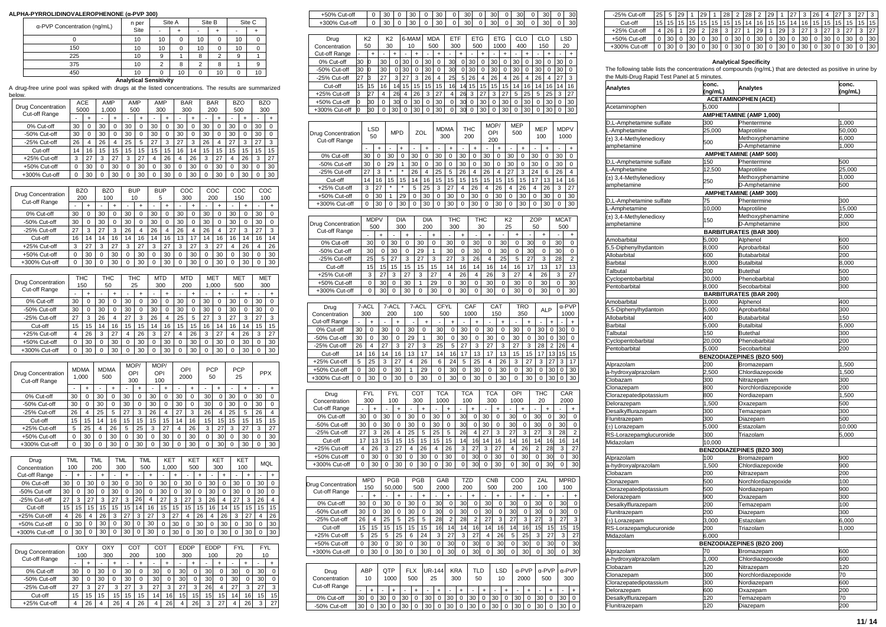# **ALPHA-PYRROLIDINOVALEROPHENONE (α-PVP 300)**

| α-PVP Concentration (ng/mL) | n per |    | Site A   |    | Site B         | Site C |          |  |
|-----------------------------|-------|----|----------|----|----------------|--------|----------|--|
|                             | Site  | ۰  |          | ۰  |                | ۰      |          |  |
|                             | 10    | 10 | $\Omega$ | 10 | 0              | 10     | $\Omega$ |  |
| 150                         | 10    | 10 | $\Omega$ | 10 | 0              | 10     | $\Omega$ |  |
| 225                         | 10    | 9  |          | 8  | $\overline{2}$ | 9      |          |  |
| 375                         | 10    | 2  | 8        | 2  | 8              |        | 9        |  |
| 450                         | 10    |    | 10       | 0  | 10             | 0      | 10       |  |

**Analytical Sensitivity**

A drug-free urine pool was spiked with drugs at the listed concentrations. The results are summarized

| below.                                     |                |                      |                     |                       |                  |                    |                  |           |                          |                         |                   |                     |                   |                     |                |                          |                |                     |
|--------------------------------------------|----------------|----------------------|---------------------|-----------------------|------------------|--------------------|------------------|-----------|--------------------------|-------------------------|-------------------|---------------------|-------------------|---------------------|----------------|--------------------------|----------------|---------------------|
| <b>Drug Concentration</b><br>Cut-off Range |                | ACE<br>5000          |                     |                       | AMP<br>1.000     |                    | AMP<br>500       |           | AMP<br>300               |                         | <b>BAR</b><br>300 |                     | <b>BAR</b><br>200 |                     |                | <b>BZO</b><br>500        | <b>BZO</b>     | 300                 |
| 0% Cut-off                                 |                | i,<br>30             | ÷<br>$\mathbf 0$    | ä,<br>30              | ÷<br>$\mathbf 0$ | ł,<br>30           | ÷<br>$\mathbf 0$ | ä,<br>30  | $\ddot{}$<br>$\mathbf 0$ | 30                      |                   | $\ddot{}$<br>0      | i.<br>30          | ÷<br>$\mathbf 0$    | ä<br>30        | ÷<br>0                   | ÷,<br>30       | $\overline{1}$<br>0 |
| -50% Cut-off                               |                | 30                   | 0                   | 30                    | $\mathbf 0$      | 30                 | $\mathbf 0$      | 30        | $\mathbf 0$              | 30                      |                   | 0                   | 30                | 0                   | 30             | 0                        | 30             | $\mathbf 0$         |
| -25% Cut-off                               |                | 26                   | 4                   | 26                    | 4                | 25                 | 5                | 27        | 3                        | 27                      |                   | 3                   | 26                | 4                   | 27             | 3                        | 27             | 3                   |
| Cut-off                                    |                | 14                   | 16                  | 15                    | 15               | 15                 | 15               | 15        | 15                       | 16                      |                   | 14                  | 15                | 15                  | 15             | 15                       | 15             | 15                  |
| +25% Cut-off                               |                | 3                    | 27                  | 3                     | 27               | 3                  | 27               | 4         | 26                       | 4                       |                   | 26                  | 3                 | 27                  | 4              | 26                       | 3              | 27                  |
| +50% Cut-off                               |                | 0                    | 30                  | 0                     | 30               | 0                  | 30               | 0         | 30                       | 0                       |                   | 30                  | 0                 | 30                  | 0              | 30                       | 0              | 30                  |
| +300% Cut-off                              |                | 0                    | 30                  | 0                     | 30               | 0                  | 30               | 0         | 30                       | 0                       |                   | 30                  | 0                 | 30                  | 0              | 30                       | 0              | 30                  |
|                                            |                |                      |                     |                       |                  |                    |                  |           |                          |                         |                   |                     |                   |                     |                |                          |                |                     |
| Drug Concentration                         |                | <b>BZO</b>           |                     |                       | <b>BZO</b>       |                    | <b>BUP</b>       |           | <b>BUP</b>               |                         | COC               |                     | COC               |                     |                | COC                      |                | COC                 |
| Cut-off Range                              |                | 200                  |                     |                       | 100              |                    | 10               |           | 5                        |                         | 300               |                     | 200               |                     |                | 150                      |                | 100                 |
| 0% Cut-off                                 |                | 30                   | $\overline{1}$<br>0 | 30                    | ÷<br>$\mathbf 0$ | 30                 | $\ddot{}$<br>0   | 30        | $\overline{1}$<br>0      | 30                      |                   | $\overline{1}$<br>0 | 30                | $\ddot{}$<br>0      | 30             | $\ddot{}$<br>$\mathbf 0$ | 30             | $\overline{1}$<br>0 |
| -50% Cut-off                               |                | 30                   | $\overline{0}$      | 30                    | $\mathbf 0$      | 30                 | $\overline{0}$   | 30        | 0                        | 30                      |                   | 0                   | 30                | 0                   | 30             | $\mathbf 0$              | 30             | 0                   |
| -25% Cut-off                               |                | 27                   | 3                   | 27                    | 3                | 26                 | 4                | 26        | 4                        | 26                      |                   | 4                   | 26                | 4                   | 27             | 3                        | 27             | 3                   |
| Cut-off                                    |                | 16                   | 14                  | 14                    | 16               | 14                 | 16               | 14        | 16                       | 13                      |                   | 17                  | 14                | 16                  | 16             | 14                       | 16             | 14                  |
| +25% Cut-off                               |                | 3                    | 27                  | 3                     | 27               | 3                  | 27               | 3         | 27                       | 3                       |                   | 27                  | 3                 | 27                  | 4              | 26                       | $\overline{4}$ | 26                  |
| +50% Cut-off                               |                | 0                    | 30                  | 0                     | 30               | 0                  | 30               | 0         | 30                       | 0                       |                   | 30                  | 0                 | 30                  | O              | 30                       | 0              | 30                  |
| +300% Cut-off                              |                | $\mathbf 0$          | 30                  | $\overline{0}$        | 30               | 0                  | 30               | 0         | 30                       | $\overline{0}$          |                   | 30                  | $\overline{0}$    | 30                  | Ō              | 30                       | $\overline{0}$ | 30                  |
|                                            |                |                      |                     |                       |                  |                    |                  |           |                          |                         |                   |                     |                   |                     |                |                          |                |                     |
| Drug Concentration<br>Cut-off Range        |                | THC<br>150           |                     |                       | Тнс<br>50        |                    | THC<br>25        |           | <b>MTD</b><br>300        |                         | <b>MTD</b><br>200 |                     | <b>MET</b>        | 1.000               |                | <b>MET</b><br>500        |                | <b>MET</b><br>300   |
|                                            |                |                      | $\overline{1}$      |                       | $\ddot{}$        |                    | $\ddot{}$        |           | $\ddot{}$                |                         |                   | $\ddot{}$           |                   | $\ddot{}$           |                | $\ddot{}$                |                | $\ddot{}$           |
| 0% Cut-off                                 |                | 30                   | $\overline{0}$      | 30                    | $\mathbf 0$      | 30                 | $\overline{0}$   | 30        | $\mathbf 0$              | 30                      |                   | $\overline{0}$      | 30                | $\overline{0}$      | 30             | $\mathbf 0$              | 30             | $\overline{0}$      |
| -50% Cut-off                               |                | 30                   | 0                   | 30                    | 0                | 30                 | 0                | 30        | $\mathbf 0$              | 30                      |                   | 0                   | 30                | 0                   | 30             | $\mathbf 0$              | 30             | 0                   |
| -25% Cut-off<br>Cut-off                    |                | 27<br>15             | 3<br>15             | 26<br>14              | 4<br>16          | 27<br>15           | 3<br>15          | 26<br>14  | 4<br>16                  | 25<br>15                |                   | 5<br>15             | 27<br>16          | 3<br>14             | 27<br>16       | 3<br>14                  | 27<br>15       | 3<br>15             |
| +25% Cut-off                               |                | $\overline{4}$       | 26                  | 3                     | 27               | $\overline{4}$     | 26               | 3         | 27                       | 4                       |                   | 26                  | 3                 | 27                  | 4              | 26                       | 3              | 27                  |
| +50% Cut-off                               |                | 0                    | 30                  | 0                     | 30               | 0                  | 30               | 0         | 30                       | 0                       |                   | 30                  | 0                 | 30                  | 0              | 30                       | 0              | 30                  |
| +300% Cut-off                              |                | $\overline{0}$       | 30                  | $\overline{0}$        | 30               | $\overline{0}$     | 30               | 0         | 30                       | $\overline{0}$          |                   | 30                  | $\overline{0}$    | 30                  | $\overline{0}$ | 30                       | $\overline{0}$ | 30                  |
| Drug Concentration<br>Cut-off Range        |                | <b>MDMA</b><br>1,000 |                     | <b>MDMA</b><br>500    |                  | MOP/<br>OPI<br>300 |                  |           | MOP/<br>OPI<br>100       |                         | OPI<br>2000       |                     | PCP<br>50         |                     |                | <b>PCP</b><br>25         |                | <b>PPX</b>          |
|                                            |                |                      | $\ddot{}$           |                       | $\ddot{}$        |                    | $\ddot{}$        |           | $\ddot{}$                |                         |                   | $\overline{1}$      |                   | $\ddot{}$           |                | $\ddot{}$                |                | $\ddot{}$           |
| 0% Cut-off<br>-50% Cut-off                 |                | 30<br>30             | 0<br>$\overline{0}$ | 30<br>30              | 0<br>$\mathbf 0$ | 30<br>30           | 0<br>0           | 30<br>30  | 0<br>0                   | 30<br>30                |                   | 0<br>0              | 30<br>30          | 0<br>$\overline{0}$ | 30<br>30       | 0<br>0                   | 30<br>30       | 0<br>$\overline{0}$ |
| -25% Cut-off                               |                | 26                   | $\overline{4}$      | 25                    | 5                | 27                 | 3                | 26        | 4                        | 27                      |                   | 3                   | 26                | 4                   | 25             | 5                        | 26             | $\overline{4}$      |
| Cut-off                                    |                | 15                   | 15                  | 14                    | 16               | 15                 | 15               | 15        | 15                       | 14                      |                   | 16                  | 15                | 15                  | 15             | 15                       | 15             | 15                  |
| +25% Cut-off                               |                | 5                    | 25                  | $\overline{4}$        | 26               | 5                  | 25               | 3         | 27                       | $\overline{\mathbf{4}}$ |                   | 26                  | 3                 | 27                  | 3              | 27                       | 3              | 27                  |
| +50% Cut-off                               |                | $\overline{0}$       | 30                  | 0                     | 30               | $\overline{0}$     | 30               | 0         | 30                       | 0                       |                   | 30                  | 0                 | 30                  | 0              | 30                       | 0              | 30                  |
| +300% Cut-off                              |                | 0                    | 30                  | 0                     | 30               | 0                  | 30               | 0         | 30                       | 0                       |                   | 30                  | 0                 | 30                  | 0              | 30                       | 0              | 30                  |
| Drug                                       |                | TML                  |                     | <b>TML</b>            | TML              |                    | <b>TML</b>       |           | KET                      |                         |                   | KET                 |                   | KET                 |                | KET                      |                | <b>MQL</b>          |
| Concentration<br>Cut-off Range             | ä,             | 100<br>÷.            | ä,                  | 200<br>$\overline{1}$ | 300<br>ä,        | $\ddot{}$          | 500<br>ä,        | $\ddot{}$ | 1.000<br>Ĭ.              | $\ddot{}$               | ä,                | 500<br>$\ddot{}$    | ÷,                | 300<br>$\ddot{}$    | Ĭ.             | 100<br>$\ddot{}$         | Ĭ.             | $\ddot{}$           |
| 0% Cut-off                                 | 30             | 0                    | 30                  | 0                     | 30               | 0                  | 30               | 0         | 30                       | 0                       | 30                | 0                   | 30                | 0                   | 30             | 0                        | 30             | 0                   |
| -50% Cut-off                               | 30             | 0                    | 30                  | $\mathbf 0$           | 30               | 0                  | 30               | 0         | 30                       | 0                       | 30                | 0                   | 30                | $\overline{0}$      | 30             | $\mathbf 0$              | 30             | 0                   |
| -25% Cut-off                               | 27             | 3                    | 27                  | 3                     | 27               | 3                  | 26               | 4         | 27                       | 3                       | 27                | 3                   | 26                | 4                   | 27             | 3                        | 26             | 4                   |
| Cut-off                                    | 15             | 15                   | 15                  | 15                    | 15               | 15                 | 14               | 16        | 15                       | 15                      | 15                | 15                  | 16                | 14                  | 15             | 15                       | 15             | 15                  |
| +25% Cut-off                               | $\overline{4}$ | 26                   | 4                   | 26                    | 3                | 27                 | 3                | 27        | 3                        | 27                      | 4                 | 26                  | 4                 | 26                  | 3              | 27                       | 4              | 26                  |
| +50% Cut-off                               | $\mathbf 0$    | 30                   | 0                   | 30                    | 0                | 30                 | 0                | 30        | 0                        | 30                      | 0                 | 30                  | 0                 | 30                  | 0              | 30                       | 0              | 30                  |
| +300% Cut-off                              | $\overline{0}$ | 30                   | 0                   | 30                    | 0                | 30                 | 0                | 30        | 0                        | 30                      | 0                 | 30                  | 0                 | 30                  | 0              | 30                       | 0              | 30                  |
| Drug Concentration                         |                | OXY                  |                     |                       | OXY              |                    | COT              |           | COT                      |                         | <b>EDDP</b>       |                     | <b>EDDP</b>       |                     |                | FYL                      |                | <b>FYL</b>          |
| Cut-off Range                              |                | 100                  |                     |                       | 300              |                    | 200              |           | 100                      |                         | 300               |                     |                   | 100                 |                | 20                       |                | 10                  |
|                                            |                | 30                   | $\ddot{}$<br>0      | 30                    | $\ddot{}$<br>0   | 30                 | $\ddot{}$<br>0   | 30        | $\ddot{}$<br>0           |                         | 30                | $\ddot{}$<br>0      | 30                | $\ddot{}$<br>0      | 30             | $\ddot{}$<br>0           | 30             | $\ddot{}$<br>0      |
| 0% Cut-off<br>-50% Cut-off                 |                | 30                   | 0                   | 30                    | 0                | 30                 | 0                | 30        | $\overline{0}$           |                         | 30                | 0                   | 30                | 0                   | 30             | 0                        | 30             | 0                   |
| -25% Cut-off                               |                | 27                   | 3                   | 27                    | 3                | 27                 | 3                | 27        | 3                        |                         | 27                | 3                   | 26                | 4                   | 27             | 3                        | 27             | 3                   |
| Cut-off                                    |                | 15                   | 15                  | 15                    | 15               | 15                 | 15               | 14        | 16                       |                         | 15                | 15                  | 15                | 15                  | 14             | 16                       | 15             | 15                  |
| +25% Cut-off                               |                | 4                    | 26                  | $\overline{4}$        | 26               | $\overline{4}$     | 26               | 4         | 26                       |                         | 4                 | 26                  | 3                 | 27                  | 4              | 26                       | 3              | 27                  |
|                                            |                |                      |                     |                       |                  |                    |                  |           |                          |                         |                   |                     |                   |                     |                |                          |                |                     |

| +50% Cut-off              |          | 0              | 30          | 0              |             | 30             | 0           | 30             | 0              | 30             |            | 0            | 30         | 0              | 30   |                | 0              | 30         | 0                    |               | 30                               |
|---------------------------|----------|----------------|-------------|----------------|-------------|----------------|-------------|----------------|----------------|----------------|------------|--------------|------------|----------------|------|----------------|----------------|------------|----------------------|---------------|----------------------------------|
| +300% Cut-off             |          | 0              | 30          | 0              |             | 30             | 0           | 30             | 0              | 30             |            | 0            | 30         | 0              | 30   |                | 0              | 30         | 0                    |               | 30                               |
|                           |          |                |             |                |             |                |             |                |                |                |            |              |            |                |      |                |                |            |                      |               |                                  |
| Drua                      |          | K <sub>2</sub> |             | K <sub>2</sub> |             | 6-MAM          |             | <b>MDA</b>     | ETF            |                | <b>ETG</b> |              | <b>ETG</b> |                | CLO  |                |                | CLO        |                      | LSD           |                                  |
| Concentration             |          | 50             |             | 30             |             | 10             |             | 500            | 300            |                | 500        |              | 1000       |                | 400  |                |                | 150        |                      | 20            |                                  |
| Cut-off Range             |          | $\ddot{}$      | ä,          | ÷.             | ä,          | ÷.             | ä,          | $\ddot{}$      | ä,             | ÷.             | ä,         | <sup>+</sup> | ÷,         | $\ddot{}$      | ä,   | $\ddot{}$      | ä,             | $\ddot{}$  | ä,                   |               | $\ddot{}$                        |
| 0% Cut-off                | 30       | 0              | 30          | 0              | 30          | 0              | 30          | 0              | 30             | 0              | 30         | 0            | 30         | 0              | 30   | $\mathbf 0$    | 30             | 0          | 30                   |               | 0                                |
|                           |          |                |             |                |             |                |             |                |                |                |            |              |            |                |      |                |                |            |                      |               |                                  |
| -50% Cut-off              | 30       | 0              | 30          | $\mathbf 0$    | 30          | 0              | 30          | $\mathbf 0$    | 3 <sub>C</sub> | $\mathbf 0$    | 30         | 0            | 30         | 0              | 30   | 0              | 30             | 0          | 30                   |               | 0                                |
| -25% Cut-off              | 27       | 3              | 27          | 3              | 27          | 3              | 26          | 4              | 25             | 5              | 26         | 4            | 26         | 4              | 26   | 4              | 26             | 4          | 27                   |               | 3                                |
| Cut-off                   | 15       | 15             | 16          | 14             | 15          | 15             | 15          | 15             | 16             | 14             | 15         | 15           | 15         | 15             | 14   | 16             | 14             | 16         | 14                   |               | 16                               |
| +25% Cut-off              | 3        | 27             | 4           | 26             | 4           | 26             | 3           | 27             | 4              | 26             | 3          | 27           | 3          | 27             | 5    | 25             | 5              | 25         | 3                    |               | 27                               |
| +50% Cut-off              | C        | 30             | 0           | 30             | 0           | 30             | 0           | 30             | 0              | 3C             | 0          | 30           | 0          | 30             | 0    | 30             | 0              | 30         | 0                    |               | 30                               |
| +300% Cut-off             | 0        | 30             | 0           | 30             | 0           | 30             | 0           | 30             | 0              | 30             | 0          | 30           | 0          | 30             | 0    | 30             | 0              | 30         | 0                    |               | 30                               |
|                           |          |                |             |                |             |                |             |                |                |                |            |              |            |                |      |                |                |            |                      |               |                                  |
|                           |          |                |             |                |             |                |             |                |                |                |            |              |            |                |      |                |                |            |                      |               |                                  |
|                           |          | LSD            |             |                |             |                |             |                | <b>MDMA</b>    |                | THC        |              | MOP/       |                | MEP  |                |                | <b>MEP</b> |                      | <b>MDPV</b>   |                                  |
| Drug Concentration        |          | 50             |             | <b>MPD</b>     |             | ZOL            |             |                | 300            |                | 200        |              | OPI        |                | 500  |                |                | 100        |                      | 1000          |                                  |
| Cut-off Range             |          |                |             |                |             |                |             |                |                |                |            |              | 200        |                |      |                |                |            |                      |               |                                  |
|                           |          |                | ÷           |                | $\ddot{}$   |                | +           |                | $\ddot{}$      |                | $\ddot{}$  | Ĭ.           | $\ddot{}$  |                |      | ÷              |                | ÷          |                      |               | ÷                                |
| 0% Cut-off                |          | 30             | $\mathbf 0$ | 30             | $\mathbf 0$ | 30             | $\mathbf 0$ | 30             | $\mathbf 0$    | 30             | 0          | 30           | 0          | 30             |      | 0              | 30             | 0          | 30                   |               | $\mathbf 0$                      |
| -50% Cut-off              |          | 30             | 0           | 29             | 1           | 30             | 0           | 30             | 0              | 30             | 0          | 30           | 0          | 30             |      | 0              | 30             | 0          | 30                   |               | 0                                |
| -25% Cut-off              |          | 27             | 3           | $\star$        | $\star$     | 26             | 4           | 25             | 5              | 26             | 4          | 26           | 4          | 27             |      | 3              | 24             | 6          | 26                   |               | 4                                |
|                           |          | 14             | 16          | 15             | 15          | 14             | 16          | 15             | 15             | 15             | 15         | 15           | 15         | 15             |      | 15             | 17             | 13         | 14                   |               | 16                               |
| Cut-off                   |          |                |             |                |             |                |             |                |                |                |            |              |            |                |      |                |                |            |                      |               |                                  |
| +25% Cut-off              |          | 3              | 27          | ۰              | ۸           | 5              | 25          | 3              | 27             | $\overline{4}$ | 26         | 4            | 26         | 4              |      | 26             | 4              | 26         | 3                    |               | 27                               |
| +50% Cut-off              |          | $\mathbf 0$    | 30          | 1              | 29          | $\mathbf 0$    | 30          | 0              | 30             | $\mathbf 0$    | 30         | $\mathbf 0$  | 30         | 0              |      | 30             | $\mathbf 0$    | 30         | 0                    |               | 30                               |
| +300% Cut-off             |          | 0              | 30          | 0              | 30          | 0              | 30          | 0              | 30             | $\mathbf 0$    | 30         | $\mathbf 0$  | 30         | 0              |      | 30             | $\mathbf 0$    | 30         | 0                    |               | 30                               |
|                           |          |                |             |                |             |                |             |                |                |                |            |              |            |                |      |                |                |            |                      |               |                                  |
|                           |          | <b>MDPV</b>    |             |                | <b>DIA</b>  |                | <b>DIA</b>  |                | <b>THC</b>     |                |            | <b>THC</b>   |            | K <sub>2</sub> |      |                | ZOP            |            |                      | <b>MCAT</b>   |                                  |
| <b>Drug Concentration</b> |          | 500            |             |                | 300         |                | 200         |                | 300            |                |            | 30           |            | 25             |      |                | 50             |            |                      | 500           |                                  |
| Cut-off Range             |          |                | ÷           |                | $\ddot{}$   |                |             | $\ddot{}$      |                |                |            | ÷            |            |                | +    |                |                | ÷          |                      |               | +                                |
|                           |          |                |             |                |             |                |             |                |                | +              |            |              |            |                |      |                |                |            |                      |               |                                  |
| 0% Cut-off                |          | 30             | 0           | 30             | 0           | 30             |             | 0              | 30             | 0              | 30         | 0            | 30         |                | 0    | 30             |                | 0          | 30                   |               | 0                                |
| -50% Cut-off              |          | 30             | 0           | 30             | 0           | 29             |             | 1              | 30             | 0              | 30         | 0            | 30         |                | 0    | 30             |                | 0          | 30                   |               | 0                                |
| -25% Cut-off              |          | 25             | 5           | 27             | 3           | 27             |             | 3              | 27             | 3              | 26         | 4            | 25         |                | 5    | 27             |                | 3          | 28                   |               | 2                                |
| Cut-off                   |          | 15             | 15          | 15             | 15          | 15             |             | 15             | 14             | 16             | 14         | 16           |            | 14             | 16   | 17             |                | 13         | 17                   |               | 13                               |
| +25% Cut-off              |          | 3              | 27          | 3              | 27          | 3              |             | 27             | 4              | 26             | 4          | 26           |            | 3              | 27   | $\overline{4}$ |                | 26         | 3                    |               | 27                               |
| +50% Cut-off              |          | 0              | 30          | $\mathbf 0$    | 30          | 1              |             | 29             | 0              | 30             | 0          | 30           |            | 0              | 30   | 0              |                | 30         | $\mathbf 0$          |               | 30                               |
|                           |          |                |             |                |             |                |             |                |                |                |            |              |            |                |      |                |                |            |                      |               |                                  |
| +300% Cut-off             |          | O              | 30          | $\mathbf 0$    | 30          | $\mathbf 0$    |             | 30             | 0              | 30             | 0          | 30           |            | 0              | 30   | 0              |                | 30         | 0                    |               | 30                               |
|                           |          |                |             |                |             |                |             |                |                |                |            |              |            |                |      |                |                |            |                      |               |                                  |
|                           |          |                |             |                |             |                |             |                |                |                |            |              |            |                |      |                |                |            |                      |               |                                  |
| Drug                      | 7-ACL    |                |             | 7-ACL          |             | 7-ACL          |             |                | CFYL           |                | CAF        |              | CAT        |                |      | TRO            |                |            |                      | $\alpha$ -PVP |                                  |
| Concentration             | 300      |                |             | 200            |             | 100            |             |                | 500            |                | 1000       |              | 150        |                |      | 350            |                | <b>ALP</b> |                      | 1000          |                                  |
| Cut-off Range             |          | $\ddot{}$      |             | $\ddot{}$      |             |                | $\ddot{}$   | ä,             | $\ddot{}$      |                | $\ddot{}$  |              | ÷          |                |      | $\ddot{}$      |                |            | $\ddot{}$            |               | $\ddot{}$                        |
|                           |          |                |             |                |             |                |             |                |                |                |            |              |            |                |      |                |                |            |                      |               |                                  |
| 0% Cut-off                | 30       | 0              | 30          | 0              |             | 30             | 0           | 30             | $\overline{0}$ | 30             | 0          | 30           | 0          |                | 30   | 0              |                | 30         | 30<br>0              |               | 0                                |
| -50% Cut-off              | 30       | 0              | 30          | 0              |             | 29             | 1           | 30             | 0              | 30             | 0          | 30           | 0          |                | 30   | 0              |                | 30         | 30<br>0              |               | 0                                |
| -25% Cut-off              | 26       | 4              | 27          | 3              |             | 27             | 3           | 25             | 5              | 27             | 3          | 27           | 3          |                | 27   | 3              |                | 28         | $\overline{2}$<br>26 |               | $\overline{4}$                   |
| Cut-off                   | 14       | 16             | 14          | 16             |             | 13             | 17          | 14             | 16             | 17             | 13         | 17           | 13         |                | 15   | 15             |                | 17         | 13<br>15             |               | 15                               |
| +25% Cut-off              | 5        | 25             | 3           | 27             |             | 4              | 26          | 6              | 24             | 5              | 25         | 4            | 26         |                | 3    | 27             |                | 3<br>27    | 3                    |               | 17                               |
| +50% Cut-off              | $\Omega$ | 30             | $\mathbf 0$ | 30             |             | 1              | 29          | $\mathbf 0$    | 30             | 0              | 30         | 0            | 30         |                | 0    | 30             |                | 0          | 30<br>0              |               | 30                               |
|                           |          |                |             |                |             |                |             |                |                |                |            |              |            |                |      |                |                |            |                      |               |                                  |
| +300% Cut-off             | 0        | 30             | 0           | 30             |             | 0              | 30          | 0              | 30             | 0              | 30         | 0            | 30         |                | 0    | 30             |                | 0          | 30<br>0              |               | 30                               |
|                           |          |                |             |                |             |                |             |                |                |                |            |              |            |                |      |                |                |            |                      |               |                                  |
| Drug                      |          | <b>FYL</b>     |             | <b>FYL</b>     |             | COT            |             | <b>TCA</b>     |                | <b>TCA</b>     |            |              | <b>TCA</b> |                | OPI  |                |                | THC        |                      | CAR           |                                  |
| Concentration             |          | 300            |             | 100            |             | 300            |             | 1000           |                | 100            |            |              | 300        |                | 1000 |                |                | 20         |                      | 2000          |                                  |
| Cut-off Range             |          | $\ddot{}$      |             | ÷              |             |                | $\ddot{}$   |                | $\ddot{}$      |                | ÷          |              | $\ddot{}$  |                |      |                |                |            |                      |               | ÷                                |
| 0% Cut-off                | 30       | 0              | 30          | 0              |             | 30             | 0           | 30             | 0              | 30             | 0          | 30           | 0          | 30             |      | 0              | 30             | 0          | 30                   |               | 0                                |
| -50% Cut-off              | 30       | 0              | 30          | 0              |             | 30             | 0           | 30             | 0              | 30             | 0          | 30           | 0          | 30             |      | 0              | 30             | 0          | 30                   |               | 0                                |
| -25% Cut-off              | 27       | 3              | 26          | 4              |             | 25             | 5           | 25             | 5              | 26             | 4          | 27           | 3          | 27             |      | 3              | 27             | 3          | 28                   |               | $\overline{2}$                   |
|                           |          |                |             |                |             |                |             |                |                |                |            |              |            |                |      |                |                |            |                      |               |                                  |
| Cut-off                   | 17       | 13             | 15          | 15             |             | 15             | 15          | 15             | 15             | 14             | 16         | 14           | 16         | 14             |      | 16             | 14             | 16         | 16                   |               | 14                               |
| +25% Cut-off              | 4        | 26             | 3           | 27             |             | $\overline{4}$ | 26          | $\overline{4}$ | 26             | 3              | 27         | 3            | 27         | 4              |      | 26             | $\overline{2}$ | 28         | 3                    |               | 27                               |
| $+50\%$ Cut-off           | 0        | 30             | 0           | 30             |             | 0              | 30          | 0              | 30             | 0              | 30         | 0            | 30         | 0              |      | 30             | 0              | 30         | 0                    |               | 30                               |
| +300% Cut-off             | $\Omega$ | 30             | 0           | 30             |             | 0              | 30          | $\mathbf 0$    | 30             | $\mathbf 0$    | 30         | $\Omega$     | 30         | 0              |      | 30             | $\Omega$       | 30         | $\mathbf 0$          |               | 30                               |
|                           |          |                |             |                |             |                |             |                |                |                |            |              |            |                |      |                |                |            |                      |               |                                  |
|                           |          | <b>MPD</b>     |             | PGB            |             | PGB            |             | GAB            |                |                | TZD        |              | <b>CNB</b> |                | COD  |                |                | ZAL        |                      | <b>MPRD</b>   |                                  |
|                           |          | 150            |             |                |             | 500            |             |                |                | 200            |            |              | 500        |                |      |                |                | 100        |                      |               |                                  |
| Cut-off Range             |          |                |             | 50,000         |             |                |             | 2000           |                |                |            |              |            |                | 200  |                |                |            |                      | 100           |                                  |
| <b>Drug Concentration</b> | ä,       | $\ddot{}$      |             | $\ddot{}$      |             | ÷,             | $\ddot{}$   | ÷,             | $\ddot{}$      | ÷,             | $\ast$     | ÷            | $\ddot{}$  | ä,             |      | $\ddot{}$      |                | $\ddot{}$  |                      | ÷             | $\begin{array}{c} + \end{array}$ |
| 0% Cut-off                | 30       | 0              | 30          | 0              |             | 30             | 0           | 30             | 0              | 30             | 0          | 30           | 0          | 30             |      | 0              | 30             | 0          |                      | 30            | 0                                |
| -50% Cut-off              | 30       | 0              | 30          | 0              |             | 30             | 0           | 30             | 0              | 30             | 0          | 30           | 0          | 30             |      | 0              | 30             | 0          |                      | 30            | 0                                |
| -25% Cut-off              | 26       | 4              | 25          | 5              |             | 25             | 5           | 28             | $\overline{c}$ | 28             | 2          | 27           | 3          | 27             |      | 3              | 27             | 3          |                      | 27            | 3                                |
| Cut-off                   | 15       | 15             | 15          | 15             |             | 15             | 15          | 16             | 14             | 14             | 16         | 14           | 16         | 14             |      | 16             | 15             | 15         |                      | 15            | 15                               |
| +25% Cut-off              | 5        | 25             | 5           | 25             |             | 6              | 24          | 3              | 27             | 3              | 27         | 4            | 26         | 5              |      | 25             | 3              | 27         |                      | 3             | 27                               |
|                           |          |                |             |                |             | 0              |             |                |                |                |            |              |            |                |      |                |                |            |                      |               |                                  |
| +50% Cut-off              | 0        | 30             | 0           | 30             |             |                | 30          | 0              | 30             | 0              | 30         | 0            | 30         | 0              |      | 30             | 0              | 30         |                      | 0             |                                  |
| +300% Cut-off             | 0        | 30             | 0           | 30             |             | 0              | 30          | 0              | 30             | 0              | 30         | 0            | 30         | 0              |      | 30             | 0              | 30         |                      | 0             |                                  |
|                           |          |                |             |                |             |                |             |                |                |                |            |              |            |                |      |                |                |            |                      |               | 30                               |
|                           |          |                |             |                |             |                |             |                |                |                |            |              |            |                |      |                |                |            |                      |               |                                  |
| Drug                      |          | ABP            |             | QTP            |             | <b>FLX</b>     |             | UR-144         | KRA            |                | TLD        |              | LSD        |                |      | α-PVP          |                | α-PVP      |                      |               | α-PVP                            |
| Concentration             |          | 10             |             | 1000           |             | 500            |             | 25             | 300            |                | 50         |              | 10         |                |      | 2000           |                | 500        |                      | 300           |                                  |
| Cut-off Range             | ä,       | +              |             | +              |             | $\ddot{}$      | ä,          | $\ddot{}$      | ä,             | +              | ä,         | $\ddot{}$    | ä,         | $\ddot{}$      | ä,   | $\ddot{}$      |                | +          | ä,                   |               | +                                |
| 0% Cut-off                | 30       | 0              | 30          | 0              | 30          | 0              | 30          | 0              | 30             | 0              | 30         | 0            | 30         | 0              | 30   | 0              | 30             | 0          | 30                   |               | 30<br>0                          |

| -25% Cut-off  | 25              |       | 29 |     | 29            |    | 28                | $\mathcal{D}$   | 28 | $\overline{2}$ | 29 |    | 127 | 3  | 26                | 4  | 27                |    |    | 3  |
|---------------|-----------------|-------|----|-----|---------------|----|-------------------|-----------------|----|----------------|----|----|-----|----|-------------------|----|-------------------|----|----|----|
| Cut-off       | 15 <sup>1</sup> | 15115 |    | 15  | 15            | 15 | 15                | 15 <sup>1</sup> | 14 | 16 15          |    | 15 | 14  | 16 | 15                | 15 | 15 <sup>1</sup>   | 15 | 15 |    |
| +25% Cut-off  |                 |       |    | .29 | $\mathcal{P}$ | 28 | $\mathbf{\Omega}$ | 27              |    | 29             | и  | 29 | 3   | 27 | $\mathbf{\Omega}$ | 27 | $\mathbf{\Omega}$ | 27 | ົ  | 27 |
| +50% Cut-off  |                 |       |    | 30  |               | 30 |                   | 30              |    | 30             |    | 30 |     | 30 |                   | 30 |                   | 30 |    | 30 |
| +300% Cut-off |                 |       |    |     |               | 30 |                   | 30              |    | 30             |    | 30 |     | 30 |                   | 30 |                   | 30 |    | 30 |

# **Analytical Specificity**

The following table lists the concentrations of compounds (ng/mL) that are detected as positive in urine by

| <b>Analytes</b>                       | conc.         | Analytes                           | conc.            |
|---------------------------------------|---------------|------------------------------------|------------------|
|                                       | (ng/mL)       | <b>ACETAMINOPHEN (ACE)</b>         | (ng/mL)          |
| Acetaminophen                         | 5,000         |                                    |                  |
|                                       |               | AMPHETAMINE (AMP 1,000)            |                  |
| D,L-Amphetamine sulfate               | 300           | Phentermine                        | 1.000            |
| L-Amphetamine                         | 25,000        | Maprotiline                        | 50,000           |
| (±) 3,4-Methylenedioxy                |               | Methoxyphenamine                   | 6,000            |
| amphetamine                           | 500           | D-Amphetamine                      | 1,000            |
|                                       |               | <b>AMPHETAMINE (AMP 500)</b>       |                  |
| D,L-Amphetamine sulfate               | 150           | Phentermine                        | 500              |
| L-Amphetamine                         | 12,500        | Maprotiline                        | 25,000           |
| $(\pm)$ 3,4-Methylenedioxy            | 250           | Methoxyphenamine                   | 3,000            |
| amphetamine                           |               | D-Amphetamine                      | 500              |
| D,L-Amphetamine sulfate               | 75            | AMPHETAMINE (AMP 300)              | 300              |
| L-Amphetamine                         | 10,000        | Phentermine<br>Maprotiline         | 15,000           |
| (±) 3,4-Methylenedioxy                |               | Methoxyphenamine                   | 2,000            |
| amphetamine                           | 150           | D-Amphetamine                      | 300              |
|                                       |               | <b>BARBITURATES (BAR 300)</b>      |                  |
| Amobarbital                           | 5,000         | Alphenol                           | 600              |
| 5,5-Diphenylhydantoin                 | 8,000         | Aprobarbital                       | 500              |
| Allobarbital                          | 600           | <b>Butabarbital</b>                | 200              |
| <b>Barbital</b>                       | 8,000         | <b>Butalbital</b>                  | 8,000            |
| Talbutal                              | 200           | Butethal                           | 500              |
| Cyclopentobarbital                    | 30,000        | Phenobarbital                      | 300              |
| Pentobarbital                         | 8,000         | Secobarbital                       | 300              |
|                                       |               | <b>BARBITURATES (BAR 200)</b>      |                  |
| Amobarbital                           | 3,000         | Alphenol                           | 400              |
| 5,5-Diphenylhydantoin                 | 5,000         | Aprobarbital                       | 300              |
| Allobarbital                          | 400           | <b>Butabarbital</b>                | 150              |
| Barbital<br>Talbutal                  | 5,000         | <b>Butalbital</b>                  | 5,000<br>300     |
|                                       | 150<br>20,000 | <b>Butethal</b><br>Phenobarbital   | 200              |
| Cyclopentobarbital<br>Pentobarbital   | 5,000         | Secobarbital                       | 200              |
|                                       |               | <b>BENZODIAZEPINES (BZO 500)</b>   |                  |
| Alprazolam                            | 200           | Bromazepam                         | 1,500            |
| a-hydroxyalprazolam                   | 2,500         | Chlordiazepoxide                   | 1,500            |
| Clobazam                              | 300           | Nitrazepam                         | 300              |
| Clonazepam                            | 800           | Norchlordiazepoxide                | 200              |
| Clorazepatedipotassium<br>Delorazepam | 800           | Nordiazepam                        | 1,500            |
|                                       | 1,500         | Oxazepam                           | 500              |
| Desalkylflurazepam                    | 300           | Temazepam                          | $\overline{300}$ |
| Flunitrazepam                         | 300           | Diazepam                           | 500              |
| (±) Lorazepam                         | 5,000         | Estazolam                          | 10,000           |
| RS-Lorazepamglucuronide               | 300           | Triazolam                          | 5.000            |
| Midazolam                             | 10,000        | <b>BENZODIAZEPINES (BZO 300)</b>   |                  |
| Alprazolam                            | 100           | Bromazepam                         | 900              |
| a-hydroxyalprazolam                   | 1,500         | Chlordiazepoxide                   | 900              |
| Clobazam                              | 200           | Nitrazepam                         | 200              |
| Clonazepam                            | 500           | Norchlordiazepoxide                | 100              |
| Clorazepatedipotassium                | 500           | Nordiazepam                        | 900              |
| Delorazepam                           | 900           | Oxazepam                           | 300              |
| Desalkylflurazepam                    | 200           | Temazepam                          | 100              |
| Flunitrazepam                         | 200           | Diazepam                           | 300              |
| (±) Lorazepam                         | 3,000         | Estazolam                          | 6,000            |
| RS-Lorazepamglucuronide               | <b>200</b>    | Triazolam                          | 3,000            |
| Midazolam                             | 6,000         |                                    |                  |
|                                       |               | <b>BENZODIAZEPINES (BZO 200)</b>   |                  |
| Alprazolam                            | 70            | Bromazepam                         | 600              |
| a-hydroxyalprazolam                   | 1,000         | Chlordiazepoxide                   | 600              |
| Clobazam                              | 120           | Nitrazepam                         | 120<br>70        |
| Clonazepam<br>Clorazepatedipotassium  | 300<br>300    | Norchlordiazepoxide<br>Vordiazepam | 600              |
| Delorazepam                           | 600           | Oxazepam                           | 200              |
| Desalkylflurazepam                    | 120           | Temazepam                          | 70               |
| Flunitrazepam                         | 120           | Diazepam                           | 200              |
|                                       |               |                                    |                  |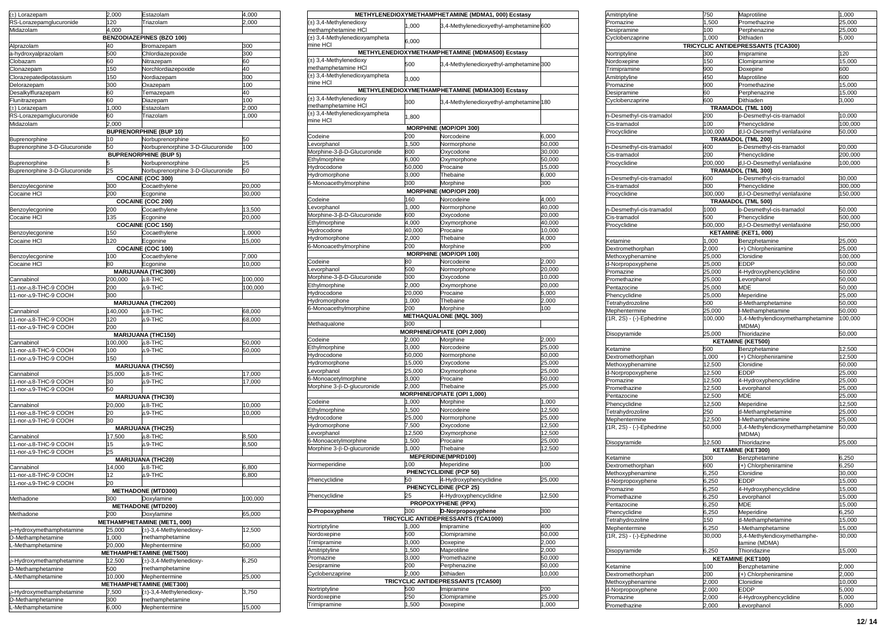| (±) Lorazepam                                | 2,000           | Estazolam                                        | 4,000     |
|----------------------------------------------|-----------------|--------------------------------------------------|-----------|
| RS-Lorazepamglucuronide                      | 120             | Triazolam                                        | 2,000     |
| Midazolam                                    | 4,000           | <b>BENZODIAZEPINES (BZO 100)</b>                 |           |
| Alprazolam                                   | 40              | Bromazepam                                       | 300       |
| a-hydroxyalprazolam                          | 500             | Chlordiazepoxide                                 | 300       |
| Clobazam                                     | 60              | Nitrazepam                                       | 60        |
| Clonazepam                                   | 150             | Norchlordiazepoxide                              | 40        |
| Clorazepatedipotassium                       | 150             | Nordiazepam                                      | 300       |
| Delorazepam                                  | 300             | Oxazepam                                         | 100       |
| Desalkylflurazepam<br>Flunitrazepam          | 60<br>60        | Temazepam<br>Diazepam                            | 40<br>100 |
| (±) Lorazepam                                | 1,000           | Estazolam                                        | 2,000     |
| RS-Lorazepamglucuronide                      | 60              | Triazolam                                        | 1,000     |
| Midazolam                                    | 2,000           |                                                  |           |
|                                              |                 | <b>BUPRENORPHINE (BUP 10)</b>                    |           |
| Buprenorphine                                | 10              | Norbuprenorphine                                 | 50        |
| Buprenorphine 3-D-Glucuronide                | 50              | Norbuprenorphine 3-D-Glucuronide                 | 100       |
| Buprenorphine                                |                 | <b>BUPRENORPHINE (BUP 5)</b><br>Norbuprenorphine | 25        |
| Buprenorphine 3-D-Glucuronide                | 25              | Norbuprenorphine 3-D-Glucuronide                 | 50        |
|                                              |                 | COCAINE (COC 300)                                |           |
| Benzoylecgonine                              | 300             | Cocaethylene                                     | 20,000    |
| Cocaine HCI                                  | 200             | Ecgonine                                         | 30,000    |
|                                              |                 | COCAINE (COC 200)                                |           |
| Benzoylecgonine                              | 200             | Cocaethylene                                     | 13,500    |
| Cocaine HCI                                  | 135             | Ecgonine<br><b>COCAINE (COC 150)</b>             | 20,000    |
| Benzoylecgonine                              | 150             | Cocaethylene                                     | 1,0000    |
| Cocaine HCI                                  | 120             | Ecgonine                                         | 15,000    |
|                                              |                 | COCAINE (COC 100)                                |           |
| Benzoylecgonine                              | 100             | Cocaethylene                                     | 7,000     |
| Cocaine HCI                                  | 80              | Ecgonine                                         | 10,000    |
|                                              |                 | <b>MARIJUANA (THC300)</b>                        |           |
| Cannabinol<br>11-nor-△8-THC-9 COOH           | 200,000<br>200  | $\triangle$ 8-THC<br>$\triangle$ 9-THC           | 100,000   |
| 11-nor-∆9-THC-9 COOH                         | 300             |                                                  | 100,000   |
|                                              |                 | <b>MARIJUANA (THC200)</b>                        |           |
| Cannabinol                                   | 140,000         | $\triangle$ 8-THC                                | 68,000    |
| 11-nor-△8-THC-9 COOH                         | 120             | $\triangle$ 9-THC                                | 68,000    |
| 11-nor-△9-THC-9 COOH                         | 200             |                                                  |           |
|                                              |                 | <b>MARIJUANA (THC150)</b>                        |           |
| Cannabinol                                   | 100,000         | $\triangle$ 8-THC                                | 50,000    |
| 11-nor-△8-THC-9 COOH<br>11-nor-∆9-THC-9 COOH | 100<br>150      | $\triangle$ 9-THC                                | 50,000    |
|                                              |                 | <b>MARIJUANA (THC50)</b>                         |           |
| Cannabinol                                   | 35,000          | ∆8-THC                                           | 17,000    |
| 11-nor-A8-THC-9 COOH                         | 30              | $\triangle$ 9-THC                                | 17,000    |
| 11-nor-△9-THC-9 COOH                         | 50              |                                                  |           |
|                                              |                 | <b>MARIJUANA (THC30)</b>                         |           |
| Cannabinol                                   | 20,000<br>20    | ∆8-THC                                           | 10,000    |
| 11-nor-△8-THC-9 COOH<br>11-nor-△9-THC-9 COOH | 30              | ∆9-THC                                           | 10,000    |
|                                              |                 | <b>MARIJUANA (THC25)</b>                         |           |
| Cannabinol                                   | 17,500          | $\triangle$ 8-THC                                | 8,500     |
| 11-nor-△8-THC-9 COOH                         | 15              | $\triangle$ 9-THC                                | 8,500     |
| 11-nor-A9-THC-9 COOH                         | 25              |                                                  |           |
|                                              |                 | <b>MARIJUANA (THC20)</b>                         |           |
| Cannabinol                                   | 14,000<br>12    | $\triangle$ 8-THC<br>$\triangle$ 9-THC           | 6,800     |
| 11-nor-∆8-THC-9 COOH<br>11-nor-∆9-THC-9 COOH | 20              |                                                  | 6,800     |
|                                              |                 | <b>METHADONE (MTD300)</b>                        |           |
| Methadone                                    | 300             | Doxylamine                                       | 100,000   |
|                                              |                 | <b>METHADONE (MTD200)</b>                        |           |
| Methadone                                    | 200             | Doxylamine                                       | 65,000    |
|                                              |                 | METHAMPHETAMINE (MET1, 000)                      |           |
| p-Hydroxymethamphetamine                     | 25,000          | (±)-3,4-Methylenedioxy-                          | 12,500    |
| D-Methamphetamine<br>L-Methamphetamine       | 1,000<br>20,000 | methamphetamine<br>Mephentermine                 |           |
|                                              |                 | METHAMPHETAMINE (MET500)                         | 50,000    |
| p-Hydroxymethamphetamine                     | 12,500          | (±)-3,4-Methylenedioxy-                          | 6,250     |
| D-Methamphetamine                            | 500             | methamphetamine                                  |           |
| L-Methamphetamine                            | 10,000          | Mephentermine                                    | 25,000    |
|                                              |                 | METHAMPHETAMINE (MET300)                         |           |
| p-Hydroxymethamphetamine                     | 7,500           | (±)-3,4-Methylenedioxy-                          | 3,750     |
| D-Methamphetamine                            | 300             | methamphetamine                                  |           |
| L-Methamphetamine                            | 6,000           | Mephentermine                                    | 15,000    |

|                               |                 | METHYLENEDIOXYMETHAMPHETAMINE (MDMA1, 000) Ecstasy |        |
|-------------------------------|-----------------|----------------------------------------------------|--------|
| $(\pm)$ 3,4-Methylenedioxy    |                 |                                                    |        |
| methamphetamine HCI           | 1,000           | 3,4-Methylenedioxyethyl-amphetamine 600            |        |
| (±) 3,4-Methylenedioxyampheta |                 |                                                    |        |
| mine HCl                      | 6,000           |                                                    |        |
|                               |                 | METHYLENEDIOXYMETHAMPHETAMINE (MDMA500) Ecstasy    |        |
| $(\pm)$ 3,4-Methylenedioxy    |                 |                                                    |        |
| methamphetamine HCI           | 500             | 3,4-Methylenedioxyethyl-amphetamine 300            |        |
| (±) 3,4-Methylenedioxyampheta |                 |                                                    |        |
| mine HCl                      | 3,000           |                                                    |        |
|                               |                 | METHYLENEDIOXYMETHAMPHETAMINE (MDMA300) Ecstasy    |        |
| $(\pm)$ 3,4-Methylenedioxy    |                 |                                                    |        |
| methamphetamine HCI           | 300             | 3,4-Methylenedioxyethyl-amphetamine 180            |        |
| (±) 3,4-Methylenedioxyampheta |                 |                                                    |        |
| mine HCl                      | 1,800           |                                                    |        |
|                               |                 | <b>MORPHINE (MOP/OPI 300)</b>                      |        |
| Codeine                       | 200             | Norcodeine                                         | 6,000  |
| evorphanol                    | 1,500           | Normorphone                                        | 50,000 |
| Morphine-3-ß-D-Glucuronide    | 800             | Oxvcodone                                          | 30,000 |
| Ethylmorphine                 | 6,000           | Oxymorphone                                        | 50,000 |
| <b>Hydrocodone</b>            | 50,000          | Procaine                                           | 15,000 |
| <b>Hydromorphone</b>          | 3,000           | Thebaine                                           | 6,000  |
| 6-Monoacethylmorphine         | 300             | Morphine                                           | 300    |
|                               | <b>MORPHINE</b> | (MOP/OPI 200)                                      |        |
|                               | 160             |                                                    |        |
| Codeine                       |                 | Norcodeine                                         | 4,000  |
| evorphanol                    | 1,000           | Normorphone                                        | 40,000 |
| Morphine-3-β-D-Glucuronide    | 600             | Oxycodone                                          | 20.000 |
| Ethylmorphine                 | 4,000           | Oxymorphone                                        | 40,000 |
| <b>Hydrocodone</b>            | 40,000          | Procaine                                           | 10.000 |
| Hydromorphone                 | 2,000           | Thebaine                                           | 4,000  |
| 6-Monoacethylmorphine         | 200             | Morphine                                           | 200    |
|                               | <b>MORPHINE</b> | (MOP/OPI 100)                                      |        |
| Codeine                       | 80              | Norcodeine                                         | 2,000  |
| evorphanol                    | 500             | Normorphone                                        | 20.000 |
| Morphine-3-β-D-Glucuronide    | 300             | Oxycodone                                          | 10,000 |
| Ethylmorphine                 | 2,000           | Oxymorphone                                        | 20,000 |
| Hydrocodone                   | 20,000          | Procaine                                           | 5,000  |
| <b>Hydromorphone</b>          | 1,000           | Thebaine                                           | 2,000  |
| 6-Monoacethylmorphine         | 200             | Morphine                                           | 100    |
|                               |                 | <b>METHAQUALONE (MQL 300)</b>                      |        |
| Methaqualone                  | 300             |                                                    |        |
|                               |                 | MORPHINE/OPIATE (OPI 2,000)                        |        |
| Codeine                       | 2,000           | Morphine                                           | 2,000  |
| Ethylmorphine                 | 3,000           | Norcodeine                                         | 25,000 |
| Hydrocodone                   | 50,000          | Normorphone                                        | 50,000 |
| <b>Hydromorphone</b>          | 15,000          | Oxycodone                                          | 25,000 |
| evorphanol                    | 25,000          | Oxymorphone                                        | 25,000 |
| 6-Monoacetylmorphine          | 3,000           | Procaine                                           | 50,000 |
| Morphine 3-β-D-glucuronide    | 2,000           | Thebaine                                           | 25,000 |
|                               |                 | MORPHINE/OPIATE (OPI 1,000)                        |        |
|                               |                 |                                                    |        |
| Codeine                       | 1,000           | Morphine                                           | 1,000  |
| Ethylmorphine                 | 1,500           | Norcodeine                                         | 12,500 |
| <i><b>lydrocodone</b></i>     | 25,000          | Normorphone                                        | 25,000 |
| <b>Hydromorphone</b>          | 7,500           | Oxycodone                                          | 12,500 |
| evorphanol                    | 12,500          | Oxymorphone                                        | 12,500 |
| 6-Monoacetylmorphine          | 1,500           | Procaine                                           | 25,000 |
| Morphine 3-β-D-glucuronide    | 1.000           | Thebaine                                           | 12,500 |
|                               |                 | MEPERIDINE(MPRD100)                                |        |
| Vormeperidine                 | 100             | Meperidine                                         | 100    |
|                               |                 | PHENCYCLIDINE (PCP 50)                             |        |
| Phencyclidine                 | 50              | 4-Hydroxyphencyclidine                             | 25.000 |
|                               |                 | PHENCYCLIDINE (PCP 25)                             |        |
| Phencyclidine                 | 25              | 4-Hydroxyphencyclidine                             | 12,500 |
|                               |                 | PROPOXYPHENE (PPX)                                 |        |
| D-Propoxyphene                | 300             | D-Norpropoxyphene                                  | 300    |
|                               |                 | TRICYCLIC ANTIDEPRESSANTS (TCA1000)                |        |
| Nortriptyline                 | 1,000           | Imipramine                                         | 400    |
| Nordoxepine                   | 500             | Clomipramine                                       | 50,000 |
| Trimipramine                  | 3,000           | Doxepine                                           | 2,000  |
| Amitriptyline                 | 1,500           | Maprotiline                                        | 2,000  |
| Promazine                     | 3,000           | Promethazine                                       | 50,000 |
| Desipramine                   | 200             | Perphenazine                                       | 50,000 |
| Cyclobenzaprine               | 2,000           | Dithiaden                                          | 10,000 |
|                               |                 | TRICYCLIC ANTIDEPRESSANTS (TCA500)                 |        |
| Nortriptyline                 | 500             | Imipramine                                         | 200    |
| Nordoxepine                   | 250             | Clomipramine                                       | 25,000 |
| Trimipramine                  | 1,500           | Doxepine                                           | 1,000  |
|                               |                 |                                                    |        |

| Amitriptyline            | 750     | Maprotiline                        | 1,000   |
|--------------------------|---------|------------------------------------|---------|
| Promazine                | 1,500   | Promethazine                       | 25,000  |
| Desipramine              | 100     | Perphenazine                       | 25,000  |
| Cyclobenzaprine          | 1,000   | Dithiaden                          | 5,000   |
|                          |         | TRICYCLIC ANTIDEPRESSANTS (TCA300) |         |
| Nortriptyline            | 300     | Imipramine                         | 120     |
| Nordoxepine              | 150     | Clomipramine                       | 15,000  |
| Trimipramine             | 900     | Doxepine                           | 600     |
|                          |         |                                    |         |
| Amitriptyline            | 450     | Maprotiline                        | 600     |
| Promazine                | 900     | Promethazine                       | 15,000  |
| Desipramine              | 60      | Perphenazine                       | 15,000  |
| Cyclobenzaprine          | 600     | Dithiaden                          | 3,000   |
|                          |         | TRAMADOL (TML 100)                 |         |
| n-Desmethyl-cis-tramadol | 200     | o-Desmethyl-cis-tramadol           | 10,000  |
| Cis-tramadol             | 100     | Phencyclidine                      | 100.000 |
| Procyclidine             | 100,000 | d,I-O-Desmethyl venlafaxine        | 50,000  |
|                          |         | <b>TRAMADOL (TML 200)</b>          |         |
| n-Desmethyl-cis-tramadol | 400     | o-Desmethyl-cis-tramadol           | 20,000  |
| Cis-tramadol             | 200     | Phencyclidine                      | 200,000 |
| Procyclidine             | 200,000 | d,I-O-Desmethyl venlafaxine        | 100,000 |
|                          |         | TRAMADOL (TML 300)                 |         |
| n-Desmethyl-cis-tramadol | 600     | o-Desmethyl-cis-tramadol           | 30,000  |
| Cis-tramadol             | 300     | Phencyclidine                      | 300,000 |
| Procyclidine             | 300,000 | d,I-O-Desmethyl venlafaxine        | 150,000 |
|                          |         | <b>TRAMADOL (TML 500)</b>          |         |
| n-Desmethyl-cis-tramadol | 1000    | o-Desmethyl-cis-tramadol           | 50,000  |
| Cis-tramadol             | 500     | Phencyclidine                      | 500,000 |
| Procyclidine             | 500,000 | d,I-O-Desmethyl venlafaxine        | 250,000 |
|                          |         | <b>KETAMINE (KET1, 000)</b>        |         |
| Ketamine                 | 1,000   | Benzphetamine                      | 25,000  |
| Dextromethorphan         | 2.000   | (+) Chlorpheniramine               | 25,000  |
| Methoxyphenamine         | 25,000  | Clonidine                          | 100,000 |
| d-Norpropoxyphene        | 25,000  | EDDP                               | 50,000  |
| Promazine                | 25,000  | 4-Hydroxyphencyclidine             | 50,000  |
| Promethazine             | 25,000  | Levorphanol                        | 50,000  |
| Pentazocine              | 25,000  | MDE                                | 50,000  |
| Phencyclidine            | 25,000  | Meperidine                         | 25,000  |
| Tetrahydrozoline         | 500     | d-Methamphetamine                  | 50,000  |
| Mephentermine            | 25,000  | I-Methamphetamine                  | 50.000  |
| (1R, 2S) - (-)-Ephedrine | 100,000 | 3,4-Methylendioxymethamphetamine   | 100,000 |
|                          |         | (MDMA)                             |         |
| Disopyramide             | 25,000  | Thioridazine                       | 50,000  |
|                          |         | <b>KETAMINE (KET500)</b>           |         |
| Ketamine                 | 500     | Benzphetamine                      | 12,500  |
| Dextromethorphan         | 1,000   | (+) Chlorpheniramine               | 12,500  |
| Methoxyphenamine         | 12,500  | Clonidine                          | 50,000  |
| d-Norpropoxyphene        | 12,500  | EDDP                               | 25,000  |
| Promazine                | 12,500  | 4-Hydroxyphencyclidine             | 25,000  |
| Promethazine             | 12,500  | Levorphanol                        | 25,000  |
| Pentazocine              | 12,500  | MDE                                | 25,000  |
| Phencyclidine            | 12,500  | Meperidine                         | 12,500  |
| Tetrahydrozoline         | 250     | d-Methamphetamine                  | 25,000  |
| Mephentermine            | 12,500  | -Methamphetamine                   | 25,000  |
| (1R, 2S) - (-)-Ephedrine | 50,000  | 3,4-Methylendioxymethamphetamine   | 50,000  |
|                          |         | (MDMA)                             |         |
| Disopyramide             | 12,500  | Thioridazine                       | 25,000  |
|                          |         | <b>KETAMINE (KET300)</b>           |         |
| Ketamine                 | 300     | Benzphetamine                      | 6,250   |
| Dextromethorphan         | 600     | (+) Chlorpheniramine               | 6,250   |
| Methoxyphenamine         | 6,250   | Clonidine                          | 30,000  |
| d-Nornronoxynhene        | 6.250   | <b>EDDP</b>                        | 15.000  |
| Promazine                | 6,250   | 4-Hydroxyphencyclidine             | 15,000  |
| Promethazine             | 6,250   | evorphanol                         | 15,000  |
| Pentazocine              | 6,250   | MDE                                | 15,000  |
| Phencyclidine            | 6,250   | Meperidine                         | 6,250   |
| Tetrahydrozoline         | 150     | d-Methamphetamine                  | 15,000  |
| Mephentermine            | 6,250   | I-Methamphetamine                  | 15,000  |
| (1R, 2S) - (-)-Ephedrine | 30,000  | 3,4-Methylendioxymethamphe-        | 30,000  |
|                          |         | tamine (MDMA)                      |         |
| Disopyramide             | 6,250   | Thioridazine                       | 15,000  |
|                          |         | <b>KETAMINE (KET100)</b>           |         |
| Ketamine                 | 100     | Benzphetamine                      | 2,000   |
| Dextromethorphan         | 200     | +) Chlorpheniramine                | 2,000   |
| Methoxyphenamine         | 2,000   | Clonidine                          | 10,000  |
| d-Norpropoxyphene        | 2,000   | EDDP                               | 5,000   |
| Promazine                | 2,000   | 4-Hydroxyphencyclidine             | 5,000   |
| Promethazine             | 2,000   | evorphanol                         | 5,000   |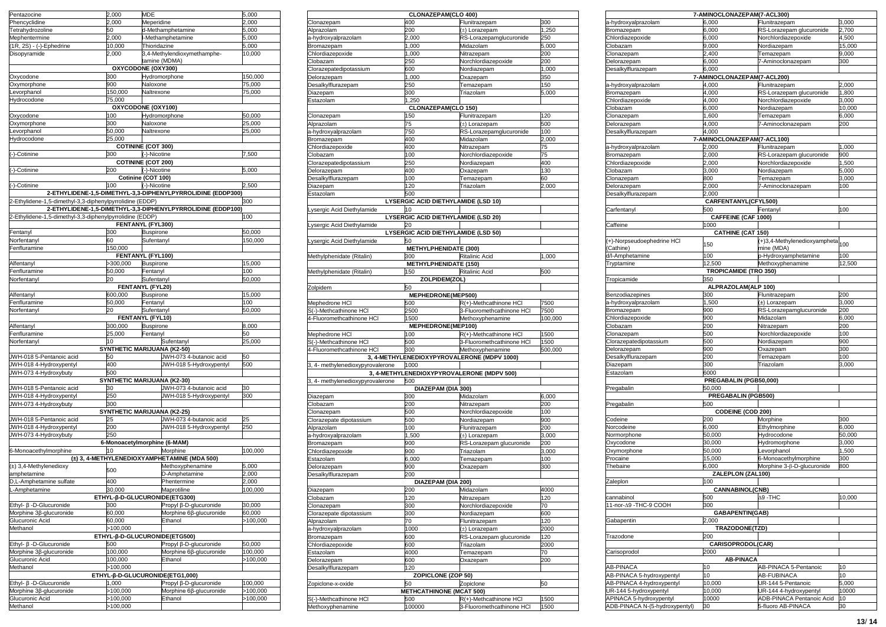| Pentazocine                                                           | 2,000                         | MDE              |                                                             | 5,000    |
|-----------------------------------------------------------------------|-------------------------------|------------------|-------------------------------------------------------------|----------|
| Phencyclidine                                                         | 2,000                         | Meperidine       |                                                             | 2,000    |
| Tetrahydrozoline                                                      | 50                            |                  | d-Methamphetamine                                           | 5,000    |
|                                                                       | 2,000                         |                  | I-Methamphetamine                                           | 5,000    |
| Mephentermine<br>(1R, 2S) - (-)-Ep<br>1R, 2S) - (-)-Ephedrine         | 10,000                        | Thioridazine     |                                                             | 5,000    |
| Disopyramide                                                          | 2,000                         |                  | 3,4-Methylendioxymethamphe-                                 | 10,000   |
|                                                                       |                               |                  | tamine (MDMA)                                               |          |
|                                                                       | OXYCODONE (OXY300)            |                  |                                                             |          |
| Oxycodone                                                             | 300                           |                  | Hydromorphone                                               | 150,000  |
| Oxymorphone                                                           | 900                           | Naloxone         |                                                             | 75,000   |
| evorphanol                                                            | 150,000                       | Naltrexone       |                                                             | 75,000   |
| Hydrocodone                                                           | 75,000                        |                  |                                                             |          |
|                                                                       | OXYCODONE (OXY100)            |                  |                                                             |          |
| Oxycodone                                                             | 100                           |                  | Hydromorphone                                               | 50,000   |
| Oxymorphone                                                           | 300                           | Naloxone         |                                                             | 25,000   |
| evorphanol.                                                           | 50,000                        | Naltrexone       |                                                             | 25,000   |
| <b>Hydrocodone</b>                                                    | 25,000                        |                  |                                                             |          |
|                                                                       | <b>COTININE (COT 300)</b>     |                  |                                                             |          |
| (-)-Cotinine                                                          | 300                           | (-)-Nicotine     |                                                             | 7,500    |
|                                                                       | <b>COTININE (COT 200)</b>     |                  |                                                             |          |
| (-)-Cotinine                                                          | 200                           | (-)-Nicotine     |                                                             | 5,000    |
|                                                                       | Cotinine (COT 100)            |                  |                                                             |          |
| -)-Cotinine                                                           | 100                           | (-)-Nicotine     |                                                             | 2.500    |
|                                                                       |                               |                  | 2-ETHYLIDENE-1,5-DIMETHYL-3,3-DIPHENYLPYRROLIDINE (EDDP300) |          |
| 2-Ethylidene-1,5-dimethyl-3,3-diphenylpyrrolidine (EDDP)              |                               |                  |                                                             | 300      |
|                                                                       |                               |                  | 2-ETHYLIDENE-1,5-DIMETHYL-3,3-DIPHENYLPYRROLIDINE (EDDP100) |          |
| 2-Ethylidene-1,5-dimethyl-3,3-diphenylpyrrolidine (EDDP)              |                               |                  |                                                             | 100      |
|                                                                       | FENTANYL (FYL300)             |                  |                                                             |          |
| Fentanyl                                                              | 300                           | <b>Buspirone</b> |                                                             | 50,000   |
| <b>Norfentanyl</b>                                                    | 60                            | Sufentanyl       |                                                             | 150,000  |
| Fenfluramine                                                          | 150,000                       |                  |                                                             |          |
|                                                                       | FENTANYL (FYL100)             |                  |                                                             |          |
| Alfentanyl                                                            | >300,000                      | <b>Buspirone</b> |                                                             | 15,000   |
| enfluramine                                                           | 50,000                        | Fentanyl         |                                                             | 100      |
| Vorfentanyl                                                           | 20                            | Sufentanyl       |                                                             | 50,000   |
|                                                                       | <b>FENTANYL (FYL20)</b>       |                  |                                                             |          |
| Alfentanyl                                                            | 600,000                       | <b>Buspirone</b> |                                                             | 15.000   |
| <b>Fenfluramine</b>                                                   | 50,000                        | Fentanvl         |                                                             | 100      |
| Vorfentanyl                                                           | 2٥                            | Sufentanyl       |                                                             | 50,000   |
|                                                                       | FENTANYL (FYL10)              |                  |                                                             |          |
| Alfentanyl                                                            | 300,000                       | <b>Buspirone</b> |                                                             | 8,000    |
| enfluramine                                                           | 25,000                        | Fentanyl         |                                                             | 50       |
| <b>Norfentanyl</b>                                                    | 10                            |                  | Sufentanyl                                                  | 25,000   |
|                                                                       | SYNTHETIC MARIJUANA (K2-50)   |                  |                                                             |          |
|                                                                       |                               |                  |                                                             |          |
| JWH-018 5-Pentanoic acid                                              | 50                            |                  | JWH-073 4-butanoic acid                                     | 50       |
| JWH-018 4-Hydroxypentyl                                               | 400                           |                  | JWH-018 5-Hydroxypentyl                                     | 500      |
| JWH-073 4-Hydroxybuty                                                 | 500                           |                  |                                                             |          |
|                                                                       | SYNTHETIC MARIJUANA (K2-30)   |                  |                                                             |          |
| JWH-018 5-Pentanoic acid                                              | 30                            |                  | JWH-073 4-butanoic acid                                     | 30       |
| JWH-018 4-Hydroxypentyl                                               | 250                           |                  | JWH-018 5-Hydroxypentyl                                     | 300      |
| JWH-073 4-Hydroxybuty                                                 | 300                           |                  |                                                             |          |
|                                                                       | SYNTHETIC MARIJUANA (K2-25)   |                  |                                                             |          |
| JWH-018 5-Pentanoic acid                                              | 25                            |                  | JWH-073 4-butanoic acid                                     | 25       |
| JWH-018 4-Hydroxypentyl                                               | 200                           |                  | JWH-018 5-Hydroxypentyl                                     | 250      |
| JWH-073 4-Hydroxybuty                                                 | 250                           |                  |                                                             |          |
|                                                                       | 6-Monoacetylmorphine (6-MAM)  |                  |                                                             |          |
| 6-Monoacethylmorphine                                                 |                               |                  | Morphine                                                    | 100,000  |
|                                                                       |                               |                  | (±) 3, 4-METHYLENEDIOXYAMPHETAMINE (MDA 500)                |          |
| (±) 3,4-Methylenedioxy                                                | 500                           |                  | Methoxyphenamine                                            | 5,000    |
| amphetamine                                                           |                               |                  | D-Amphetamine                                               | 2,000    |
| D,L-Amphetamine sulfate<br>L-Amphetamine                              | 400                           |                  | Phentermine                                                 | 2,000    |
| -Amphetamine                                                          | 30,000                        |                  | Maprotiline                                                 | 100,000  |
|                                                                       | ETHYL-β-D-GLUCURONIDE(ETG300) |                  |                                                             |          |
| Ethyl- β -D-Glucuronide                                               | 300                           |                  | Propyl ß-D-glucuronide                                      | 30,000   |
| Morphine 3β-glucuronide                                               | 60,000                        |                  | Morphine 6β-glucuronide                                     | 60,000   |
|                                                                       | 60,000                        |                  | Ethanol                                                     | -100,000 |
| Glucuronic Acid<br>Methanol                                           | >100,000                      |                  |                                                             |          |
|                                                                       | ETHYL-β-D-GLUCURONIDE(ETG500) |                  |                                                             |          |
| Ethyl- β -D-Glucuronide                                               | 500                           |                  | Propyl ß-D-glucuronide                                      | 50,000   |
| Morphine 3β-glucuronide                                               | 100,000                       |                  | Morphine 6β-glucuronide                                     | 100,000  |
| Glucuronic Acid                                                       | 100,000                       |                  | Ethanol                                                     | -100,000 |
| Methanol                                                              | >100,000                      |                  |                                                             |          |
|                                                                       |                               |                  | ETHYL-β-D-GLUCURONIDE(ETG1,000)                             |          |
|                                                                       | 1,000                         |                  | Propyl ß-D-glucuronide                                      | 100,000  |
|                                                                       | >100,000                      |                  | Morphine 6β-glucuronide                                     | >100,000 |
| Ethyl- β -D-Glucuronide<br>Morphine 3β-glucuronide<br>Glucuronic Acid | >100,000                      |                  | Ethanol                                                     | >100,000 |
| Methanol                                                              | >100,000                      |                  |                                                             |          |
|                                                                       |                               |                  |                                                             |          |

|                                  | CLONAZEPAM(CLO 400)                 |                                             |         |
|----------------------------------|-------------------------------------|---------------------------------------------|---------|
| Clonazepam                       | 400                                 | Flunitrazepam                               | 300     |
| Alprazolam                       | 200                                 | (±) Lorazepam                               | 1,250   |
| a-hydroxyalprazolam              | 2,000                               | RS-Lorazepamglucuronide                     | 250     |
| Bromazepam                       | 1,000                               | Midazolam                                   | 5,000   |
| Chlordiazepoxide                 | 1,000                               | Nitrazepam                                  | 200     |
| Clobazam                         | 250                                 | Norchlordiazepoxide                         | 200     |
| Clorazepatedipotassium           | 500                                 | Nordiazepam                                 | 1,000   |
| Delorazepam                      | 1,000                               | Oxazepam                                    | 350     |
| Desalkvlflurazepam               | 250                                 | Temazepam                                   | 150     |
| Diazepam                         | 300                                 | Triazolam                                   | 5,000   |
| Estazolam                        | 1,250                               |                                             |         |
|                                  | <b>CLONAZEPAM(CLO 150)</b>          |                                             |         |
| Clonazepam                       | 150                                 | Flunitrazepam                               | 120     |
|                                  |                                     |                                             |         |
| Alprazolam                       | 75                                  | (±) Lorazepam                               | 500     |
| a-hydroxyalprazolam              | 750                                 | RS-Lorazepamglucuronide                     | 100     |
| Bromazepam                       | 400                                 | Midazolam                                   | 2,000   |
| Chlordiazepoxide                 | 400                                 | Nitrazepam                                  | 75      |
| Clobazam                         | 100                                 | Norchlordiazepoxide                         | 75      |
| Clorazepatedipotassium           | 250                                 | Nordiazepam                                 | 400     |
| Delorazepam                      | 400                                 | Oxazepam                                    | 130     |
| Desalkylflurazepam               | 100                                 | Temazepam                                   | 60      |
| Diazepam                         | 120                                 | Triazolam                                   | 2.000   |
| Estazolam                        | 500                                 |                                             |         |
|                                  | LYSERGIC ACID DIETHYLAMIDE (LSD 10) |                                             |         |
|                                  |                                     |                                             |         |
| ysergic Acid Diethylamide        | 10                                  |                                             |         |
|                                  | LYSERGIC ACID DIETHYLAMIDE (LSD 20) |                                             |         |
| ysergic Acid Diethylamide        | 20                                  |                                             |         |
|                                  | LYSERGIC ACID DIETHYLAMIDE (LSD 50) |                                             |         |
| ysergic Acid Diethylamide        | 50                                  |                                             |         |
|                                  | <b>METHYLPHENIDATE (300)</b>        |                                             |         |
| Methylphenidate (Ritalin)        | 300                                 | <b>Ritalinic Acid</b>                       | 1.000   |
|                                  | <b>METHYLPHENIDATE (150)</b>        |                                             |         |
| Methylphenidate (Ritalin)        | 150                                 | <b>Ritalinic Acid</b>                       | 500     |
|                                  | ZOLPIDEM(ZOL)                       |                                             |         |
| Zolpidem                         | 50                                  |                                             |         |
|                                  |                                     |                                             |         |
|                                  | MEPHEDRONE(MEP500)                  |                                             |         |
| Mephedrone HCI                   | 500                                 | R(+)-Methcathinone HCI                      | 7500    |
| S(-)-Methcathinone HCI           | 2500                                | 3-Fluoromethcathinone HCI                   | 7500    |
| 4-Fluoromethcathinone HCI        | 1500                                | Methoxyphenamine                            | 100,000 |
|                                  | MEPHEDRONE(MEP100)                  |                                             |         |
| Mephedrone HCI                   | 100                                 | R(+)-Methcathinone HCI                      | 1500    |
| S(-)-Methcathinone HCI           | 500                                 | 3-Fluoromethcathinone HCI                   | 1500    |
| 4-Fluoromethcathinone HCI        | 300                                 | Methoxyphenamine                            | 500,000 |
|                                  |                                     | 3, 4-METHYLENEDIOXYPYROVALERONE (MDPV 1000) |         |
| 3, 4- methylenedioxypyrovalerone | 1000                                |                                             |         |
|                                  |                                     | 3, 4-METHYLENEDIOXYPYROVALERONE (MDPV 500)  |         |
|                                  |                                     |                                             |         |
| 3, 4- methylenedioxypyrovalerone | 500                                 |                                             |         |
|                                  | DIAZEPAM (DIA 300)                  |                                             |         |
| Diazepam                         | 300                                 | Midazolam                                   | 6,000   |
| Clobazam                         | 200                                 | Nitrazepam                                  | 200     |
| Clonazepam                       | 500                                 | Norchlordiazepoxide                         | 100     |
| Clorazepate dipotassium          | 500                                 | Nordiazepam                                 | 900     |
| Alprazolam                       | 100                                 | Flunitrazepam                               | 200     |
| a-hydroxyalprazolam              | 1,500                               | (±) Lorazepam                               | 3,000   |
| <b>Bromazepam</b>                | 900                                 | RS-Lorazepam glucuronide                    | 200     |
| Chlordiazepoxide                 | 900                                 | Triazolam                                   | 3.000   |
| Estazolam                        |                                     |                                             |         |
|                                  | 6,000                               | Temazepam                                   | 100     |
| Delorazepam                      | 900                                 | Oxazepam                                    | 300     |
| Desalkylflurazepam               | 200                                 |                                             |         |
|                                  | DIAZEPAM (DIA 200)                  |                                             |         |
| Diazepam                         | 200                                 | Midazolam                                   | 4000    |
| Clobazam                         | 120                                 | Nitrazepam                                  | 120     |
| Clonazepam                       | 300                                 | Norchlordiazepoxide                         | 70      |
| Clorazepate dipotassium          | 300                                 | Nordiazepam                                 | 600     |
| Alprazolam                       | 70                                  | Flunitrazepam                               | 120     |
| a-hydroxyalprazolam              | 1000                                | (±) Lorazepam                               | 2000    |
|                                  |                                     |                                             |         |
| Bromazepam                       | 600                                 | RS-Lorazepam glucuronide                    | 120     |
| Chlordiazepoxide                 | 600                                 | Triazolam                                   | 2000    |
| Estazolam                        | 4000                                | Temazepam                                   | 70      |
| Delorazepam                      | 600                                 | Oxazepam                                    | 200     |
| Desalkylflurazepam               | 120                                 |                                             |         |
|                                  | ZOPICLONE (ZOP 50)                  |                                             |         |
| Zopiclone-x-oxide                | 50                                  | Zopiclone                                   | 50      |
|                                  | <b>METHCATHINONE (MCAT 500)</b>     |                                             |         |
| S(-)-Methcathinone HCI           | 500                                 | R(+)-Methcathinone HCI                      | 1500    |
| Methoxyphenamine                 | 100000                              | 3-Fluoromethcathinone HCI                   | 1500    |
|                                  |                                     |                                             |         |

| 6.000            | Flunitrazepam                                                                                                                                                                                                                                                                                                                                               | 3.000                                                                                                                                                                                                                                                                                                                                                                                                                                                                                                                                                                                                                                                                                                                                                                                                                                                                                                                                                                                                                                                                                                |
|------------------|-------------------------------------------------------------------------------------------------------------------------------------------------------------------------------------------------------------------------------------------------------------------------------------------------------------------------------------------------------------|------------------------------------------------------------------------------------------------------------------------------------------------------------------------------------------------------------------------------------------------------------------------------------------------------------------------------------------------------------------------------------------------------------------------------------------------------------------------------------------------------------------------------------------------------------------------------------------------------------------------------------------------------------------------------------------------------------------------------------------------------------------------------------------------------------------------------------------------------------------------------------------------------------------------------------------------------------------------------------------------------------------------------------------------------------------------------------------------------|
|                  |                                                                                                                                                                                                                                                                                                                                                             | 2,700                                                                                                                                                                                                                                                                                                                                                                                                                                                                                                                                                                                                                                                                                                                                                                                                                                                                                                                                                                                                                                                                                                |
|                  |                                                                                                                                                                                                                                                                                                                                                             | 4,500                                                                                                                                                                                                                                                                                                                                                                                                                                                                                                                                                                                                                                                                                                                                                                                                                                                                                                                                                                                                                                                                                                |
|                  |                                                                                                                                                                                                                                                                                                                                                             | 15,000                                                                                                                                                                                                                                                                                                                                                                                                                                                                                                                                                                                                                                                                                                                                                                                                                                                                                                                                                                                                                                                                                               |
|                  |                                                                                                                                                                                                                                                                                                                                                             | 9,000                                                                                                                                                                                                                                                                                                                                                                                                                                                                                                                                                                                                                                                                                                                                                                                                                                                                                                                                                                                                                                                                                                |
|                  |                                                                                                                                                                                                                                                                                                                                                             | 300                                                                                                                                                                                                                                                                                                                                                                                                                                                                                                                                                                                                                                                                                                                                                                                                                                                                                                                                                                                                                                                                                                  |
|                  |                                                                                                                                                                                                                                                                                                                                                             |                                                                                                                                                                                                                                                                                                                                                                                                                                                                                                                                                                                                                                                                                                                                                                                                                                                                                                                                                                                                                                                                                                      |
|                  |                                                                                                                                                                                                                                                                                                                                                             |                                                                                                                                                                                                                                                                                                                                                                                                                                                                                                                                                                                                                                                                                                                                                                                                                                                                                                                                                                                                                                                                                                      |
|                  |                                                                                                                                                                                                                                                                                                                                                             | 2,000                                                                                                                                                                                                                                                                                                                                                                                                                                                                                                                                                                                                                                                                                                                                                                                                                                                                                                                                                                                                                                                                                                |
|                  |                                                                                                                                                                                                                                                                                                                                                             | 1,800                                                                                                                                                                                                                                                                                                                                                                                                                                                                                                                                                                                                                                                                                                                                                                                                                                                                                                                                                                                                                                                                                                |
|                  |                                                                                                                                                                                                                                                                                                                                                             | 3,000                                                                                                                                                                                                                                                                                                                                                                                                                                                                                                                                                                                                                                                                                                                                                                                                                                                                                                                                                                                                                                                                                                |
|                  |                                                                                                                                                                                                                                                                                                                                                             |                                                                                                                                                                                                                                                                                                                                                                                                                                                                                                                                                                                                                                                                                                                                                                                                                                                                                                                                                                                                                                                                                                      |
|                  |                                                                                                                                                                                                                                                                                                                                                             | 10,000                                                                                                                                                                                                                                                                                                                                                                                                                                                                                                                                                                                                                                                                                                                                                                                                                                                                                                                                                                                                                                                                                               |
|                  |                                                                                                                                                                                                                                                                                                                                                             | 6,000                                                                                                                                                                                                                                                                                                                                                                                                                                                                                                                                                                                                                                                                                                                                                                                                                                                                                                                                                                                                                                                                                                |
|                  |                                                                                                                                                                                                                                                                                                                                                             | 200                                                                                                                                                                                                                                                                                                                                                                                                                                                                                                                                                                                                                                                                                                                                                                                                                                                                                                                                                                                                                                                                                                  |
|                  |                                                                                                                                                                                                                                                                                                                                                             |                                                                                                                                                                                                                                                                                                                                                                                                                                                                                                                                                                                                                                                                                                                                                                                                                                                                                                                                                                                                                                                                                                      |
|                  |                                                                                                                                                                                                                                                                                                                                                             |                                                                                                                                                                                                                                                                                                                                                                                                                                                                                                                                                                                                                                                                                                                                                                                                                                                                                                                                                                                                                                                                                                      |
|                  |                                                                                                                                                                                                                                                                                                                                                             | 1,000                                                                                                                                                                                                                                                                                                                                                                                                                                                                                                                                                                                                                                                                                                                                                                                                                                                                                                                                                                                                                                                                                                |
|                  |                                                                                                                                                                                                                                                                                                                                                             | 900                                                                                                                                                                                                                                                                                                                                                                                                                                                                                                                                                                                                                                                                                                                                                                                                                                                                                                                                                                                                                                                                                                  |
| 2,000            | Norchlordiazepoxide                                                                                                                                                                                                                                                                                                                                         | 1,500                                                                                                                                                                                                                                                                                                                                                                                                                                                                                                                                                                                                                                                                                                                                                                                                                                                                                                                                                                                                                                                                                                |
| 3,000            | Nordiazepam                                                                                                                                                                                                                                                                                                                                                 | 5,000                                                                                                                                                                                                                                                                                                                                                                                                                                                                                                                                                                                                                                                                                                                                                                                                                                                                                                                                                                                                                                                                                                |
| 800              | Temazepam                                                                                                                                                                                                                                                                                                                                                   | 3,000                                                                                                                                                                                                                                                                                                                                                                                                                                                                                                                                                                                                                                                                                                                                                                                                                                                                                                                                                                                                                                                                                                |
| 2,000            | 7-Aminoclonazepam                                                                                                                                                                                                                                                                                                                                           | 100                                                                                                                                                                                                                                                                                                                                                                                                                                                                                                                                                                                                                                                                                                                                                                                                                                                                                                                                                                                                                                                                                                  |
|                  |                                                                                                                                                                                                                                                                                                                                                             |                                                                                                                                                                                                                                                                                                                                                                                                                                                                                                                                                                                                                                                                                                                                                                                                                                                                                                                                                                                                                                                                                                      |
|                  |                                                                                                                                                                                                                                                                                                                                                             |                                                                                                                                                                                                                                                                                                                                                                                                                                                                                                                                                                                                                                                                                                                                                                                                                                                                                                                                                                                                                                                                                                      |
|                  |                                                                                                                                                                                                                                                                                                                                                             | 100                                                                                                                                                                                                                                                                                                                                                                                                                                                                                                                                                                                                                                                                                                                                                                                                                                                                                                                                                                                                                                                                                                  |
|                  |                                                                                                                                                                                                                                                                                                                                                             |                                                                                                                                                                                                                                                                                                                                                                                                                                                                                                                                                                                                                                                                                                                                                                                                                                                                                                                                                                                                                                                                                                      |
|                  |                                                                                                                                                                                                                                                                                                                                                             |                                                                                                                                                                                                                                                                                                                                                                                                                                                                                                                                                                                                                                                                                                                                                                                                                                                                                                                                                                                                                                                                                                      |
|                  |                                                                                                                                                                                                                                                                                                                                                             |                                                                                                                                                                                                                                                                                                                                                                                                                                                                                                                                                                                                                                                                                                                                                                                                                                                                                                                                                                                                                                                                                                      |
|                  |                                                                                                                                                                                                                                                                                                                                                             |                                                                                                                                                                                                                                                                                                                                                                                                                                                                                                                                                                                                                                                                                                                                                                                                                                                                                                                                                                                                                                                                                                      |
|                  |                                                                                                                                                                                                                                                                                                                                                             | 100                                                                                                                                                                                                                                                                                                                                                                                                                                                                                                                                                                                                                                                                                                                                                                                                                                                                                                                                                                                                                                                                                                  |
|                  |                                                                                                                                                                                                                                                                                                                                                             |                                                                                                                                                                                                                                                                                                                                                                                                                                                                                                                                                                                                                                                                                                                                                                                                                                                                                                                                                                                                                                                                                                      |
|                  |                                                                                                                                                                                                                                                                                                                                                             | 100                                                                                                                                                                                                                                                                                                                                                                                                                                                                                                                                                                                                                                                                                                                                                                                                                                                                                                                                                                                                                                                                                                  |
|                  |                                                                                                                                                                                                                                                                                                                                                             | 12.500                                                                                                                                                                                                                                                                                                                                                                                                                                                                                                                                                                                                                                                                                                                                                                                                                                                                                                                                                                                                                                                                                               |
|                  |                                                                                                                                                                                                                                                                                                                                                             |                                                                                                                                                                                                                                                                                                                                                                                                                                                                                                                                                                                                                                                                                                                                                                                                                                                                                                                                                                                                                                                                                                      |
| 350              |                                                                                                                                                                                                                                                                                                                                                             |                                                                                                                                                                                                                                                                                                                                                                                                                                                                                                                                                                                                                                                                                                                                                                                                                                                                                                                                                                                                                                                                                                      |
|                  |                                                                                                                                                                                                                                                                                                                                                             |                                                                                                                                                                                                                                                                                                                                                                                                                                                                                                                                                                                                                                                                                                                                                                                                                                                                                                                                                                                                                                                                                                      |
|                  |                                                                                                                                                                                                                                                                                                                                                             | 200                                                                                                                                                                                                                                                                                                                                                                                                                                                                                                                                                                                                                                                                                                                                                                                                                                                                                                                                                                                                                                                                                                  |
|                  |                                                                                                                                                                                                                                                                                                                                                             | 3,000                                                                                                                                                                                                                                                                                                                                                                                                                                                                                                                                                                                                                                                                                                                                                                                                                                                                                                                                                                                                                                                                                                |
|                  |                                                                                                                                                                                                                                                                                                                                                             | 200                                                                                                                                                                                                                                                                                                                                                                                                                                                                                                                                                                                                                                                                                                                                                                                                                                                                                                                                                                                                                                                                                                  |
|                  |                                                                                                                                                                                                                                                                                                                                                             | 6,000                                                                                                                                                                                                                                                                                                                                                                                                                                                                                                                                                                                                                                                                                                                                                                                                                                                                                                                                                                                                                                                                                                |
|                  |                                                                                                                                                                                                                                                                                                                                                             | 200                                                                                                                                                                                                                                                                                                                                                                                                                                                                                                                                                                                                                                                                                                                                                                                                                                                                                                                                                                                                                                                                                                  |
|                  |                                                                                                                                                                                                                                                                                                                                                             | 100                                                                                                                                                                                                                                                                                                                                                                                                                                                                                                                                                                                                                                                                                                                                                                                                                                                                                                                                                                                                                                                                                                  |
|                  |                                                                                                                                                                                                                                                                                                                                                             | 900                                                                                                                                                                                                                                                                                                                                                                                                                                                                                                                                                                                                                                                                                                                                                                                                                                                                                                                                                                                                                                                                                                  |
|                  |                                                                                                                                                                                                                                                                                                                                                             |                                                                                                                                                                                                                                                                                                                                                                                                                                                                                                                                                                                                                                                                                                                                                                                                                                                                                                                                                                                                                                                                                                      |
|                  |                                                                                                                                                                                                                                                                                                                                                             | 300                                                                                                                                                                                                                                                                                                                                                                                                                                                                                                                                                                                                                                                                                                                                                                                                                                                                                                                                                                                                                                                                                                  |
|                  |                                                                                                                                                                                                                                                                                                                                                             | 100                                                                                                                                                                                                                                                                                                                                                                                                                                                                                                                                                                                                                                                                                                                                                                                                                                                                                                                                                                                                                                                                                                  |
|                  |                                                                                                                                                                                                                                                                                                                                                             | 3,000                                                                                                                                                                                                                                                                                                                                                                                                                                                                                                                                                                                                                                                                                                                                                                                                                                                                                                                                                                                                                                                                                                |
|                  |                                                                                                                                                                                                                                                                                                                                                             |                                                                                                                                                                                                                                                                                                                                                                                                                                                                                                                                                                                                                                                                                                                                                                                                                                                                                                                                                                                                                                                                                                      |
|                  |                                                                                                                                                                                                                                                                                                                                                             |                                                                                                                                                                                                                                                                                                                                                                                                                                                                                                                                                                                                                                                                                                                                                                                                                                                                                                                                                                                                                                                                                                      |
| 50,000           |                                                                                                                                                                                                                                                                                                                                                             |                                                                                                                                                                                                                                                                                                                                                                                                                                                                                                                                                                                                                                                                                                                                                                                                                                                                                                                                                                                                                                                                                                      |
|                  |                                                                                                                                                                                                                                                                                                                                                             |                                                                                                                                                                                                                                                                                                                                                                                                                                                                                                                                                                                                                                                                                                                                                                                                                                                                                                                                                                                                                                                                                                      |
| 500              |                                                                                                                                                                                                                                                                                                                                                             |                                                                                                                                                                                                                                                                                                                                                                                                                                                                                                                                                                                                                                                                                                                                                                                                                                                                                                                                                                                                                                                                                                      |
|                  |                                                                                                                                                                                                                                                                                                                                                             |                                                                                                                                                                                                                                                                                                                                                                                                                                                                                                                                                                                                                                                                                                                                                                                                                                                                                                                                                                                                                                                                                                      |
|                  |                                                                                                                                                                                                                                                                                                                                                             | 300                                                                                                                                                                                                                                                                                                                                                                                                                                                                                                                                                                                                                                                                                                                                                                                                                                                                                                                                                                                                                                                                                                  |
|                  |                                                                                                                                                                                                                                                                                                                                                             | 6,000                                                                                                                                                                                                                                                                                                                                                                                                                                                                                                                                                                                                                                                                                                                                                                                                                                                                                                                                                                                                                                                                                                |
|                  |                                                                                                                                                                                                                                                                                                                                                             | 50.000                                                                                                                                                                                                                                                                                                                                                                                                                                                                                                                                                                                                                                                                                                                                                                                                                                                                                                                                                                                                                                                                                               |
|                  |                                                                                                                                                                                                                                                                                                                                                             | 3,000                                                                                                                                                                                                                                                                                                                                                                                                                                                                                                                                                                                                                                                                                                                                                                                                                                                                                                                                                                                                                                                                                                |
|                  |                                                                                                                                                                                                                                                                                                                                                             | 1,500                                                                                                                                                                                                                                                                                                                                                                                                                                                                                                                                                                                                                                                                                                                                                                                                                                                                                                                                                                                                                                                                                                |
|                  |                                                                                                                                                                                                                                                                                                                                                             |                                                                                                                                                                                                                                                                                                                                                                                                                                                                                                                                                                                                                                                                                                                                                                                                                                                                                                                                                                                                                                                                                                      |
|                  |                                                                                                                                                                                                                                                                                                                                                             | 300                                                                                                                                                                                                                                                                                                                                                                                                                                                                                                                                                                                                                                                                                                                                                                                                                                                                                                                                                                                                                                                                                                  |
|                  |                                                                                                                                                                                                                                                                                                                                                             | 800                                                                                                                                                                                                                                                                                                                                                                                                                                                                                                                                                                                                                                                                                                                                                                                                                                                                                                                                                                                                                                                                                                  |
|                  |                                                                                                                                                                                                                                                                                                                                                             |                                                                                                                                                                                                                                                                                                                                                                                                                                                                                                                                                                                                                                                                                                                                                                                                                                                                                                                                                                                                                                                                                                      |
|                  |                                                                                                                                                                                                                                                                                                                                                             |                                                                                                                                                                                                                                                                                                                                                                                                                                                                                                                                                                                                                                                                                                                                                                                                                                                                                                                                                                                                                                                                                                      |
|                  |                                                                                                                                                                                                                                                                                                                                                             |                                                                                                                                                                                                                                                                                                                                                                                                                                                                                                                                                                                                                                                                                                                                                                                                                                                                                                                                                                                                                                                                                                      |
| 500              | Δ9 -THC                                                                                                                                                                                                                                                                                                                                                     | 10,000                                                                                                                                                                                                                                                                                                                                                                                                                                                                                                                                                                                                                                                                                                                                                                                                                                                                                                                                                                                                                                                                                               |
| 300              |                                                                                                                                                                                                                                                                                                                                                             |                                                                                                                                                                                                                                                                                                                                                                                                                                                                                                                                                                                                                                                                                                                                                                                                                                                                                                                                                                                                                                                                                                      |
|                  |                                                                                                                                                                                                                                                                                                                                                             |                                                                                                                                                                                                                                                                                                                                                                                                                                                                                                                                                                                                                                                                                                                                                                                                                                                                                                                                                                                                                                                                                                      |
|                  |                                                                                                                                                                                                                                                                                                                                                             |                                                                                                                                                                                                                                                                                                                                                                                                                                                                                                                                                                                                                                                                                                                                                                                                                                                                                                                                                                                                                                                                                                      |
|                  |                                                                                                                                                                                                                                                                                                                                                             |                                                                                                                                                                                                                                                                                                                                                                                                                                                                                                                                                                                                                                                                                                                                                                                                                                                                                                                                                                                                                                                                                                      |
|                  |                                                                                                                                                                                                                                                                                                                                                             |                                                                                                                                                                                                                                                                                                                                                                                                                                                                                                                                                                                                                                                                                                                                                                                                                                                                                                                                                                                                                                                                                                      |
|                  |                                                                                                                                                                                                                                                                                                                                                             |                                                                                                                                                                                                                                                                                                                                                                                                                                                                                                                                                                                                                                                                                                                                                                                                                                                                                                                                                                                                                                                                                                      |
|                  |                                                                                                                                                                                                                                                                                                                                                             |                                                                                                                                                                                                                                                                                                                                                                                                                                                                                                                                                                                                                                                                                                                                                                                                                                                                                                                                                                                                                                                                                                      |
|                  |                                                                                                                                                                                                                                                                                                                                                             |                                                                                                                                                                                                                                                                                                                                                                                                                                                                                                                                                                                                                                                                                                                                                                                                                                                                                                                                                                                                                                                                                                      |
| 2000             |                                                                                                                                                                                                                                                                                                                                                             |                                                                                                                                                                                                                                                                                                                                                                                                                                                                                                                                                                                                                                                                                                                                                                                                                                                                                                                                                                                                                                                                                                      |
| <b>AB-PINACA</b> |                                                                                                                                                                                                                                                                                                                                                             |                                                                                                                                                                                                                                                                                                                                                                                                                                                                                                                                                                                                                                                                                                                                                                                                                                                                                                                                                                                                                                                                                                      |
| 10               | AB-PINACA 5-Pentanoic                                                                                                                                                                                                                                                                                                                                       | 10                                                                                                                                                                                                                                                                                                                                                                                                                                                                                                                                                                                                                                                                                                                                                                                                                                                                                                                                                                                                                                                                                                   |
| 10               | AB-FUBINACA                                                                                                                                                                                                                                                                                                                                                 | 10                                                                                                                                                                                                                                                                                                                                                                                                                                                                                                                                                                                                                                                                                                                                                                                                                                                                                                                                                                                                                                                                                                   |
| 10,000           | UR-144 5-Pentanoic                                                                                                                                                                                                                                                                                                                                          | 5,000                                                                                                                                                                                                                                                                                                                                                                                                                                                                                                                                                                                                                                                                                                                                                                                                                                                                                                                                                                                                                                                                                                |
| 10,000           | UR-144 4-hydroxypentyl                                                                                                                                                                                                                                                                                                                                      | 10000                                                                                                                                                                                                                                                                                                                                                                                                                                                                                                                                                                                                                                                                                                                                                                                                                                                                                                                                                                                                                                                                                                |
| 10000            | ADB-PINACA Pentanoic Acid                                                                                                                                                                                                                                                                                                                                   | 10                                                                                                                                                                                                                                                                                                                                                                                                                                                                                                                                                                                                                                                                                                                                                                                                                                                                                                                                                                                                                                                                                                   |
|                  | 6,000<br>6,000<br>9,000<br>2,400<br>6,000<br>6,000<br>4,000<br>4,000<br>4,000<br>6,000<br>1,600<br>4,000<br>4.000<br>2.000<br>2,000<br>2,000<br>500<br>1000<br>150<br>100<br>12,500<br>300<br>1,500<br>900<br>900<br>200<br>500<br>500<br>900<br>200<br>300<br>6000<br>200<br>6,000<br>50,000<br>30,000<br>50,000<br>15,000<br>6,000<br>100<br>2,000<br>200 | 7-AMINOCLONAZEPAM(7-ACL300)<br>RS-Lorazepam glucuronide<br>Norchlordiazepoxide<br>Nordiazepam<br>Temazepam<br>7-Aminoclonazepam<br>7-AMINOCLONAZEPAM(7-ACL200)<br>Flunitrazepam<br>RS-Lorazepam glucuronide<br>Norchlordiazepoxide<br>Nordiazepam<br>Temazepam<br>7-Aminoclonazepam<br>7-AMINOCLONAZEPAM(7-ACL100)<br>Flunitrazepam<br>RS-Lorazepam glucuronide<br>CARFENTANYL(CFYL500)<br>Fentanyl<br>CAFFEINE (CAF 1000)<br><b>CATHINE (CAT 150)</b><br>(+)3,4-Methylenedioxyampheta<br>mine (MDA)<br>p-Hydroxyamphetamine<br>Methoxyphenamine<br>TROPICAMIDE (TRO 350)<br>ALPRAZOLAM(ALP 100)<br>Flunitrazepam<br>(±) Lorazepam<br>RS-Lorazepamglucuronide<br>Midazolam<br>Nitrazepam<br>Norchlordiazepoxide<br>Nordiazepam<br>Oxazepam<br>Temazepam<br>Triazolam<br>PREGABALIN (PGB50,000)<br>PREGABALIN (PGB500)<br>CODEINE (COD 200)<br>Morphine<br>Ethylmorphine<br>Hydrocodone<br>Hydromorphone<br>Levorphanol<br>6-Monoacethylmorphine<br>Morphine 3-B-D-glucuronide<br>ZALEPLON (ZAL100)<br><b>CANNABINOL(CNB)</b><br><b>GABAPENTIN(GAB)</b><br><b>TRAZODONE(TZD)</b><br>CARISOPRODOL(CAR) |